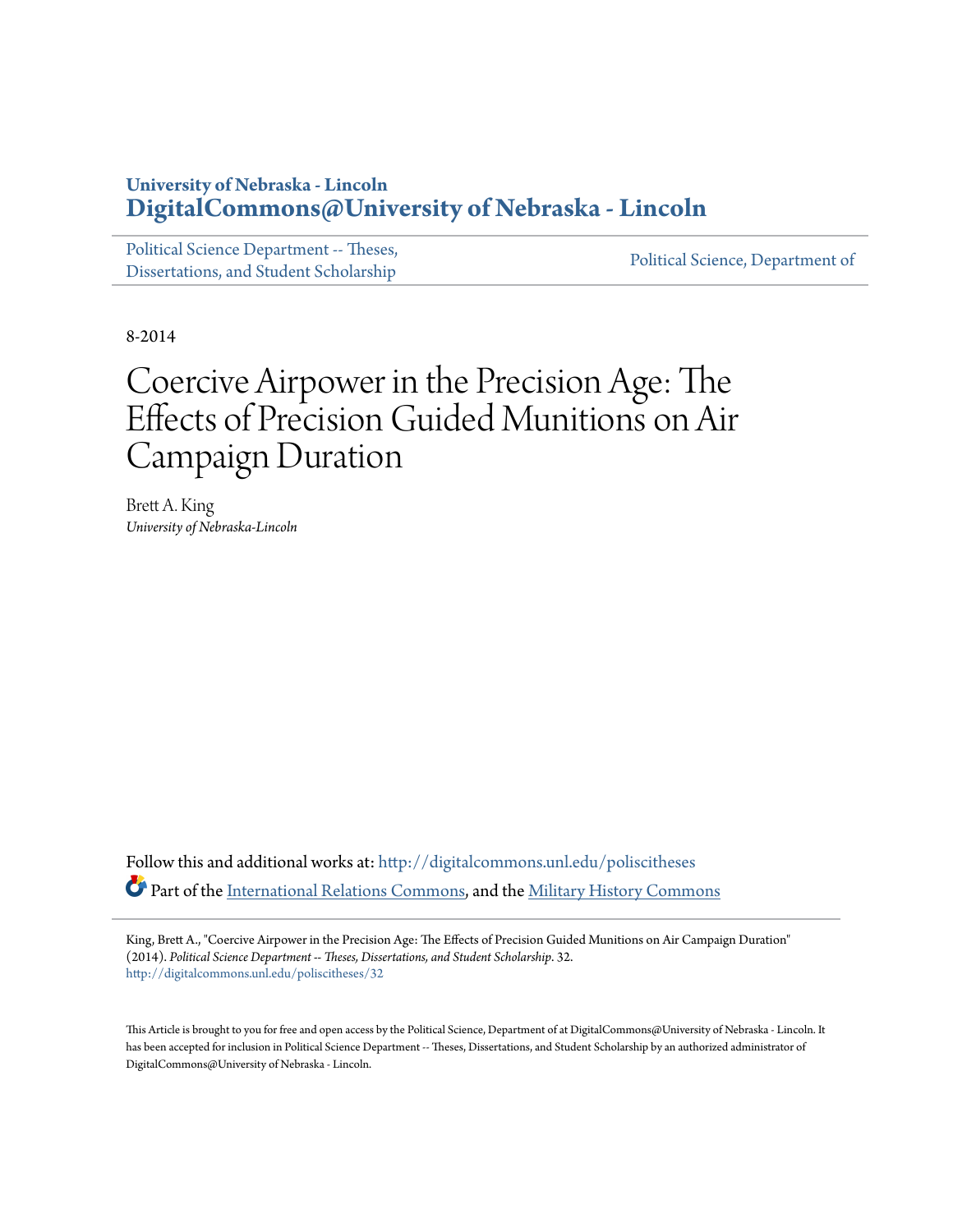## **University of Nebraska - Lincoln [DigitalCommons@University of Nebraska - Lincoln](http://digitalcommons.unl.edu?utm_source=digitalcommons.unl.edu%2Fpoliscitheses%2F32&utm_medium=PDF&utm_campaign=PDFCoverPages)**

[Political Science Department -- Theses,](http://digitalcommons.unl.edu/poliscitheses?utm_source=digitalcommons.unl.edu%2Fpoliscitheses%2F32&utm_medium=PDF&utm_campaign=PDFCoverPages) Political Science, Department of [Dissertations, and Student Scholarship](http://digitalcommons.unl.edu/poliscitheses?utm_source=digitalcommons.unl.edu%2Fpoliscitheses%2F32&utm_medium=PDF&utm_campaign=PDFCoverPages) [Political Science, Department of](http://digitalcommons.unl.edu/politicalscience?utm_source=digitalcommons.unl.edu%2Fpoliscitheses%2F32&utm_medium=PDF&utm_campaign=PDFCoverPages)

8-2014

# Coercive Airpower in the Precision Age: The Effects of Precision Guided Munitions on Air Campaign Duration

Brett A. King *University of Nebraska-Lincoln*

Follow this and additional works at: [http://digitalcommons.unl.edu/poliscitheses](http://digitalcommons.unl.edu/poliscitheses?utm_source=digitalcommons.unl.edu%2Fpoliscitheses%2F32&utm_medium=PDF&utm_campaign=PDFCoverPages) Part of the [International Relations Commons,](http://network.bepress.com/hgg/discipline/389?utm_source=digitalcommons.unl.edu%2Fpoliscitheses%2F32&utm_medium=PDF&utm_campaign=PDFCoverPages) and the [Military History Commons](http://network.bepress.com/hgg/discipline/504?utm_source=digitalcommons.unl.edu%2Fpoliscitheses%2F32&utm_medium=PDF&utm_campaign=PDFCoverPages)

King, Brett A., "Coercive Airpower in the Precision Age: The Effects of Precision Guided Munitions on Air Campaign Duration" (2014). *Political Science Department -- Theses, Dissertations, and Student Scholarship*. 32. [http://digitalcommons.unl.edu/poliscitheses/32](http://digitalcommons.unl.edu/poliscitheses/32?utm_source=digitalcommons.unl.edu%2Fpoliscitheses%2F32&utm_medium=PDF&utm_campaign=PDFCoverPages)

This Article is brought to you for free and open access by the Political Science, Department of at DigitalCommons@University of Nebraska - Lincoln. It has been accepted for inclusion in Political Science Department -- Theses, Dissertations, and Student Scholarship by an authorized administrator of DigitalCommons@University of Nebraska - Lincoln.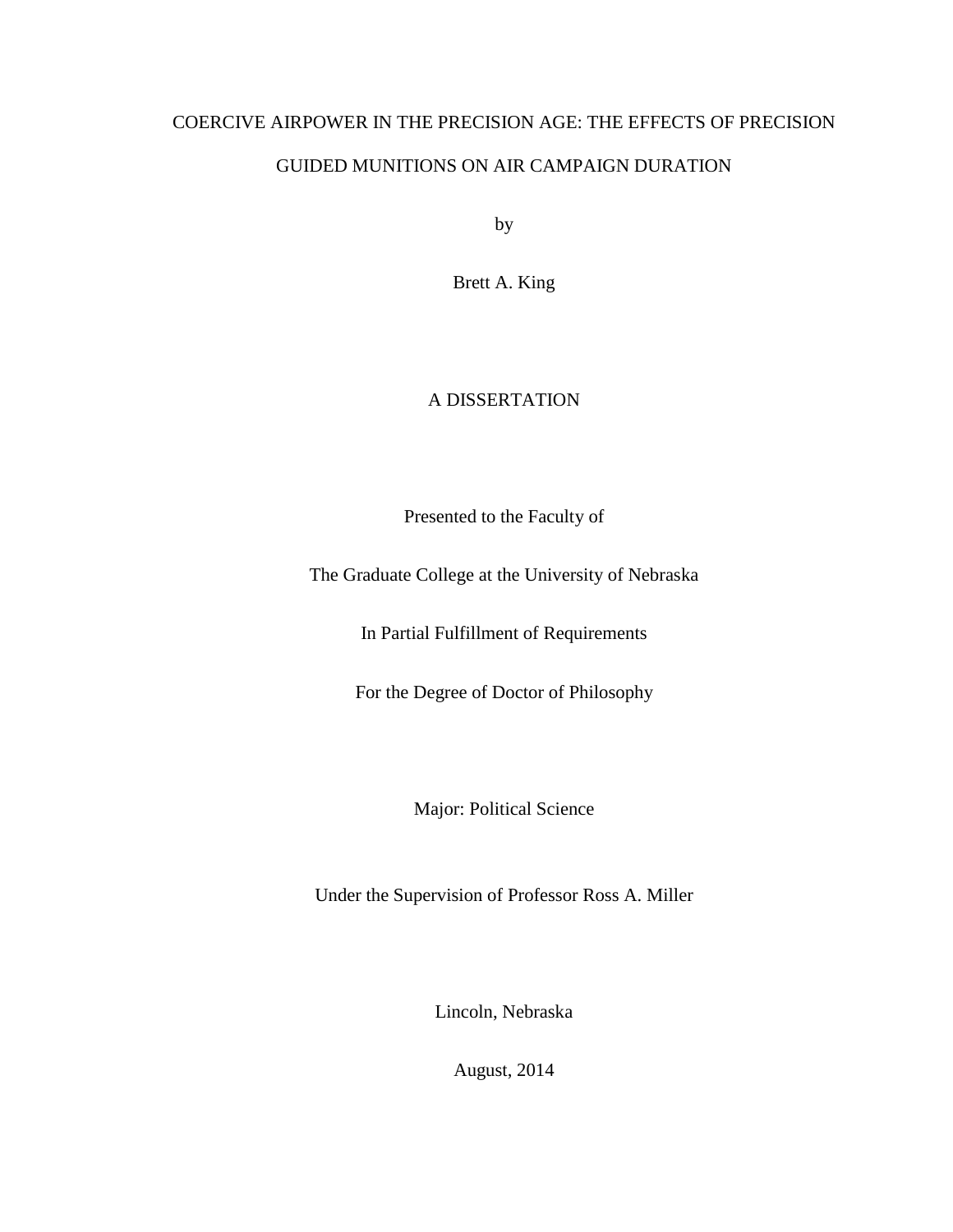## COERCIVE AIRPOWER IN THE PRECISION AGE: THE EFFECTS OF PRECISION GUIDED MUNITIONS ON AIR CAMPAIGN DURATION

by

Brett A. King

### A DISSERTATION

Presented to the Faculty of

The Graduate College at the University of Nebraska

In Partial Fulfillment of Requirements

For the Degree of Doctor of Philosophy

Major: Political Science

Under the Supervision of Professor Ross A. Miller

Lincoln, Nebraska

August, 2014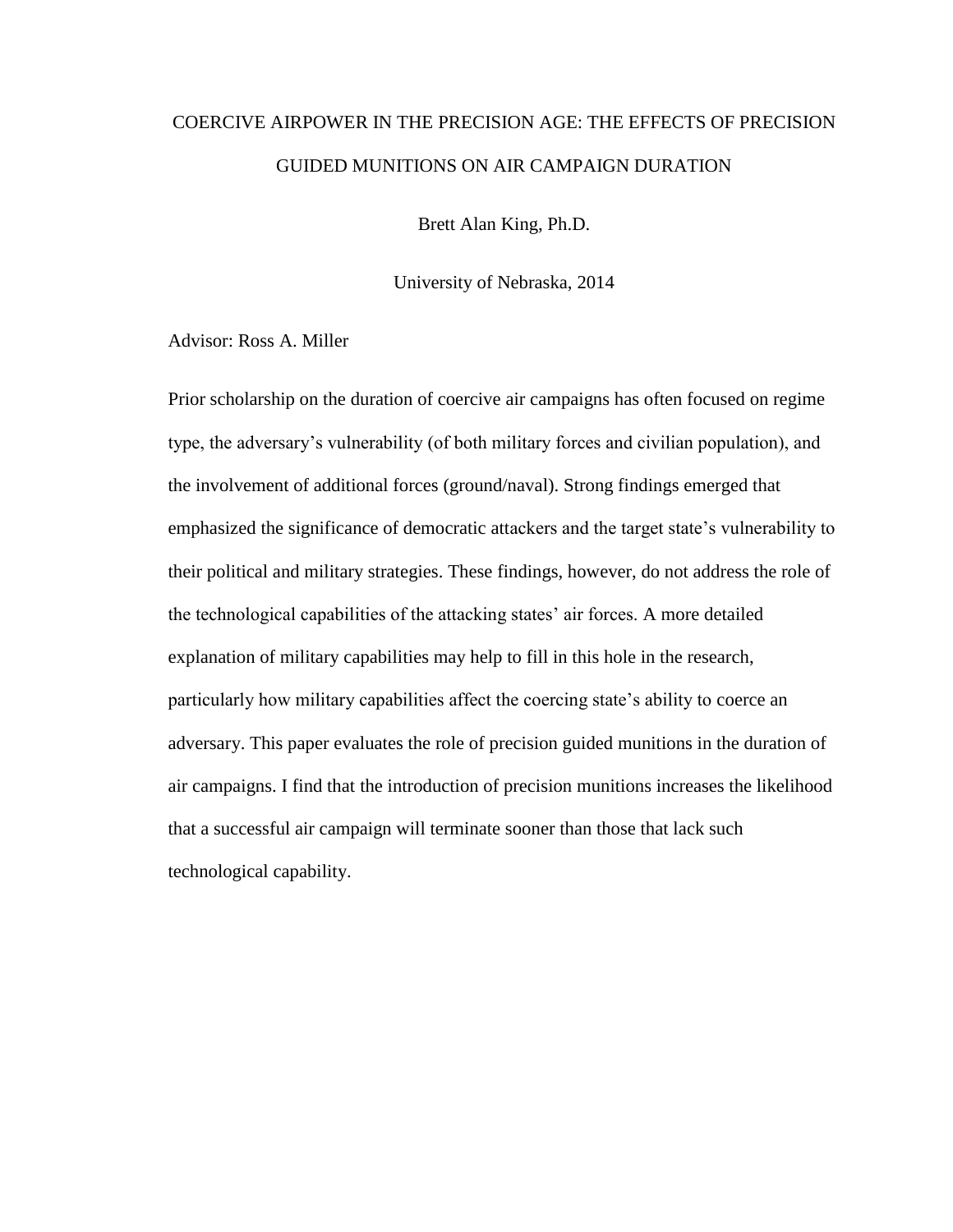## COERCIVE AIRPOWER IN THE PRECISION AGE: THE EFFECTS OF PRECISION GUIDED MUNITIONS ON AIR CAMPAIGN DURATION

Brett Alan King, Ph.D.

University of Nebraska, 2014

Advisor: Ross A. Miller

Prior scholarship on the duration of coercive air campaigns has often focused on regime type, the adversary's vulnerability (of both military forces and civilian population), and the involvement of additional forces (ground/naval). Strong findings emerged that emphasized the significance of democratic attackers and the target state's vulnerability to their political and military strategies. These findings, however, do not address the role of the technological capabilities of the attacking states' air forces. A more detailed explanation of military capabilities may help to fill in this hole in the research, particularly how military capabilities affect the coercing state's ability to coerce an adversary. This paper evaluates the role of precision guided munitions in the duration of air campaigns. I find that the introduction of precision munitions increases the likelihood that a successful air campaign will terminate sooner than those that lack such technological capability.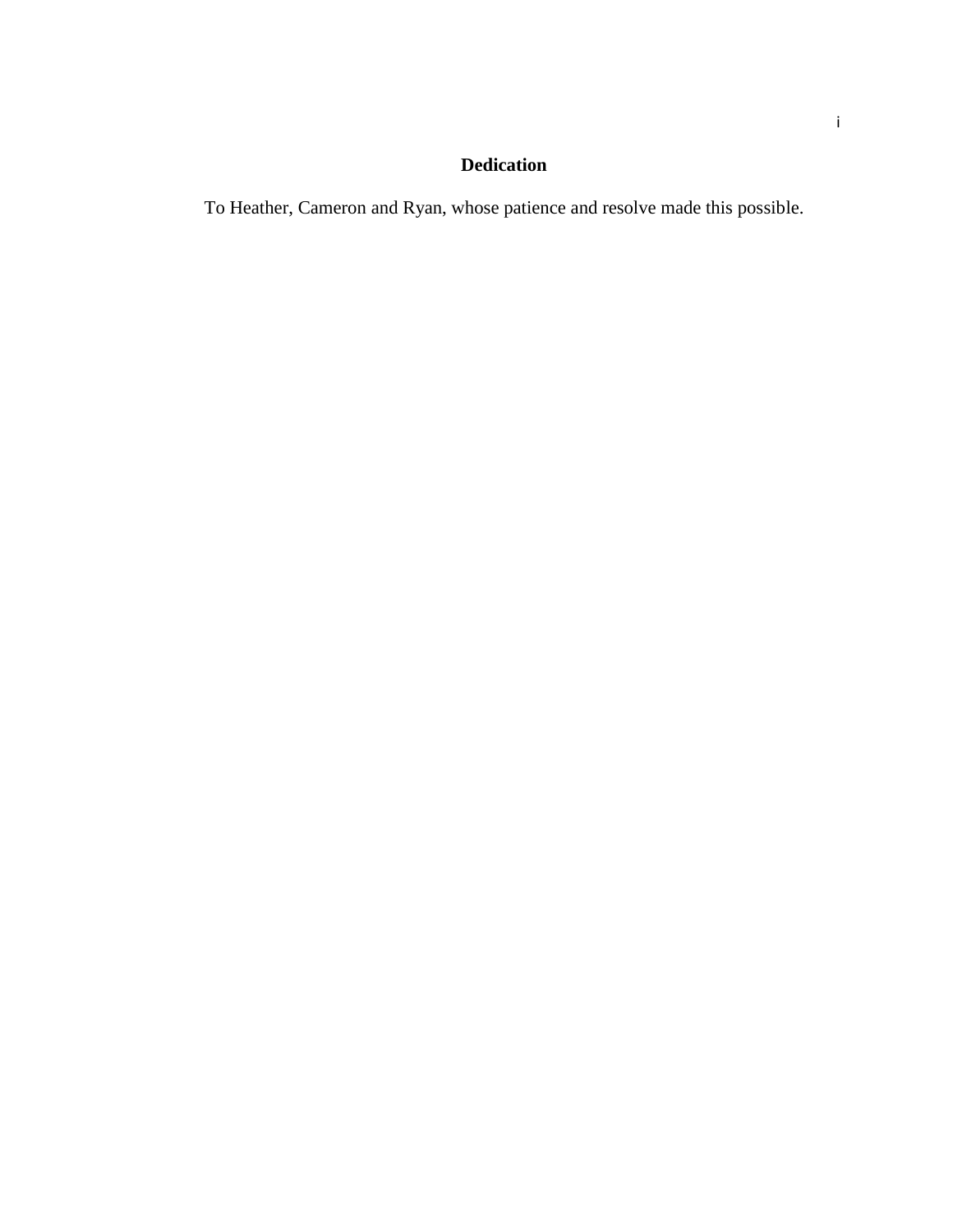## **Dedication**

To Heather, Cameron and Ryan, whose patience and resolve made this possible.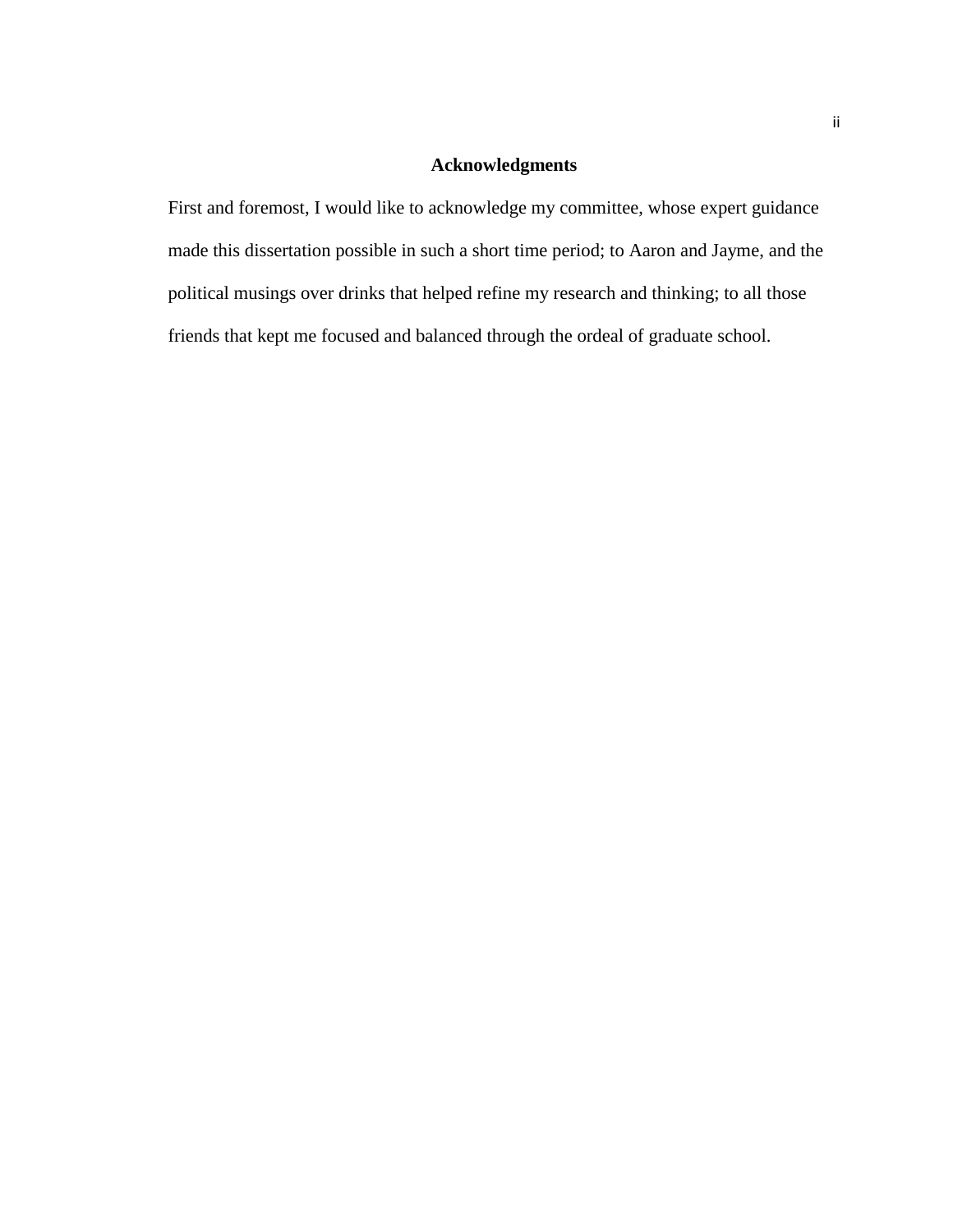### **Acknowledgments**

First and foremost, I would like to acknowledge my committee, whose expert guidance made this dissertation possible in such a short time period; to Aaron and Jayme, and the political musings over drinks that helped refine my research and thinking; to all those friends that kept me focused and balanced through the ordeal of graduate school.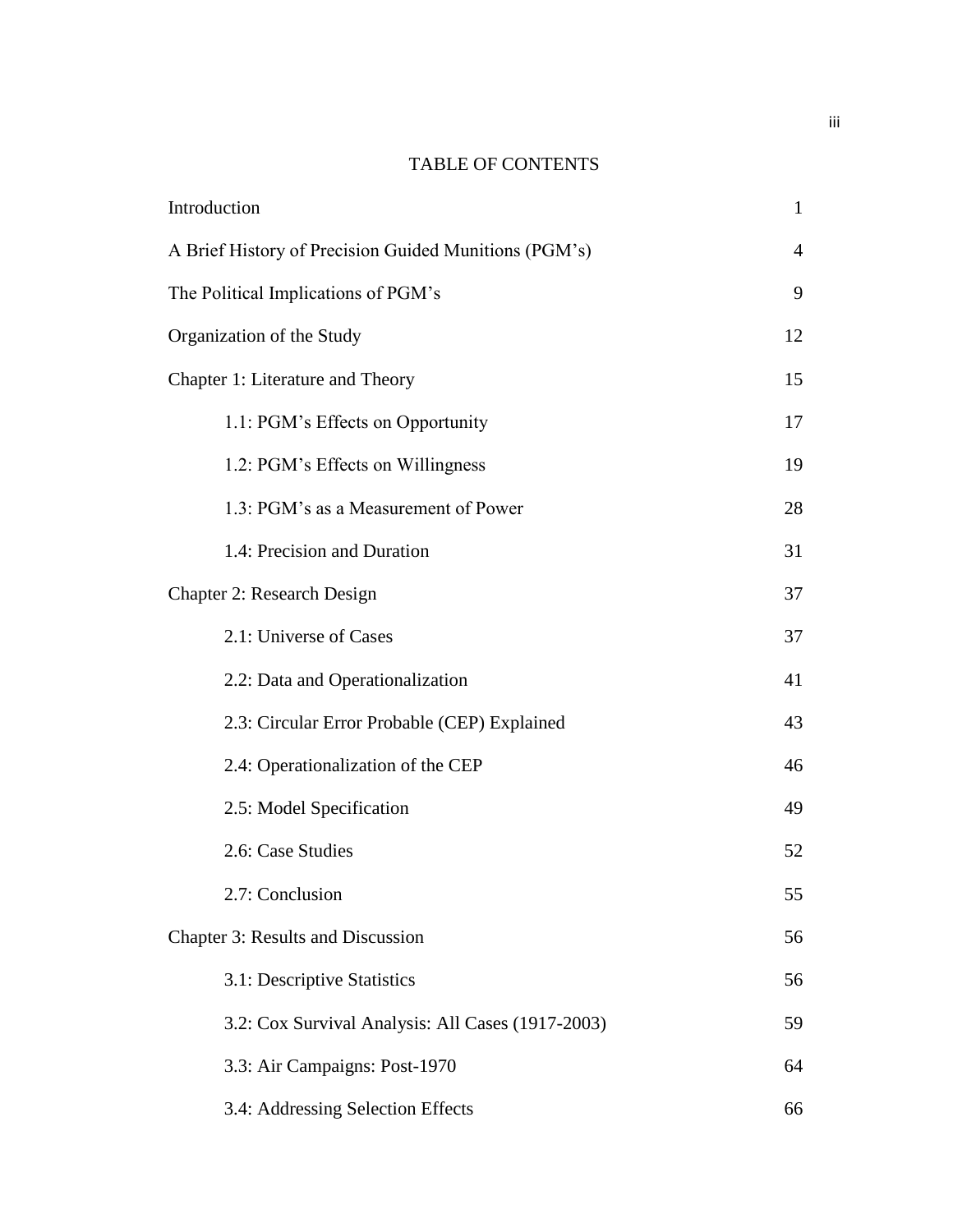### TABLE OF CONTENTS

| Introduction                                          | $\mathbf{1}$ |
|-------------------------------------------------------|--------------|
| A Brief History of Precision Guided Munitions (PGM's) | 4            |
| The Political Implications of PGM's                   | 9            |
| Organization of the Study                             | 12           |
| Chapter 1: Literature and Theory                      | 15           |
| 1.1: PGM's Effects on Opportunity                     | 17           |
| 1.2: PGM's Effects on Willingness                     | 19           |
| 1.3: PGM's as a Measurement of Power                  | 28           |
| 1.4: Precision and Duration                           | 31           |
| Chapter 2: Research Design                            | 37           |
| 2.1: Universe of Cases                                | 37           |
| 2.2: Data and Operationalization                      | 41           |
| 2.3: Circular Error Probable (CEP) Explained          | 43           |
| 2.4: Operationalization of the CEP                    | 46           |
| 2.5: Model Specification                              | 49           |
| 2.6: Case Studies                                     | 52           |
| 2.7: Conclusion                                       | 55           |
| Chapter 3: Results and Discussion                     | 56           |
| 3.1: Descriptive Statistics                           | 56           |
| 3.2: Cox Survival Analysis: All Cases (1917-2003)     | 59           |
| 3.3: Air Campaigns: Post-1970                         | 64           |
| 3.4: Addressing Selection Effects                     | 66           |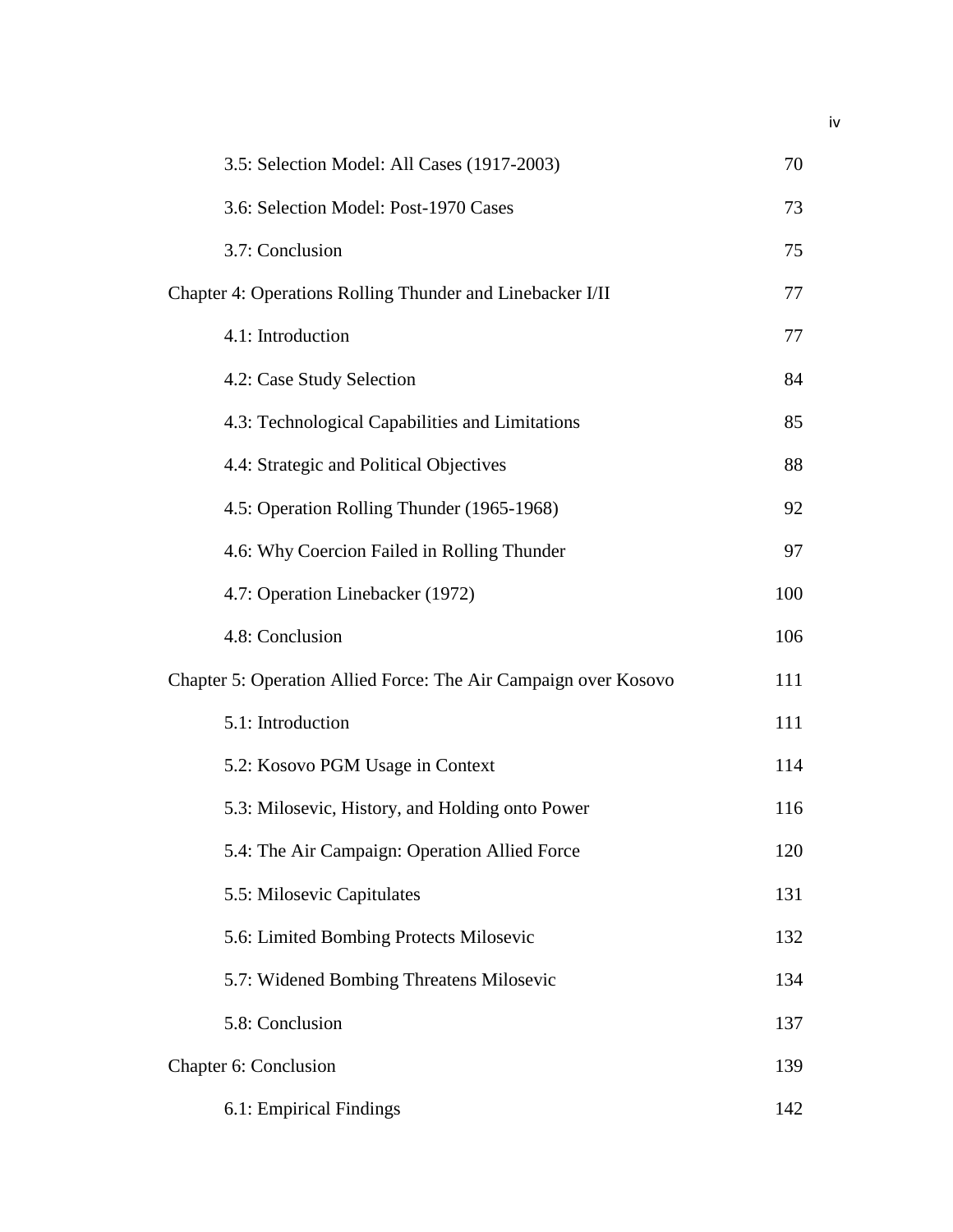| 3.5: Selection Model: All Cases (1917-2003)                     | 70  |
|-----------------------------------------------------------------|-----|
| 3.6: Selection Model: Post-1970 Cases                           | 73  |
| 3.7: Conclusion                                                 | 75  |
| Chapter 4: Operations Rolling Thunder and Linebacker I/II       | 77  |
| 4.1: Introduction                                               | 77  |
| 4.2: Case Study Selection                                       | 84  |
| 4.3: Technological Capabilities and Limitations                 | 85  |
| 4.4: Strategic and Political Objectives                         | 88  |
| 4.5: Operation Rolling Thunder (1965-1968)                      | 92  |
| 4.6: Why Coercion Failed in Rolling Thunder                     | 97  |
| 4.7: Operation Linebacker (1972)                                | 100 |
| 4.8: Conclusion                                                 | 106 |
| Chapter 5: Operation Allied Force: The Air Campaign over Kosovo | 111 |
| 5.1: Introduction                                               | 111 |
| 5.2: Kosovo PGM Usage in Context                                | 114 |
| 5.3: Milosevic, History, and Holding onto Power                 | 116 |
| 5.4: The Air Campaign: Operation Allied Force                   | 120 |
| 5.5: Milosevic Capitulates                                      | 131 |
| 5.6: Limited Bombing Protects Milosevic                         | 132 |
| 5.7: Widened Bombing Threatens Milosevic                        | 134 |
| 5.8: Conclusion                                                 | 137 |
| Chapter 6: Conclusion                                           | 139 |
| 6.1: Empirical Findings                                         | 142 |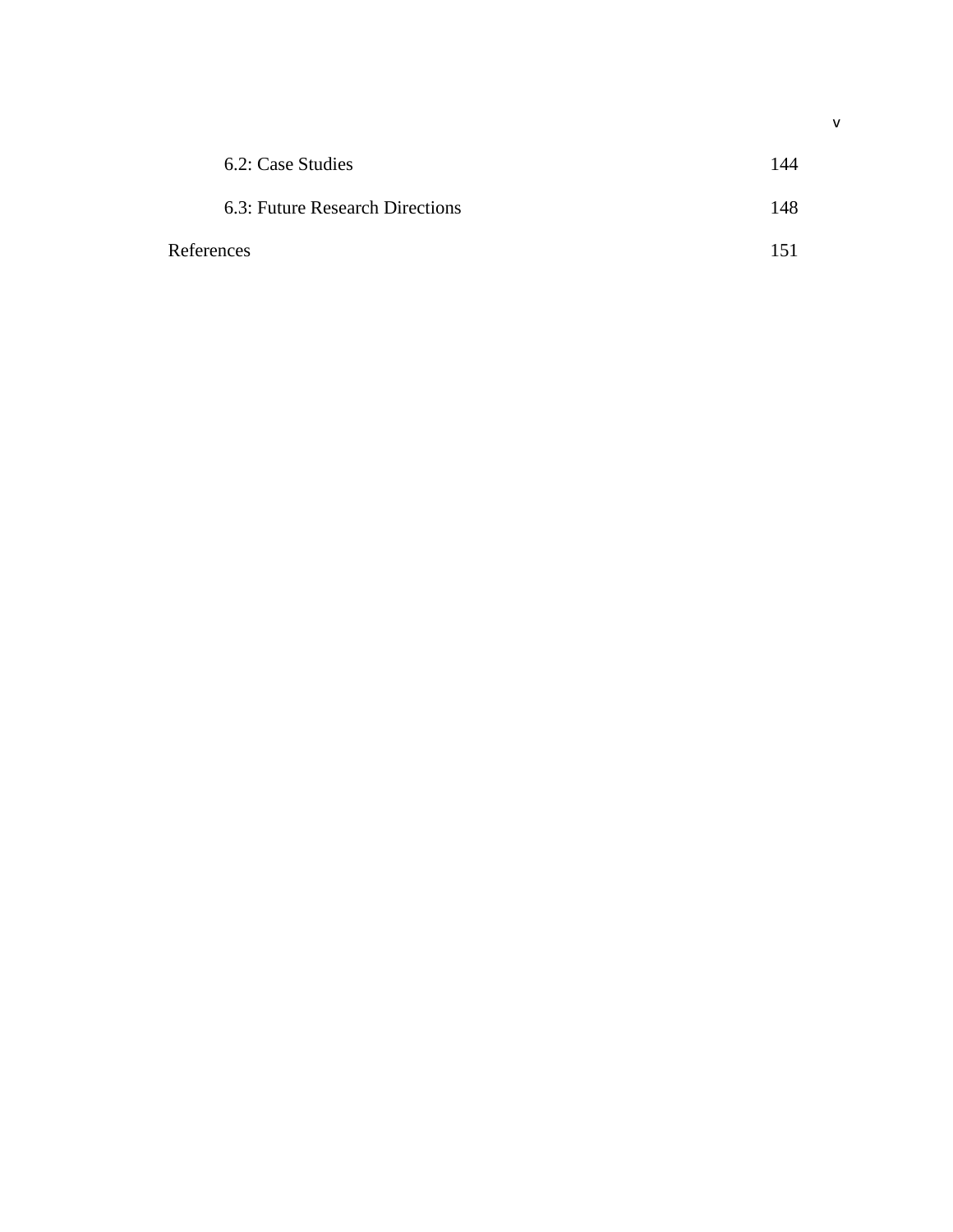| 6.2: Case Studies               | 144 |
|---------------------------------|-----|
| 6.3: Future Research Directions | 148 |
| References                      | 151 |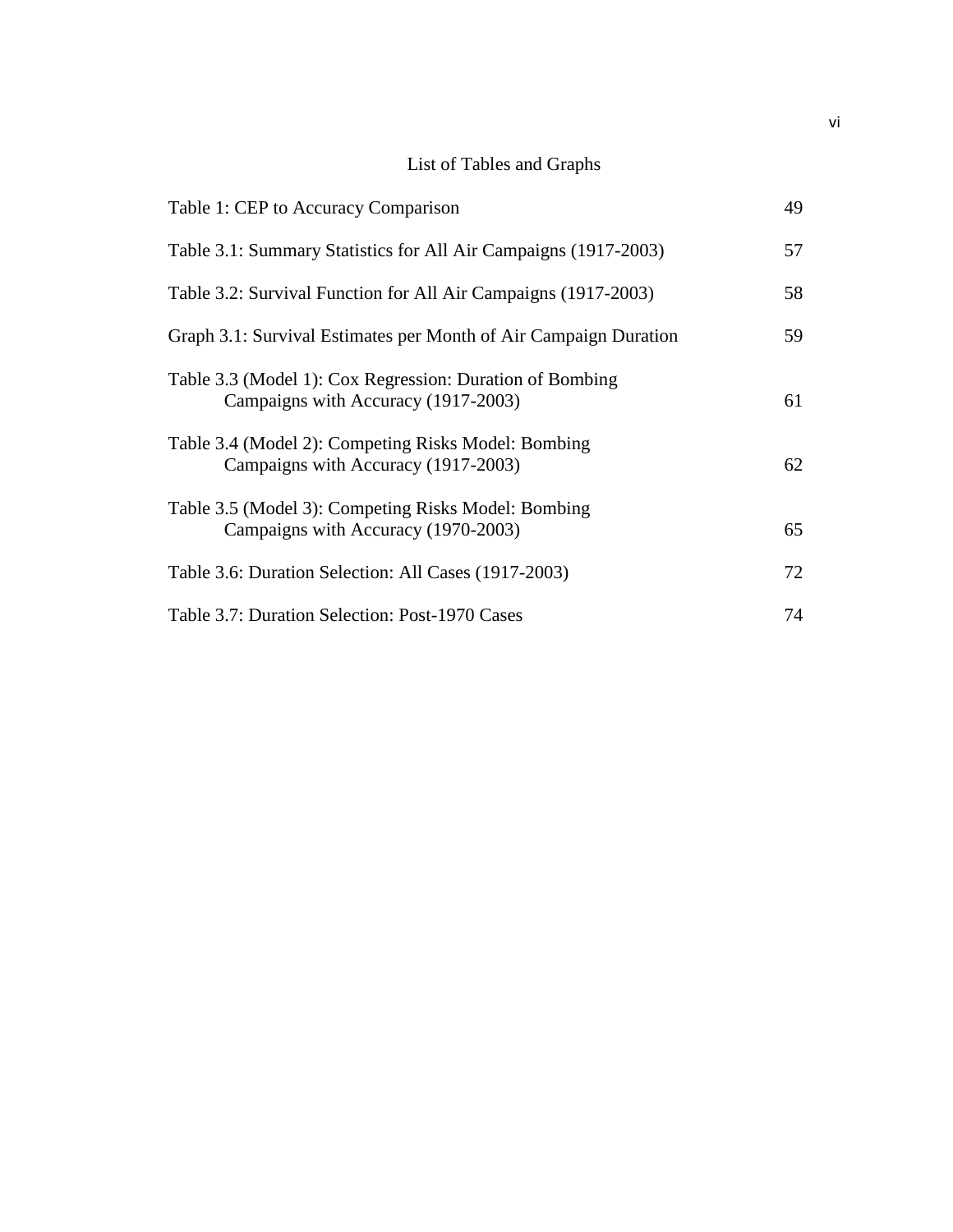## List of Tables and Graphs

| Table 1: CEP to Accuracy Comparison                                                             | 49 |
|-------------------------------------------------------------------------------------------------|----|
| Table 3.1: Summary Statistics for All Air Campaigns (1917-2003)                                 | 57 |
| Table 3.2: Survival Function for All Air Campaigns (1917-2003)                                  | 58 |
| Graph 3.1: Survival Estimates per Month of Air Campaign Duration                                | 59 |
| Table 3.3 (Model 1): Cox Regression: Duration of Bombing<br>Campaigns with Accuracy (1917-2003) | 61 |
| Table 3.4 (Model 2): Competing Risks Model: Bombing<br>Campaigns with Accuracy (1917-2003)      | 62 |
| Table 3.5 (Model 3): Competing Risks Model: Bombing<br>Campaigns with Accuracy (1970-2003)      | 65 |
| Table 3.6: Duration Selection: All Cases (1917-2003)                                            | 72 |
| Table 3.7: Duration Selection: Post-1970 Cases                                                  | 74 |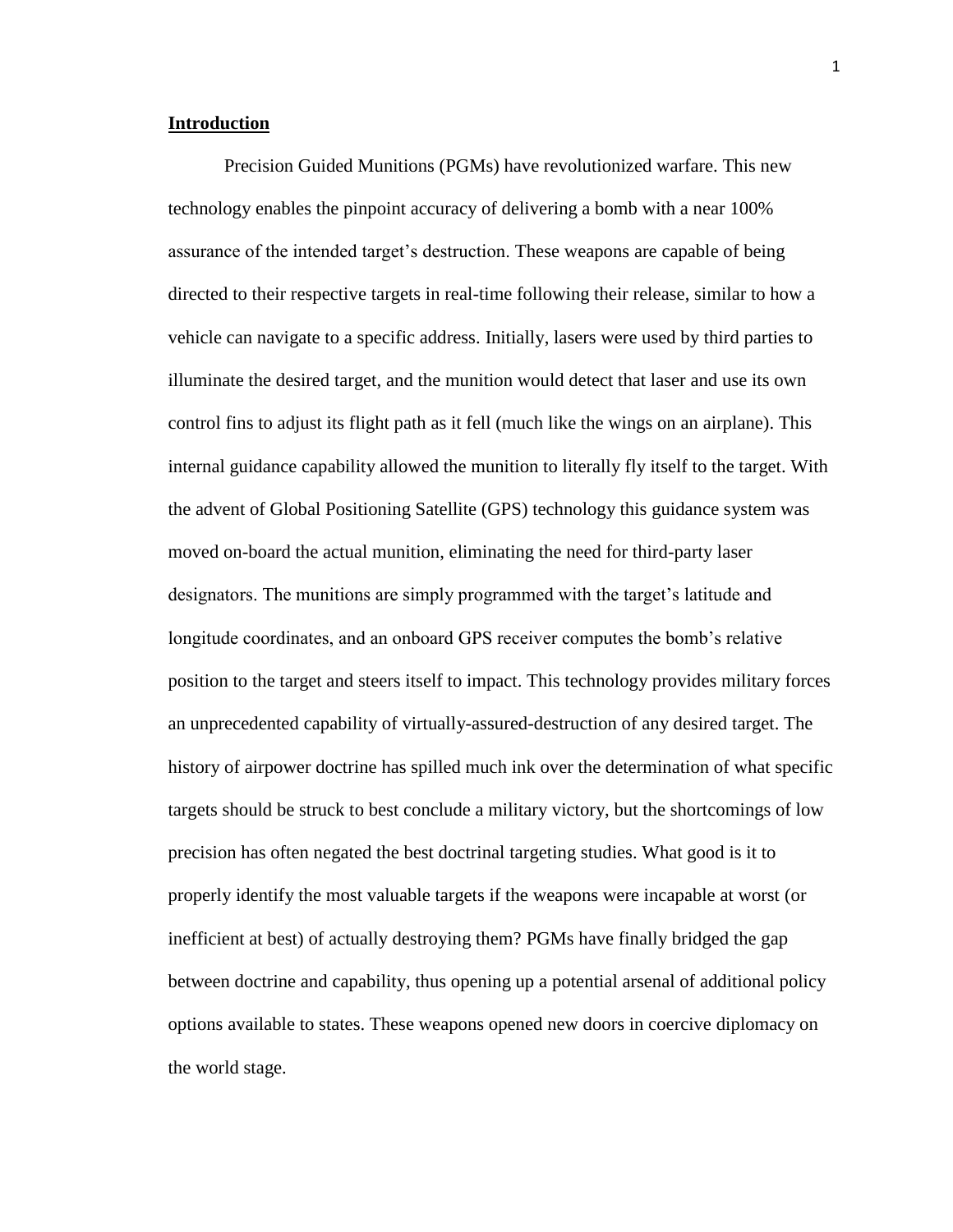#### **Introduction**

Precision Guided Munitions (PGMs) have revolutionized warfare. This new technology enables the pinpoint accuracy of delivering a bomb with a near 100% assurance of the intended target's destruction. These weapons are capable of being directed to their respective targets in real-time following their release, similar to how a vehicle can navigate to a specific address. Initially, lasers were used by third parties to illuminate the desired target, and the munition would detect that laser and use its own control fins to adjust its flight path as it fell (much like the wings on an airplane). This internal guidance capability allowed the munition to literally fly itself to the target. With the advent of Global Positioning Satellite (GPS) technology this guidance system was moved on-board the actual munition, eliminating the need for third-party laser designators. The munitions are simply programmed with the target's latitude and longitude coordinates, and an onboard GPS receiver computes the bomb's relative position to the target and steers itself to impact. This technology provides military forces an unprecedented capability of virtually-assured-destruction of any desired target. The history of airpower doctrine has spilled much ink over the determination of what specific targets should be struck to best conclude a military victory, but the shortcomings of low precision has often negated the best doctrinal targeting studies. What good is it to properly identify the most valuable targets if the weapons were incapable at worst (or inefficient at best) of actually destroying them? PGMs have finally bridged the gap between doctrine and capability, thus opening up a potential arsenal of additional policy options available to states. These weapons opened new doors in coercive diplomacy on the world stage.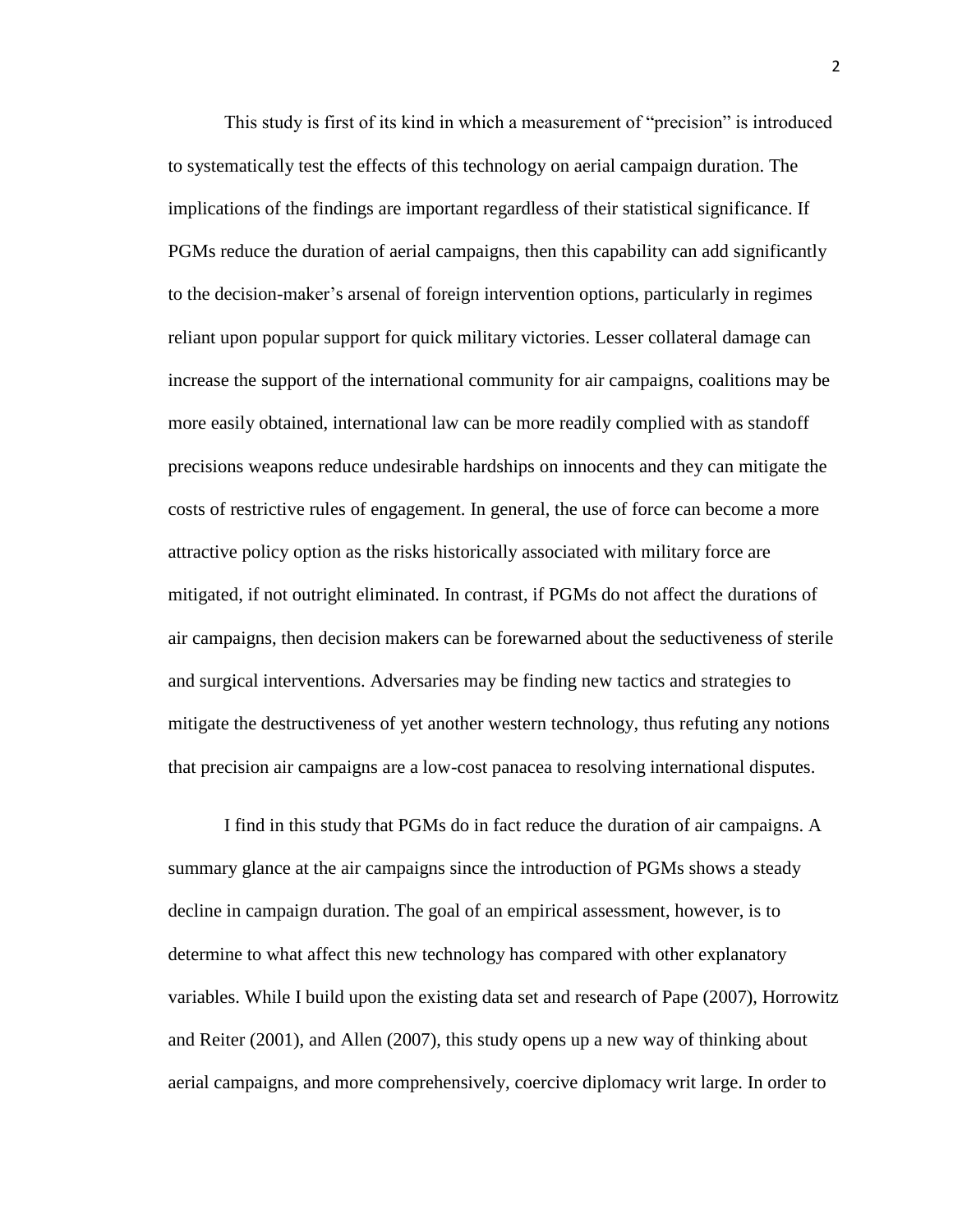This study is first of its kind in which a measurement of "precision" is introduced to systematically test the effects of this technology on aerial campaign duration. The implications of the findings are important regardless of their statistical significance. If PGMs reduce the duration of aerial campaigns, then this capability can add significantly to the decision-maker's arsenal of foreign intervention options, particularly in regimes reliant upon popular support for quick military victories. Lesser collateral damage can increase the support of the international community for air campaigns, coalitions may be more easily obtained, international law can be more readily complied with as standoff precisions weapons reduce undesirable hardships on innocents and they can mitigate the costs of restrictive rules of engagement. In general, the use of force can become a more attractive policy option as the risks historically associated with military force are mitigated, if not outright eliminated. In contrast, if PGMs do not affect the durations of air campaigns, then decision makers can be forewarned about the seductiveness of sterile and surgical interventions. Adversaries may be finding new tactics and strategies to mitigate the destructiveness of yet another western technology, thus refuting any notions that precision air campaigns are a low-cost panacea to resolving international disputes.

I find in this study that PGMs do in fact reduce the duration of air campaigns. A summary glance at the air campaigns since the introduction of PGMs shows a steady decline in campaign duration. The goal of an empirical assessment, however, is to determine to what affect this new technology has compared with other explanatory variables. While I build upon the existing data set and research of Pape (2007), Horrowitz and Reiter (2001), and Allen (2007), this study opens up a new way of thinking about aerial campaigns, and more comprehensively, coercive diplomacy writ large. In order to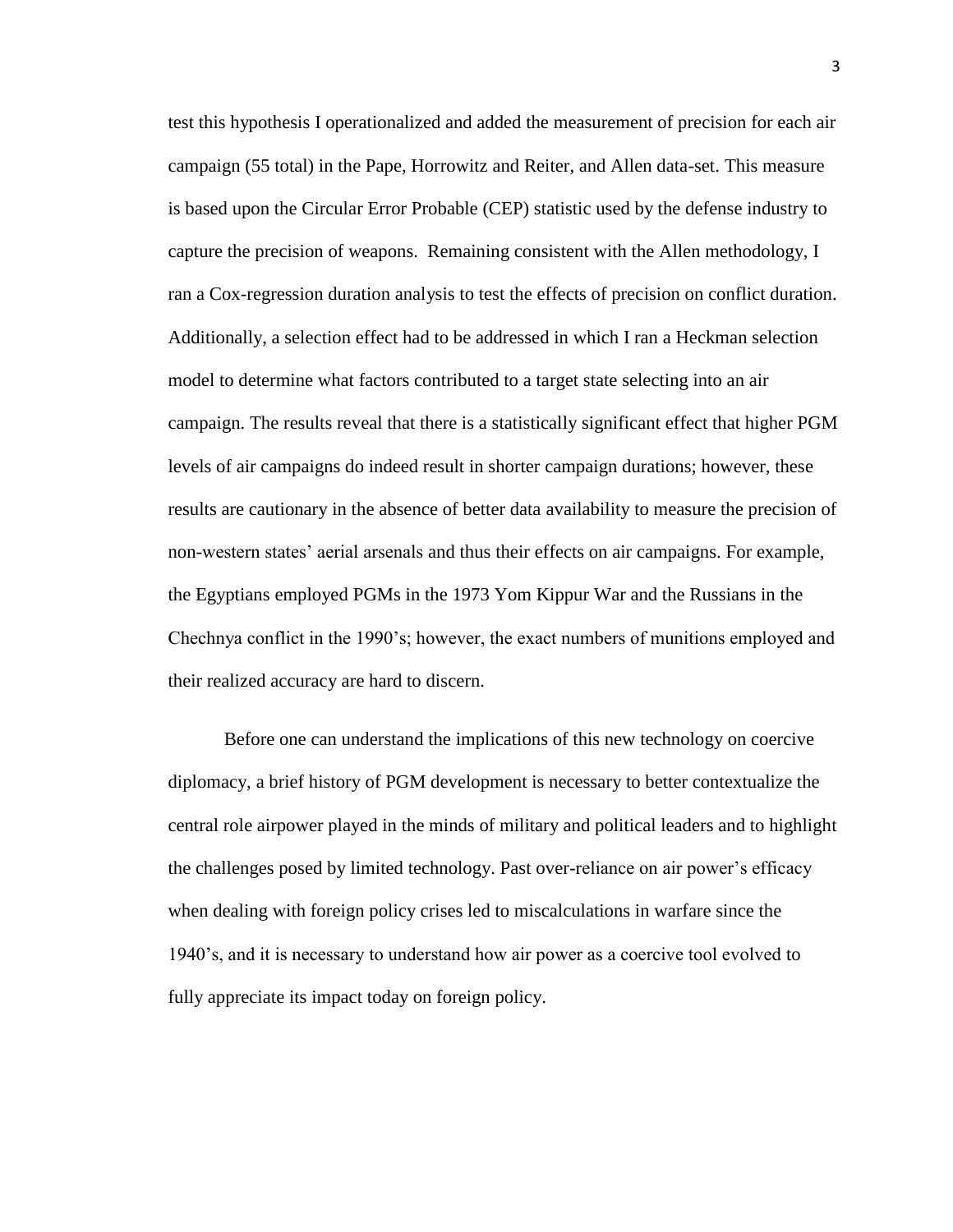test this hypothesis I operationalized and added the measurement of precision for each air campaign (55 total) in the Pape, Horrowitz and Reiter, and Allen data-set. This measure is based upon the Circular Error Probable (CEP) statistic used by the defense industry to capture the precision of weapons. Remaining consistent with the Allen methodology, I ran a Cox-regression duration analysis to test the effects of precision on conflict duration. Additionally, a selection effect had to be addressed in which I ran a Heckman selection model to determine what factors contributed to a target state selecting into an air campaign. The results reveal that there is a statistically significant effect that higher PGM levels of air campaigns do indeed result in shorter campaign durations; however, these results are cautionary in the absence of better data availability to measure the precision of non-western states' aerial arsenals and thus their effects on air campaigns. For example, the Egyptians employed PGMs in the 1973 Yom Kippur War and the Russians in the Chechnya conflict in the 1990's; however, the exact numbers of munitions employed and their realized accuracy are hard to discern.

Before one can understand the implications of this new technology on coercive diplomacy, a brief history of PGM development is necessary to better contextualize the central role airpower played in the minds of military and political leaders and to highlight the challenges posed by limited technology. Past over-reliance on air power's efficacy when dealing with foreign policy crises led to miscalculations in warfare since the 1940's, and it is necessary to understand how air power as a coercive tool evolved to fully appreciate its impact today on foreign policy.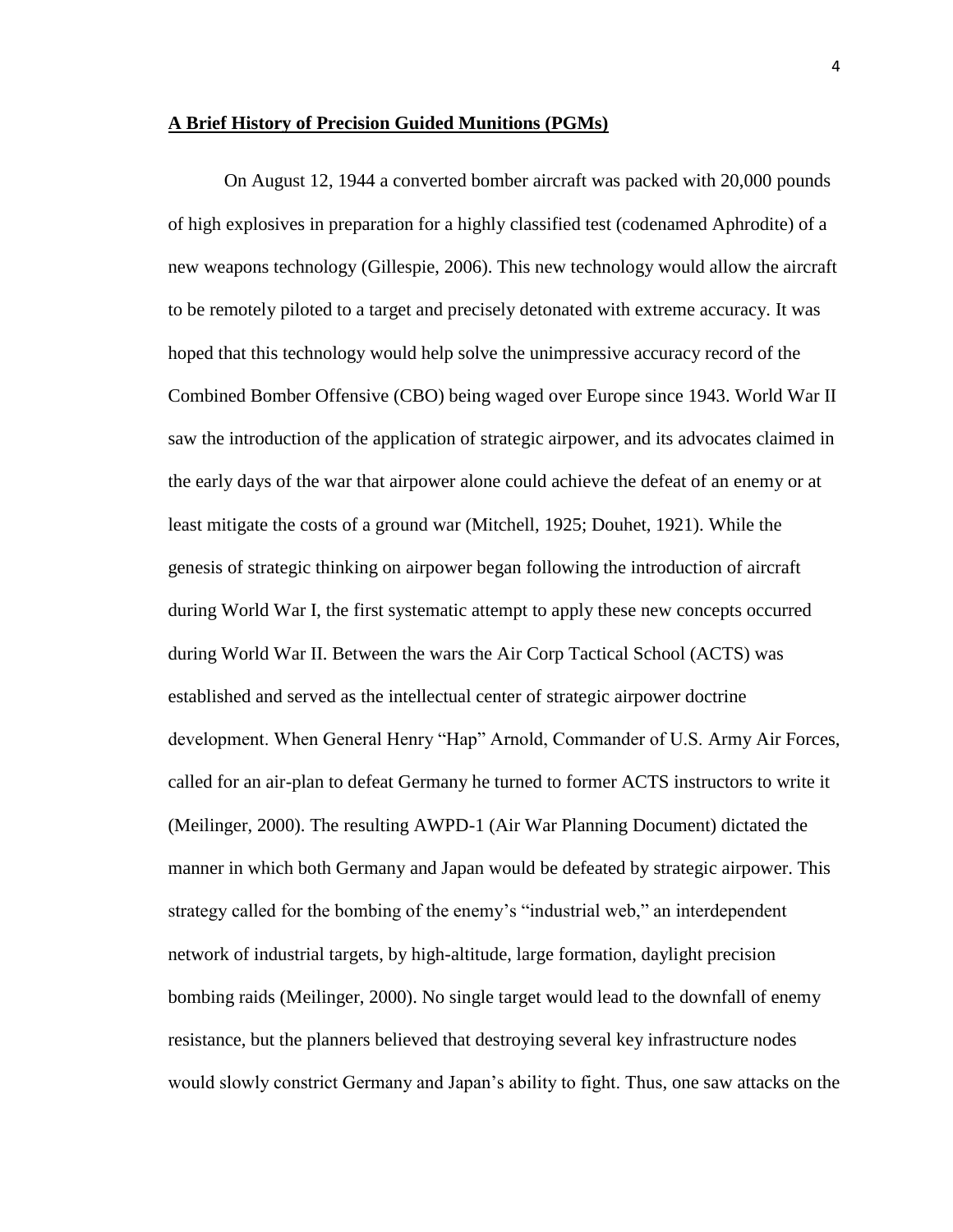#### **A Brief History of Precision Guided Munitions (PGMs)**

On August 12, 1944 a converted bomber aircraft was packed with 20,000 pounds of high explosives in preparation for a highly classified test (codenamed Aphrodite) of a new weapons technology (Gillespie, 2006). This new technology would allow the aircraft to be remotely piloted to a target and precisely detonated with extreme accuracy. It was hoped that this technology would help solve the unimpressive accuracy record of the Combined Bomber Offensive (CBO) being waged over Europe since 1943. World War II saw the introduction of the application of strategic airpower, and its advocates claimed in the early days of the war that airpower alone could achieve the defeat of an enemy or at least mitigate the costs of a ground war (Mitchell, 1925; Douhet, 1921). While the genesis of strategic thinking on airpower began following the introduction of aircraft during World War I, the first systematic attempt to apply these new concepts occurred during World War II. Between the wars the Air Corp Tactical School (ACTS) was established and served as the intellectual center of strategic airpower doctrine development. When General Henry "Hap" Arnold, Commander of U.S. Army Air Forces, called for an air-plan to defeat Germany he turned to former ACTS instructors to write it (Meilinger, 2000). The resulting AWPD-1 (Air War Planning Document) dictated the manner in which both Germany and Japan would be defeated by strategic airpower. This strategy called for the bombing of the enemy's "industrial web," an interdependent network of industrial targets, by high-altitude, large formation, daylight precision bombing raids (Meilinger, 2000). No single target would lead to the downfall of enemy resistance, but the planners believed that destroying several key infrastructure nodes would slowly constrict Germany and Japan's ability to fight. Thus, one saw attacks on the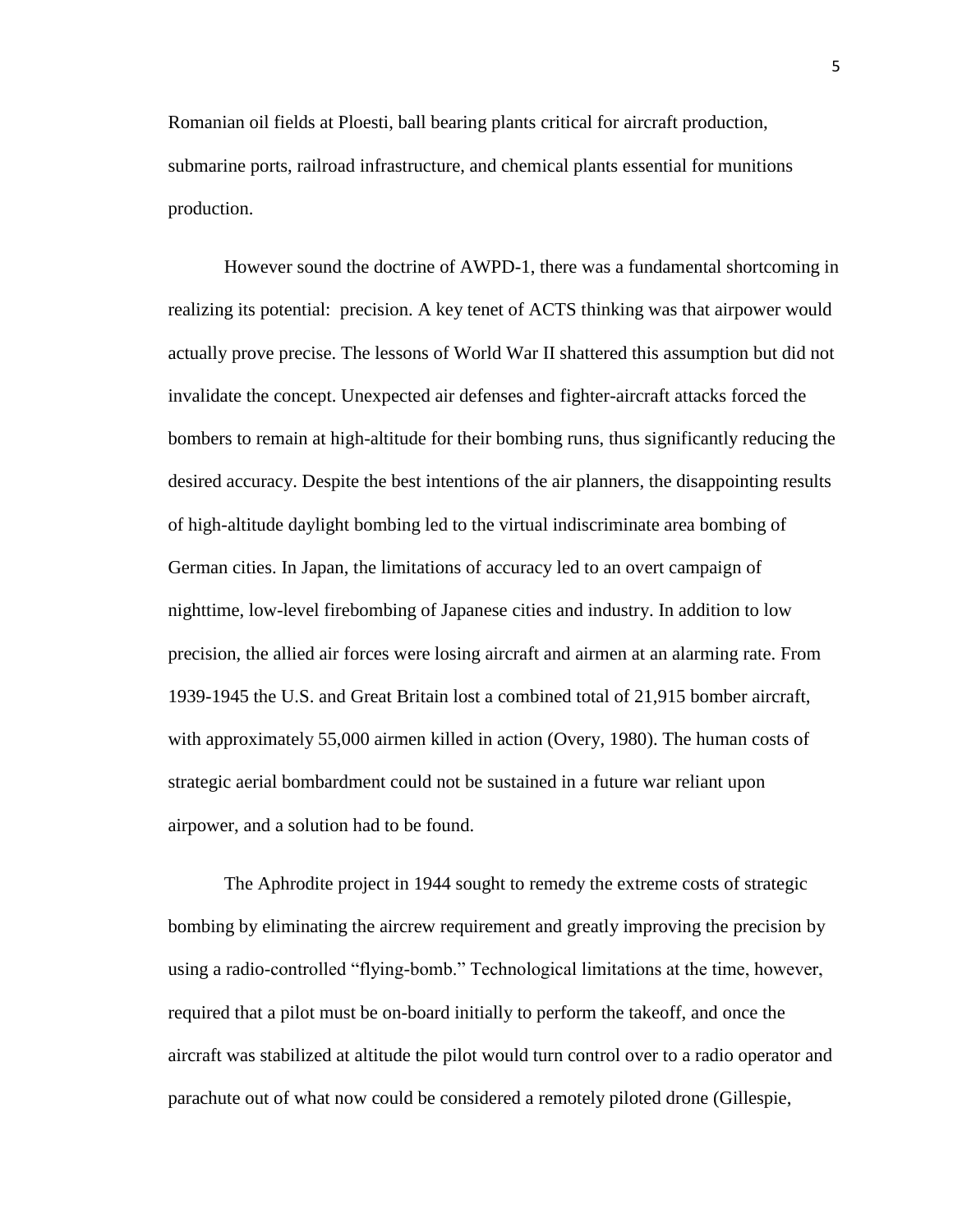Romanian oil fields at Ploesti, ball bearing plants critical for aircraft production, submarine ports, railroad infrastructure, and chemical plants essential for munitions production.

However sound the doctrine of AWPD-1, there was a fundamental shortcoming in realizing its potential: precision. A key tenet of ACTS thinking was that airpower would actually prove precise. The lessons of World War II shattered this assumption but did not invalidate the concept. Unexpected air defenses and fighter-aircraft attacks forced the bombers to remain at high-altitude for their bombing runs, thus significantly reducing the desired accuracy. Despite the best intentions of the air planners, the disappointing results of high-altitude daylight bombing led to the virtual indiscriminate area bombing of German cities. In Japan, the limitations of accuracy led to an overt campaign of nighttime, low-level firebombing of Japanese cities and industry. In addition to low precision, the allied air forces were losing aircraft and airmen at an alarming rate. From 1939-1945 the U.S. and Great Britain lost a combined total of 21,915 bomber aircraft, with approximately 55,000 airmen killed in action (Overy, 1980). The human costs of strategic aerial bombardment could not be sustained in a future war reliant upon airpower, and a solution had to be found.

The Aphrodite project in 1944 sought to remedy the extreme costs of strategic bombing by eliminating the aircrew requirement and greatly improving the precision by using a radio-controlled "flying-bomb." Technological limitations at the time, however, required that a pilot must be on-board initially to perform the takeoff, and once the aircraft was stabilized at altitude the pilot would turn control over to a radio operator and parachute out of what now could be considered a remotely piloted drone (Gillespie,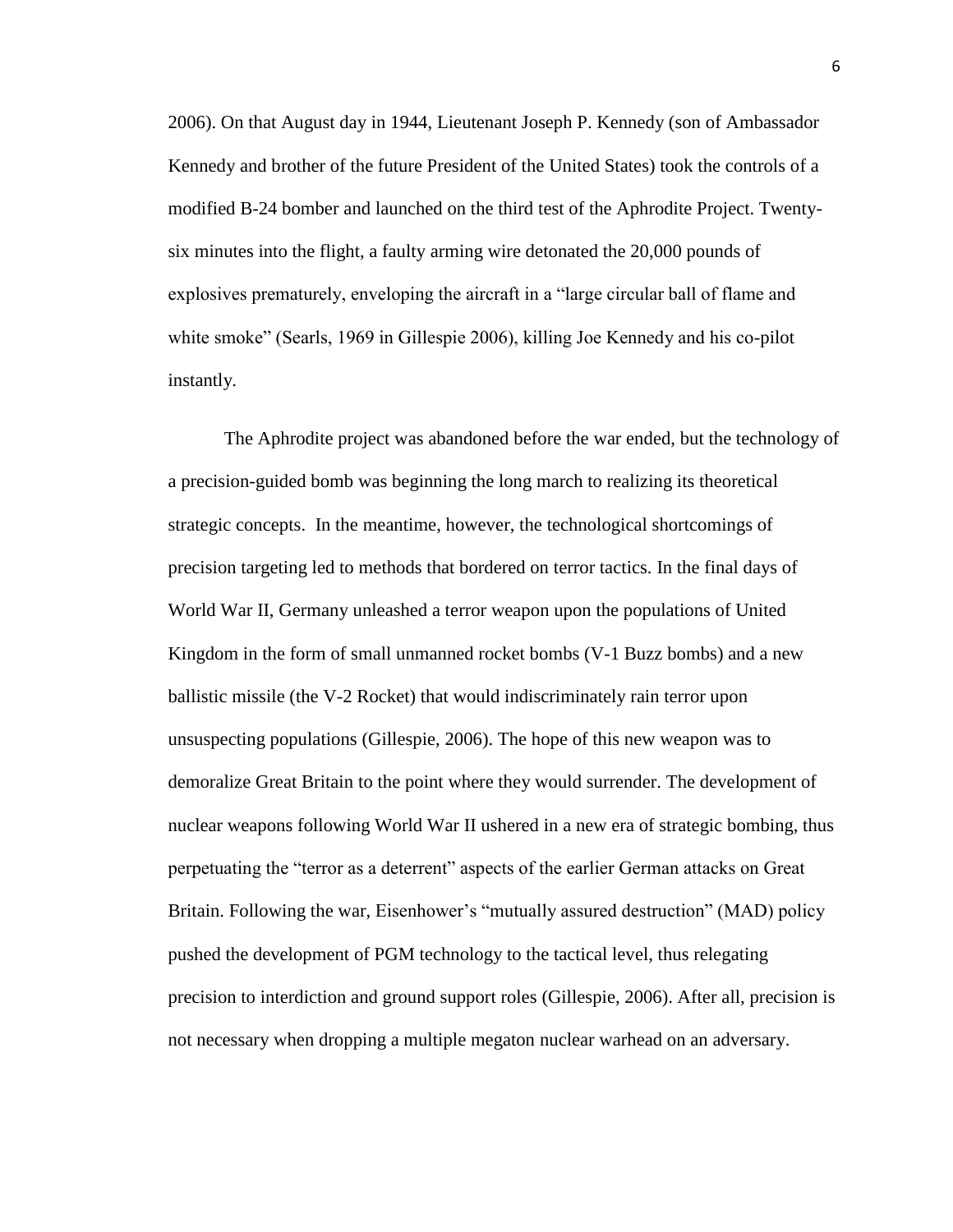2006). On that August day in 1944, Lieutenant Joseph P. Kennedy (son of Ambassador Kennedy and brother of the future President of the United States) took the controls of a modified B-24 bomber and launched on the third test of the Aphrodite Project. Twentysix minutes into the flight, a faulty arming wire detonated the 20,000 pounds of explosives prematurely, enveloping the aircraft in a "large circular ball of flame and white smoke" (Searls, 1969 in Gillespie 2006), killing Joe Kennedy and his co-pilot instantly.

The Aphrodite project was abandoned before the war ended, but the technology of a precision-guided bomb was beginning the long march to realizing its theoretical strategic concepts. In the meantime, however, the technological shortcomings of precision targeting led to methods that bordered on terror tactics. In the final days of World War II, Germany unleashed a terror weapon upon the populations of United Kingdom in the form of small unmanned rocket bombs (V-1 Buzz bombs) and a new ballistic missile (the V-2 Rocket) that would indiscriminately rain terror upon unsuspecting populations (Gillespie, 2006). The hope of this new weapon was to demoralize Great Britain to the point where they would surrender. The development of nuclear weapons following World War II ushered in a new era of strategic bombing, thus perpetuating the "terror as a deterrent" aspects of the earlier German attacks on Great Britain. Following the war, Eisenhower's "mutually assured destruction" (MAD) policy pushed the development of PGM technology to the tactical level, thus relegating precision to interdiction and ground support roles (Gillespie, 2006). After all, precision is not necessary when dropping a multiple megaton nuclear warhead on an adversary.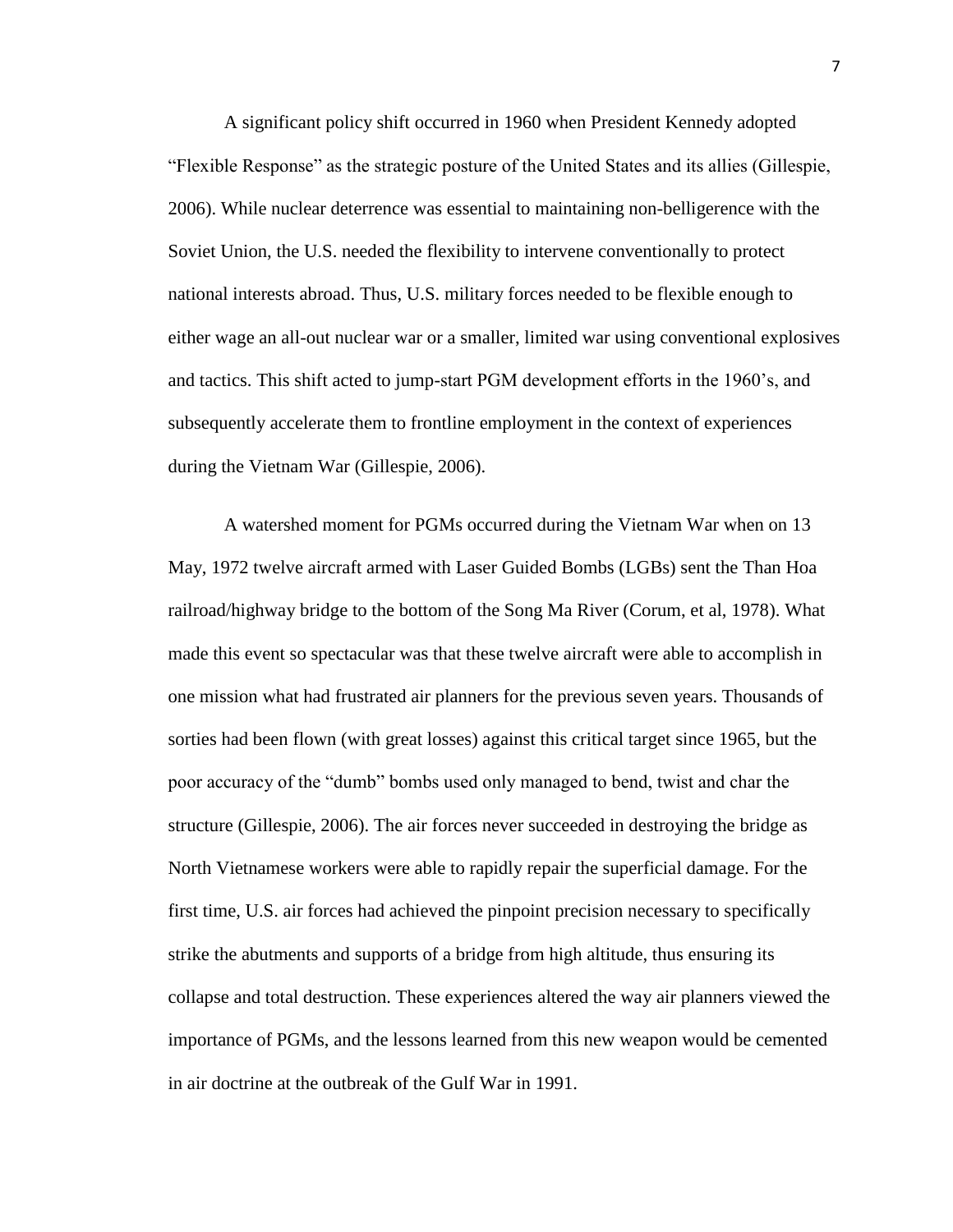A significant policy shift occurred in 1960 when President Kennedy adopted "Flexible Response" as the strategic posture of the United States and its allies (Gillespie, 2006). While nuclear deterrence was essential to maintaining non-belligerence with the Soviet Union, the U.S. needed the flexibility to intervene conventionally to protect national interests abroad. Thus, U.S. military forces needed to be flexible enough to either wage an all-out nuclear war or a smaller, limited war using conventional explosives and tactics. This shift acted to jump-start PGM development efforts in the 1960's, and subsequently accelerate them to frontline employment in the context of experiences during the Vietnam War (Gillespie, 2006).

A watershed moment for PGMs occurred during the Vietnam War when on 13 May, 1972 twelve aircraft armed with Laser Guided Bombs (LGBs) sent the Than Hoa railroad/highway bridge to the bottom of the Song Ma River (Corum, et al, 1978). What made this event so spectacular was that these twelve aircraft were able to accomplish in one mission what had frustrated air planners for the previous seven years. Thousands of sorties had been flown (with great losses) against this critical target since 1965, but the poor accuracy of the "dumb" bombs used only managed to bend, twist and char the structure (Gillespie, 2006). The air forces never succeeded in destroying the bridge as North Vietnamese workers were able to rapidly repair the superficial damage. For the first time, U.S. air forces had achieved the pinpoint precision necessary to specifically strike the abutments and supports of a bridge from high altitude, thus ensuring its collapse and total destruction. These experiences altered the way air planners viewed the importance of PGMs, and the lessons learned from this new weapon would be cemented in air doctrine at the outbreak of the Gulf War in 1991.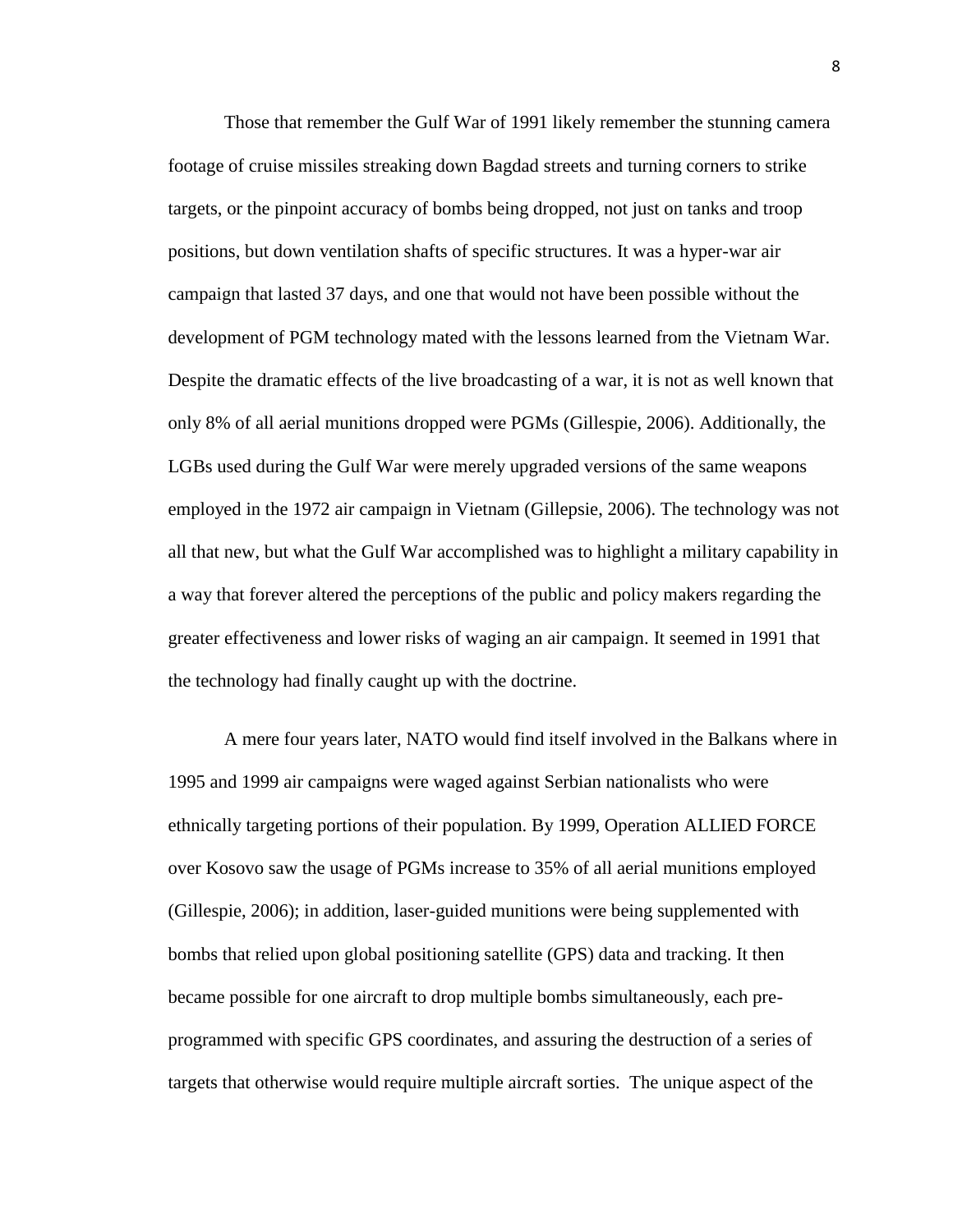Those that remember the Gulf War of 1991 likely remember the stunning camera footage of cruise missiles streaking down Bagdad streets and turning corners to strike targets, or the pinpoint accuracy of bombs being dropped, not just on tanks and troop positions, but down ventilation shafts of specific structures. It was a hyper-war air campaign that lasted 37 days, and one that would not have been possible without the development of PGM technology mated with the lessons learned from the Vietnam War. Despite the dramatic effects of the live broadcasting of a war, it is not as well known that only 8% of all aerial munitions dropped were PGMs (Gillespie, 2006). Additionally, the LGBs used during the Gulf War were merely upgraded versions of the same weapons employed in the 1972 air campaign in Vietnam (Gillepsie, 2006). The technology was not all that new, but what the Gulf War accomplished was to highlight a military capability in a way that forever altered the perceptions of the public and policy makers regarding the greater effectiveness and lower risks of waging an air campaign. It seemed in 1991 that the technology had finally caught up with the doctrine.

A mere four years later, NATO would find itself involved in the Balkans where in 1995 and 1999 air campaigns were waged against Serbian nationalists who were ethnically targeting portions of their population. By 1999, Operation ALLIED FORCE over Kosovo saw the usage of PGMs increase to 35% of all aerial munitions employed (Gillespie, 2006); in addition, laser-guided munitions were being supplemented with bombs that relied upon global positioning satellite (GPS) data and tracking. It then became possible for one aircraft to drop multiple bombs simultaneously, each preprogrammed with specific GPS coordinates, and assuring the destruction of a series of targets that otherwise would require multiple aircraft sorties. The unique aspect of the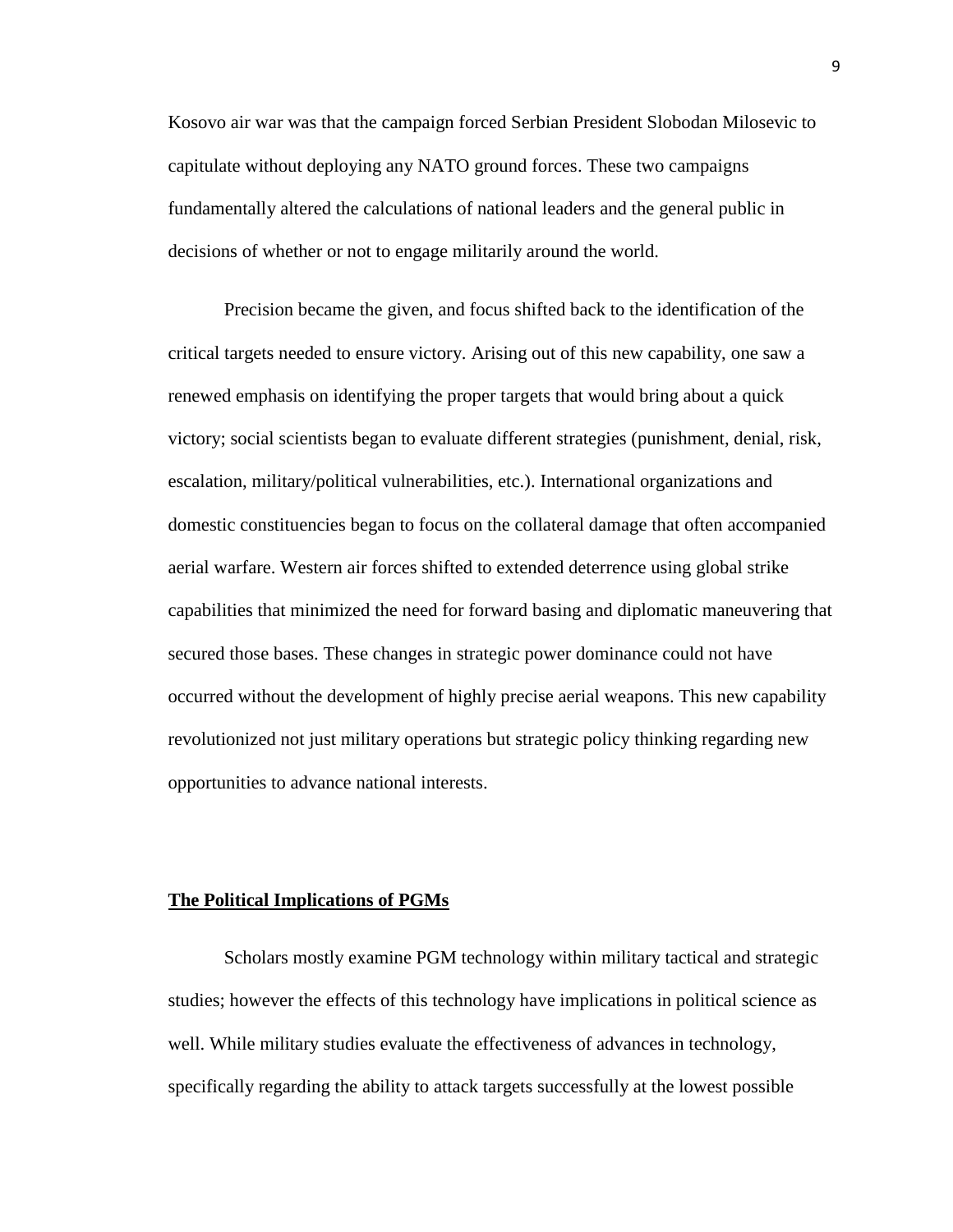Kosovo air war was that the campaign forced Serbian President Slobodan Milosevic to capitulate without deploying any NATO ground forces. These two campaigns fundamentally altered the calculations of national leaders and the general public in decisions of whether or not to engage militarily around the world.

Precision became the given, and focus shifted back to the identification of the critical targets needed to ensure victory. Arising out of this new capability, one saw a renewed emphasis on identifying the proper targets that would bring about a quick victory; social scientists began to evaluate different strategies (punishment, denial, risk, escalation, military/political vulnerabilities, etc.). International organizations and domestic constituencies began to focus on the collateral damage that often accompanied aerial warfare. Western air forces shifted to extended deterrence using global strike capabilities that minimized the need for forward basing and diplomatic maneuvering that secured those bases. These changes in strategic power dominance could not have occurred without the development of highly precise aerial weapons. This new capability revolutionized not just military operations but strategic policy thinking regarding new opportunities to advance national interests.

#### **The Political Implications of PGMs**

Scholars mostly examine PGM technology within military tactical and strategic studies; however the effects of this technology have implications in political science as well. While military studies evaluate the effectiveness of advances in technology, specifically regarding the ability to attack targets successfully at the lowest possible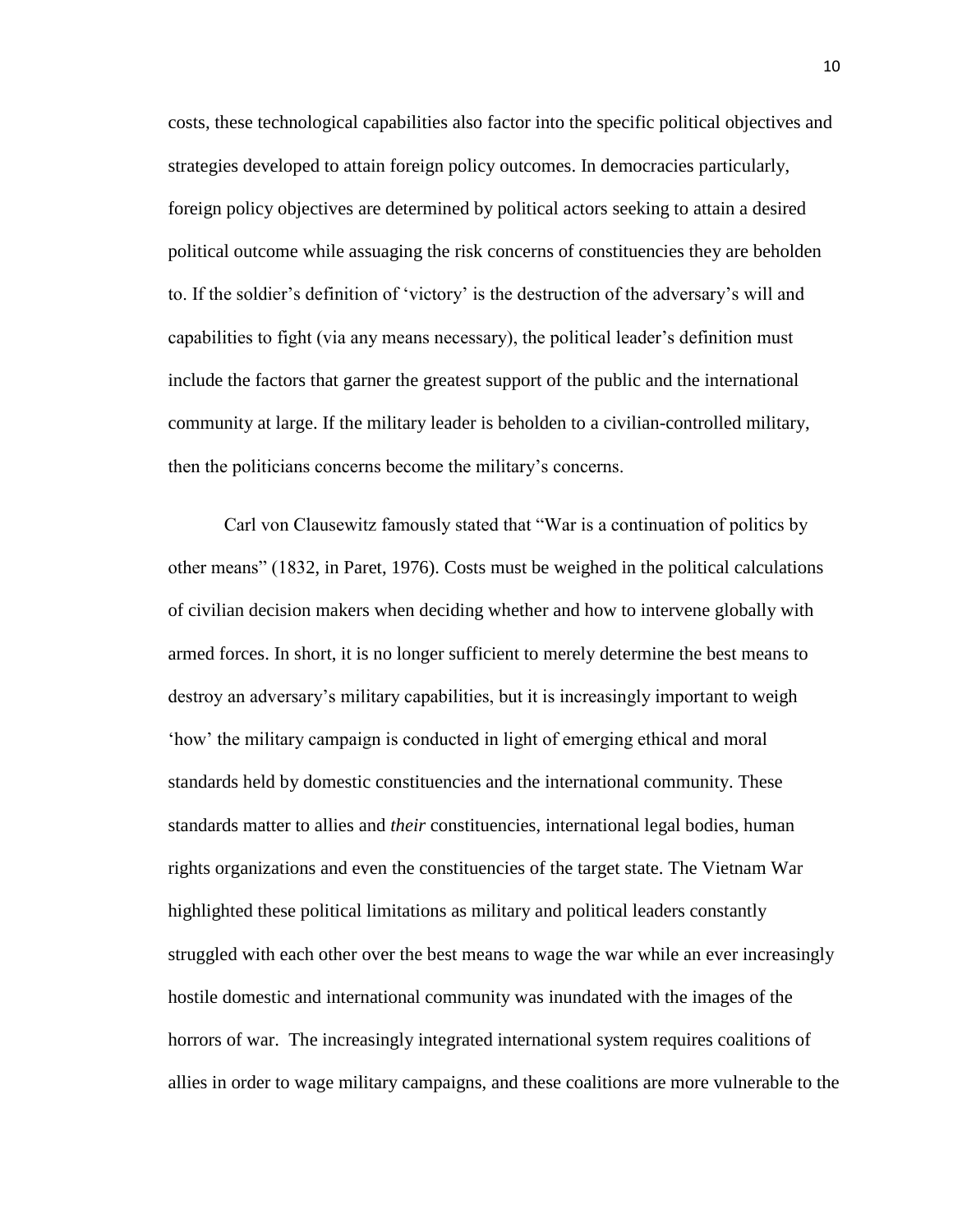costs, these technological capabilities also factor into the specific political objectives and strategies developed to attain foreign policy outcomes. In democracies particularly, foreign policy objectives are determined by political actors seeking to attain a desired political outcome while assuaging the risk concerns of constituencies they are beholden to. If the soldier's definition of 'victory' is the destruction of the adversary's will and capabilities to fight (via any means necessary), the political leader's definition must include the factors that garner the greatest support of the public and the international community at large. If the military leader is beholden to a civilian-controlled military, then the politicians concerns become the military's concerns.

Carl von Clausewitz famously stated that "War is a continuation of politics by other means" (1832, in Paret, 1976). Costs must be weighed in the political calculations of civilian decision makers when deciding whether and how to intervene globally with armed forces. In short, it is no longer sufficient to merely determine the best means to destroy an adversary's military capabilities, but it is increasingly important to weigh 'how' the military campaign is conducted in light of emerging ethical and moral standards held by domestic constituencies and the international community. These standards matter to allies and *their* constituencies, international legal bodies, human rights organizations and even the constituencies of the target state. The Vietnam War highlighted these political limitations as military and political leaders constantly struggled with each other over the best means to wage the war while an ever increasingly hostile domestic and international community was inundated with the images of the horrors of war. The increasingly integrated international system requires coalitions of allies in order to wage military campaigns, and these coalitions are more vulnerable to the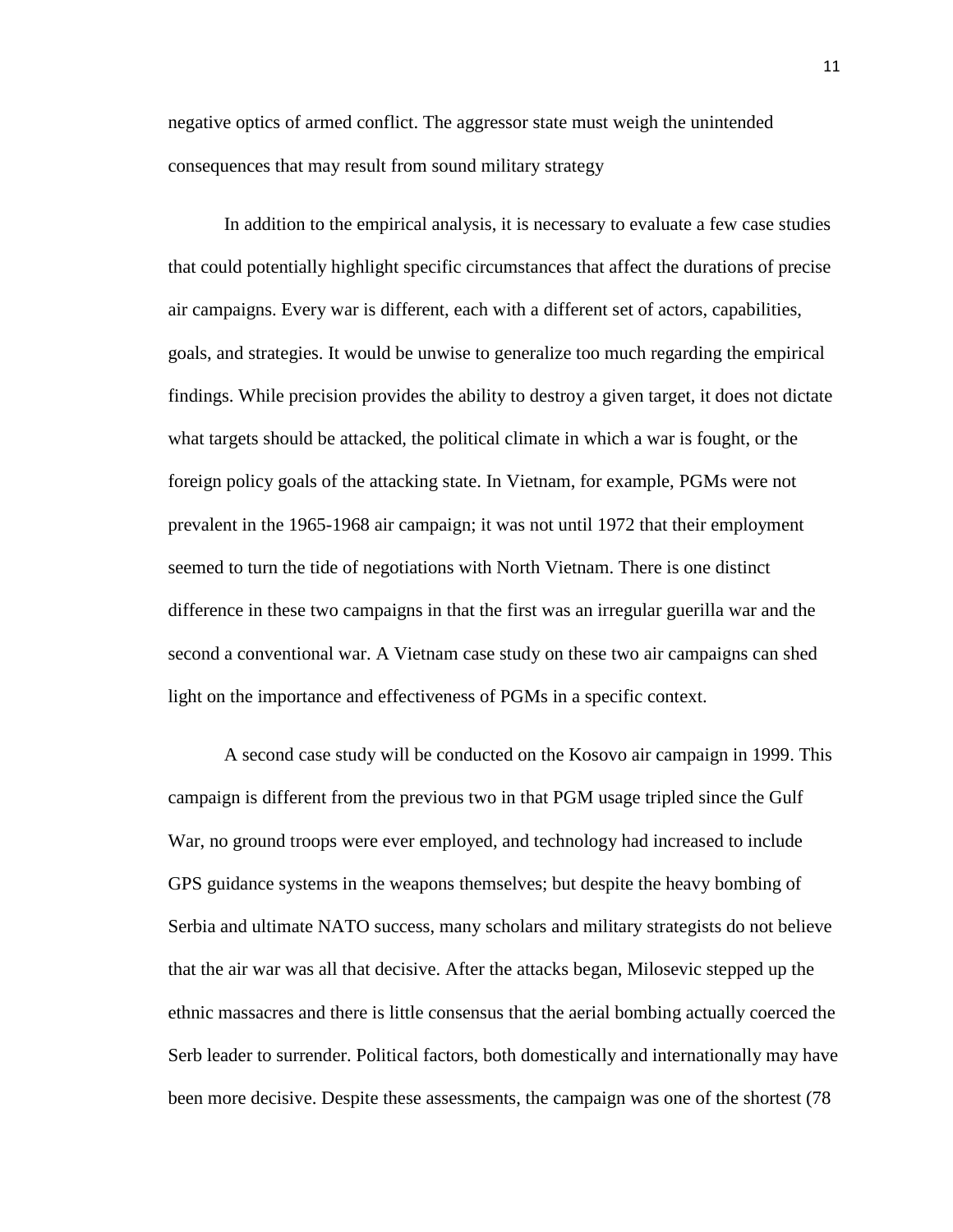negative optics of armed conflict. The aggressor state must weigh the unintended consequences that may result from sound military strategy

In addition to the empirical analysis, it is necessary to evaluate a few case studies that could potentially highlight specific circumstances that affect the durations of precise air campaigns. Every war is different, each with a different set of actors, capabilities, goals, and strategies. It would be unwise to generalize too much regarding the empirical findings. While precision provides the ability to destroy a given target, it does not dictate what targets should be attacked, the political climate in which a war is fought, or the foreign policy goals of the attacking state. In Vietnam, for example, PGMs were not prevalent in the 1965-1968 air campaign; it was not until 1972 that their employment seemed to turn the tide of negotiations with North Vietnam. There is one distinct difference in these two campaigns in that the first was an irregular guerilla war and the second a conventional war. A Vietnam case study on these two air campaigns can shed light on the importance and effectiveness of PGMs in a specific context.

A second case study will be conducted on the Kosovo air campaign in 1999. This campaign is different from the previous two in that PGM usage tripled since the Gulf War, no ground troops were ever employed, and technology had increased to include GPS guidance systems in the weapons themselves; but despite the heavy bombing of Serbia and ultimate NATO success, many scholars and military strategists do not believe that the air war was all that decisive. After the attacks began, Milosevic stepped up the ethnic massacres and there is little consensus that the aerial bombing actually coerced the Serb leader to surrender. Political factors, both domestically and internationally may have been more decisive. Despite these assessments, the campaign was one of the shortest (78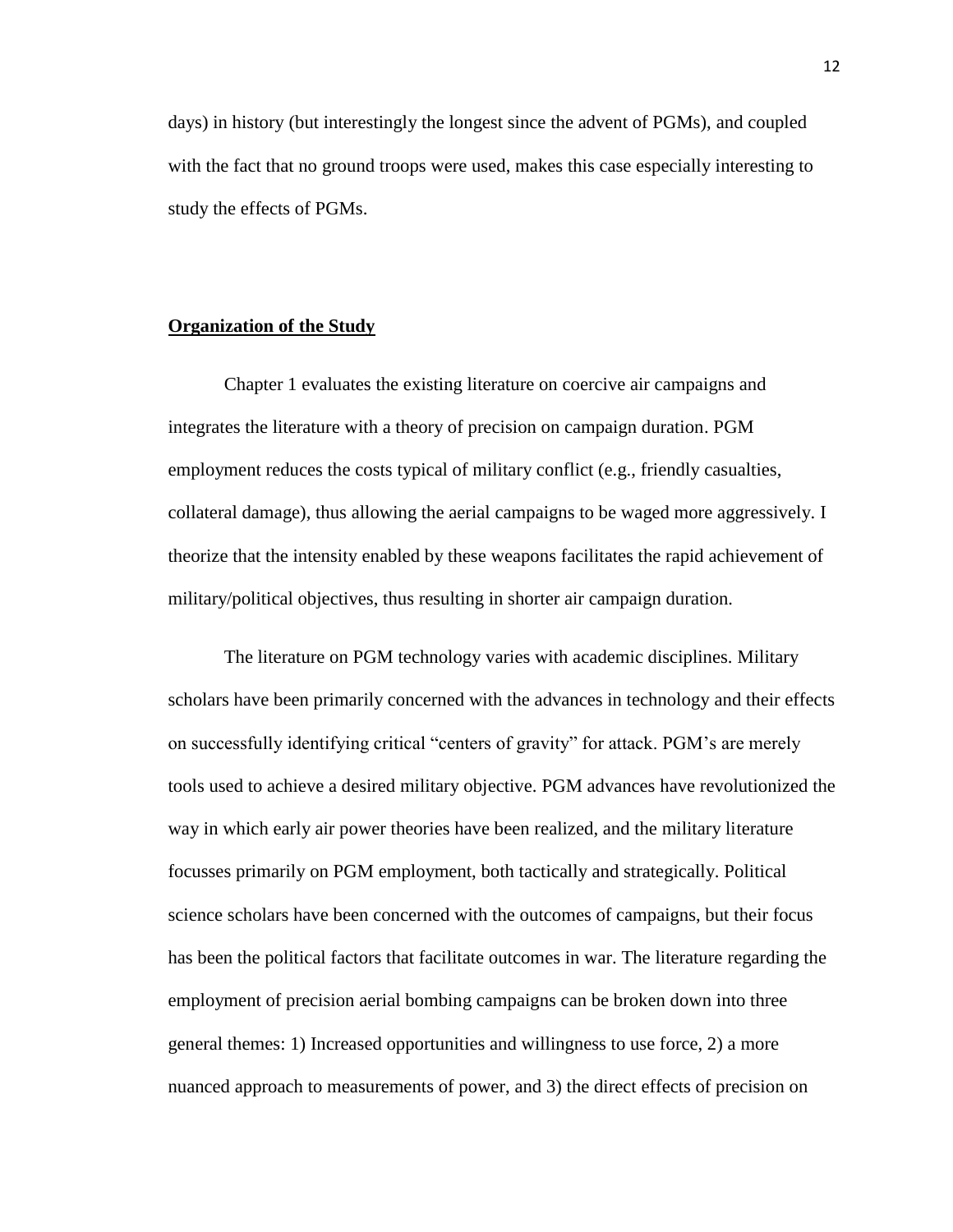days) in history (but interestingly the longest since the advent of PGMs), and coupled with the fact that no ground troops were used, makes this case especially interesting to study the effects of PGMs.

#### **Organization of the Study**

Chapter 1 evaluates the existing literature on coercive air campaigns and integrates the literature with a theory of precision on campaign duration. PGM employment reduces the costs typical of military conflict (e.g., friendly casualties, collateral damage), thus allowing the aerial campaigns to be waged more aggressively. I theorize that the intensity enabled by these weapons facilitates the rapid achievement of military/political objectives, thus resulting in shorter air campaign duration.

The literature on PGM technology varies with academic disciplines. Military scholars have been primarily concerned with the advances in technology and their effects on successfully identifying critical "centers of gravity" for attack. PGM's are merely tools used to achieve a desired military objective. PGM advances have revolutionized the way in which early air power theories have been realized, and the military literature focusses primarily on PGM employment, both tactically and strategically. Political science scholars have been concerned with the outcomes of campaigns, but their focus has been the political factors that facilitate outcomes in war. The literature regarding the employment of precision aerial bombing campaigns can be broken down into three general themes: 1) Increased opportunities and willingness to use force, 2) a more nuanced approach to measurements of power, and 3) the direct effects of precision on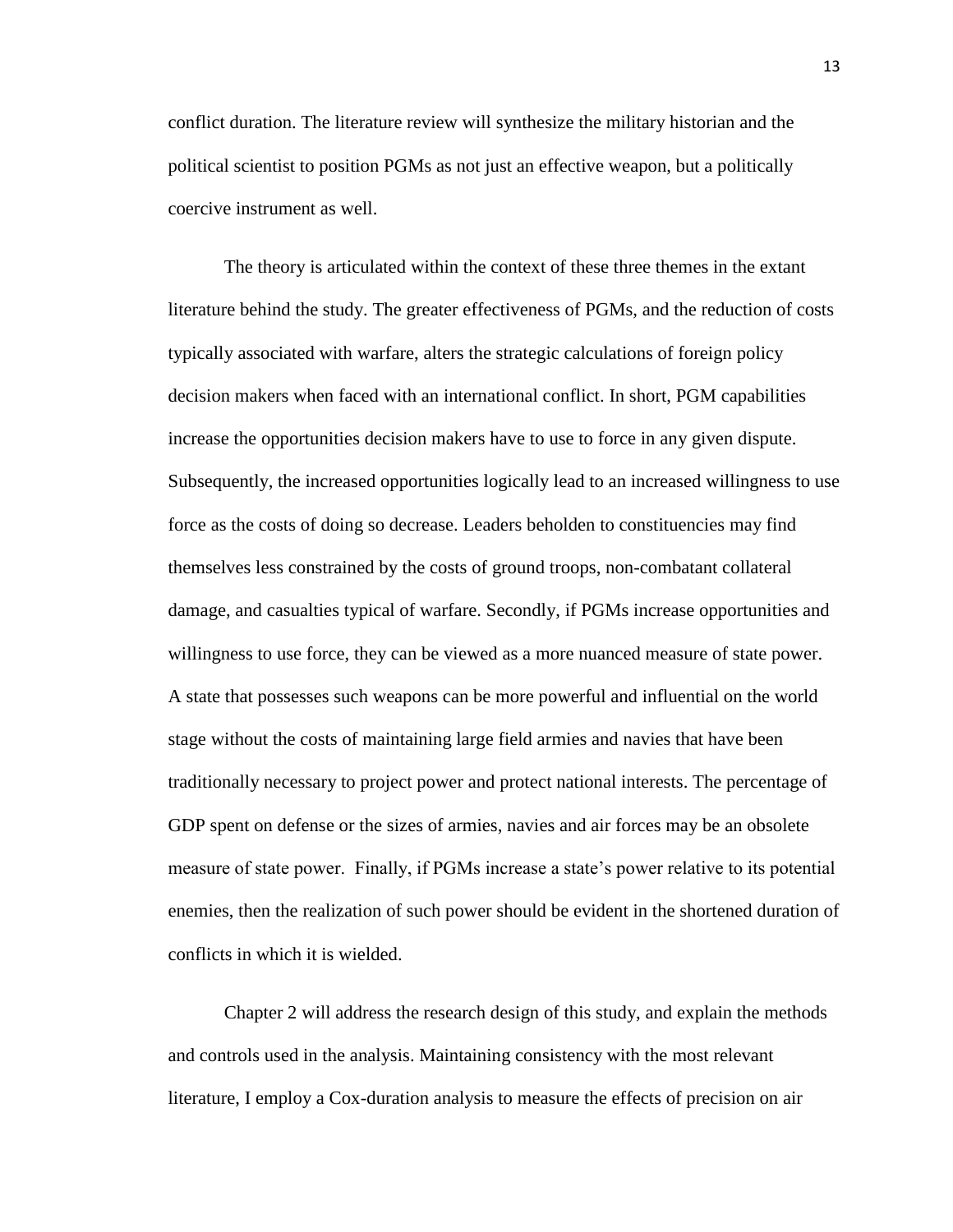conflict duration. The literature review will synthesize the military historian and the political scientist to position PGMs as not just an effective weapon, but a politically coercive instrument as well.

The theory is articulated within the context of these three themes in the extant literature behind the study. The greater effectiveness of PGMs, and the reduction of costs typically associated with warfare, alters the strategic calculations of foreign policy decision makers when faced with an international conflict. In short, PGM capabilities increase the opportunities decision makers have to use to force in any given dispute. Subsequently, the increased opportunities logically lead to an increased willingness to use force as the costs of doing so decrease. Leaders beholden to constituencies may find themselves less constrained by the costs of ground troops, non-combatant collateral damage, and casualties typical of warfare. Secondly, if PGMs increase opportunities and willingness to use force, they can be viewed as a more nuanced measure of state power. A state that possesses such weapons can be more powerful and influential on the world stage without the costs of maintaining large field armies and navies that have been traditionally necessary to project power and protect national interests. The percentage of GDP spent on defense or the sizes of armies, navies and air forces may be an obsolete measure of state power. Finally, if PGMs increase a state's power relative to its potential enemies, then the realization of such power should be evident in the shortened duration of conflicts in which it is wielded.

Chapter 2 will address the research design of this study, and explain the methods and controls used in the analysis. Maintaining consistency with the most relevant literature, I employ a Cox-duration analysis to measure the effects of precision on air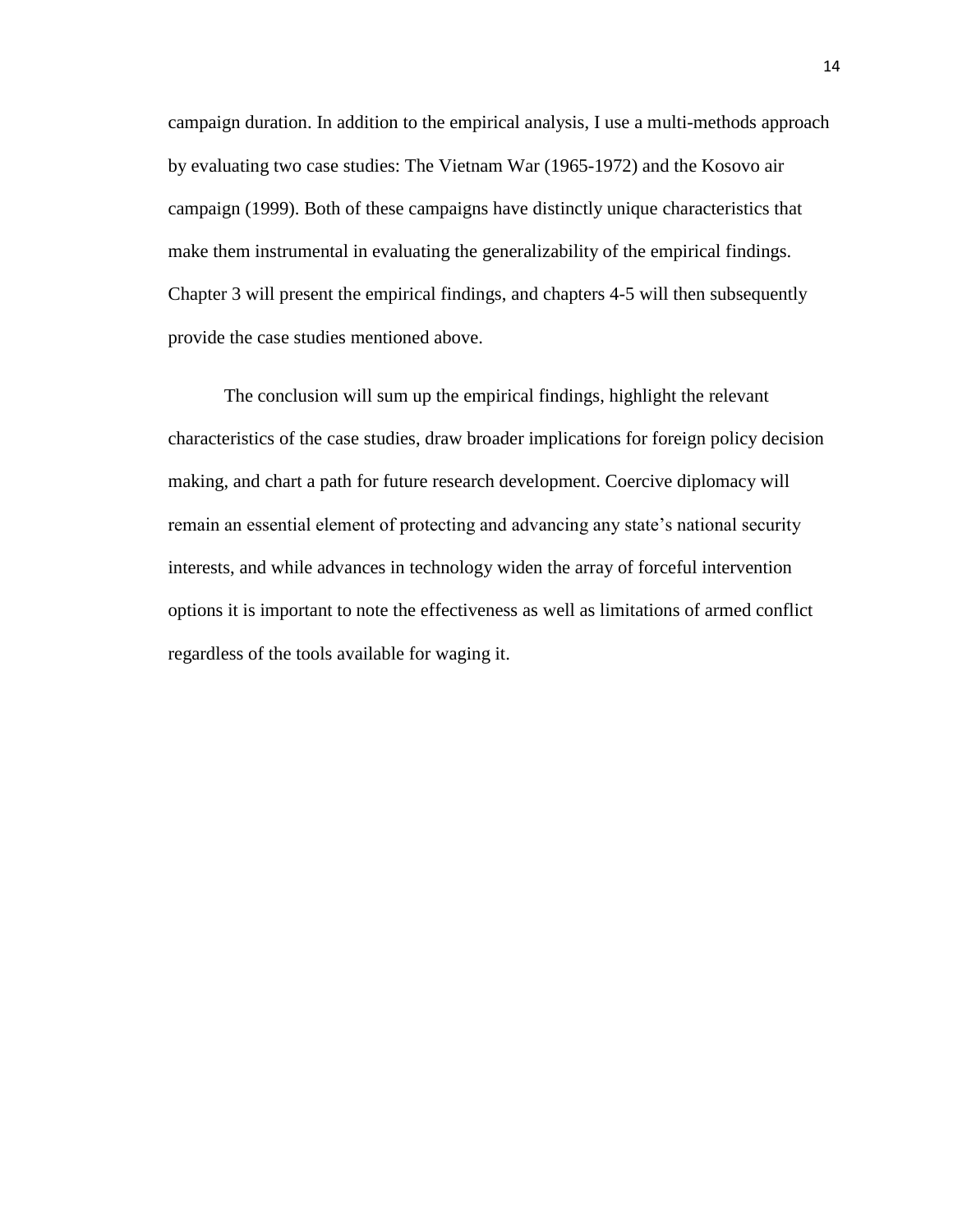campaign duration. In addition to the empirical analysis, I use a multi-methods approach by evaluating two case studies: The Vietnam War (1965-1972) and the Kosovo air campaign (1999). Both of these campaigns have distinctly unique characteristics that make them instrumental in evaluating the generalizability of the empirical findings. Chapter 3 will present the empirical findings, and chapters 4-5 will then subsequently provide the case studies mentioned above.

The conclusion will sum up the empirical findings, highlight the relevant characteristics of the case studies, draw broader implications for foreign policy decision making, and chart a path for future research development. Coercive diplomacy will remain an essential element of protecting and advancing any state's national security interests, and while advances in technology widen the array of forceful intervention options it is important to note the effectiveness as well as limitations of armed conflict regardless of the tools available for waging it.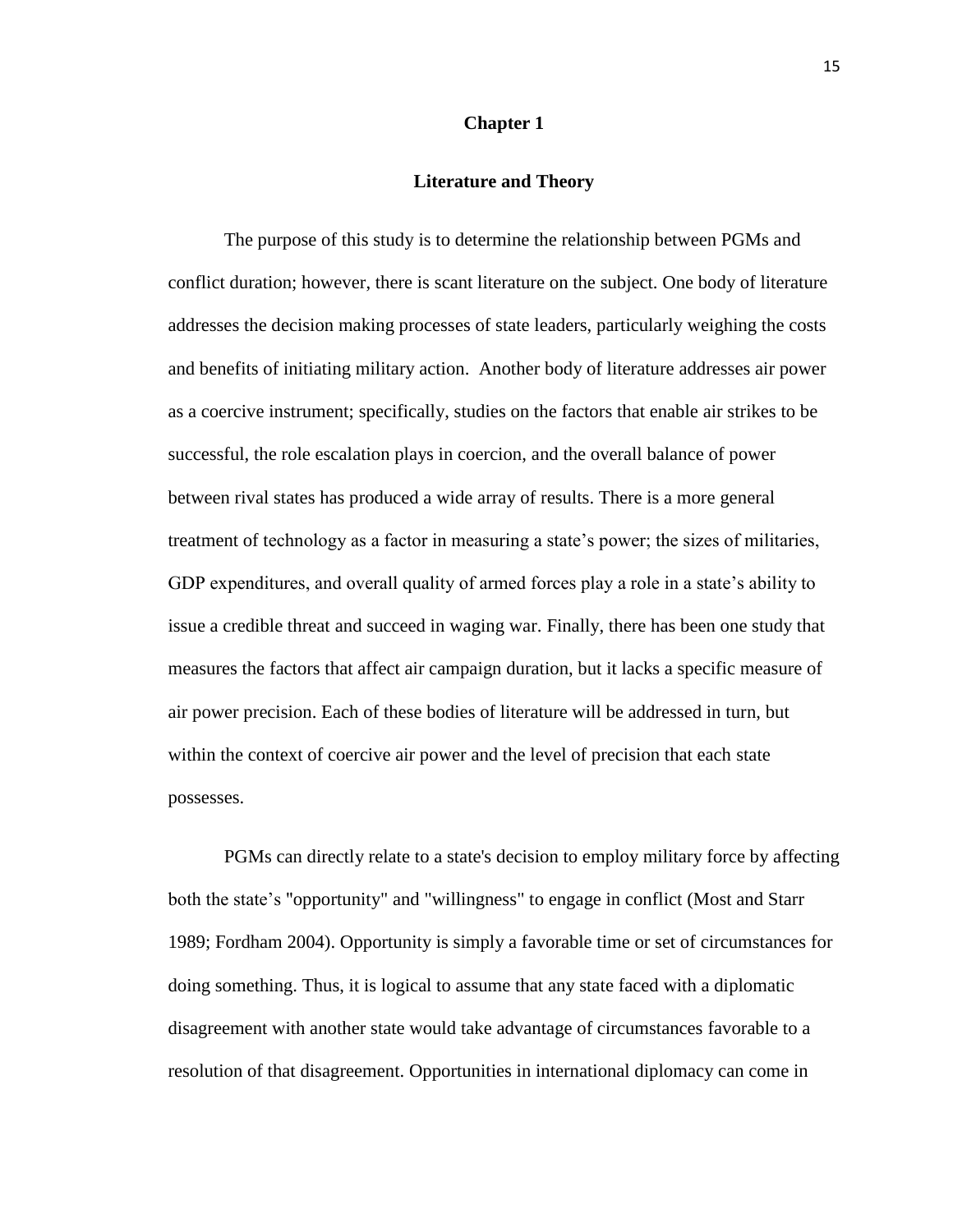#### **Chapter 1**

#### **Literature and Theory**

The purpose of this study is to determine the relationship between PGMs and conflict duration; however, there is scant literature on the subject. One body of literature addresses the decision making processes of state leaders, particularly weighing the costs and benefits of initiating military action. Another body of literature addresses air power as a coercive instrument; specifically, studies on the factors that enable air strikes to be successful, the role escalation plays in coercion, and the overall balance of power between rival states has produced a wide array of results. There is a more general treatment of technology as a factor in measuring a state's power; the sizes of militaries, GDP expenditures, and overall quality of armed forces play a role in a state's ability to issue a credible threat and succeed in waging war. Finally, there has been one study that measures the factors that affect air campaign duration, but it lacks a specific measure of air power precision. Each of these bodies of literature will be addressed in turn, but within the context of coercive air power and the level of precision that each state possesses.

PGMs can directly relate to a state's decision to employ military force by affecting both the state's "opportunity" and "willingness" to engage in conflict (Most and Starr 1989; Fordham 2004). Opportunity is simply a favorable time or set of circumstances for doing something. Thus, it is logical to assume that any state faced with a diplomatic disagreement with another state would take advantage of circumstances favorable to a resolution of that disagreement. Opportunities in international diplomacy can come in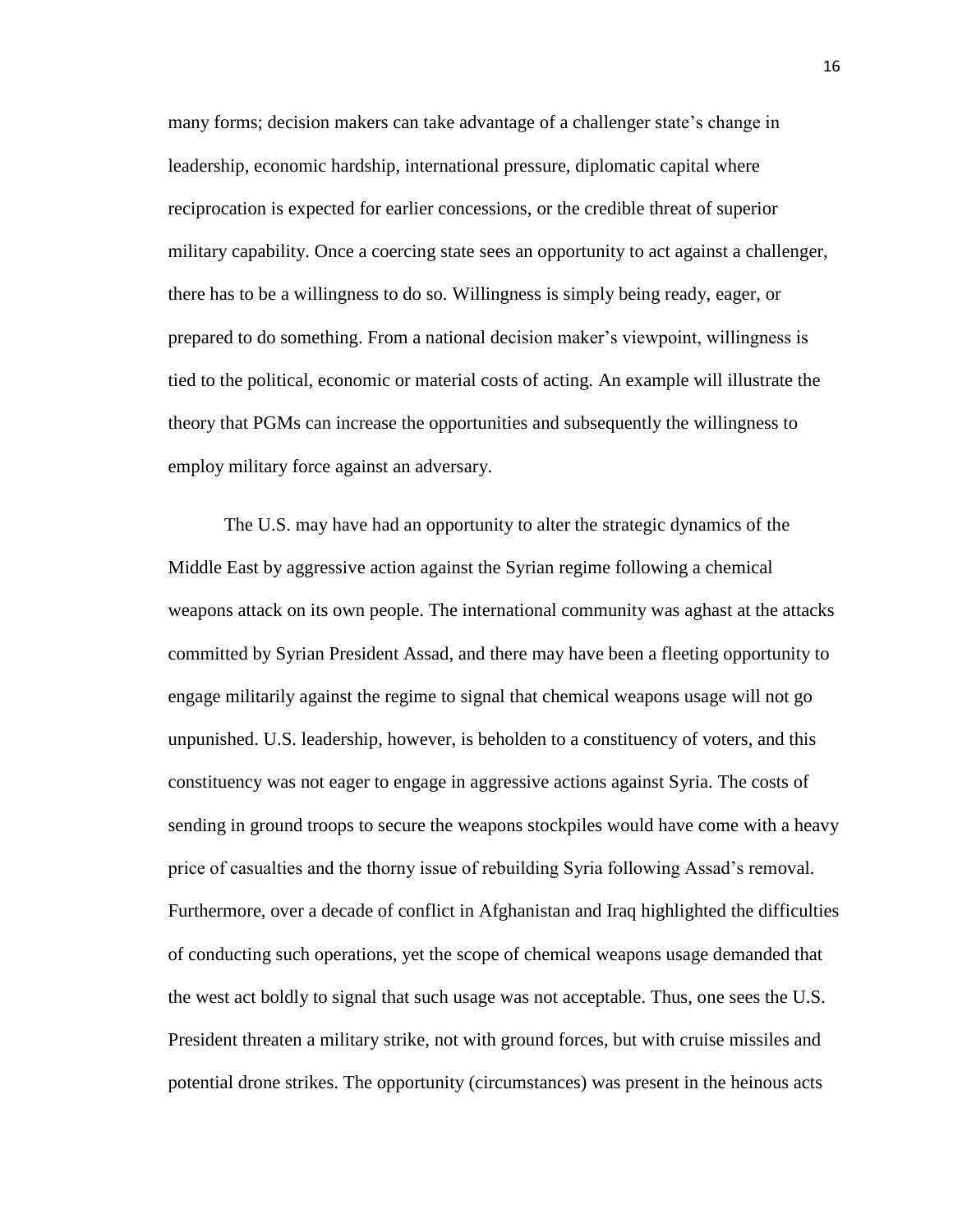many forms; decision makers can take advantage of a challenger state's change in leadership, economic hardship, international pressure, diplomatic capital where reciprocation is expected for earlier concessions, or the credible threat of superior military capability. Once a coercing state sees an opportunity to act against a challenger, there has to be a willingness to do so. Willingness is simply being ready, eager, or prepared to do something. From a national decision maker's viewpoint, willingness is tied to the political, economic or material costs of acting. An example will illustrate the theory that PGMs can increase the opportunities and subsequently the willingness to employ military force against an adversary.

The U.S. may have had an opportunity to alter the strategic dynamics of the Middle East by aggressive action against the Syrian regime following a chemical weapons attack on its own people. The international community was aghast at the attacks committed by Syrian President Assad, and there may have been a fleeting opportunity to engage militarily against the regime to signal that chemical weapons usage will not go unpunished. U.S. leadership, however, is beholden to a constituency of voters, and this constituency was not eager to engage in aggressive actions against Syria. The costs of sending in ground troops to secure the weapons stockpiles would have come with a heavy price of casualties and the thorny issue of rebuilding Syria following Assad's removal. Furthermore, over a decade of conflict in Afghanistan and Iraq highlighted the difficulties of conducting such operations, yet the scope of chemical weapons usage demanded that the west act boldly to signal that such usage was not acceptable. Thus, one sees the U.S. President threaten a military strike, not with ground forces, but with cruise missiles and potential drone strikes. The opportunity (circumstances) was present in the heinous acts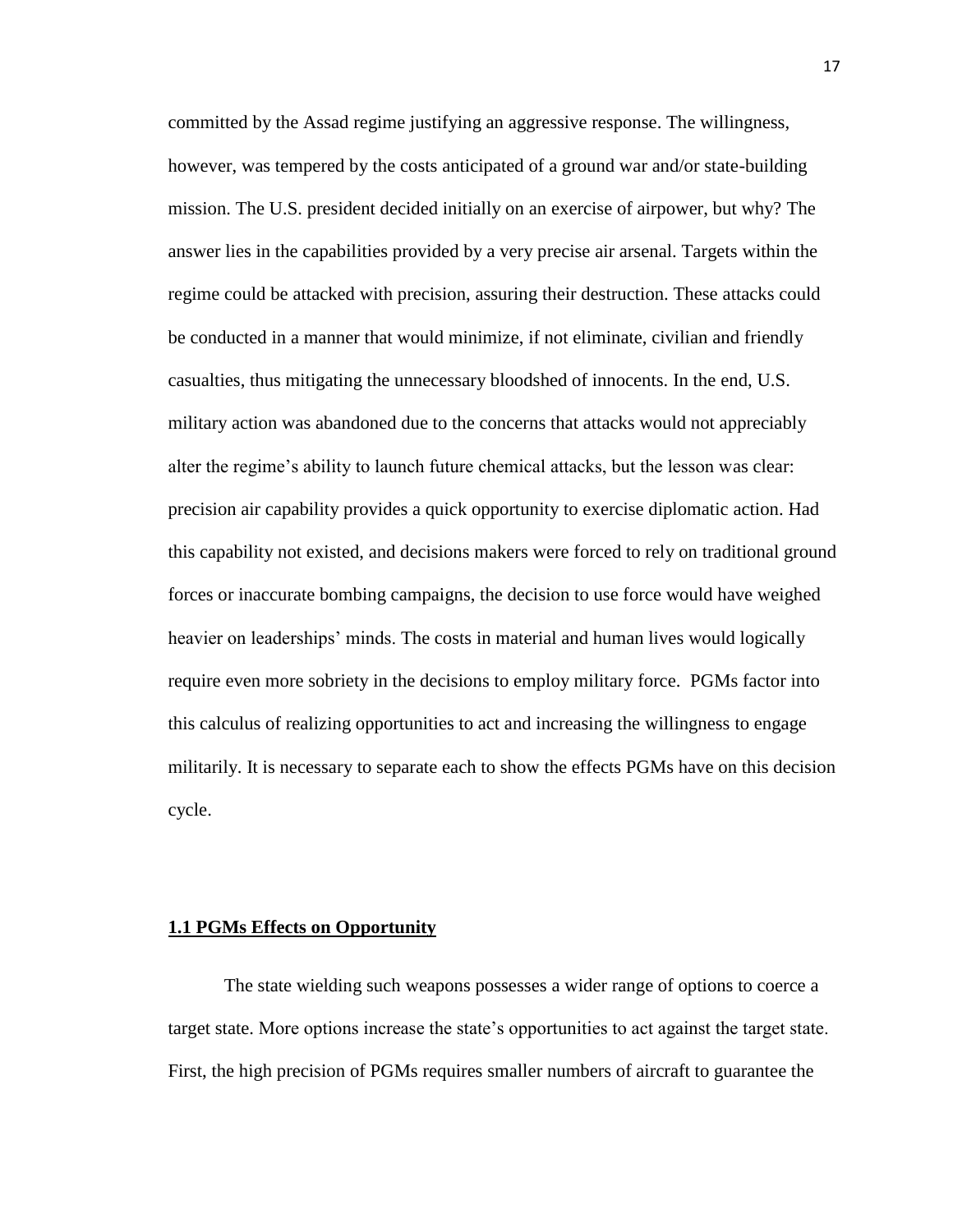committed by the Assad regime justifying an aggressive response. The willingness, however, was tempered by the costs anticipated of a ground war and/or state-building mission. The U.S. president decided initially on an exercise of airpower, but why? The answer lies in the capabilities provided by a very precise air arsenal. Targets within the regime could be attacked with precision, assuring their destruction. These attacks could be conducted in a manner that would minimize, if not eliminate, civilian and friendly casualties, thus mitigating the unnecessary bloodshed of innocents. In the end, U.S. military action was abandoned due to the concerns that attacks would not appreciably alter the regime's ability to launch future chemical attacks, but the lesson was clear: precision air capability provides a quick opportunity to exercise diplomatic action. Had this capability not existed, and decisions makers were forced to rely on traditional ground forces or inaccurate bombing campaigns, the decision to use force would have weighed heavier on leaderships' minds. The costs in material and human lives would logically require even more sobriety in the decisions to employ military force. PGMs factor into this calculus of realizing opportunities to act and increasing the willingness to engage militarily. It is necessary to separate each to show the effects PGMs have on this decision cycle.

#### **1.1 PGMs Effects on Opportunity**

The state wielding such weapons possesses a wider range of options to coerce a target state. More options increase the state's opportunities to act against the target state. First, the high precision of PGMs requires smaller numbers of aircraft to guarantee the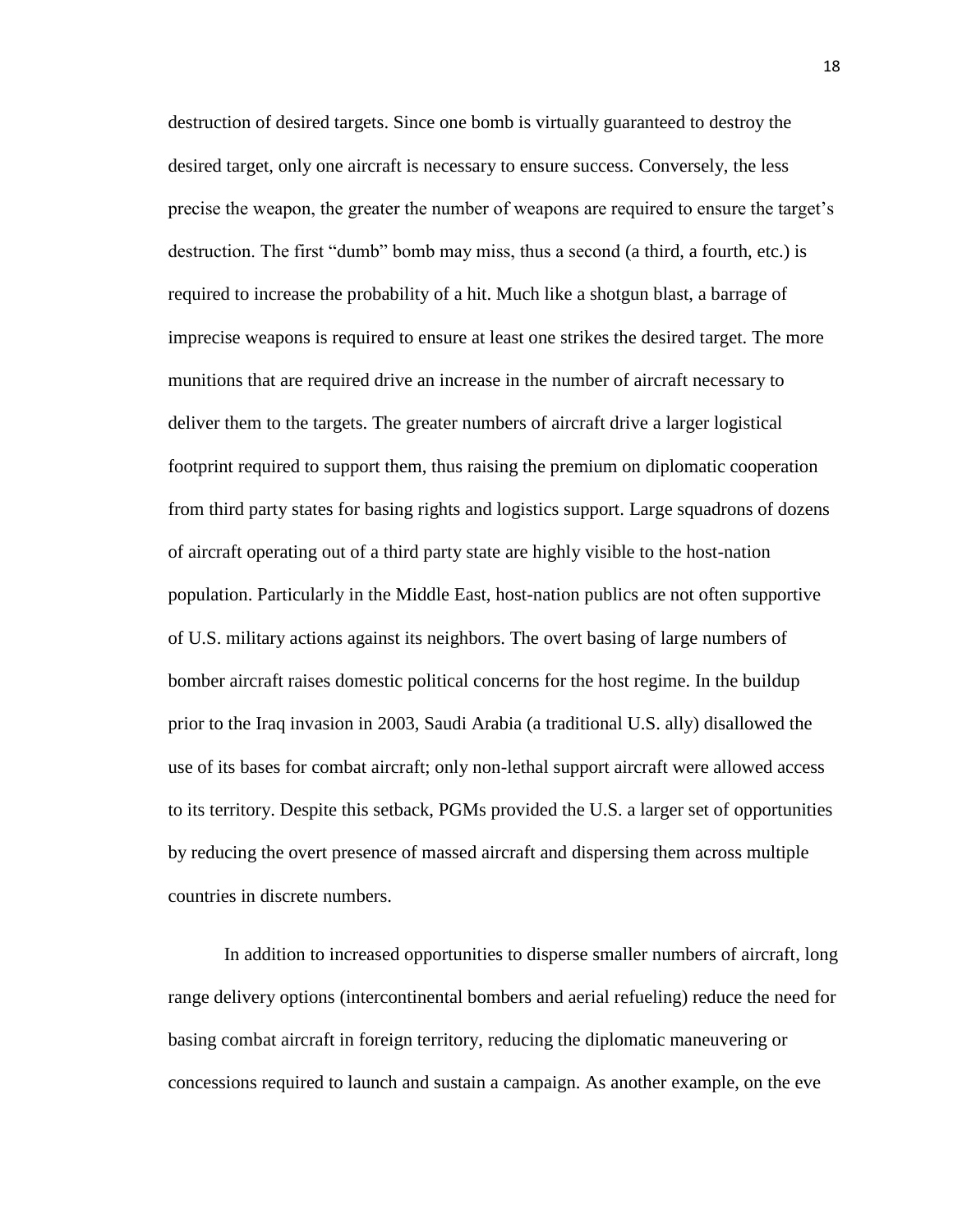destruction of desired targets. Since one bomb is virtually guaranteed to destroy the desired target, only one aircraft is necessary to ensure success. Conversely, the less precise the weapon, the greater the number of weapons are required to ensure the target's destruction. The first "dumb" bomb may miss, thus a second (a third, a fourth, etc.) is required to increase the probability of a hit. Much like a shotgun blast, a barrage of imprecise weapons is required to ensure at least one strikes the desired target. The more munitions that are required drive an increase in the number of aircraft necessary to deliver them to the targets. The greater numbers of aircraft drive a larger logistical footprint required to support them, thus raising the premium on diplomatic cooperation from third party states for basing rights and logistics support. Large squadrons of dozens of aircraft operating out of a third party state are highly visible to the host-nation population. Particularly in the Middle East, host-nation publics are not often supportive of U.S. military actions against its neighbors. The overt basing of large numbers of bomber aircraft raises domestic political concerns for the host regime. In the buildup prior to the Iraq invasion in 2003, Saudi Arabia (a traditional U.S. ally) disallowed the use of its bases for combat aircraft; only non-lethal support aircraft were allowed access to its territory. Despite this setback, PGMs provided the U.S. a larger set of opportunities by reducing the overt presence of massed aircraft and dispersing them across multiple countries in discrete numbers.

In addition to increased opportunities to disperse smaller numbers of aircraft, long range delivery options (intercontinental bombers and aerial refueling) reduce the need for basing combat aircraft in foreign territory, reducing the diplomatic maneuvering or concessions required to launch and sustain a campaign. As another example, on the eve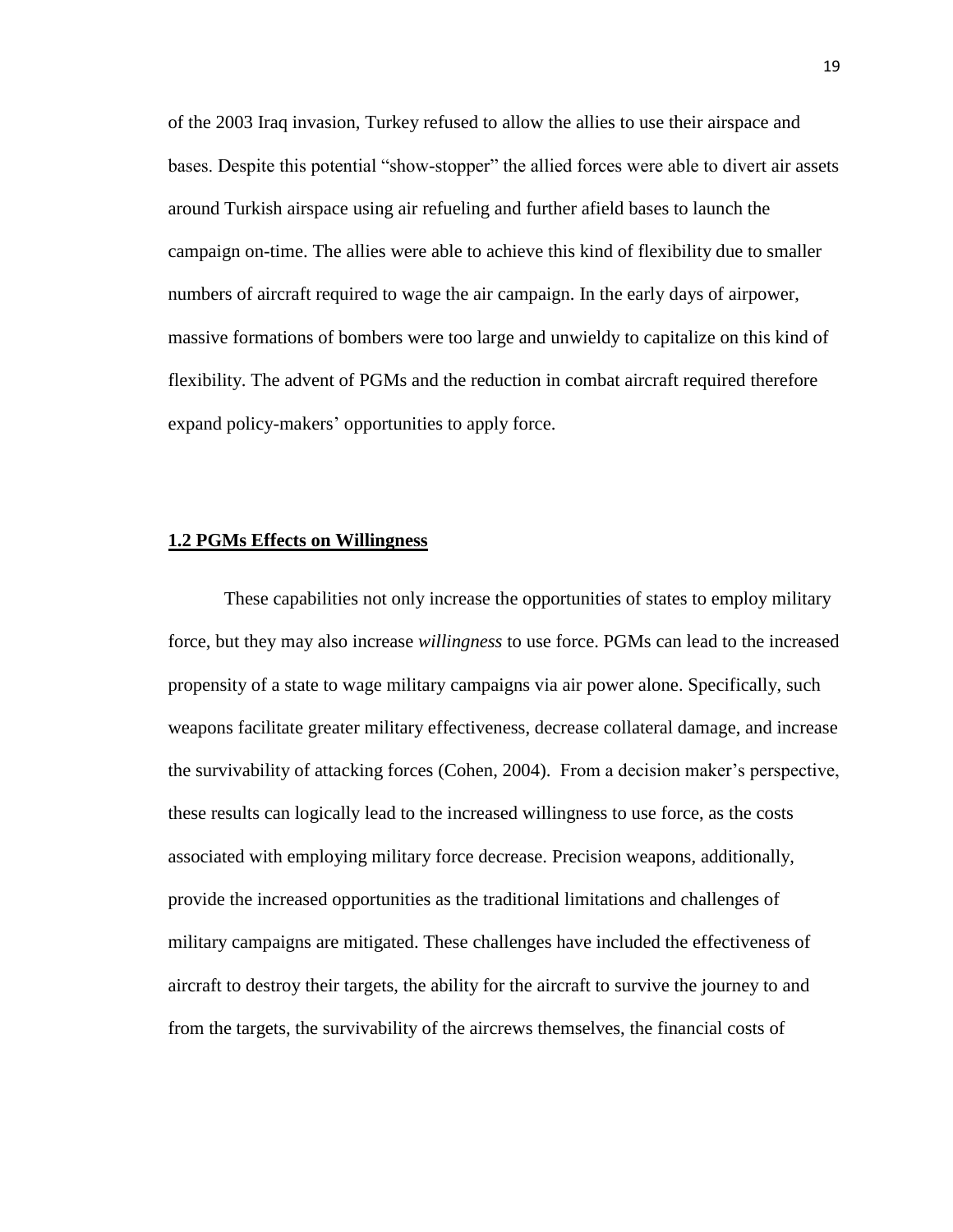of the 2003 Iraq invasion, Turkey refused to allow the allies to use their airspace and bases. Despite this potential "show-stopper" the allied forces were able to divert air assets around Turkish airspace using air refueling and further afield bases to launch the campaign on-time. The allies were able to achieve this kind of flexibility due to smaller numbers of aircraft required to wage the air campaign. In the early days of airpower, massive formations of bombers were too large and unwieldy to capitalize on this kind of flexibility. The advent of PGMs and the reduction in combat aircraft required therefore expand policy-makers' opportunities to apply force.

#### **1.2 PGMs Effects on Willingness**

These capabilities not only increase the opportunities of states to employ military force, but they may also increase *willingness* to use force. PGMs can lead to the increased propensity of a state to wage military campaigns via air power alone. Specifically, such weapons facilitate greater military effectiveness, decrease collateral damage, and increase the survivability of attacking forces (Cohen, 2004). From a decision maker's perspective, these results can logically lead to the increased willingness to use force, as the costs associated with employing military force decrease. Precision weapons, additionally, provide the increased opportunities as the traditional limitations and challenges of military campaigns are mitigated. These challenges have included the effectiveness of aircraft to destroy their targets, the ability for the aircraft to survive the journey to and from the targets, the survivability of the aircrews themselves, the financial costs of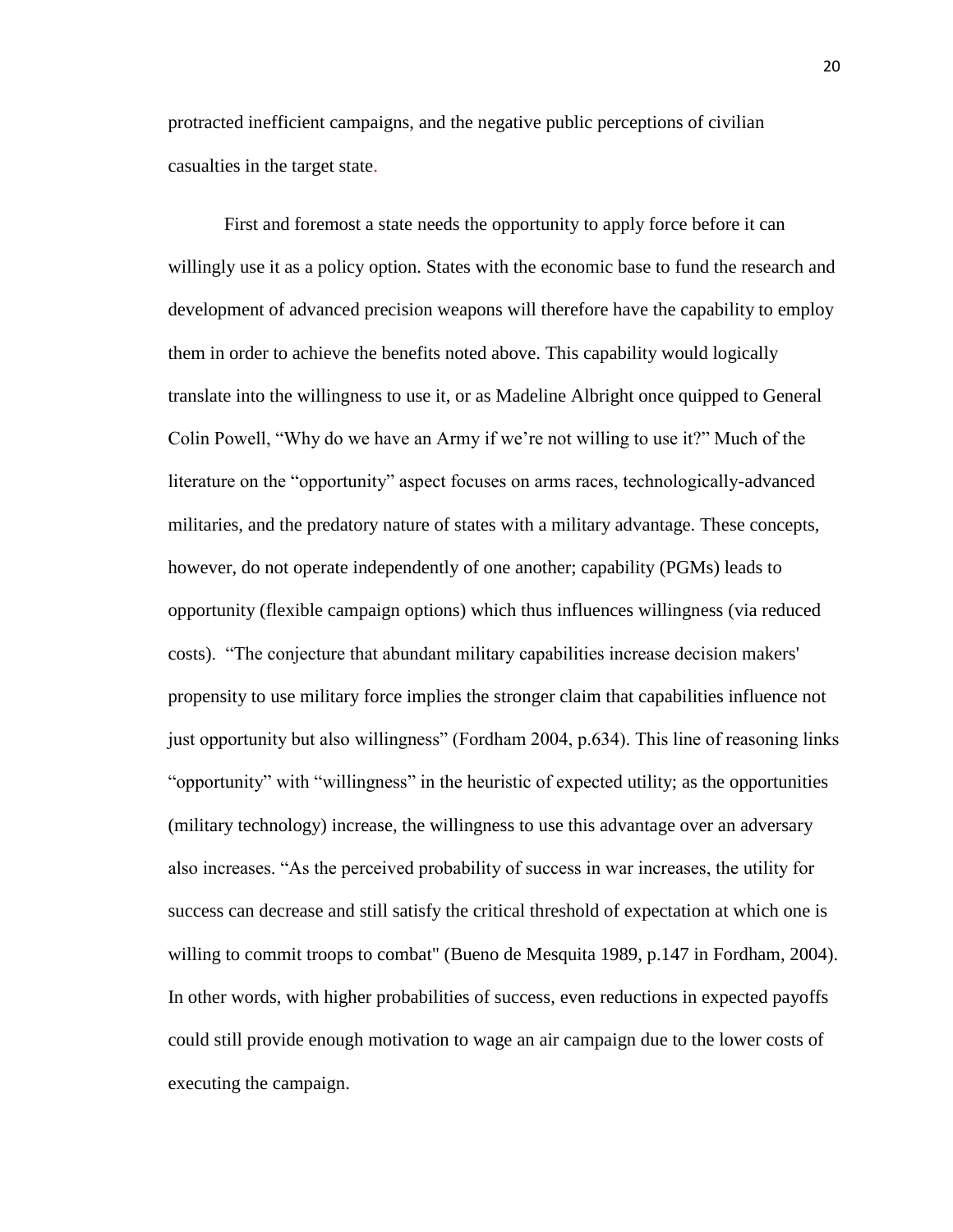protracted inefficient campaigns, and the negative public perceptions of civilian casualties in the target state.

First and foremost a state needs the opportunity to apply force before it can willingly use it as a policy option. States with the economic base to fund the research and development of advanced precision weapons will therefore have the capability to employ them in order to achieve the benefits noted above. This capability would logically translate into the willingness to use it, or as Madeline Albright once quipped to General Colin Powell, "Why do we have an Army if we're not willing to use it?" Much of the literature on the "opportunity" aspect focuses on arms races, technologically-advanced militaries, and the predatory nature of states with a military advantage. These concepts, however, do not operate independently of one another; capability (PGMs) leads to opportunity (flexible campaign options) which thus influences willingness (via reduced costs). "The conjecture that abundant military capabilities increase decision makers' propensity to use military force implies the stronger claim that capabilities influence not just opportunity but also willingness" (Fordham 2004, p.634). This line of reasoning links "opportunity" with "willingness" in the heuristic of expected utility; as the opportunities (military technology) increase, the willingness to use this advantage over an adversary also increases. "As the perceived probability of success in war increases, the utility for success can decrease and still satisfy the critical threshold of expectation at which one is willing to commit troops to combat" (Bueno de Mesquita 1989, p.147 in Fordham, 2004). In other words, with higher probabilities of success, even reductions in expected payoffs could still provide enough motivation to wage an air campaign due to the lower costs of executing the campaign.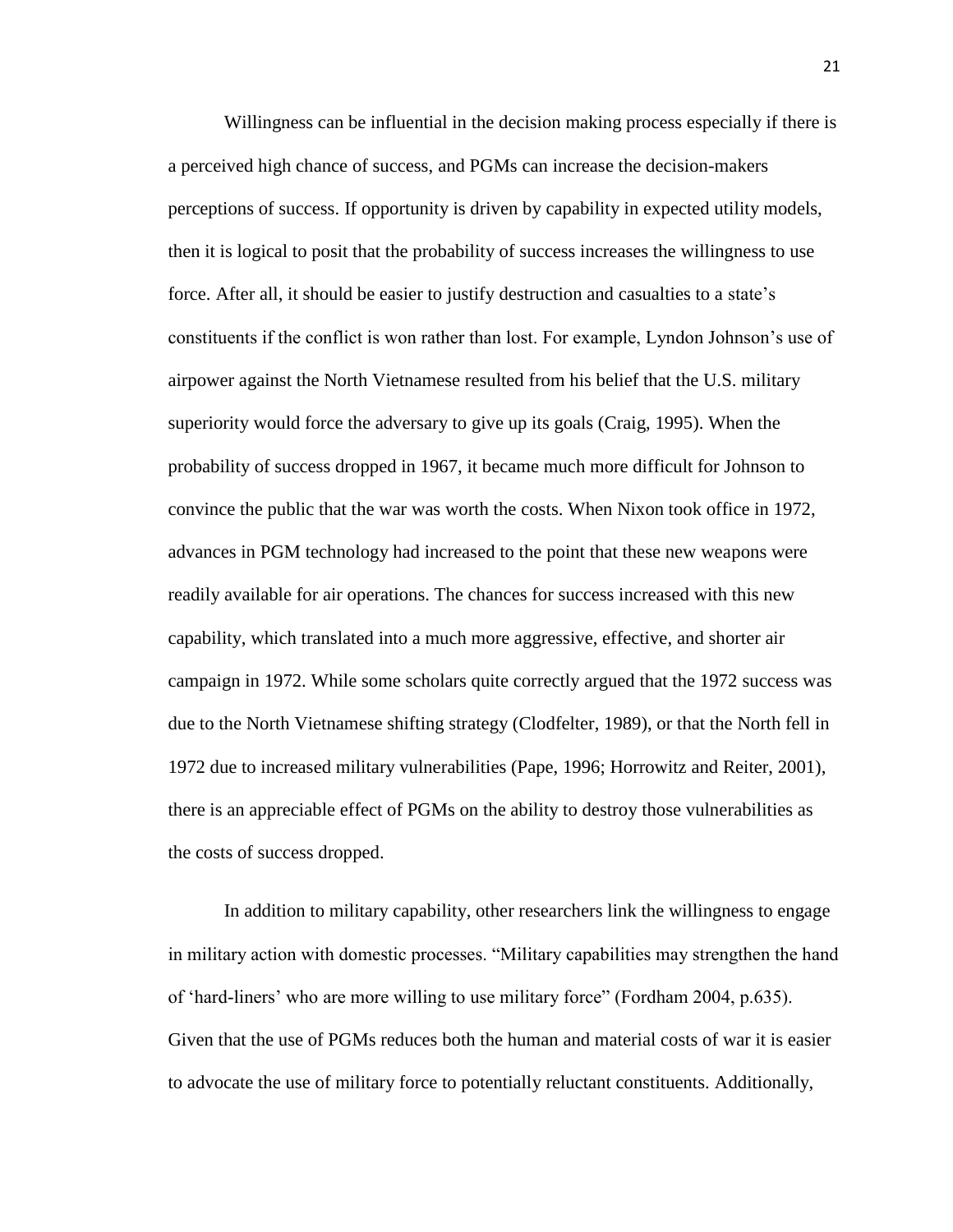Willingness can be influential in the decision making process especially if there is a perceived high chance of success, and PGMs can increase the decision-makers perceptions of success. If opportunity is driven by capability in expected utility models, then it is logical to posit that the probability of success increases the willingness to use force. After all, it should be easier to justify destruction and casualties to a state's constituents if the conflict is won rather than lost. For example, Lyndon Johnson's use of airpower against the North Vietnamese resulted from his belief that the U.S. military superiority would force the adversary to give up its goals (Craig, 1995). When the probability of success dropped in 1967, it became much more difficult for Johnson to convince the public that the war was worth the costs. When Nixon took office in 1972, advances in PGM technology had increased to the point that these new weapons were readily available for air operations. The chances for success increased with this new capability, which translated into a much more aggressive, effective, and shorter air campaign in 1972. While some scholars quite correctly argued that the 1972 success was due to the North Vietnamese shifting strategy (Clodfelter, 1989), or that the North fell in 1972 due to increased military vulnerabilities (Pape, 1996; Horrowitz and Reiter, 2001), there is an appreciable effect of PGMs on the ability to destroy those vulnerabilities as the costs of success dropped.

In addition to military capability, other researchers link the willingness to engage in military action with domestic processes. "Military capabilities may strengthen the hand of 'hard-liners' who are more willing to use military force" (Fordham 2004, p.635). Given that the use of PGMs reduces both the human and material costs of war it is easier to advocate the use of military force to potentially reluctant constituents. Additionally,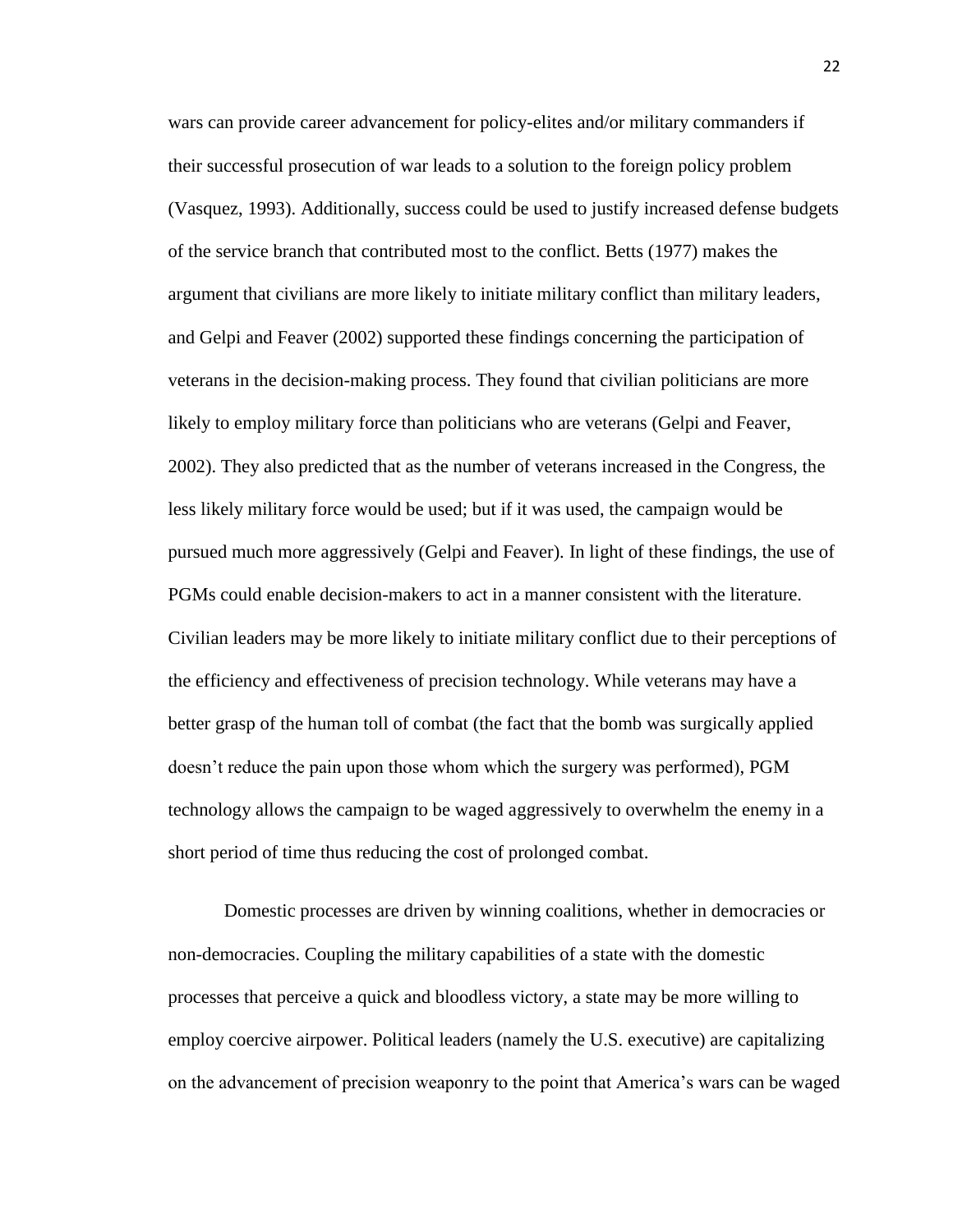wars can provide career advancement for policy-elites and/or military commanders if their successful prosecution of war leads to a solution to the foreign policy problem (Vasquez, 1993). Additionally, success could be used to justify increased defense budgets of the service branch that contributed most to the conflict. Betts (1977) makes the argument that civilians are more likely to initiate military conflict than military leaders, and Gelpi and Feaver (2002) supported these findings concerning the participation of veterans in the decision-making process. They found that civilian politicians are more likely to employ military force than politicians who are veterans (Gelpi and Feaver, 2002). They also predicted that as the number of veterans increased in the Congress, the less likely military force would be used; but if it was used, the campaign would be pursued much more aggressively (Gelpi and Feaver). In light of these findings, the use of PGMs could enable decision-makers to act in a manner consistent with the literature. Civilian leaders may be more likely to initiate military conflict due to their perceptions of the efficiency and effectiveness of precision technology. While veterans may have a better grasp of the human toll of combat (the fact that the bomb was surgically applied doesn't reduce the pain upon those whom which the surgery was performed), PGM technology allows the campaign to be waged aggressively to overwhelm the enemy in a short period of time thus reducing the cost of prolonged combat.

Domestic processes are driven by winning coalitions, whether in democracies or non-democracies. Coupling the military capabilities of a state with the domestic processes that perceive a quick and bloodless victory, a state may be more willing to employ coercive airpower. Political leaders (namely the U.S. executive) are capitalizing on the advancement of precision weaponry to the point that America's wars can be waged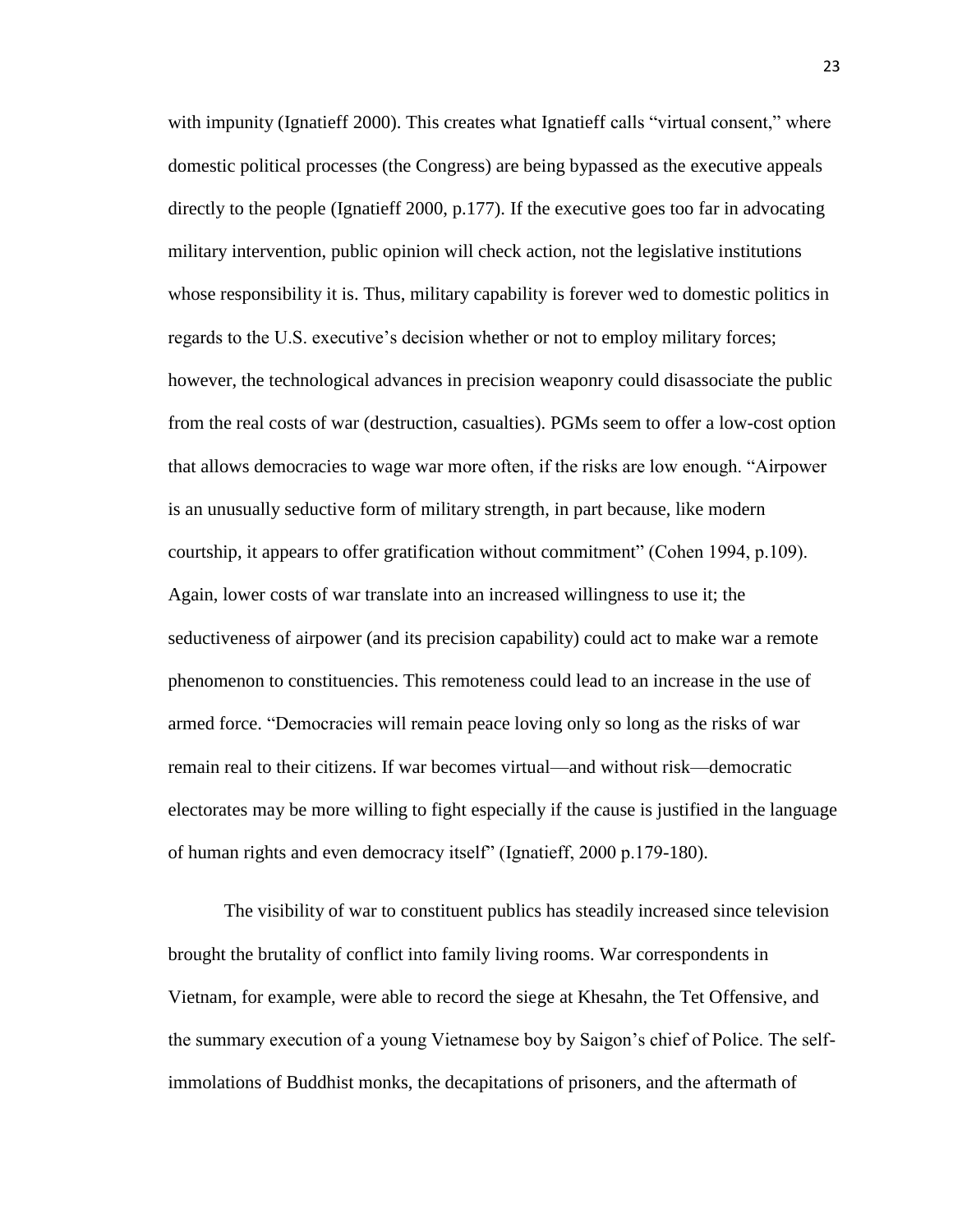with impunity (Ignatieff 2000). This creates what Ignatieff calls "virtual consent," where domestic political processes (the Congress) are being bypassed as the executive appeals directly to the people (Ignatieff 2000, p.177). If the executive goes too far in advocating military intervention, public opinion will check action, not the legislative institutions whose responsibility it is. Thus, military capability is forever wed to domestic politics in regards to the U.S. executive's decision whether or not to employ military forces; however, the technological advances in precision weaponry could disassociate the public from the real costs of war (destruction, casualties). PGMs seem to offer a low-cost option that allows democracies to wage war more often, if the risks are low enough. "Airpower is an unusually seductive form of military strength, in part because, like modern courtship, it appears to offer gratification without commitment" (Cohen 1994, p.109). Again, lower costs of war translate into an increased willingness to use it; the seductiveness of airpower (and its precision capability) could act to make war a remote phenomenon to constituencies. This remoteness could lead to an increase in the use of armed force. "Democracies will remain peace loving only so long as the risks of war remain real to their citizens. If war becomes virtual—and without risk—democratic electorates may be more willing to fight especially if the cause is justified in the language of human rights and even democracy itself" (Ignatieff, 2000 p.179-180).

The visibility of war to constituent publics has steadily increased since television brought the brutality of conflict into family living rooms. War correspondents in Vietnam, for example, were able to record the siege at Khesahn, the Tet Offensive, and the summary execution of a young Vietnamese boy by Saigon's chief of Police. The selfimmolations of Buddhist monks, the decapitations of prisoners, and the aftermath of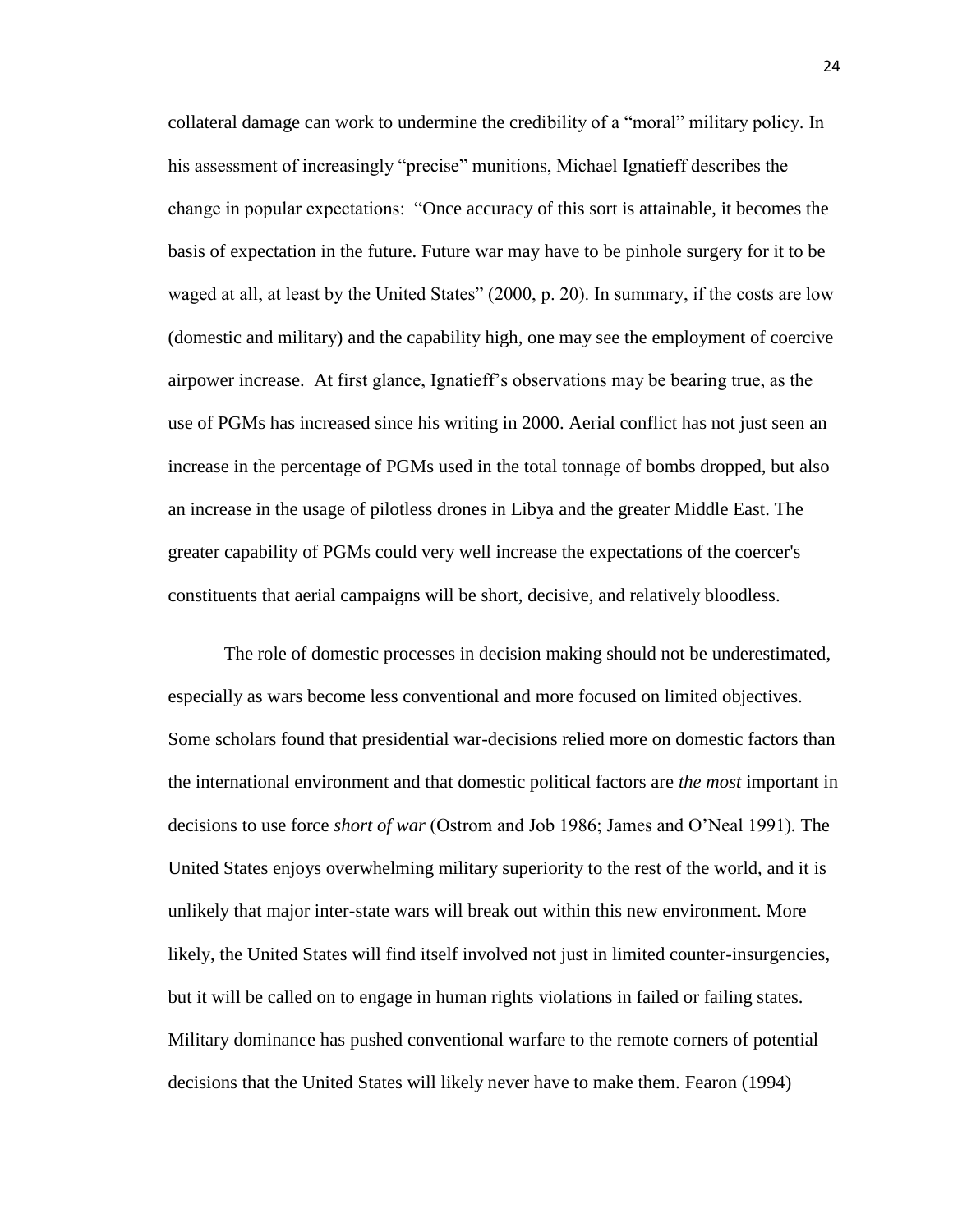collateral damage can work to undermine the credibility of a "moral" military policy. In his assessment of increasingly "precise" munitions, Michael Ignatieff describes the change in popular expectations: "Once accuracy of this sort is attainable, it becomes the basis of expectation in the future. Future war may have to be pinhole surgery for it to be waged at all, at least by the United States" (2000, p. 20). In summary, if the costs are low (domestic and military) and the capability high, one may see the employment of coercive airpower increase. At first glance, Ignatieff's observations may be bearing true, as the use of PGMs has increased since his writing in 2000. Aerial conflict has not just seen an increase in the percentage of PGMs used in the total tonnage of bombs dropped, but also an increase in the usage of pilotless drones in Libya and the greater Middle East. The greater capability of PGMs could very well increase the expectations of the coercer's constituents that aerial campaigns will be short, decisive, and relatively bloodless.

The role of domestic processes in decision making should not be underestimated, especially as wars become less conventional and more focused on limited objectives. Some scholars found that presidential war-decisions relied more on domestic factors than the international environment and that domestic political factors are *the most* important in decisions to use force *short of war* (Ostrom and Job 1986; James and O'Neal 1991)*.* The United States enjoys overwhelming military superiority to the rest of the world, and it is unlikely that major inter-state wars will break out within this new environment. More likely, the United States will find itself involved not just in limited counter-insurgencies, but it will be called on to engage in human rights violations in failed or failing states. Military dominance has pushed conventional warfare to the remote corners of potential decisions that the United States will likely never have to make them. Fearon (1994)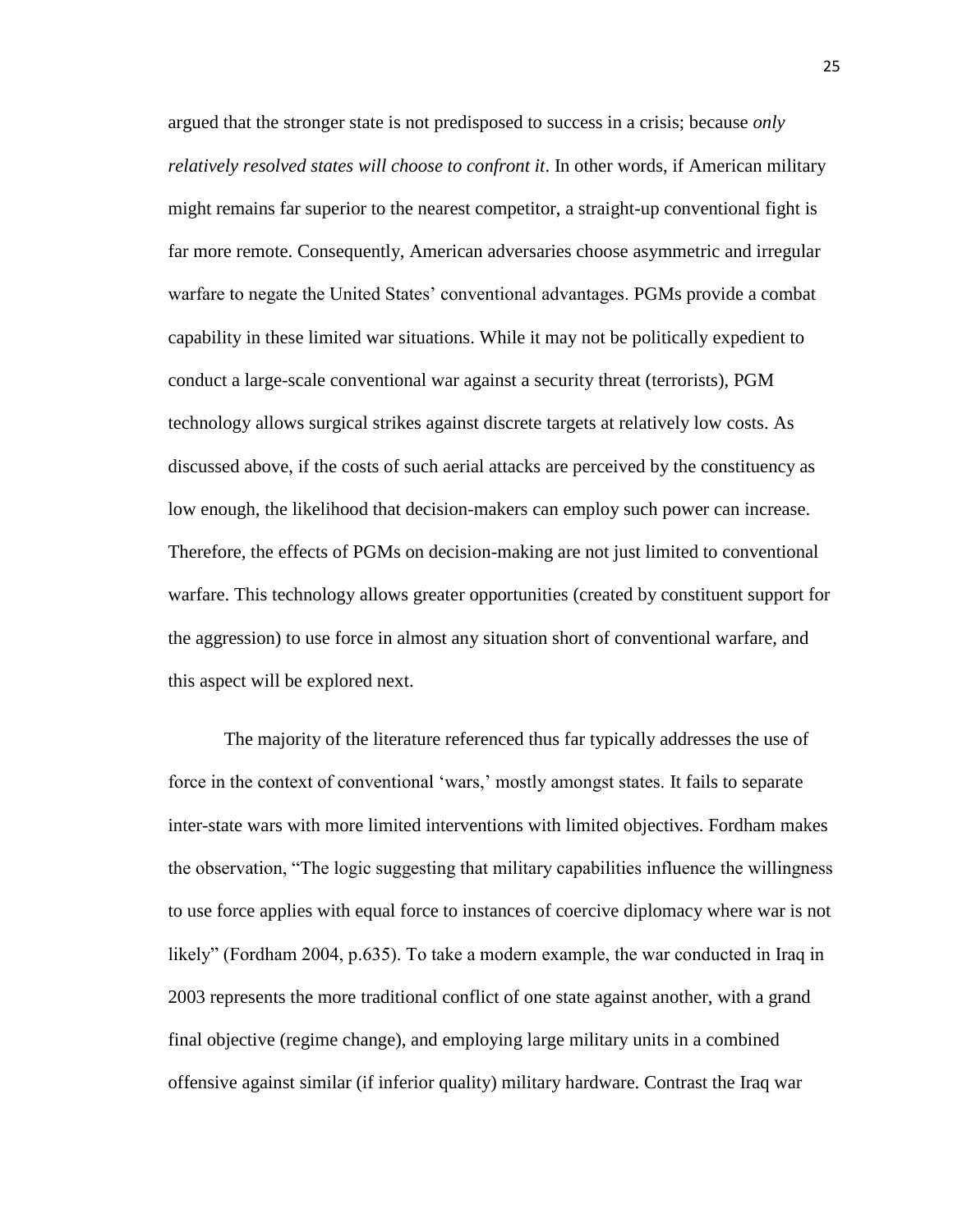argued that the stronger state is not predisposed to success in a crisis; because *only relatively resolved states will choose to confront it*. In other words, if American military might remains far superior to the nearest competitor, a straight-up conventional fight is far more remote. Consequently, American adversaries choose asymmetric and irregular warfare to negate the United States' conventional advantages. PGMs provide a combat capability in these limited war situations. While it may not be politically expedient to conduct a large-scale conventional war against a security threat (terrorists), PGM technology allows surgical strikes against discrete targets at relatively low costs. As discussed above, if the costs of such aerial attacks are perceived by the constituency as low enough, the likelihood that decision-makers can employ such power can increase. Therefore, the effects of PGMs on decision-making are not just limited to conventional warfare. This technology allows greater opportunities (created by constituent support for the aggression) to use force in almost any situation short of conventional warfare, and this aspect will be explored next.

The majority of the literature referenced thus far typically addresses the use of force in the context of conventional 'wars,' mostly amongst states. It fails to separate inter-state wars with more limited interventions with limited objectives. Fordham makes the observation, "The logic suggesting that military capabilities influence the willingness to use force applies with equal force to instances of coercive diplomacy where war is not likely" (Fordham 2004, p.635). To take a modern example, the war conducted in Iraq in 2003 represents the more traditional conflict of one state against another, with a grand final objective (regime change), and employing large military units in a combined offensive against similar (if inferior quality) military hardware. Contrast the Iraq war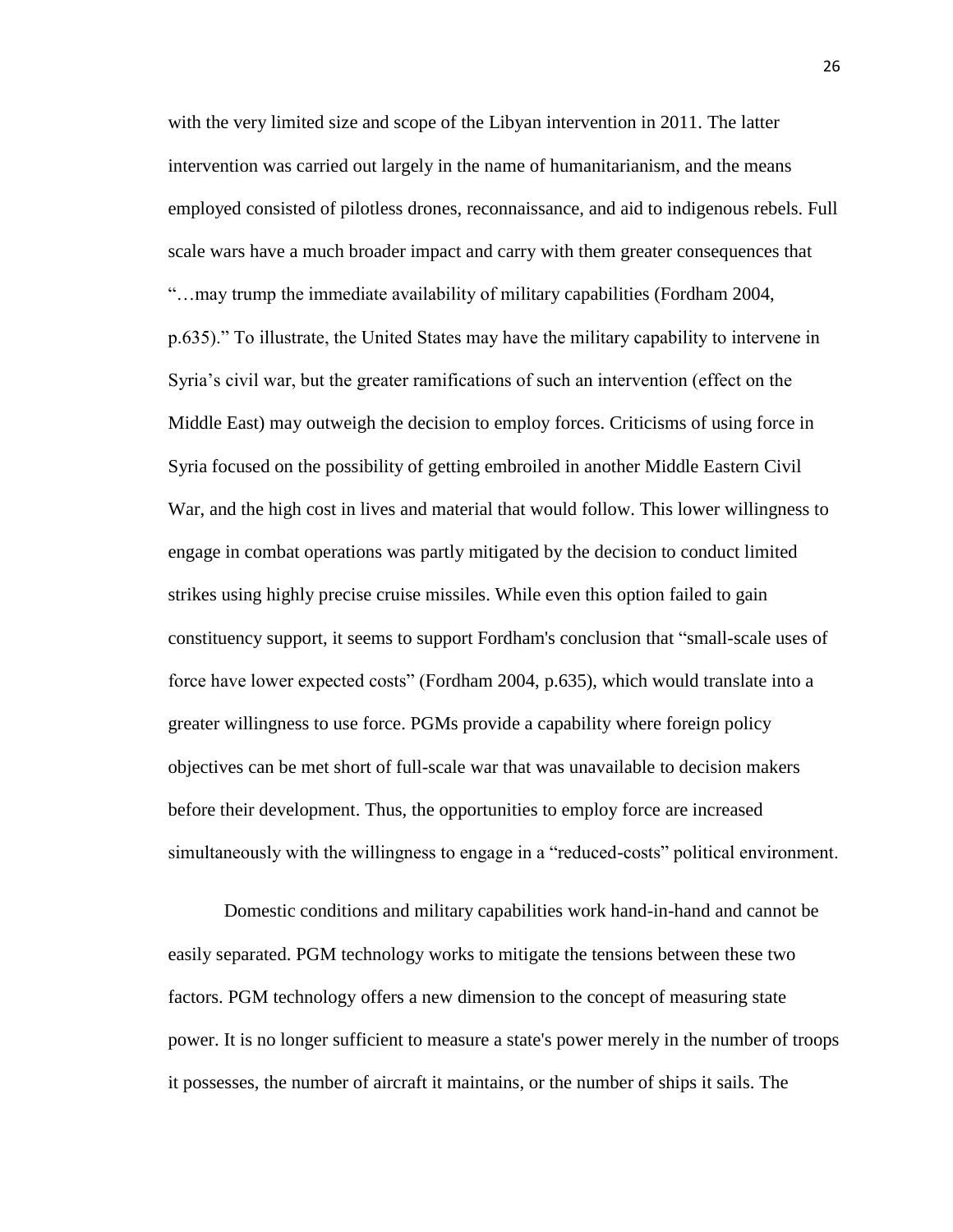with the very limited size and scope of the Libyan intervention in 2011. The latter intervention was carried out largely in the name of humanitarianism, and the means employed consisted of pilotless drones, reconnaissance, and aid to indigenous rebels. Full scale wars have a much broader impact and carry with them greater consequences that "…may trump the immediate availability of military capabilities (Fordham 2004, p.635)." To illustrate, the United States may have the military capability to intervene in Syria's civil war, but the greater ramifications of such an intervention (effect on the Middle East) may outweigh the decision to employ forces. Criticisms of using force in Syria focused on the possibility of getting embroiled in another Middle Eastern Civil War, and the high cost in lives and material that would follow. This lower willingness to engage in combat operations was partly mitigated by the decision to conduct limited strikes using highly precise cruise missiles. While even this option failed to gain constituency support, it seems to support Fordham's conclusion that "small-scale uses of force have lower expected costs" (Fordham 2004, p.635), which would translate into a greater willingness to use force. PGMs provide a capability where foreign policy objectives can be met short of full-scale war that was unavailable to decision makers before their development. Thus, the opportunities to employ force are increased simultaneously with the willingness to engage in a "reduced-costs" political environment.

Domestic conditions and military capabilities work hand-in-hand and cannot be easily separated. PGM technology works to mitigate the tensions between these two factors. PGM technology offers a new dimension to the concept of measuring state power. It is no longer sufficient to measure a state's power merely in the number of troops it possesses, the number of aircraft it maintains, or the number of ships it sails. The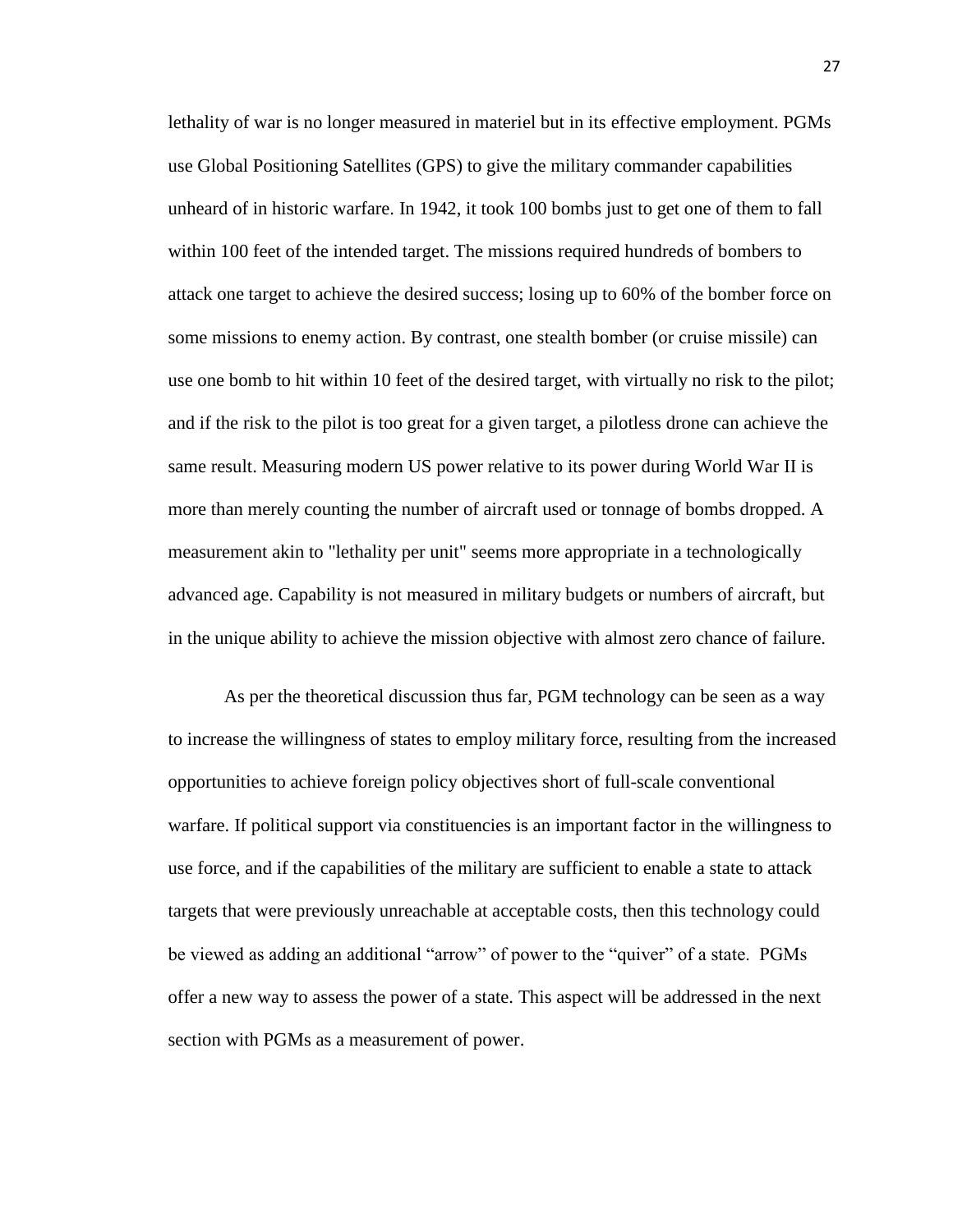lethality of war is no longer measured in materiel but in its effective employment. PGMs use Global Positioning Satellites (GPS) to give the military commander capabilities unheard of in historic warfare. In 1942, it took 100 bombs just to get one of them to fall within 100 feet of the intended target. The missions required hundreds of bombers to attack one target to achieve the desired success; losing up to 60% of the bomber force on some missions to enemy action. By contrast, one stealth bomber (or cruise missile) can use one bomb to hit within 10 feet of the desired target, with virtually no risk to the pilot; and if the risk to the pilot is too great for a given target, a pilotless drone can achieve the same result. Measuring modern US power relative to its power during World War II is more than merely counting the number of aircraft used or tonnage of bombs dropped. A measurement akin to "lethality per unit" seems more appropriate in a technologically advanced age. Capability is not measured in military budgets or numbers of aircraft, but in the unique ability to achieve the mission objective with almost zero chance of failure.

As per the theoretical discussion thus far, PGM technology can be seen as a way to increase the willingness of states to employ military force, resulting from the increased opportunities to achieve foreign policy objectives short of full-scale conventional warfare. If political support via constituencies is an important factor in the willingness to use force, and if the capabilities of the military are sufficient to enable a state to attack targets that were previously unreachable at acceptable costs, then this technology could be viewed as adding an additional "arrow" of power to the "quiver" of a state. PGMs offer a new way to assess the power of a state. This aspect will be addressed in the next section with PGMs as a measurement of power.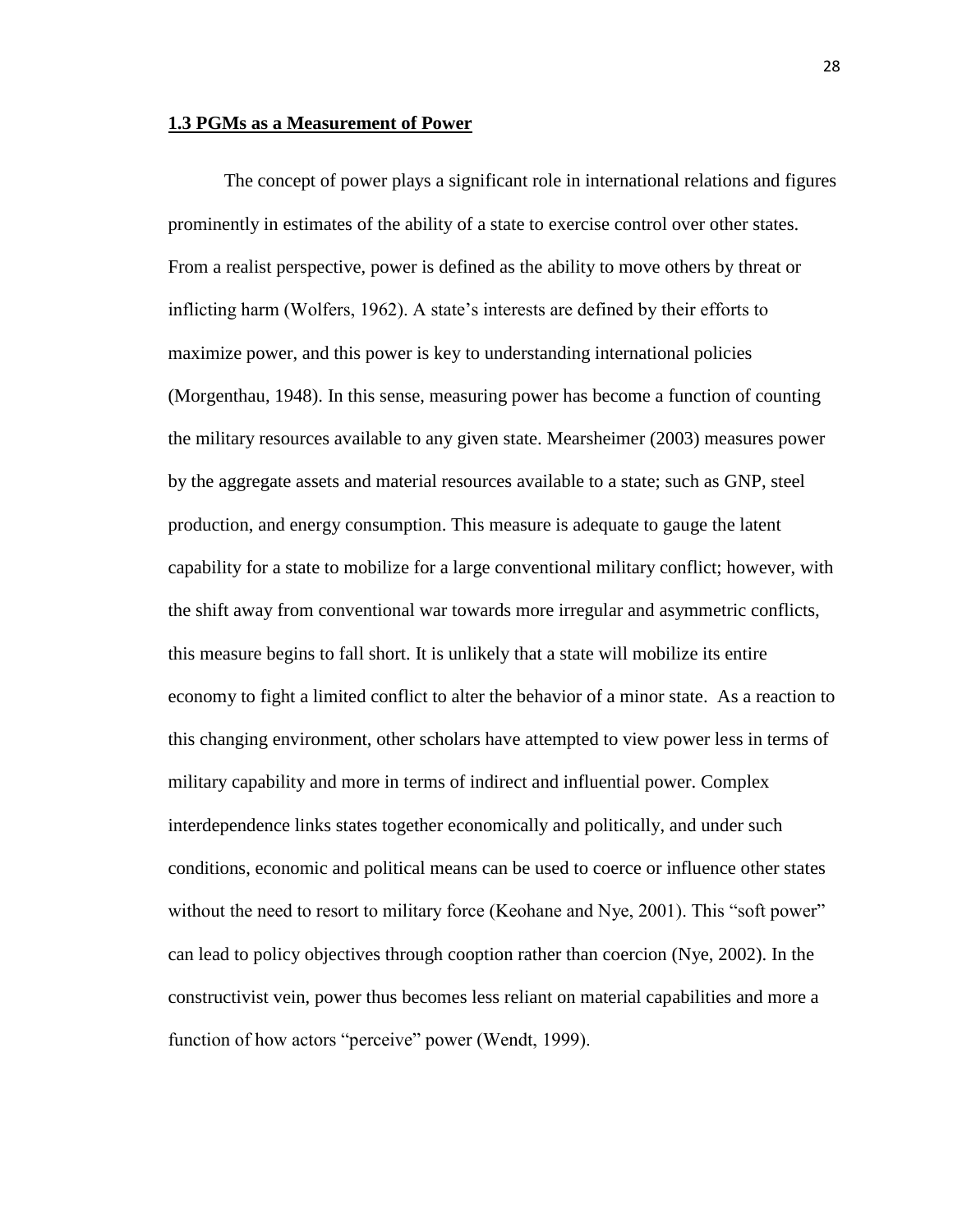#### **1.3 PGMs as a Measurement of Power**

The concept of power plays a significant role in international relations and figures prominently in estimates of the ability of a state to exercise control over other states. From a realist perspective, power is defined as the ability to move others by threat or inflicting harm (Wolfers, 1962). A state's interests are defined by their efforts to maximize power, and this power is key to understanding international policies (Morgenthau, 1948). In this sense, measuring power has become a function of counting the military resources available to any given state. Mearsheimer (2003) measures power by the aggregate assets and material resources available to a state; such as GNP, steel production, and energy consumption. This measure is adequate to gauge the latent capability for a state to mobilize for a large conventional military conflict; however, with the shift away from conventional war towards more irregular and asymmetric conflicts, this measure begins to fall short. It is unlikely that a state will mobilize its entire economy to fight a limited conflict to alter the behavior of a minor state. As a reaction to this changing environment, other scholars have attempted to view power less in terms of military capability and more in terms of indirect and influential power. Complex interdependence links states together economically and politically, and under such conditions, economic and political means can be used to coerce or influence other states without the need to resort to military force (Keohane and Nye, 2001). This "soft power" can lead to policy objectives through cooption rather than coercion (Nye, 2002). In the constructivist vein, power thus becomes less reliant on material capabilities and more a function of how actors "perceive" power (Wendt, 1999).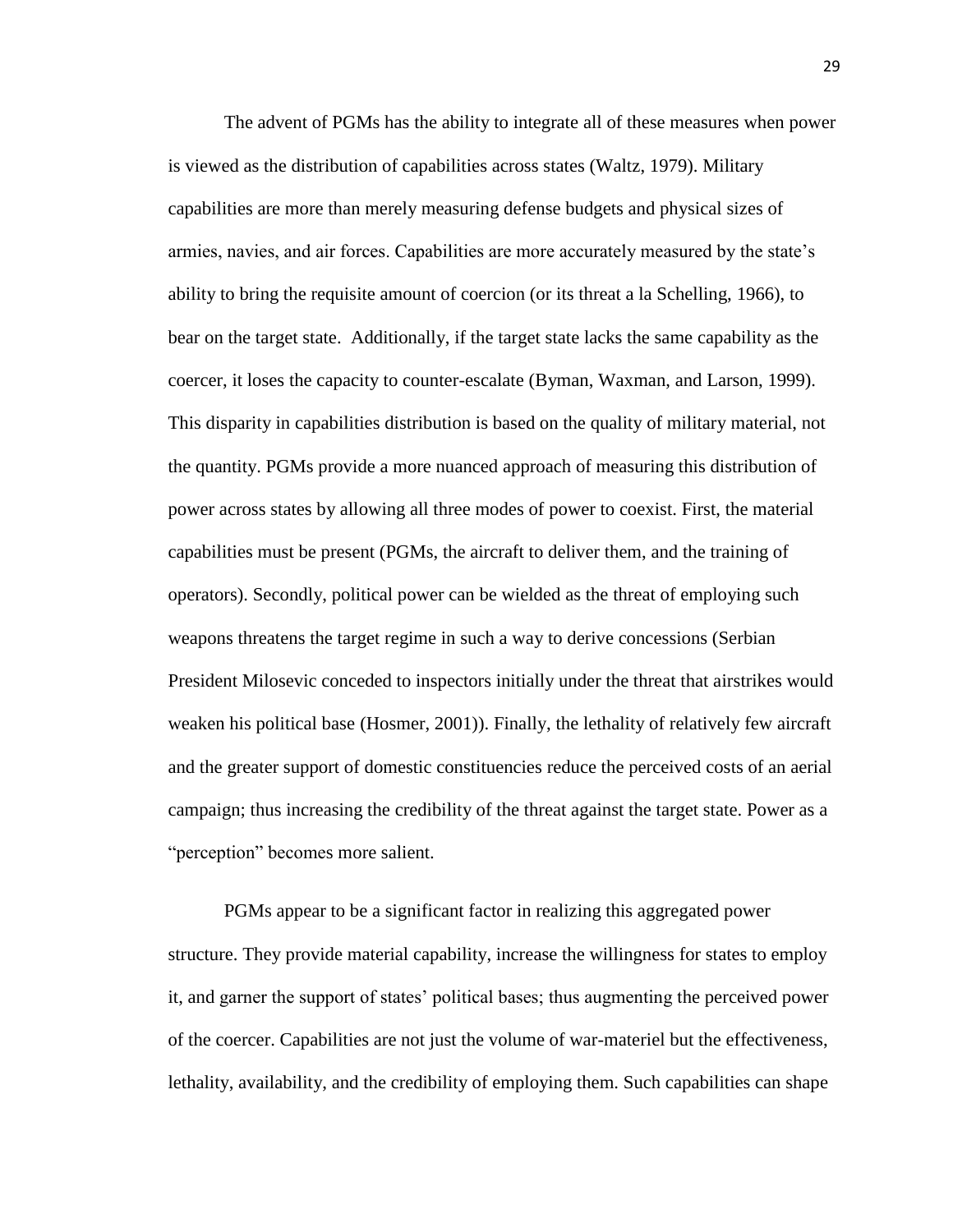The advent of PGMs has the ability to integrate all of these measures when power is viewed as the distribution of capabilities across states (Waltz, 1979). Military capabilities are more than merely measuring defense budgets and physical sizes of armies, navies, and air forces. Capabilities are more accurately measured by the state's ability to bring the requisite amount of coercion (or its threat a la Schelling, 1966), to bear on the target state. Additionally, if the target state lacks the same capability as the coercer, it loses the capacity to counter-escalate (Byman, Waxman, and Larson, 1999). This disparity in capabilities distribution is based on the quality of military material, not the quantity. PGMs provide a more nuanced approach of measuring this distribution of power across states by allowing all three modes of power to coexist. First, the material capabilities must be present (PGMs, the aircraft to deliver them, and the training of operators). Secondly, political power can be wielded as the threat of employing such weapons threatens the target regime in such a way to derive concessions (Serbian President Milosevic conceded to inspectors initially under the threat that airstrikes would weaken his political base (Hosmer, 2001)). Finally, the lethality of relatively few aircraft and the greater support of domestic constituencies reduce the perceived costs of an aerial campaign; thus increasing the credibility of the threat against the target state. Power as a "perception" becomes more salient.

PGMs appear to be a significant factor in realizing this aggregated power structure. They provide material capability, increase the willingness for states to employ it, and garner the support of states' political bases; thus augmenting the perceived power of the coercer. Capabilities are not just the volume of war-materiel but the effectiveness, lethality, availability, and the credibility of employing them. Such capabilities can shape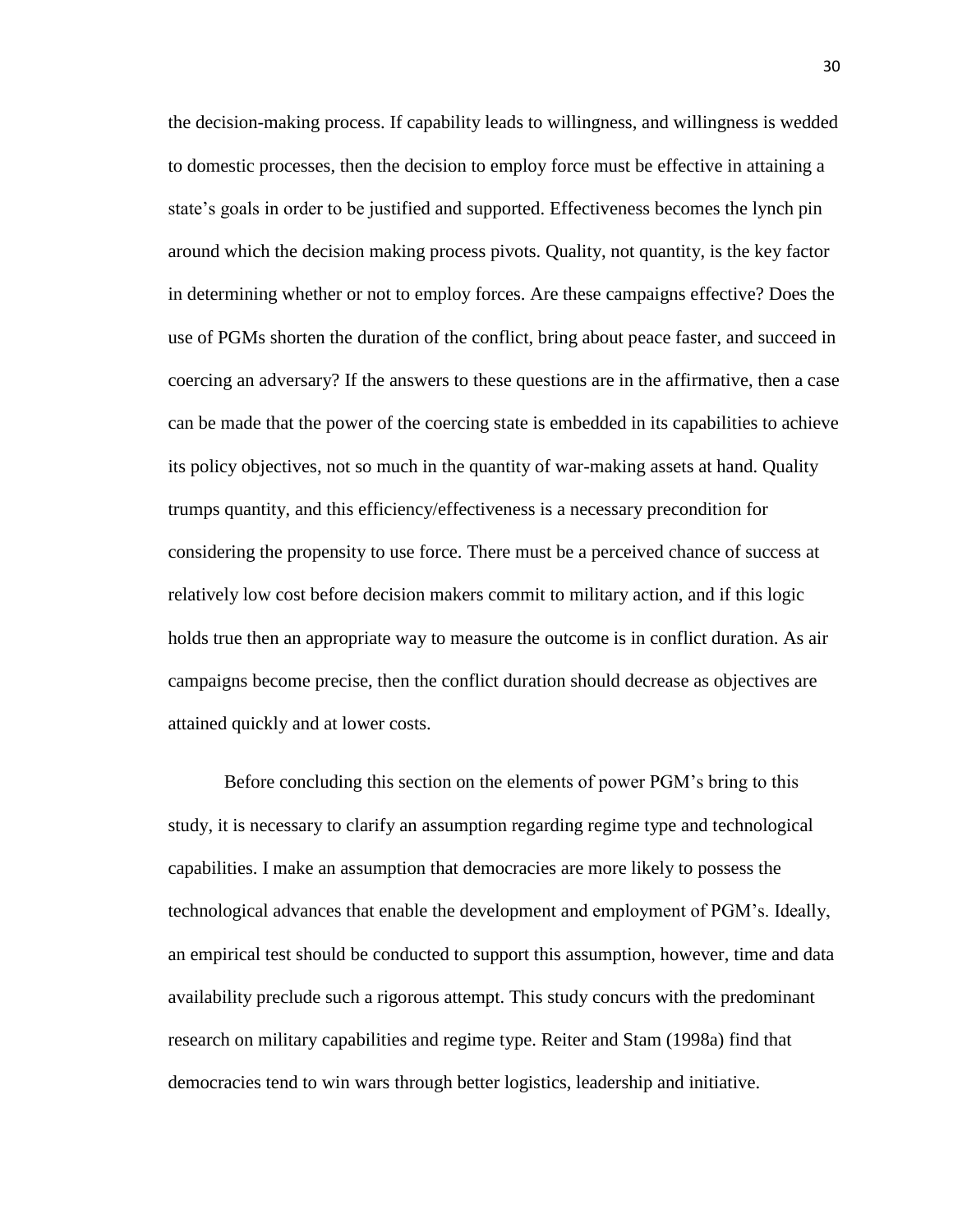the decision-making process. If capability leads to willingness, and willingness is wedded to domestic processes, then the decision to employ force must be effective in attaining a state's goals in order to be justified and supported. Effectiveness becomes the lynch pin around which the decision making process pivots. Quality, not quantity, is the key factor in determining whether or not to employ forces. Are these campaigns effective? Does the use of PGMs shorten the duration of the conflict, bring about peace faster, and succeed in coercing an adversary? If the answers to these questions are in the affirmative, then a case can be made that the power of the coercing state is embedded in its capabilities to achieve its policy objectives, not so much in the quantity of war-making assets at hand. Quality trumps quantity, and this efficiency/effectiveness is a necessary precondition for considering the propensity to use force. There must be a perceived chance of success at relatively low cost before decision makers commit to military action, and if this logic holds true then an appropriate way to measure the outcome is in conflict duration. As air campaigns become precise, then the conflict duration should decrease as objectives are attained quickly and at lower costs.

Before concluding this section on the elements of power PGM's bring to this study, it is necessary to clarify an assumption regarding regime type and technological capabilities. I make an assumption that democracies are more likely to possess the technological advances that enable the development and employment of PGM's. Ideally, an empirical test should be conducted to support this assumption, however, time and data availability preclude such a rigorous attempt. This study concurs with the predominant research on military capabilities and regime type. Reiter and Stam (1998a) find that democracies tend to win wars through better logistics, leadership and initiative.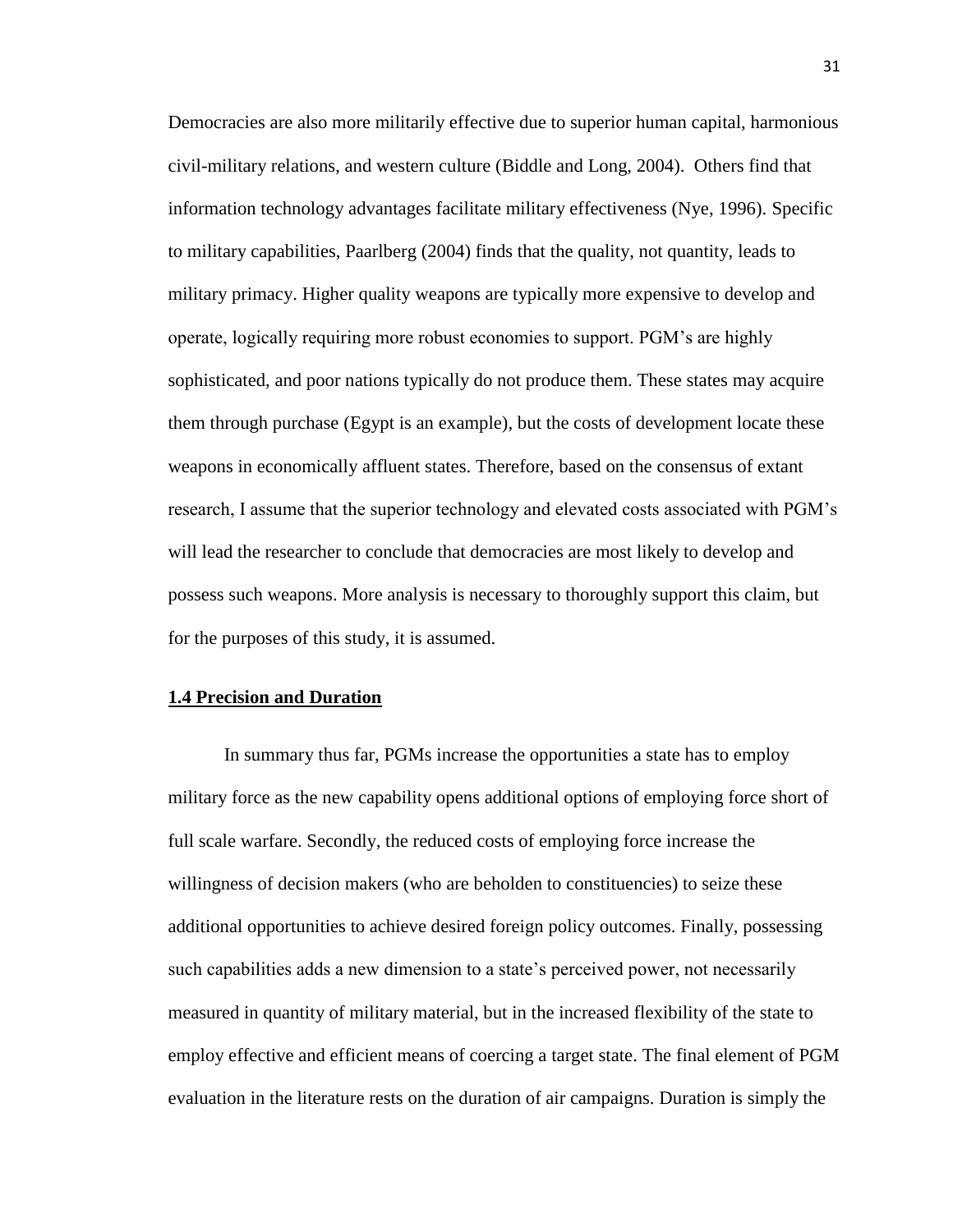Democracies are also more militarily effective due to superior human capital, harmonious civil-military relations, and western culture (Biddle and Long, 2004). Others find that information technology advantages facilitate military effectiveness (Nye, 1996). Specific to military capabilities, Paarlberg (2004) finds that the quality, not quantity, leads to military primacy. Higher quality weapons are typically more expensive to develop and operate, logically requiring more robust economies to support. PGM's are highly sophisticated, and poor nations typically do not produce them. These states may acquire them through purchase (Egypt is an example), but the costs of development locate these weapons in economically affluent states. Therefore, based on the consensus of extant research, I assume that the superior technology and elevated costs associated with PGM's will lead the researcher to conclude that democracies are most likely to develop and possess such weapons. More analysis is necessary to thoroughly support this claim, but for the purposes of this study, it is assumed.

#### **1.4 Precision and Duration**

In summary thus far, PGMs increase the opportunities a state has to employ military force as the new capability opens additional options of employing force short of full scale warfare. Secondly, the reduced costs of employing force increase the willingness of decision makers (who are beholden to constituencies) to seize these additional opportunities to achieve desired foreign policy outcomes. Finally, possessing such capabilities adds a new dimension to a state's perceived power, not necessarily measured in quantity of military material, but in the increased flexibility of the state to employ effective and efficient means of coercing a target state. The final element of PGM evaluation in the literature rests on the duration of air campaigns. Duration is simply the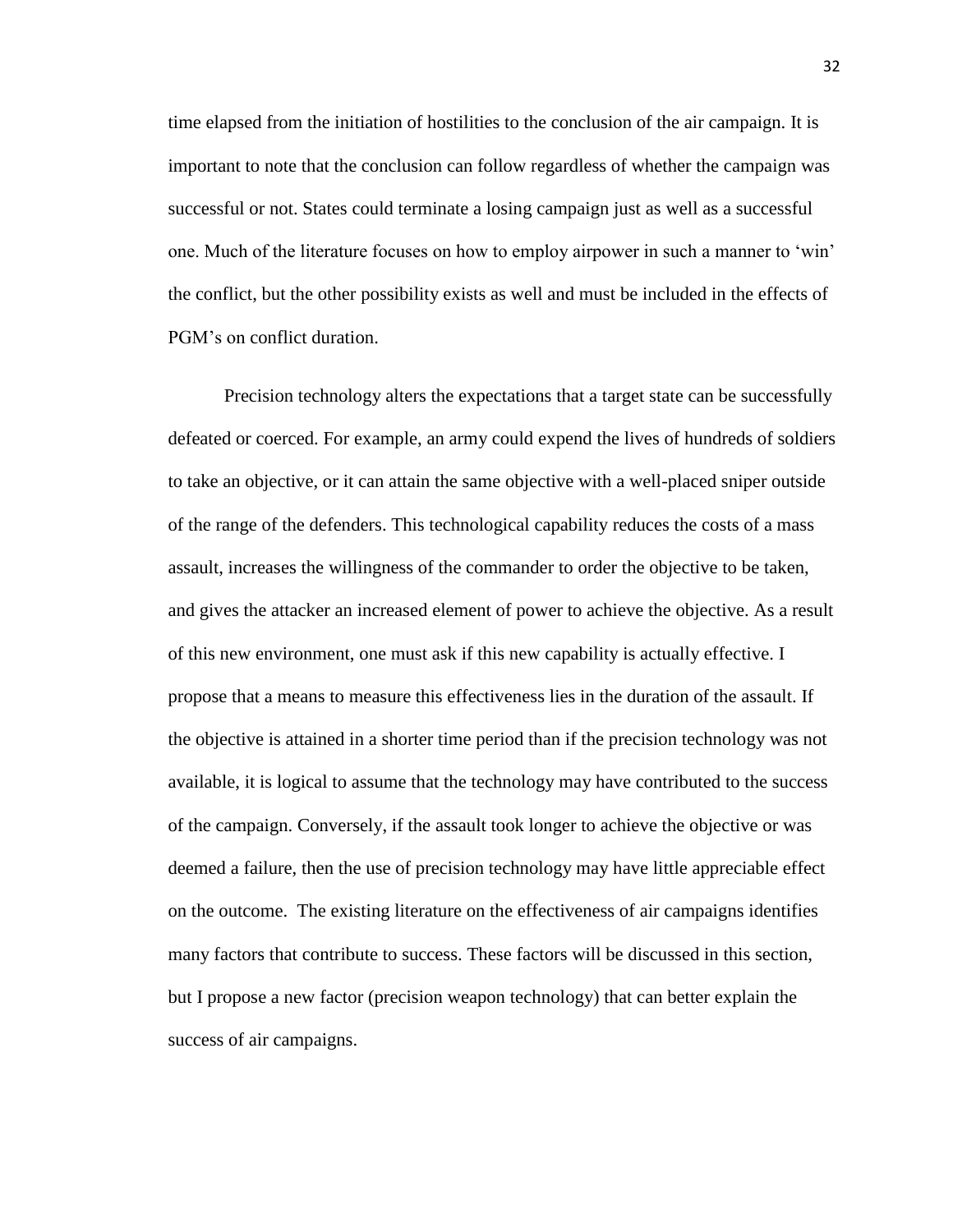time elapsed from the initiation of hostilities to the conclusion of the air campaign. It is important to note that the conclusion can follow regardless of whether the campaign was successful or not. States could terminate a losing campaign just as well as a successful one. Much of the literature focuses on how to employ airpower in such a manner to 'win' the conflict, but the other possibility exists as well and must be included in the effects of PGM's on conflict duration.

Precision technology alters the expectations that a target state can be successfully defeated or coerced. For example, an army could expend the lives of hundreds of soldiers to take an objective, or it can attain the same objective with a well-placed sniper outside of the range of the defenders. This technological capability reduces the costs of a mass assault, increases the willingness of the commander to order the objective to be taken, and gives the attacker an increased element of power to achieve the objective. As a result of this new environment, one must ask if this new capability is actually effective. I propose that a means to measure this effectiveness lies in the duration of the assault. If the objective is attained in a shorter time period than if the precision technology was not available, it is logical to assume that the technology may have contributed to the success of the campaign. Conversely, if the assault took longer to achieve the objective or was deemed a failure, then the use of precision technology may have little appreciable effect on the outcome. The existing literature on the effectiveness of air campaigns identifies many factors that contribute to success. These factors will be discussed in this section, but I propose a new factor (precision weapon technology) that can better explain the success of air campaigns.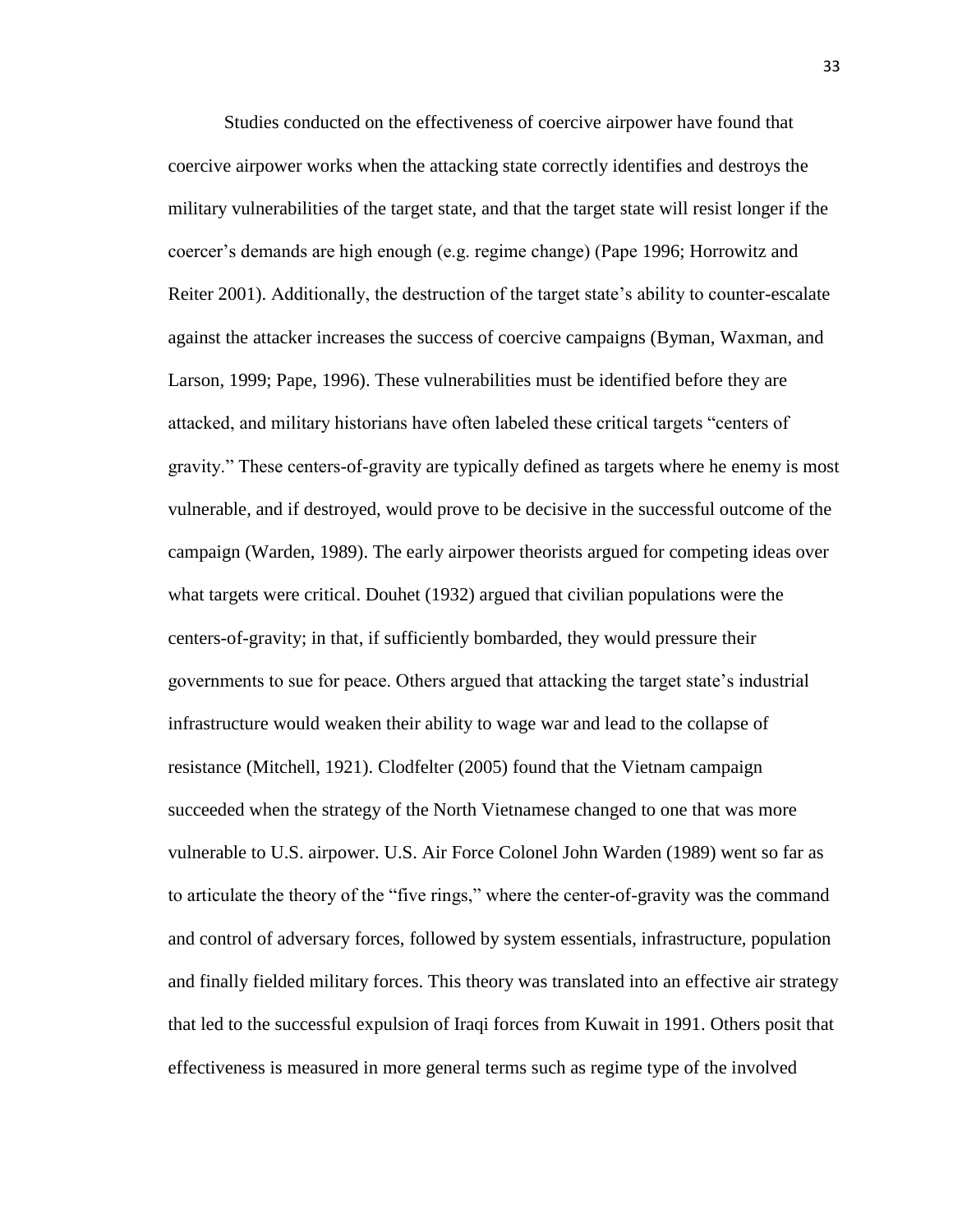Studies conducted on the effectiveness of coercive airpower have found that coercive airpower works when the attacking state correctly identifies and destroys the military vulnerabilities of the target state, and that the target state will resist longer if the coercer's demands are high enough (e.g. regime change) (Pape 1996; Horrowitz and Reiter 2001). Additionally, the destruction of the target state's ability to counter-escalate against the attacker increases the success of coercive campaigns (Byman, Waxman, and Larson, 1999; Pape, 1996). These vulnerabilities must be identified before they are attacked, and military historians have often labeled these critical targets "centers of gravity." These centers-of-gravity are typically defined as targets where he enemy is most vulnerable, and if destroyed, would prove to be decisive in the successful outcome of the campaign (Warden, 1989). The early airpower theorists argued for competing ideas over what targets were critical. Douhet (1932) argued that civilian populations were the centers-of-gravity; in that, if sufficiently bombarded, they would pressure their governments to sue for peace. Others argued that attacking the target state's industrial infrastructure would weaken their ability to wage war and lead to the collapse of resistance (Mitchell, 1921). Clodfelter (2005) found that the Vietnam campaign succeeded when the strategy of the North Vietnamese changed to one that was more vulnerable to U.S. airpower. U.S. Air Force Colonel John Warden (1989) went so far as to articulate the theory of the "five rings," where the center-of-gravity was the command and control of adversary forces, followed by system essentials, infrastructure, population and finally fielded military forces. This theory was translated into an effective air strategy that led to the successful expulsion of Iraqi forces from Kuwait in 1991. Others posit that effectiveness is measured in more general terms such as regime type of the involved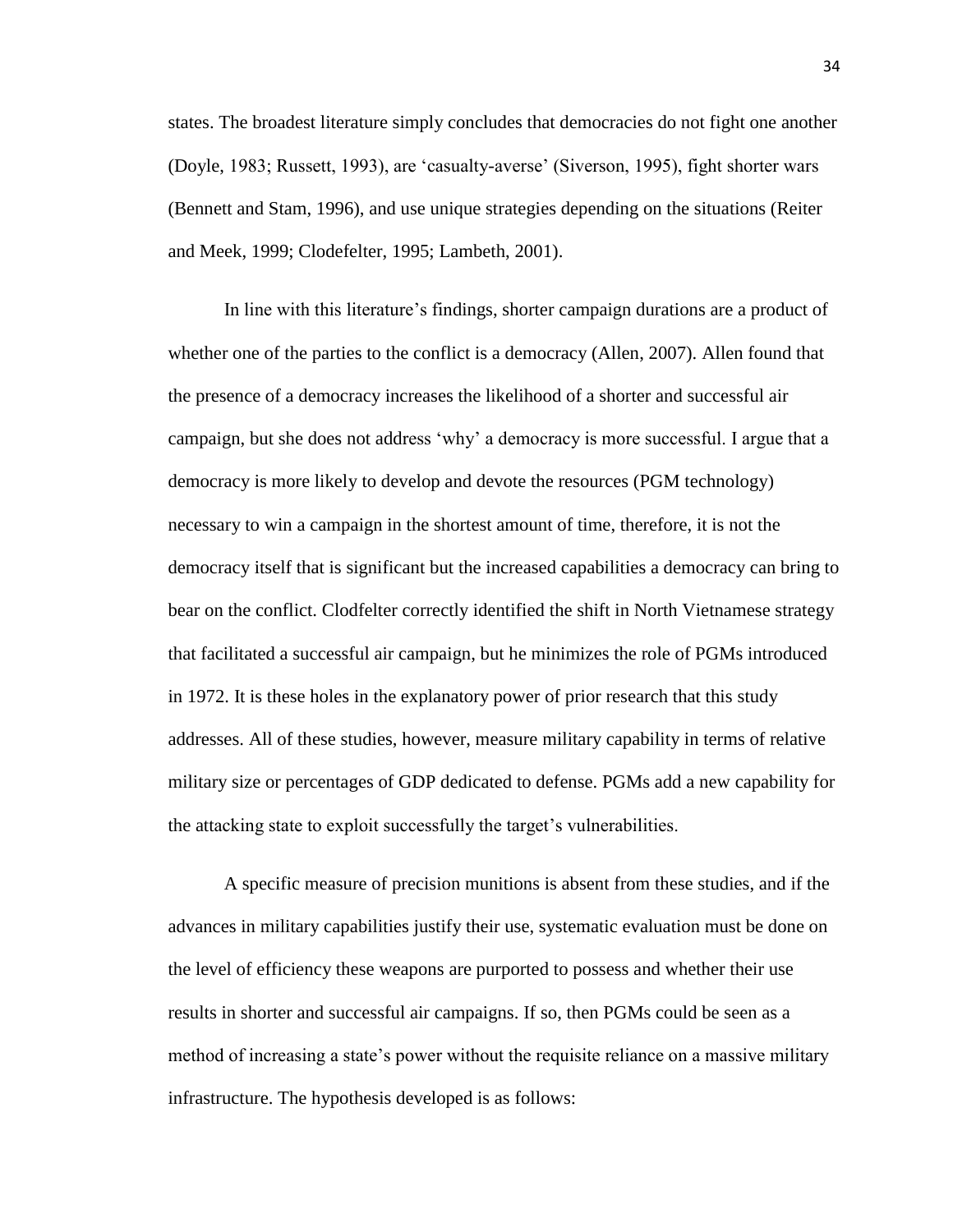states. The broadest literature simply concludes that democracies do not fight one another (Doyle, 1983; Russett, 1993), are 'casualty-averse' (Siverson, 1995), fight shorter wars (Bennett and Stam, 1996), and use unique strategies depending on the situations (Reiter and Meek, 1999; Clodefelter, 1995; Lambeth, 2001).

In line with this literature's findings, shorter campaign durations are a product of whether one of the parties to the conflict is a democracy (Allen, 2007). Allen found that the presence of a democracy increases the likelihood of a shorter and successful air campaign, but she does not address 'why' a democracy is more successful. I argue that a democracy is more likely to develop and devote the resources (PGM technology) necessary to win a campaign in the shortest amount of time, therefore, it is not the democracy itself that is significant but the increased capabilities a democracy can bring to bear on the conflict. Clodfelter correctly identified the shift in North Vietnamese strategy that facilitated a successful air campaign, but he minimizes the role of PGMs introduced in 1972. It is these holes in the explanatory power of prior research that this study addresses. All of these studies, however, measure military capability in terms of relative military size or percentages of GDP dedicated to defense. PGMs add a new capability for the attacking state to exploit successfully the target's vulnerabilities.

A specific measure of precision munitions is absent from these studies, and if the advances in military capabilities justify their use, systematic evaluation must be done on the level of efficiency these weapons are purported to possess and whether their use results in shorter and successful air campaigns. If so, then PGMs could be seen as a method of increasing a state's power without the requisite reliance on a massive military infrastructure. The hypothesis developed is as follows: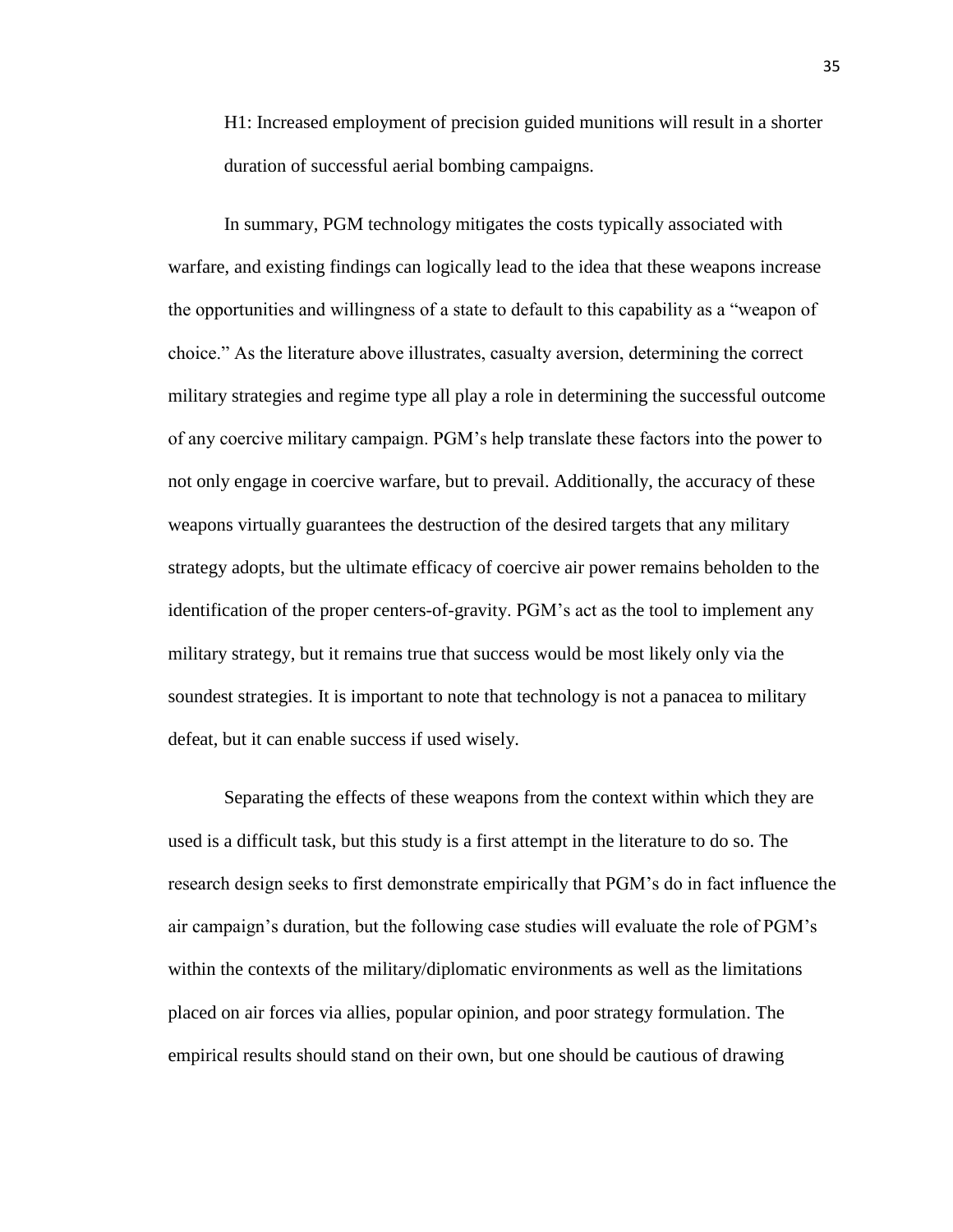H1: Increased employment of precision guided munitions will result in a shorter duration of successful aerial bombing campaigns.

In summary, PGM technology mitigates the costs typically associated with warfare, and existing findings can logically lead to the idea that these weapons increase the opportunities and willingness of a state to default to this capability as a "weapon of choice." As the literature above illustrates, casualty aversion, determining the correct military strategies and regime type all play a role in determining the successful outcome of any coercive military campaign. PGM's help translate these factors into the power to not only engage in coercive warfare, but to prevail. Additionally, the accuracy of these weapons virtually guarantees the destruction of the desired targets that any military strategy adopts, but the ultimate efficacy of coercive air power remains beholden to the identification of the proper centers-of-gravity. PGM's act as the tool to implement any military strategy, but it remains true that success would be most likely only via the soundest strategies. It is important to note that technology is not a panacea to military defeat, but it can enable success if used wisely.

Separating the effects of these weapons from the context within which they are used is a difficult task, but this study is a first attempt in the literature to do so. The research design seeks to first demonstrate empirically that PGM's do in fact influence the air campaign's duration, but the following case studies will evaluate the role of PGM's within the contexts of the military/diplomatic environments as well as the limitations placed on air forces via allies, popular opinion, and poor strategy formulation. The empirical results should stand on their own, but one should be cautious of drawing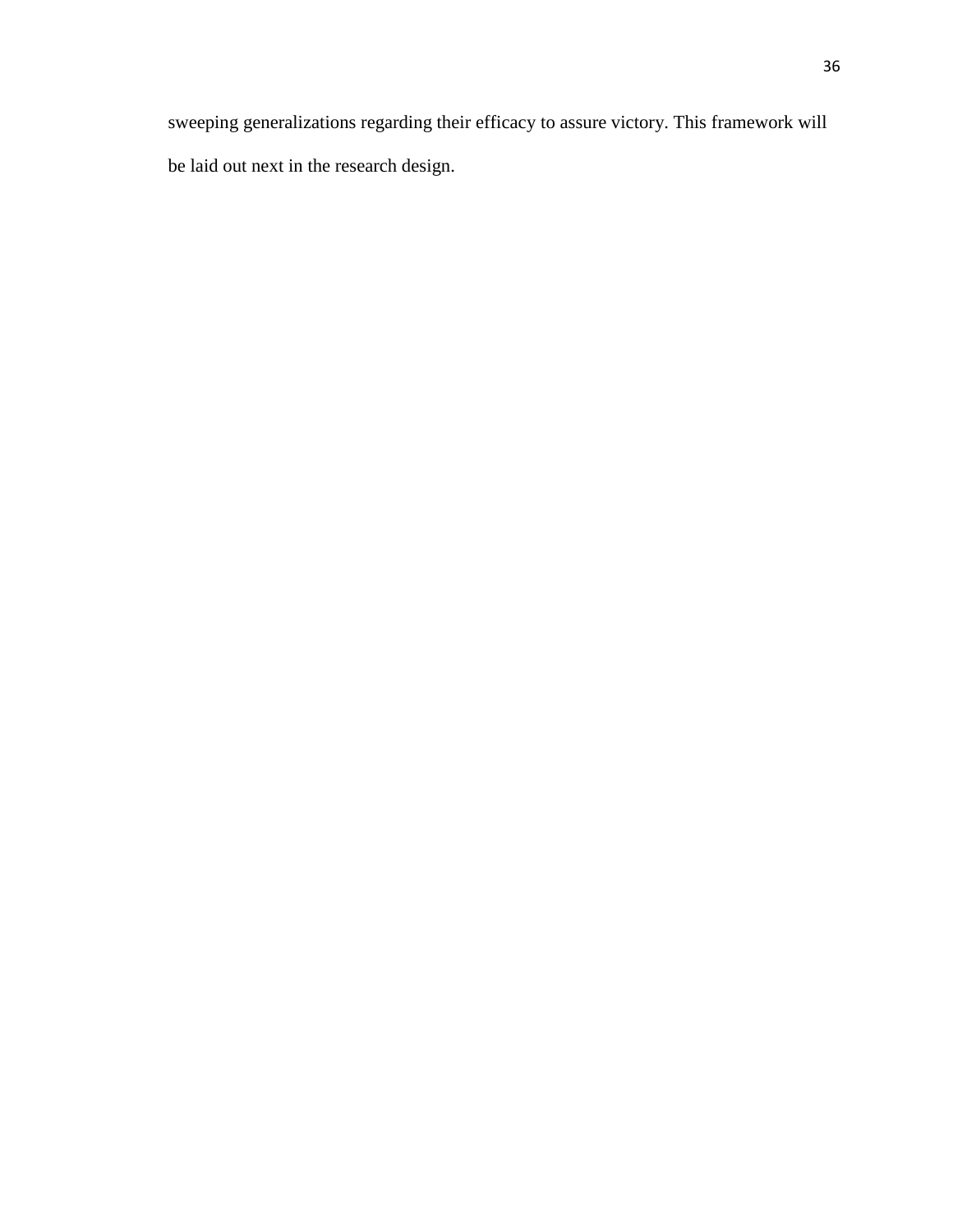sweeping generalizations regarding their efficacy to assure victory. This framework will be laid out next in the research design.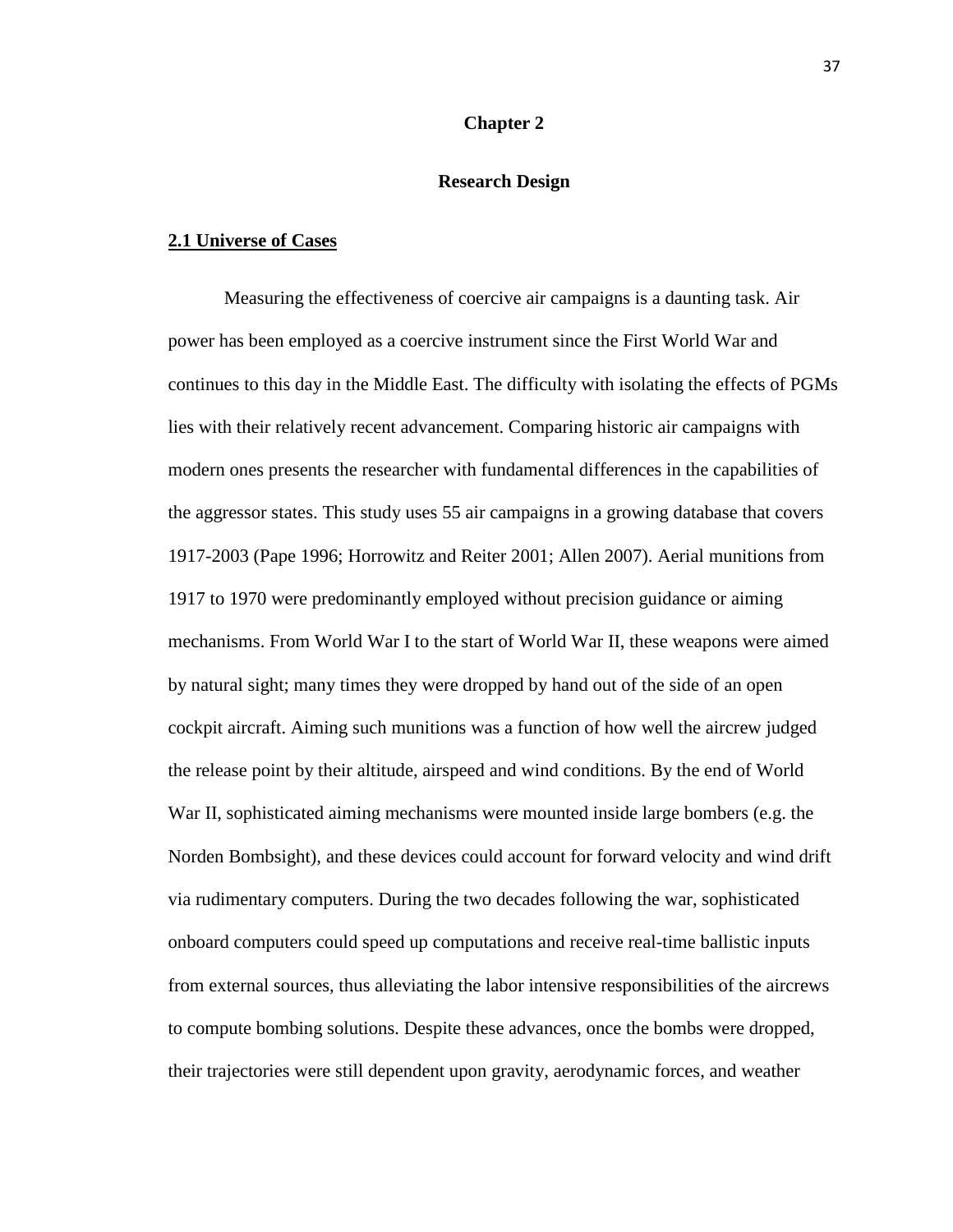# **Chapter 2**

# **Research Design**

#### **2.1 Universe of Cases**

Measuring the effectiveness of coercive air campaigns is a daunting task. Air power has been employed as a coercive instrument since the First World War and continues to this day in the Middle East. The difficulty with isolating the effects of PGMs lies with their relatively recent advancement. Comparing historic air campaigns with modern ones presents the researcher with fundamental differences in the capabilities of the aggressor states. This study uses 55 air campaigns in a growing database that covers 1917-2003 (Pape 1996; Horrowitz and Reiter 2001; Allen 2007). Aerial munitions from 1917 to 1970 were predominantly employed without precision guidance or aiming mechanisms. From World War I to the start of World War II, these weapons were aimed by natural sight; many times they were dropped by hand out of the side of an open cockpit aircraft. Aiming such munitions was a function of how well the aircrew judged the release point by their altitude, airspeed and wind conditions. By the end of World War II, sophisticated aiming mechanisms were mounted inside large bombers (e.g. the Norden Bombsight), and these devices could account for forward velocity and wind drift via rudimentary computers. During the two decades following the war, sophisticated onboard computers could speed up computations and receive real-time ballistic inputs from external sources, thus alleviating the labor intensive responsibilities of the aircrews to compute bombing solutions. Despite these advances, once the bombs were dropped, their trajectories were still dependent upon gravity, aerodynamic forces, and weather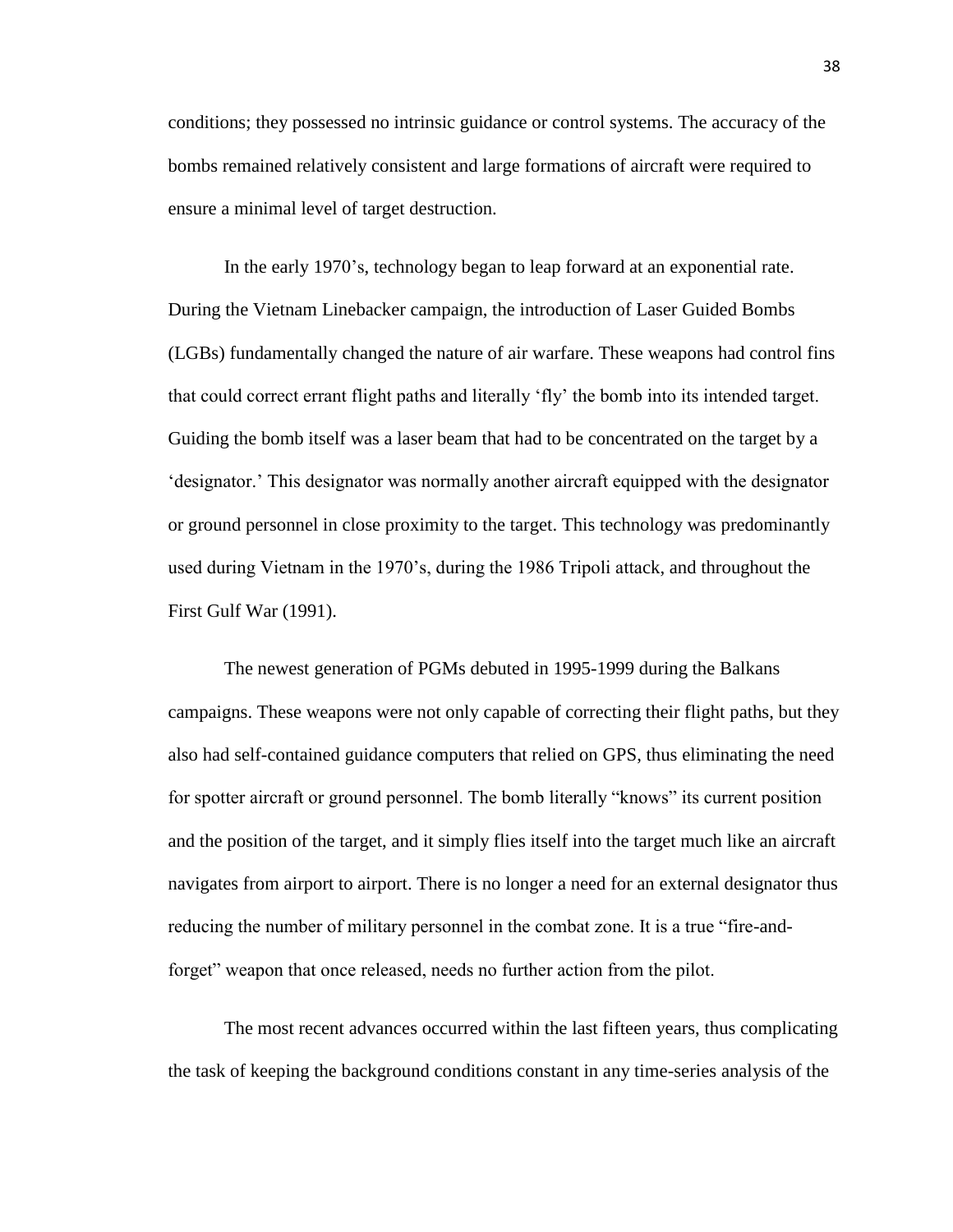conditions; they possessed no intrinsic guidance or control systems. The accuracy of the bombs remained relatively consistent and large formations of aircraft were required to ensure a minimal level of target destruction.

In the early 1970's, technology began to leap forward at an exponential rate. During the Vietnam Linebacker campaign, the introduction of Laser Guided Bombs (LGBs) fundamentally changed the nature of air warfare. These weapons had control fins that could correct errant flight paths and literally 'fly' the bomb into its intended target. Guiding the bomb itself was a laser beam that had to be concentrated on the target by a 'designator.' This designator was normally another aircraft equipped with the designator or ground personnel in close proximity to the target. This technology was predominantly used during Vietnam in the 1970's, during the 1986 Tripoli attack, and throughout the First Gulf War (1991).

The newest generation of PGMs debuted in 1995-1999 during the Balkans campaigns. These weapons were not only capable of correcting their flight paths, but they also had self-contained guidance computers that relied on GPS, thus eliminating the need for spotter aircraft or ground personnel. The bomb literally "knows" its current position and the position of the target, and it simply flies itself into the target much like an aircraft navigates from airport to airport. There is no longer a need for an external designator thus reducing the number of military personnel in the combat zone. It is a true "fire-andforget" weapon that once released, needs no further action from the pilot.

The most recent advances occurred within the last fifteen years, thus complicating the task of keeping the background conditions constant in any time-series analysis of the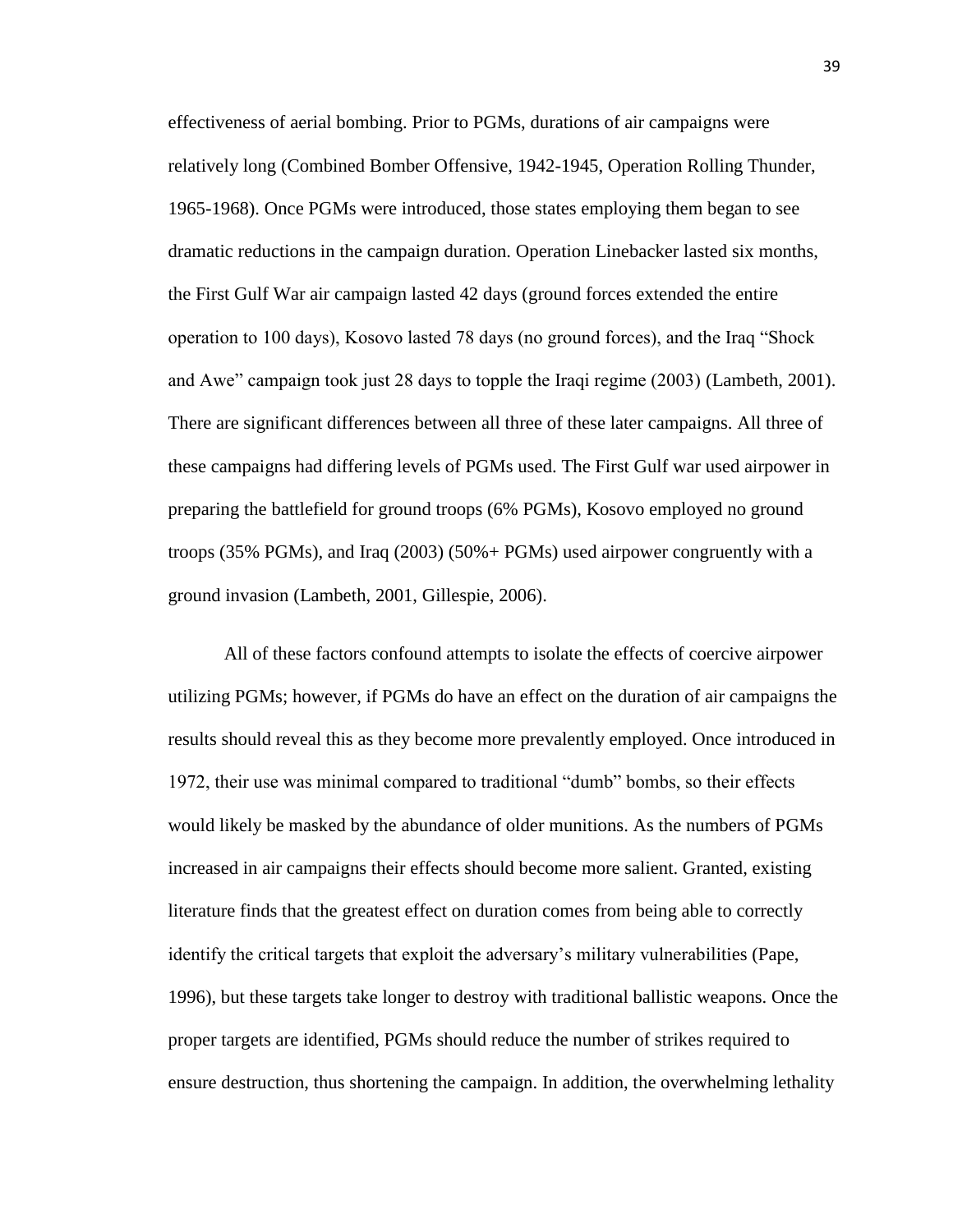effectiveness of aerial bombing. Prior to PGMs, durations of air campaigns were relatively long (Combined Bomber Offensive, 1942-1945, Operation Rolling Thunder, 1965-1968). Once PGMs were introduced, those states employing them began to see dramatic reductions in the campaign duration. Operation Linebacker lasted six months, the First Gulf War air campaign lasted 42 days (ground forces extended the entire operation to 100 days), Kosovo lasted 78 days (no ground forces), and the Iraq "Shock and Awe" campaign took just 28 days to topple the Iraqi regime (2003) (Lambeth, 2001). There are significant differences between all three of these later campaigns. All three of these campaigns had differing levels of PGMs used. The First Gulf war used airpower in preparing the battlefield for ground troops (6% PGMs), Kosovo employed no ground troops (35% PGMs), and Iraq (2003) (50%+ PGMs) used airpower congruently with a ground invasion (Lambeth, 2001, Gillespie, 2006).

All of these factors confound attempts to isolate the effects of coercive airpower utilizing PGMs; however, if PGMs do have an effect on the duration of air campaigns the results should reveal this as they become more prevalently employed. Once introduced in 1972, their use was minimal compared to traditional "dumb" bombs, so their effects would likely be masked by the abundance of older munitions. As the numbers of PGMs increased in air campaigns their effects should become more salient. Granted, existing literature finds that the greatest effect on duration comes from being able to correctly identify the critical targets that exploit the adversary's military vulnerabilities (Pape, 1996), but these targets take longer to destroy with traditional ballistic weapons. Once the proper targets are identified, PGMs should reduce the number of strikes required to ensure destruction, thus shortening the campaign. In addition, the overwhelming lethality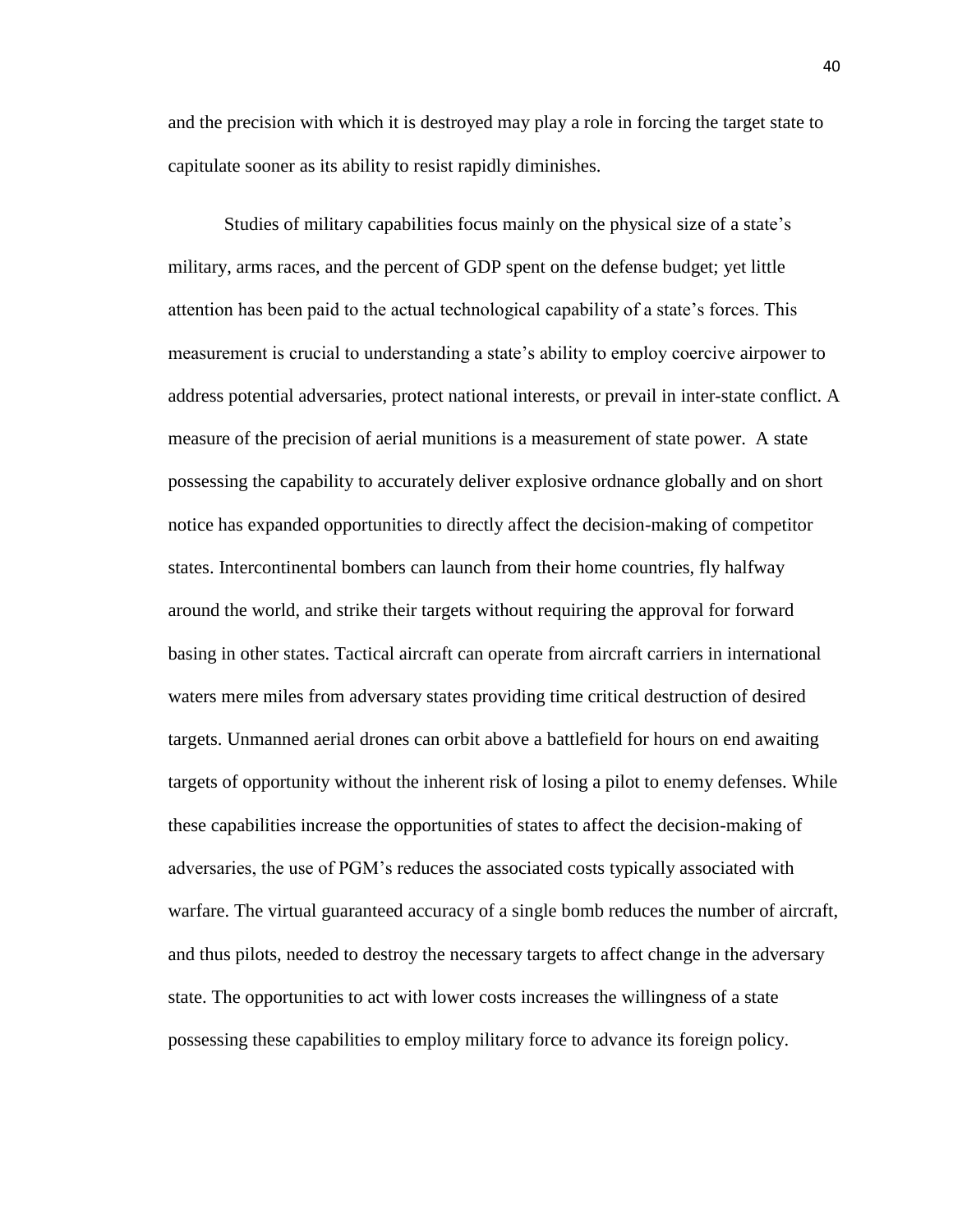and the precision with which it is destroyed may play a role in forcing the target state to capitulate sooner as its ability to resist rapidly diminishes.

Studies of military capabilities focus mainly on the physical size of a state's military, arms races, and the percent of GDP spent on the defense budget; yet little attention has been paid to the actual technological capability of a state's forces. This measurement is crucial to understanding a state's ability to employ coercive airpower to address potential adversaries, protect national interests, or prevail in inter-state conflict. A measure of the precision of aerial munitions is a measurement of state power. A state possessing the capability to accurately deliver explosive ordnance globally and on short notice has expanded opportunities to directly affect the decision-making of competitor states. Intercontinental bombers can launch from their home countries, fly halfway around the world, and strike their targets without requiring the approval for forward basing in other states. Tactical aircraft can operate from aircraft carriers in international waters mere miles from adversary states providing time critical destruction of desired targets. Unmanned aerial drones can orbit above a battlefield for hours on end awaiting targets of opportunity without the inherent risk of losing a pilot to enemy defenses. While these capabilities increase the opportunities of states to affect the decision-making of adversaries, the use of PGM's reduces the associated costs typically associated with warfare. The virtual guaranteed accuracy of a single bomb reduces the number of aircraft, and thus pilots, needed to destroy the necessary targets to affect change in the adversary state. The opportunities to act with lower costs increases the willingness of a state possessing these capabilities to employ military force to advance its foreign policy.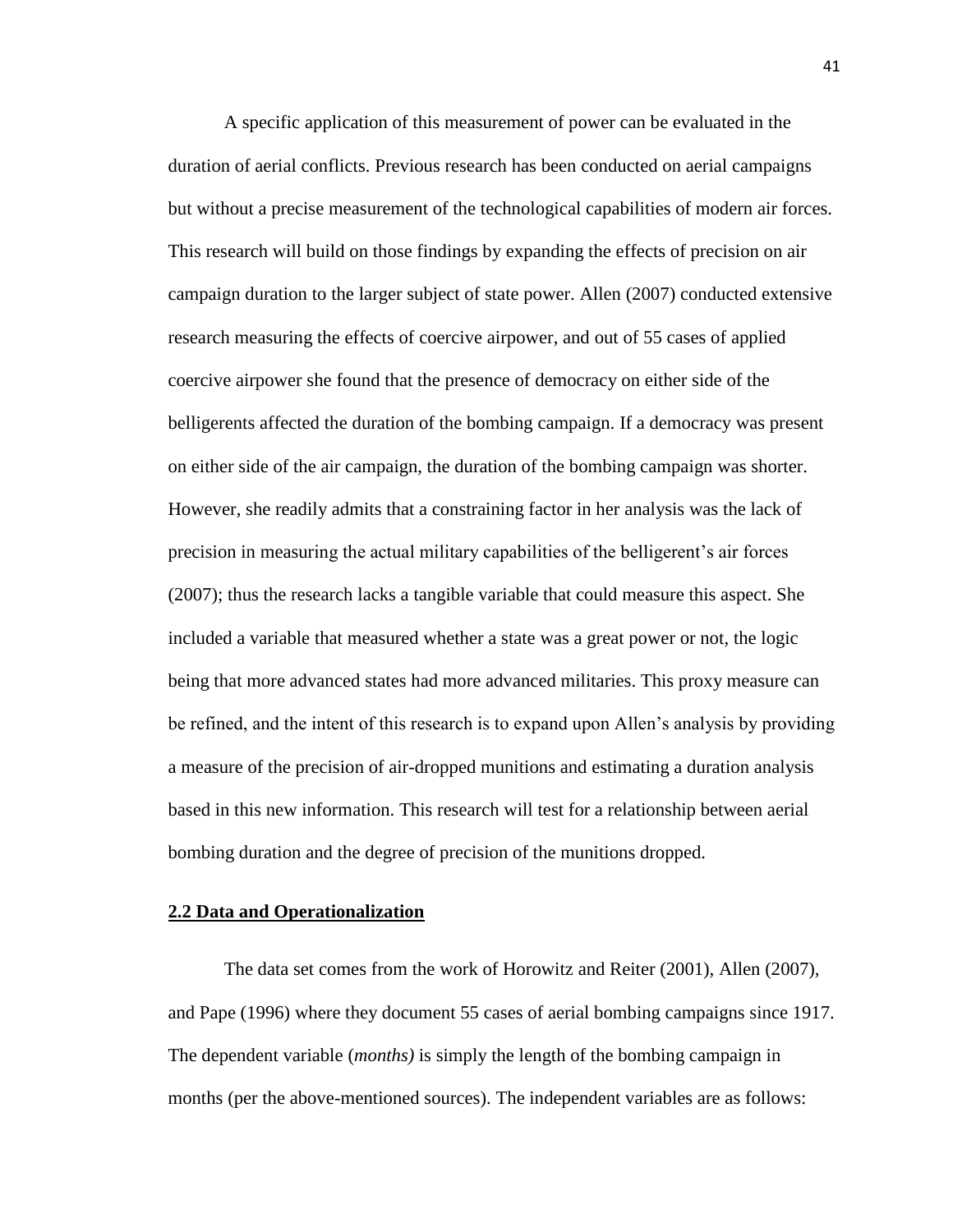A specific application of this measurement of power can be evaluated in the duration of aerial conflicts. Previous research has been conducted on aerial campaigns but without a precise measurement of the technological capabilities of modern air forces. This research will build on those findings by expanding the effects of precision on air campaign duration to the larger subject of state power. Allen (2007) conducted extensive research measuring the effects of coercive airpower, and out of 55 cases of applied coercive airpower she found that the presence of democracy on either side of the belligerents affected the duration of the bombing campaign. If a democracy was present on either side of the air campaign, the duration of the bombing campaign was shorter. However, she readily admits that a constraining factor in her analysis was the lack of precision in measuring the actual military capabilities of the belligerent's air forces (2007); thus the research lacks a tangible variable that could measure this aspect. She included a variable that measured whether a state was a great power or not, the logic being that more advanced states had more advanced militaries. This proxy measure can be refined, and the intent of this research is to expand upon Allen's analysis by providing a measure of the precision of air-dropped munitions and estimating a duration analysis based in this new information. This research will test for a relationship between aerial bombing duration and the degree of precision of the munitions dropped.

#### **2.2 Data and Operationalization**

The data set comes from the work of Horowitz and Reiter (2001), Allen (2007), and Pape (1996) where they document 55 cases of aerial bombing campaigns since 1917. The dependent variable (*months)* is simply the length of the bombing campaign in months (per the above-mentioned sources). The independent variables are as follows: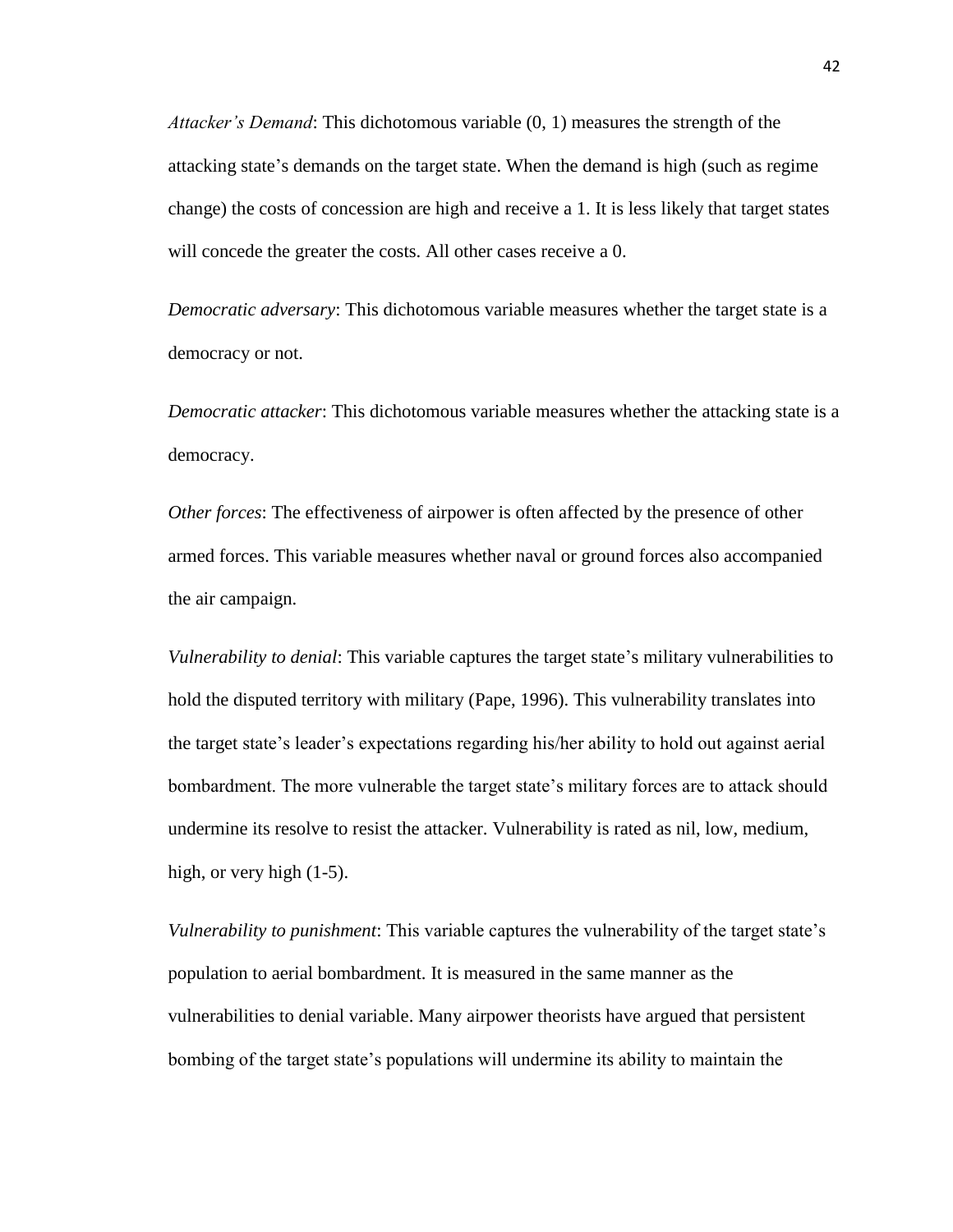*Attacker's Demand*: This dichotomous variable (0, 1) measures the strength of the attacking state's demands on the target state. When the demand is high (such as regime change) the costs of concession are high and receive a 1. It is less likely that target states will concede the greater the costs. All other cases receive a 0.

*Democratic adversary*: This dichotomous variable measures whether the target state is a democracy or not.

*Democratic attacker*: This dichotomous variable measures whether the attacking state is a democracy.

*Other forces*: The effectiveness of airpower is often affected by the presence of other armed forces. This variable measures whether naval or ground forces also accompanied the air campaign.

*Vulnerability to denial*: This variable captures the target state's military vulnerabilities to hold the disputed territory with military (Pape, 1996). This vulnerability translates into the target state's leader's expectations regarding his/her ability to hold out against aerial bombardment. The more vulnerable the target state's military forces are to attack should undermine its resolve to resist the attacker. Vulnerability is rated as nil, low, medium, high, or very high  $(1-5)$ .

*Vulnerability to punishment*: This variable captures the vulnerability of the target state's population to aerial bombardment. It is measured in the same manner as the vulnerabilities to denial variable. Many airpower theorists have argued that persistent bombing of the target state's populations will undermine its ability to maintain the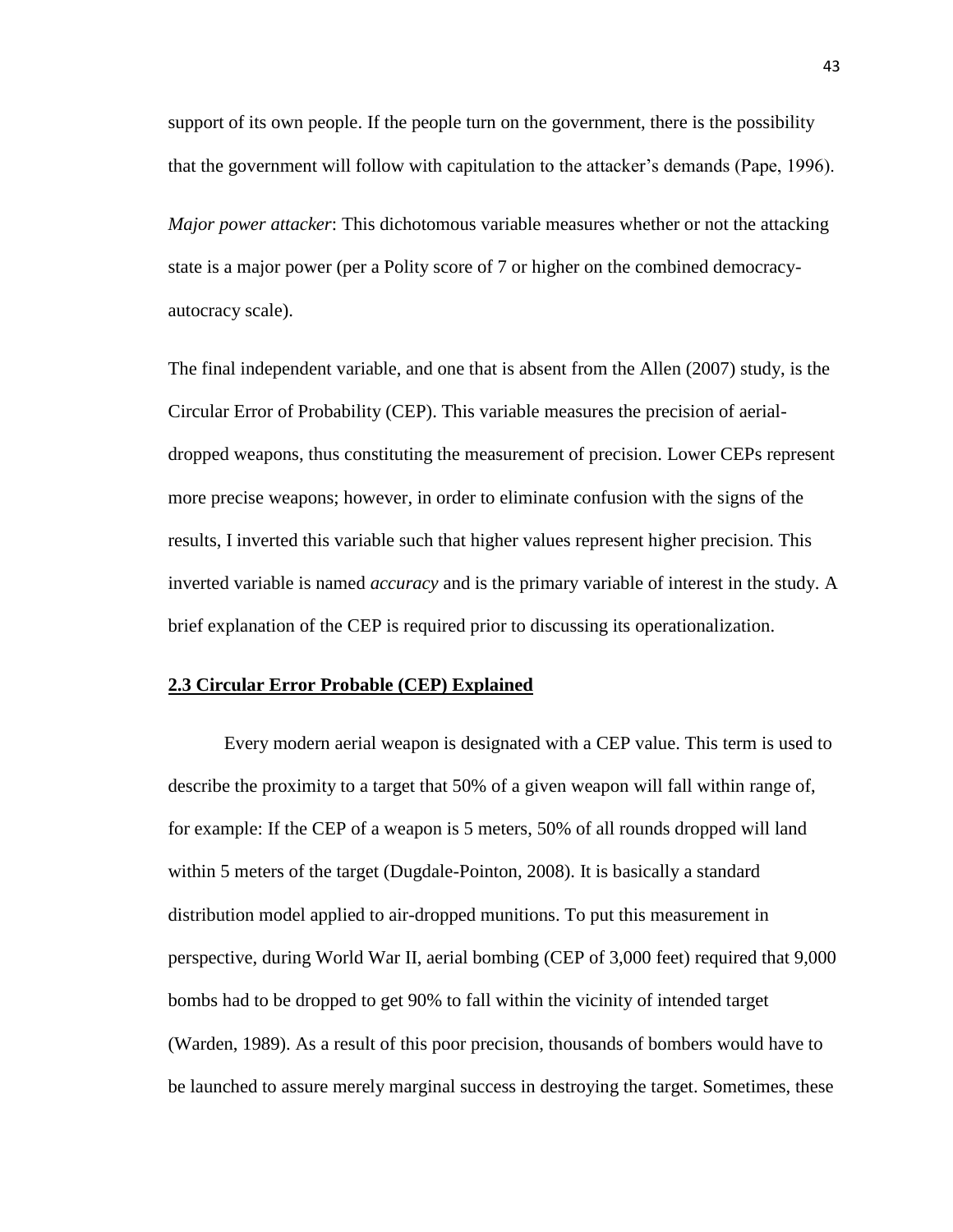support of its own people. If the people turn on the government, there is the possibility that the government will follow with capitulation to the attacker's demands (Pape, 1996).

*Major power attacker*: This dichotomous variable measures whether or not the attacking state is a major power (per a Polity score of 7 or higher on the combined democracyautocracy scale).

The final independent variable, and one that is absent from the Allen (2007) study, is the Circular Error of Probability (CEP). This variable measures the precision of aerialdropped weapons, thus constituting the measurement of precision. Lower CEPs represent more precise weapons; however, in order to eliminate confusion with the signs of the results, I inverted this variable such that higher values represent higher precision. This inverted variable is named *accuracy* and is the primary variable of interest in the study. A brief explanation of the CEP is required prior to discussing its operationalization.

# **2.3 Circular Error Probable (CEP) Explained**

Every modern aerial weapon is designated with a CEP value. This term is used to describe the proximity to a target that 50% of a given weapon will fall within range of, for example: If the CEP of a weapon is 5 meters, 50% of all rounds dropped will land within 5 meters of the target (Dugdale-Pointon, 2008). It is basically a standard distribution model applied to air-dropped munitions. To put this measurement in perspective, during World War II, aerial bombing (CEP of 3,000 feet) required that 9,000 bombs had to be dropped to get 90% to fall within the vicinity of intended target (Warden, 1989). As a result of this poor precision, thousands of bombers would have to be launched to assure merely marginal success in destroying the target. Sometimes, these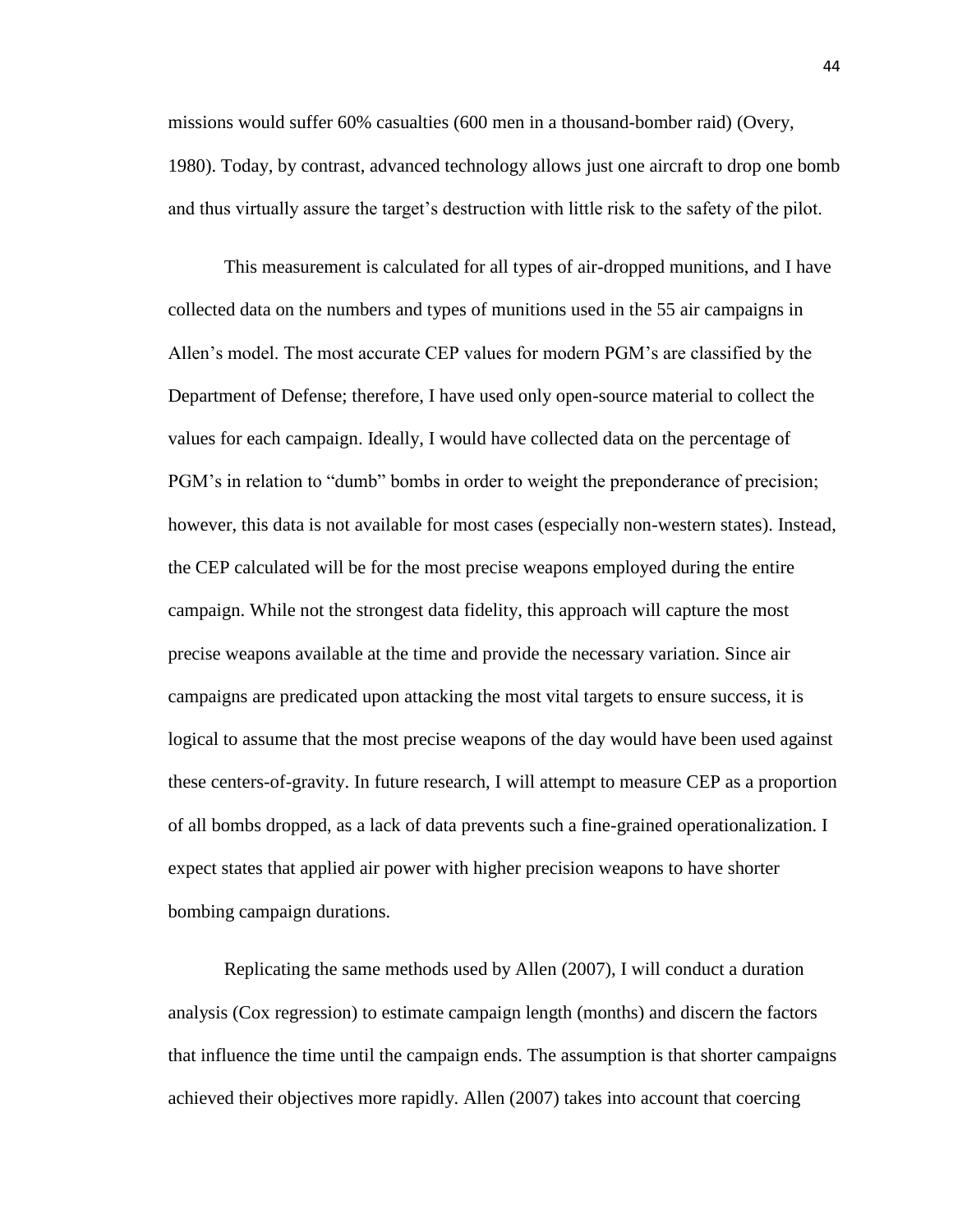missions would suffer 60% casualties (600 men in a thousand-bomber raid) (Overy, 1980). Today, by contrast, advanced technology allows just one aircraft to drop one bomb and thus virtually assure the target's destruction with little risk to the safety of the pilot.

This measurement is calculated for all types of air-dropped munitions, and I have collected data on the numbers and types of munitions used in the 55 air campaigns in Allen's model. The most accurate CEP values for modern PGM's are classified by the Department of Defense; therefore, I have used only open-source material to collect the values for each campaign. Ideally, I would have collected data on the percentage of PGM's in relation to "dumb" bombs in order to weight the preponderance of precision; however, this data is not available for most cases (especially non-western states). Instead, the CEP calculated will be for the most precise weapons employed during the entire campaign. While not the strongest data fidelity, this approach will capture the most precise weapons available at the time and provide the necessary variation. Since air campaigns are predicated upon attacking the most vital targets to ensure success, it is logical to assume that the most precise weapons of the day would have been used against these centers-of-gravity. In future research, I will attempt to measure CEP as a proportion of all bombs dropped, as a lack of data prevents such a fine-grained operationalization. I expect states that applied air power with higher precision weapons to have shorter bombing campaign durations.

Replicating the same methods used by Allen (2007), I will conduct a duration analysis (Cox regression) to estimate campaign length (months) and discern the factors that influence the time until the campaign ends. The assumption is that shorter campaigns achieved their objectives more rapidly. Allen (2007) takes into account that coercing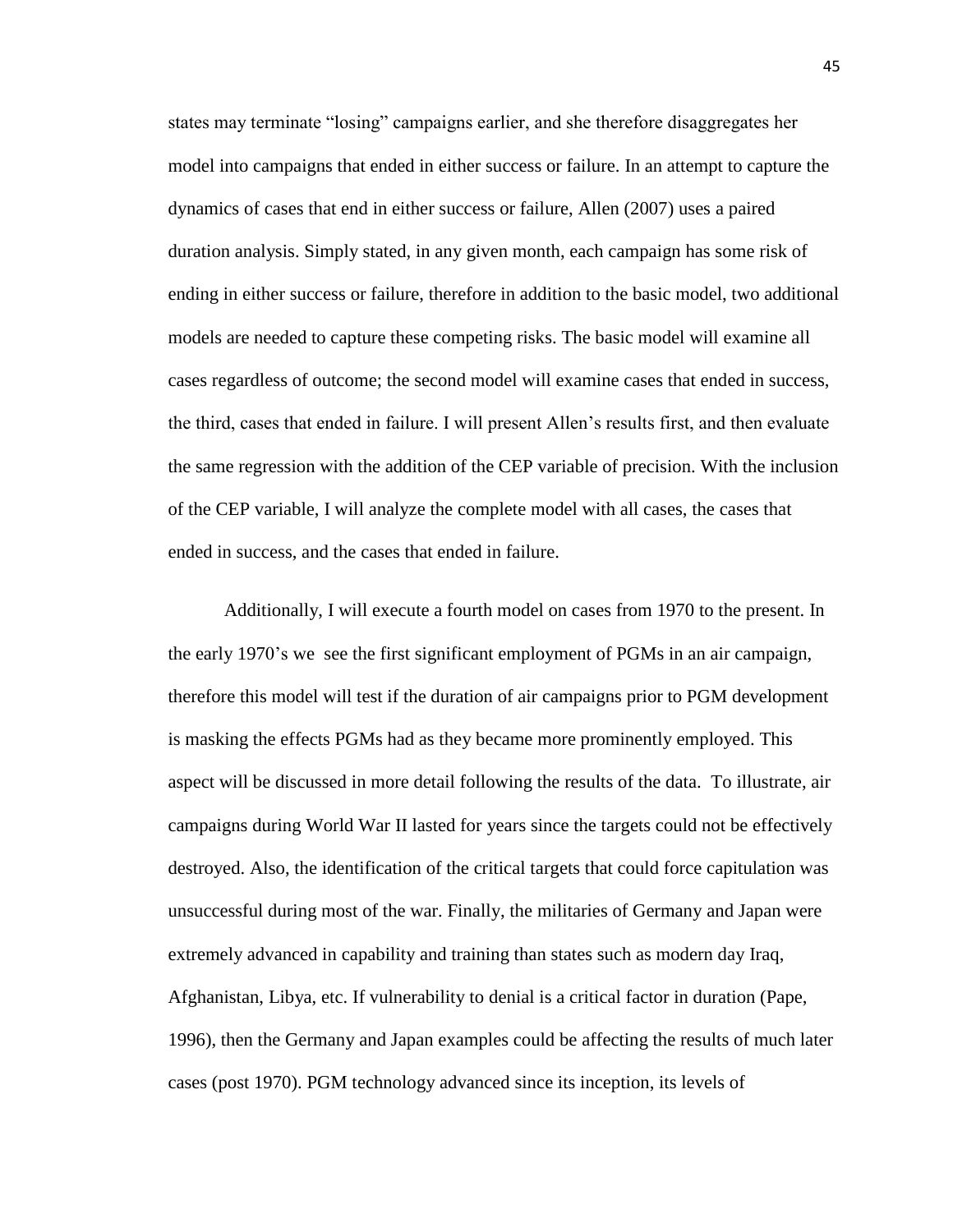states may terminate "losing" campaigns earlier, and she therefore disaggregates her model into campaigns that ended in either success or failure. In an attempt to capture the dynamics of cases that end in either success or failure, Allen (2007) uses a paired duration analysis. Simply stated, in any given month, each campaign has some risk of ending in either success or failure, therefore in addition to the basic model, two additional models are needed to capture these competing risks. The basic model will examine all cases regardless of outcome; the second model will examine cases that ended in success, the third, cases that ended in failure. I will present Allen's results first, and then evaluate the same regression with the addition of the CEP variable of precision. With the inclusion of the CEP variable, I will analyze the complete model with all cases, the cases that ended in success, and the cases that ended in failure.

Additionally, I will execute a fourth model on cases from 1970 to the present. In the early 1970's we see the first significant employment of PGMs in an air campaign, therefore this model will test if the duration of air campaigns prior to PGM development is masking the effects PGMs had as they became more prominently employed. This aspect will be discussed in more detail following the results of the data. To illustrate, air campaigns during World War II lasted for years since the targets could not be effectively destroyed. Also, the identification of the critical targets that could force capitulation was unsuccessful during most of the war. Finally, the militaries of Germany and Japan were extremely advanced in capability and training than states such as modern day Iraq, Afghanistan, Libya, etc. If vulnerability to denial is a critical factor in duration (Pape, 1996), then the Germany and Japan examples could be affecting the results of much later cases (post 1970). PGM technology advanced since its inception, its levels of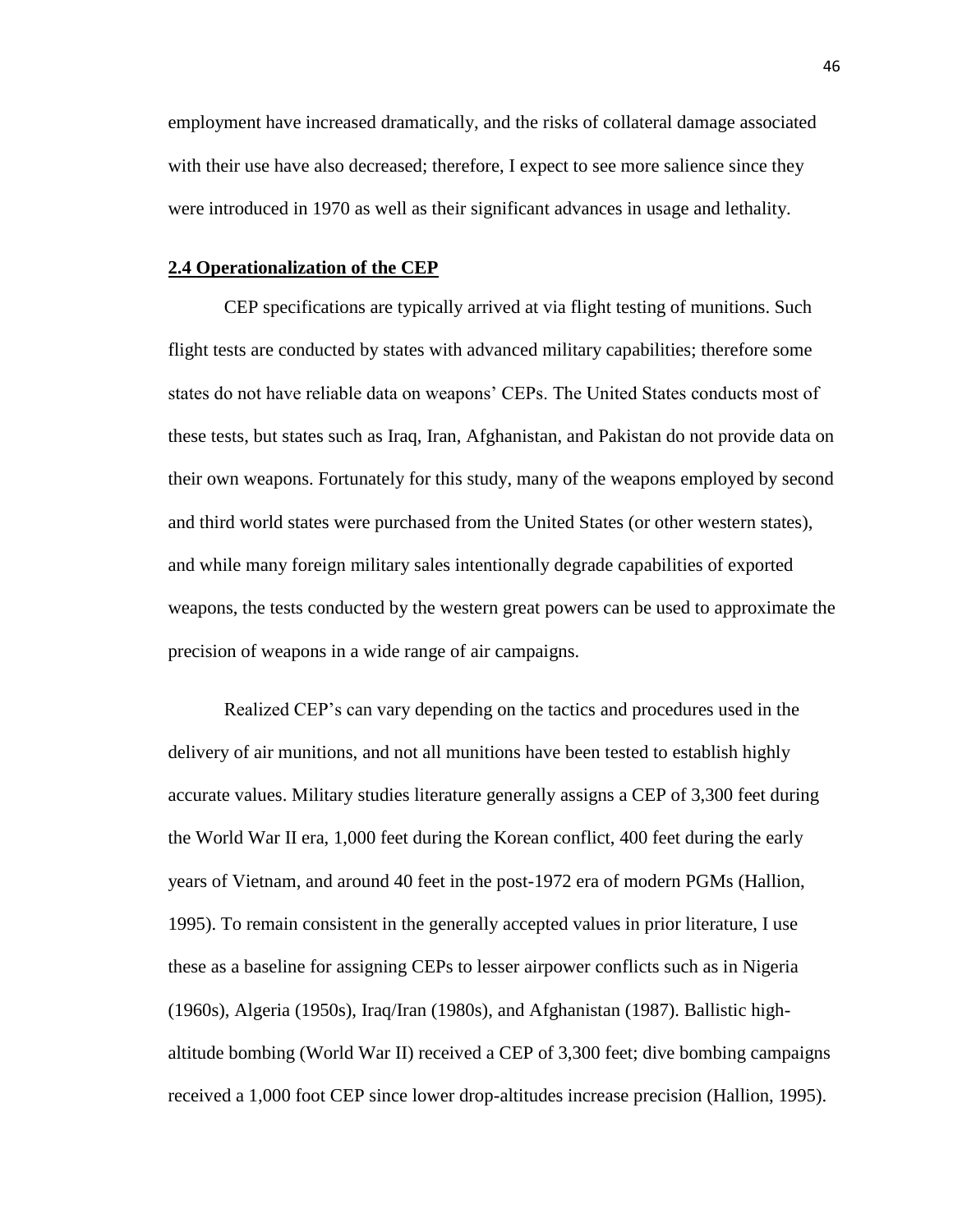employment have increased dramatically, and the risks of collateral damage associated with their use have also decreased; therefore, I expect to see more salience since they were introduced in 1970 as well as their significant advances in usage and lethality.

# **2.4 Operationalization of the CEP**

CEP specifications are typically arrived at via flight testing of munitions. Such flight tests are conducted by states with advanced military capabilities; therefore some states do not have reliable data on weapons' CEPs. The United States conducts most of these tests, but states such as Iraq, Iran, Afghanistan, and Pakistan do not provide data on their own weapons. Fortunately for this study, many of the weapons employed by second and third world states were purchased from the United States (or other western states), and while many foreign military sales intentionally degrade capabilities of exported weapons, the tests conducted by the western great powers can be used to approximate the precision of weapons in a wide range of air campaigns.

Realized CEP's can vary depending on the tactics and procedures used in the delivery of air munitions, and not all munitions have been tested to establish highly accurate values. Military studies literature generally assigns a CEP of 3,300 feet during the World War II era, 1,000 feet during the Korean conflict, 400 feet during the early years of Vietnam, and around 40 feet in the post-1972 era of modern PGMs (Hallion, 1995). To remain consistent in the generally accepted values in prior literature, I use these as a baseline for assigning CEPs to lesser airpower conflicts such as in Nigeria (1960s), Algeria (1950s), Iraq/Iran (1980s), and Afghanistan (1987). Ballistic highaltitude bombing (World War II) received a CEP of 3,300 feet; dive bombing campaigns received a 1,000 foot CEP since lower drop-altitudes increase precision (Hallion, 1995).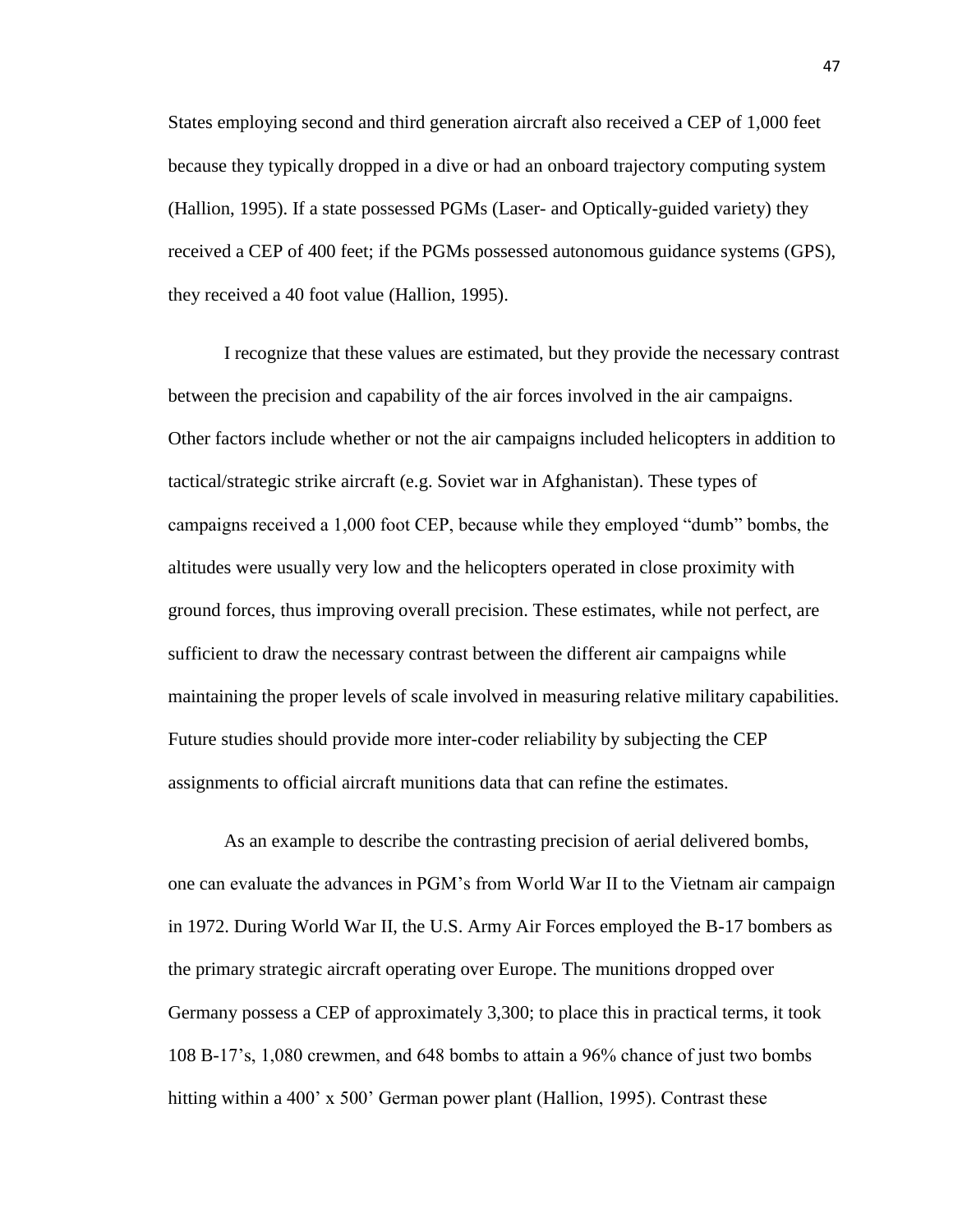States employing second and third generation aircraft also received a CEP of 1,000 feet because they typically dropped in a dive or had an onboard trajectory computing system (Hallion, 1995). If a state possessed PGMs (Laser- and Optically-guided variety) they received a CEP of 400 feet; if the PGMs possessed autonomous guidance systems (GPS), they received a 40 foot value (Hallion, 1995).

I recognize that these values are estimated, but they provide the necessary contrast between the precision and capability of the air forces involved in the air campaigns. Other factors include whether or not the air campaigns included helicopters in addition to tactical/strategic strike aircraft (e.g. Soviet war in Afghanistan). These types of campaigns received a 1,000 foot CEP, because while they employed "dumb" bombs, the altitudes were usually very low and the helicopters operated in close proximity with ground forces, thus improving overall precision. These estimates, while not perfect, are sufficient to draw the necessary contrast between the different air campaigns while maintaining the proper levels of scale involved in measuring relative military capabilities. Future studies should provide more inter-coder reliability by subjecting the CEP assignments to official aircraft munitions data that can refine the estimates.

As an example to describe the contrasting precision of aerial delivered bombs, one can evaluate the advances in PGM's from World War II to the Vietnam air campaign in 1972. During World War II, the U.S. Army Air Forces employed the B-17 bombers as the primary strategic aircraft operating over Europe. The munitions dropped over Germany possess a CEP of approximately 3,300; to place this in practical terms, it took 108 B-17's, 1,080 crewmen, and 648 bombs to attain a 96% chance of just two bombs hitting within a 400' x 500' German power plant (Hallion, 1995). Contrast these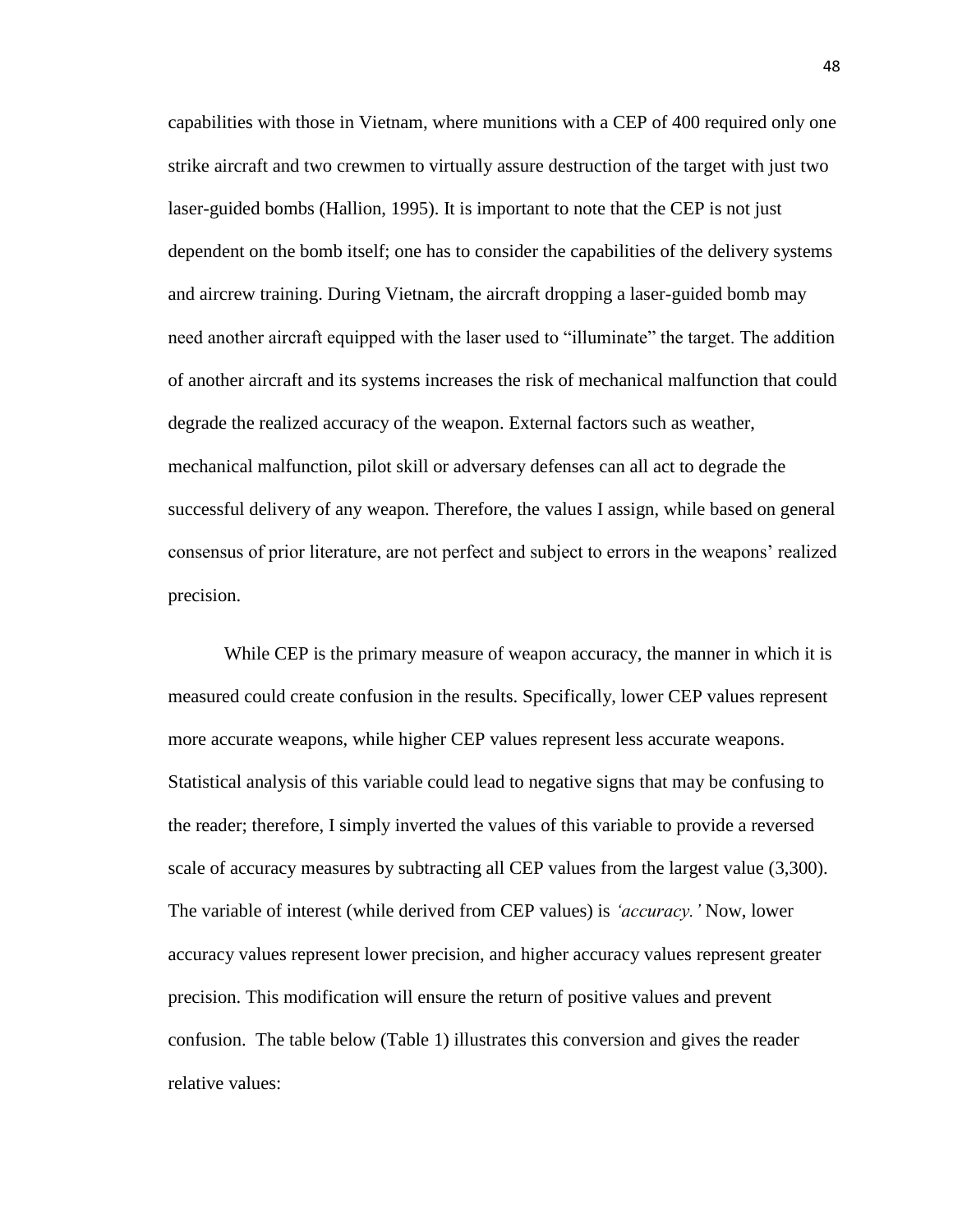capabilities with those in Vietnam, where munitions with a CEP of 400 required only one strike aircraft and two crewmen to virtually assure destruction of the target with just two laser-guided bombs (Hallion, 1995). It is important to note that the CEP is not just dependent on the bomb itself; one has to consider the capabilities of the delivery systems and aircrew training. During Vietnam, the aircraft dropping a laser-guided bomb may need another aircraft equipped with the laser used to "illuminate" the target. The addition of another aircraft and its systems increases the risk of mechanical malfunction that could degrade the realized accuracy of the weapon. External factors such as weather, mechanical malfunction, pilot skill or adversary defenses can all act to degrade the successful delivery of any weapon. Therefore, the values I assign, while based on general consensus of prior literature, are not perfect and subject to errors in the weapons' realized precision.

While CEP is the primary measure of weapon accuracy, the manner in which it is measured could create confusion in the results. Specifically, lower CEP values represent more accurate weapons, while higher CEP values represent less accurate weapons. Statistical analysis of this variable could lead to negative signs that may be confusing to the reader; therefore, I simply inverted the values of this variable to provide a reversed scale of accuracy measures by subtracting all CEP values from the largest value (3,300). The variable of interest (while derived from CEP values) is *'accuracy.'* Now, lower accuracy values represent lower precision, and higher accuracy values represent greater precision. This modification will ensure the return of positive values and prevent confusion. The table below (Table 1) illustrates this conversion and gives the reader relative values: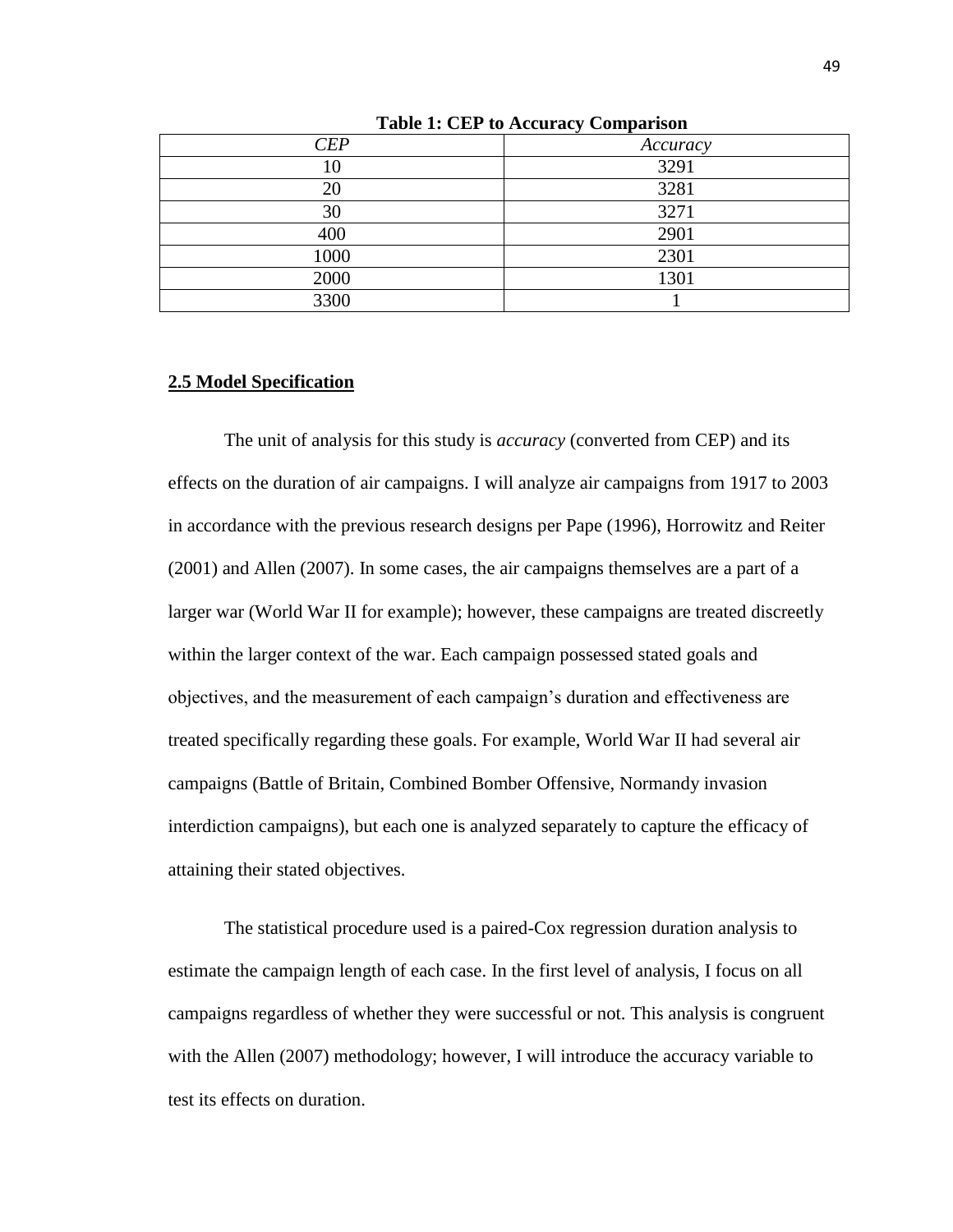| <b>CEP</b> | Accuracy |
|------------|----------|
| 10         | 3291     |
| 20         | 3281     |
| 30         | 3271     |
| 400        | 2901     |
| 1000       | 2301     |
| 2000       | 1301     |
| 3300       |          |

**Table 1: CEP to Accuracy Comparison**

# **2.5 Model Specification**

The unit of analysis for this study is *accuracy* (converted from CEP) and its effects on the duration of air campaigns. I will analyze air campaigns from 1917 to 2003 in accordance with the previous research designs per Pape (1996), Horrowitz and Reiter (2001) and Allen (2007). In some cases, the air campaigns themselves are a part of a larger war (World War II for example); however, these campaigns are treated discreetly within the larger context of the war. Each campaign possessed stated goals and objectives, and the measurement of each campaign's duration and effectiveness are treated specifically regarding these goals. For example, World War II had several air campaigns (Battle of Britain, Combined Bomber Offensive, Normandy invasion interdiction campaigns), but each one is analyzed separately to capture the efficacy of attaining their stated objectives.

The statistical procedure used is a paired-Cox regression duration analysis to estimate the campaign length of each case. In the first level of analysis, I focus on all campaigns regardless of whether they were successful or not. This analysis is congruent with the Allen (2007) methodology; however, I will introduce the accuracy variable to test its effects on duration.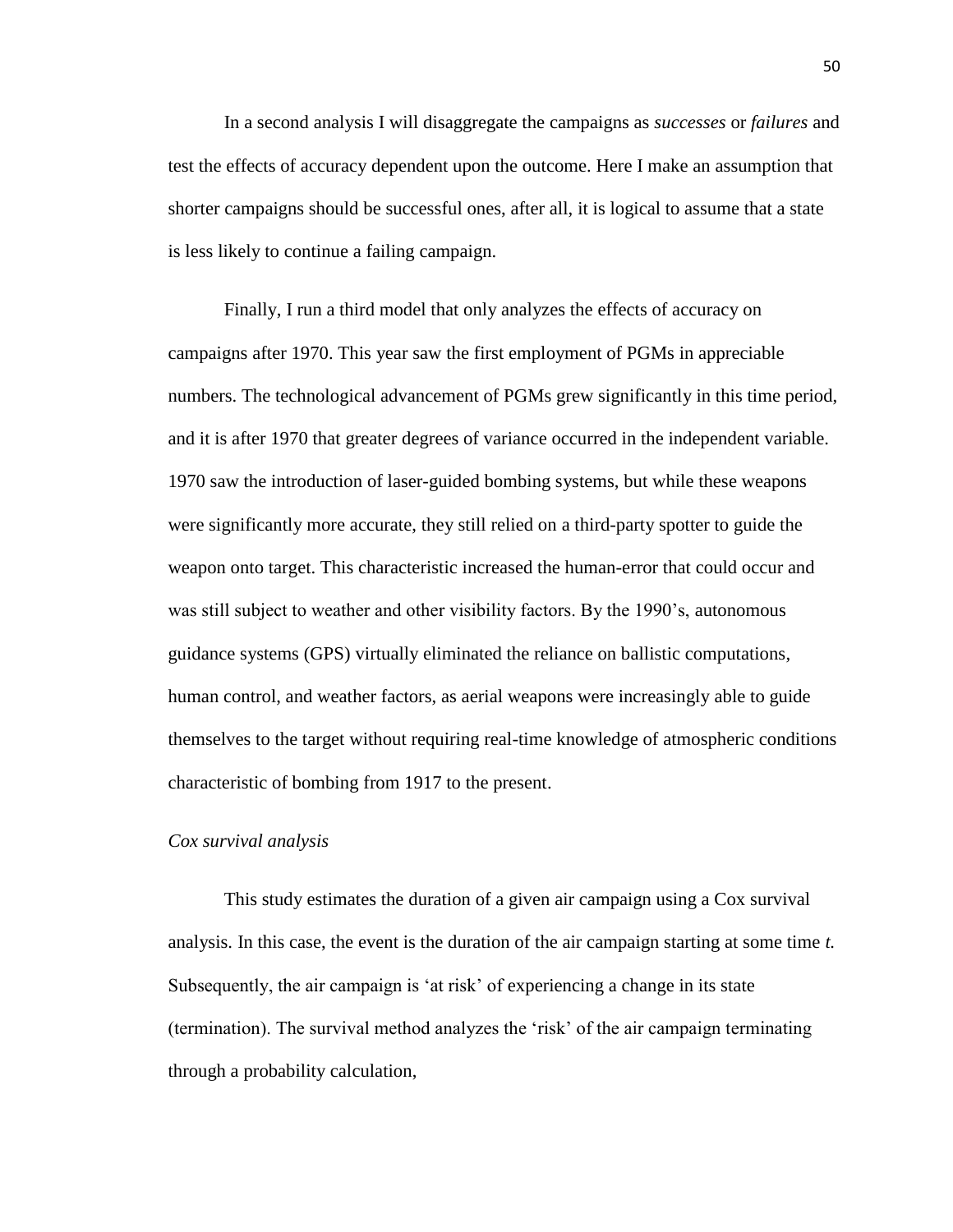In a second analysis I will disaggregate the campaigns as *successes* or *failures* and test the effects of accuracy dependent upon the outcome. Here I make an assumption that shorter campaigns should be successful ones, after all, it is logical to assume that a state is less likely to continue a failing campaign.

Finally, I run a third model that only analyzes the effects of accuracy on campaigns after 1970. This year saw the first employment of PGMs in appreciable numbers. The technological advancement of PGMs grew significantly in this time period, and it is after 1970 that greater degrees of variance occurred in the independent variable. 1970 saw the introduction of laser-guided bombing systems, but while these weapons were significantly more accurate, they still relied on a third-party spotter to guide the weapon onto target. This characteristic increased the human-error that could occur and was still subject to weather and other visibility factors. By the 1990's, autonomous guidance systems (GPS) virtually eliminated the reliance on ballistic computations, human control, and weather factors, as aerial weapons were increasingly able to guide themselves to the target without requiring real-time knowledge of atmospheric conditions characteristic of bombing from 1917 to the present.

#### *Cox survival analysis*

This study estimates the duration of a given air campaign using a Cox survival analysis. In this case, the event is the duration of the air campaign starting at some time *t.*  Subsequently, the air campaign is 'at risk' of experiencing a change in its state (termination). The survival method analyzes the 'risk' of the air campaign terminating through a probability calculation,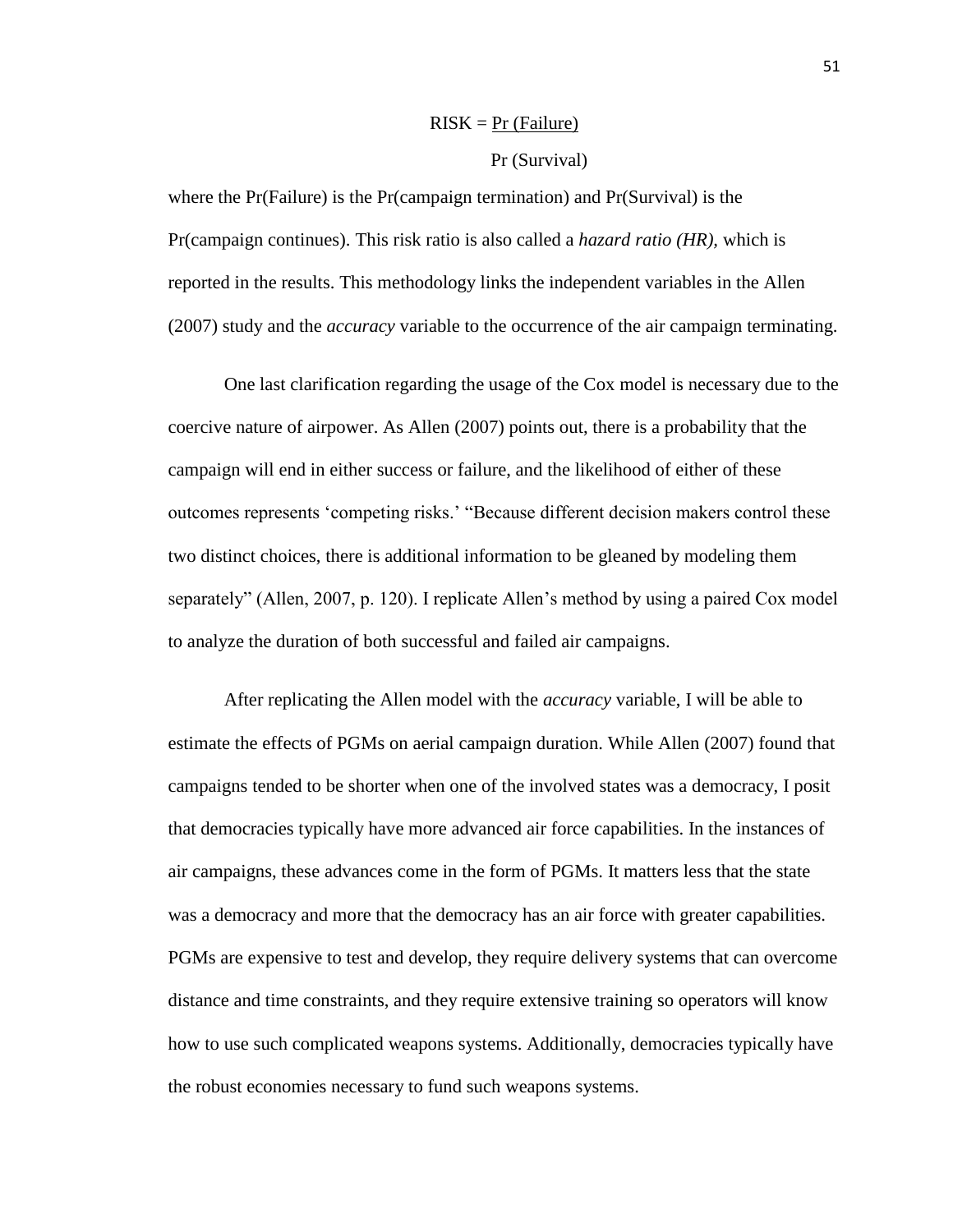# $RISK = Pr$  (Failure)

# Pr (Survival)

where the Pr(Failure) is the Pr(campaign termination) and Pr(Survival) is the Pr(campaign continues). This risk ratio is also called a *hazard ratio (HR),* which is reported in the results. This methodology links the independent variables in the Allen (2007) study and the *accuracy* variable to the occurrence of the air campaign terminating.

One last clarification regarding the usage of the Cox model is necessary due to the coercive nature of airpower. As Allen (2007) points out, there is a probability that the campaign will end in either success or failure, and the likelihood of either of these outcomes represents 'competing risks.' "Because different decision makers control these two distinct choices, there is additional information to be gleaned by modeling them separately" (Allen, 2007, p. 120). I replicate Allen's method by using a paired Cox model to analyze the duration of both successful and failed air campaigns.

After replicating the Allen model with the *accuracy* variable, I will be able to estimate the effects of PGMs on aerial campaign duration. While Allen (2007) found that campaigns tended to be shorter when one of the involved states was a democracy, I posit that democracies typically have more advanced air force capabilities. In the instances of air campaigns, these advances come in the form of PGMs. It matters less that the state was a democracy and more that the democracy has an air force with greater capabilities. PGMs are expensive to test and develop, they require delivery systems that can overcome distance and time constraints, and they require extensive training so operators will know how to use such complicated weapons systems. Additionally, democracies typically have the robust economies necessary to fund such weapons systems.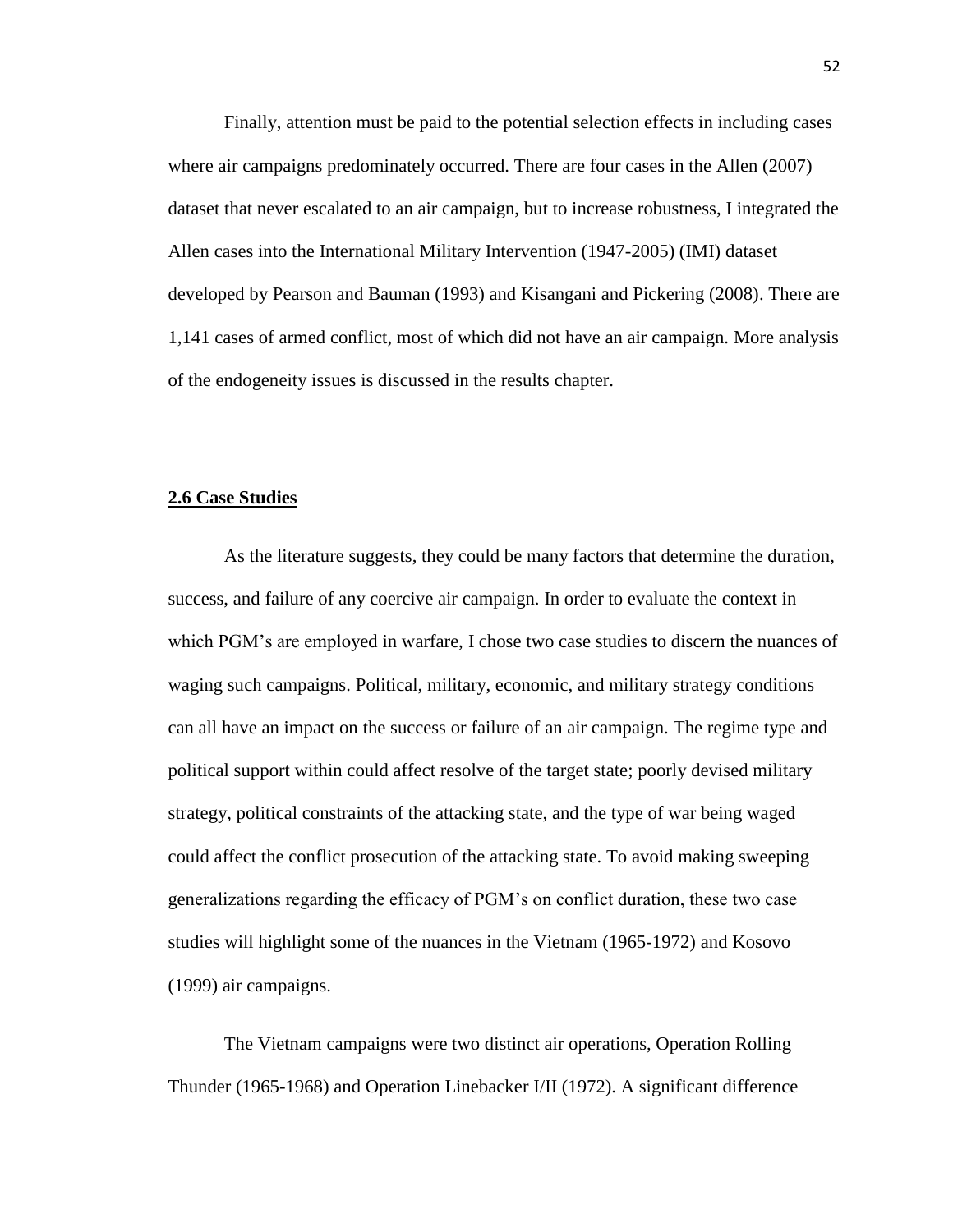Finally, attention must be paid to the potential selection effects in including cases where air campaigns predominately occurred. There are four cases in the Allen (2007) dataset that never escalated to an air campaign, but to increase robustness, I integrated the Allen cases into the International Military Intervention (1947-2005) (IMI) dataset developed by Pearson and Bauman (1993) and Kisangani and Pickering (2008). There are 1,141 cases of armed conflict, most of which did not have an air campaign. More analysis of the endogeneity issues is discussed in the results chapter.

## **2.6 Case Studies**

As the literature suggests, they could be many factors that determine the duration, success, and failure of any coercive air campaign. In order to evaluate the context in which PGM's are employed in warfare, I chose two case studies to discern the nuances of waging such campaigns. Political, military, economic, and military strategy conditions can all have an impact on the success or failure of an air campaign. The regime type and political support within could affect resolve of the target state; poorly devised military strategy, political constraints of the attacking state, and the type of war being waged could affect the conflict prosecution of the attacking state. To avoid making sweeping generalizations regarding the efficacy of PGM's on conflict duration, these two case studies will highlight some of the nuances in the Vietnam (1965-1972) and Kosovo (1999) air campaigns.

The Vietnam campaigns were two distinct air operations, Operation Rolling Thunder (1965-1968) and Operation Linebacker I/II (1972). A significant difference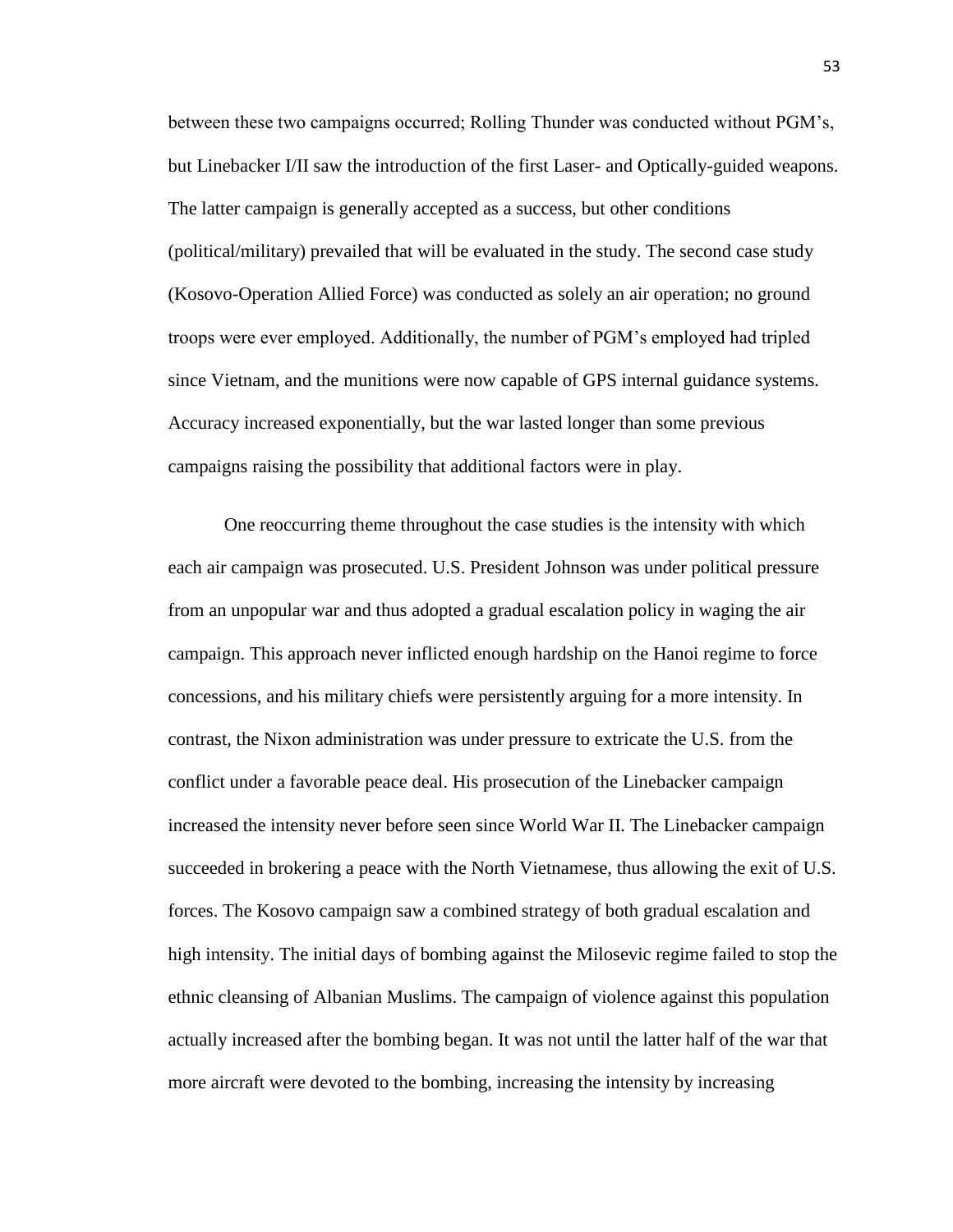between these two campaigns occurred; Rolling Thunder was conducted without PGM's, but Linebacker I/II saw the introduction of the first Laser- and Optically-guided weapons. The latter campaign is generally accepted as a success, but other conditions (political/military) prevailed that will be evaluated in the study. The second case study (Kosovo-Operation Allied Force) was conducted as solely an air operation; no ground troops were ever employed. Additionally, the number of PGM's employed had tripled since Vietnam, and the munitions were now capable of GPS internal guidance systems. Accuracy increased exponentially, but the war lasted longer than some previous campaigns raising the possibility that additional factors were in play.

One reoccurring theme throughout the case studies is the intensity with which each air campaign was prosecuted. U.S. President Johnson was under political pressure from an unpopular war and thus adopted a gradual escalation policy in waging the air campaign. This approach never inflicted enough hardship on the Hanoi regime to force concessions, and his military chiefs were persistently arguing for a more intensity. In contrast, the Nixon administration was under pressure to extricate the U.S. from the conflict under a favorable peace deal. His prosecution of the Linebacker campaign increased the intensity never before seen since World War II. The Linebacker campaign succeeded in brokering a peace with the North Vietnamese, thus allowing the exit of U.S. forces. The Kosovo campaign saw a combined strategy of both gradual escalation and high intensity. The initial days of bombing against the Milosevic regime failed to stop the ethnic cleansing of Albanian Muslims. The campaign of violence against this population actually increased after the bombing began. It was not until the latter half of the war that more aircraft were devoted to the bombing, increasing the intensity by increasing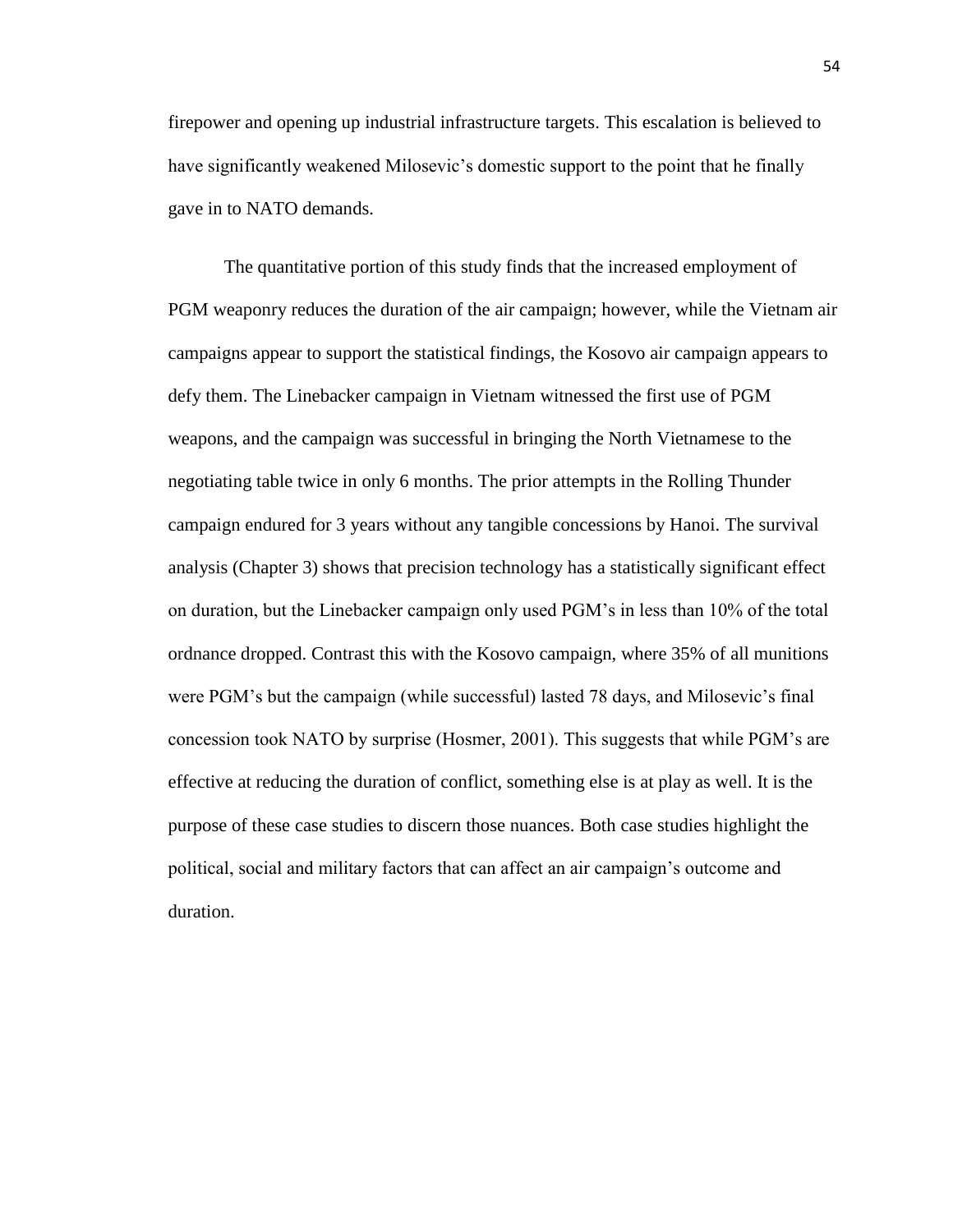firepower and opening up industrial infrastructure targets. This escalation is believed to have significantly weakened Milosevic's domestic support to the point that he finally gave in to NATO demands.

The quantitative portion of this study finds that the increased employment of PGM weaponry reduces the duration of the air campaign; however, while the Vietnam air campaigns appear to support the statistical findings, the Kosovo air campaign appears to defy them. The Linebacker campaign in Vietnam witnessed the first use of PGM weapons, and the campaign was successful in bringing the North Vietnamese to the negotiating table twice in only 6 months. The prior attempts in the Rolling Thunder campaign endured for 3 years without any tangible concessions by Hanoi. The survival analysis (Chapter 3) shows that precision technology has a statistically significant effect on duration, but the Linebacker campaign only used PGM's in less than 10% of the total ordnance dropped. Contrast this with the Kosovo campaign, where 35% of all munitions were PGM's but the campaign (while successful) lasted 78 days, and Milosevic's final concession took NATO by surprise (Hosmer, 2001). This suggests that while PGM's are effective at reducing the duration of conflict, something else is at play as well. It is the purpose of these case studies to discern those nuances. Both case studies highlight the political, social and military factors that can affect an air campaign's outcome and duration.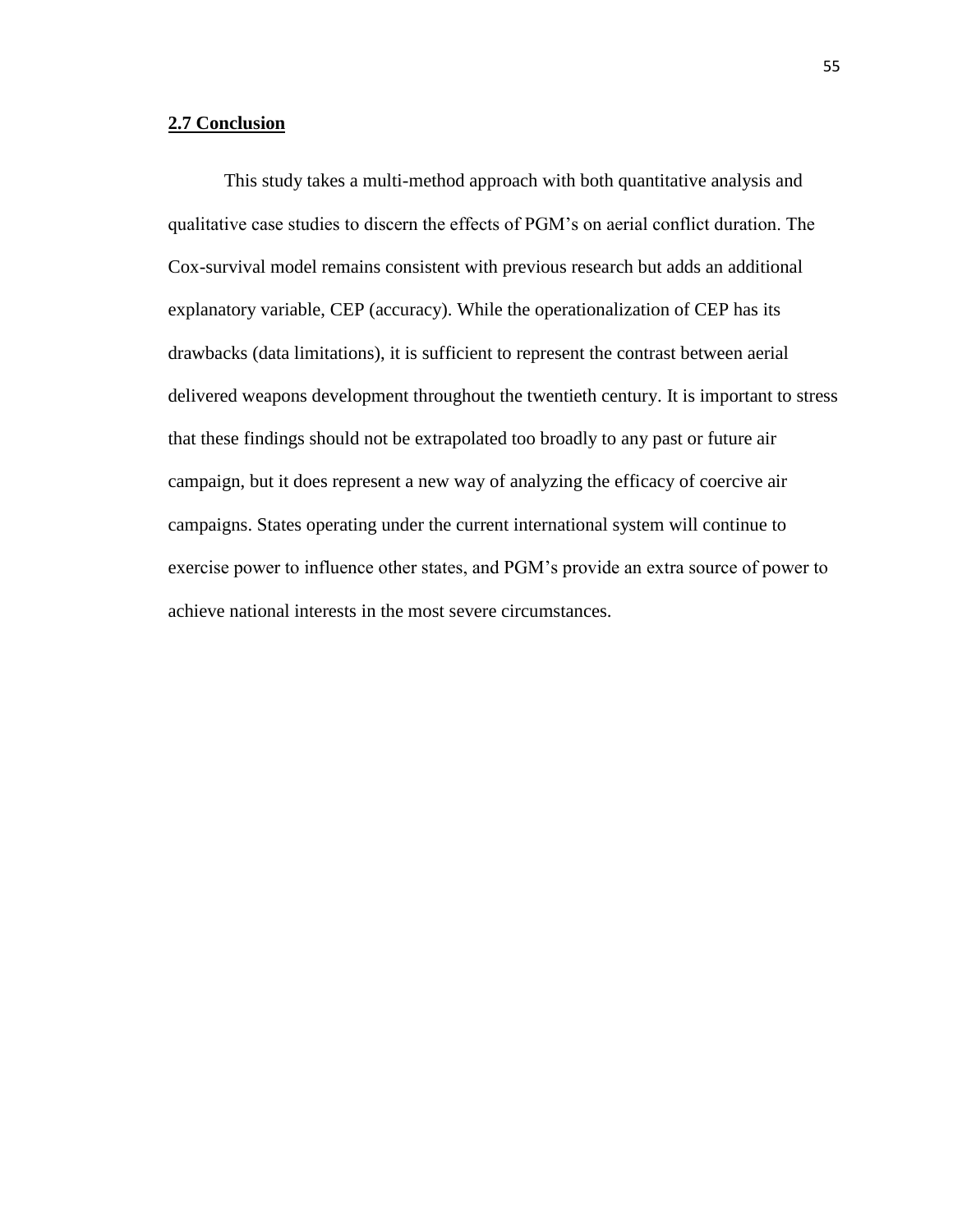# **2.7 Conclusion**

This study takes a multi-method approach with both quantitative analysis and qualitative case studies to discern the effects of PGM's on aerial conflict duration. The Cox-survival model remains consistent with previous research but adds an additional explanatory variable, CEP (accuracy). While the operationalization of CEP has its drawbacks (data limitations), it is sufficient to represent the contrast between aerial delivered weapons development throughout the twentieth century. It is important to stress that these findings should not be extrapolated too broadly to any past or future air campaign, but it does represent a new way of analyzing the efficacy of coercive air campaigns. States operating under the current international system will continue to exercise power to influence other states, and PGM's provide an extra source of power to achieve national interests in the most severe circumstances.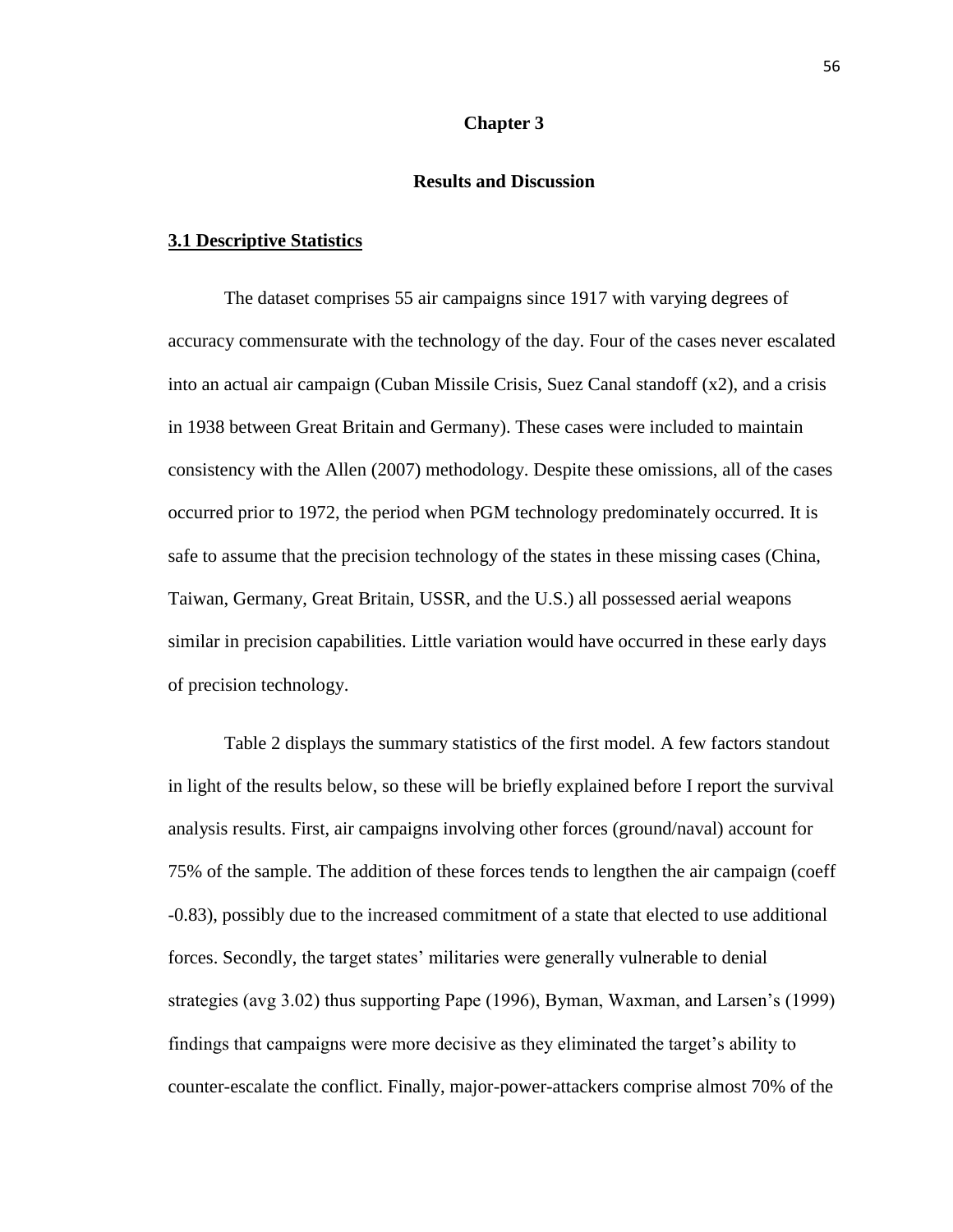# **Chapter 3**

# **Results and Discussion**

# **3.1 Descriptive Statistics**

The dataset comprises 55 air campaigns since 1917 with varying degrees of accuracy commensurate with the technology of the day. Four of the cases never escalated into an actual air campaign (Cuban Missile Crisis, Suez Canal standoff (x2), and a crisis in 1938 between Great Britain and Germany). These cases were included to maintain consistency with the Allen (2007) methodology. Despite these omissions, all of the cases occurred prior to 1972, the period when PGM technology predominately occurred. It is safe to assume that the precision technology of the states in these missing cases (China, Taiwan, Germany, Great Britain, USSR, and the U.S.) all possessed aerial weapons similar in precision capabilities. Little variation would have occurred in these early days of precision technology.

Table 2 displays the summary statistics of the first model. A few factors standout in light of the results below, so these will be briefly explained before I report the survival analysis results. First, air campaigns involving other forces (ground/naval) account for 75% of the sample. The addition of these forces tends to lengthen the air campaign (coeff -0.83), possibly due to the increased commitment of a state that elected to use additional forces. Secondly, the target states' militaries were generally vulnerable to denial strategies (avg 3.02) thus supporting Pape (1996), Byman, Waxman, and Larsen's (1999) findings that campaigns were more decisive as they eliminated the target's ability to counter-escalate the conflict. Finally, major-power-attackers comprise almost 70% of the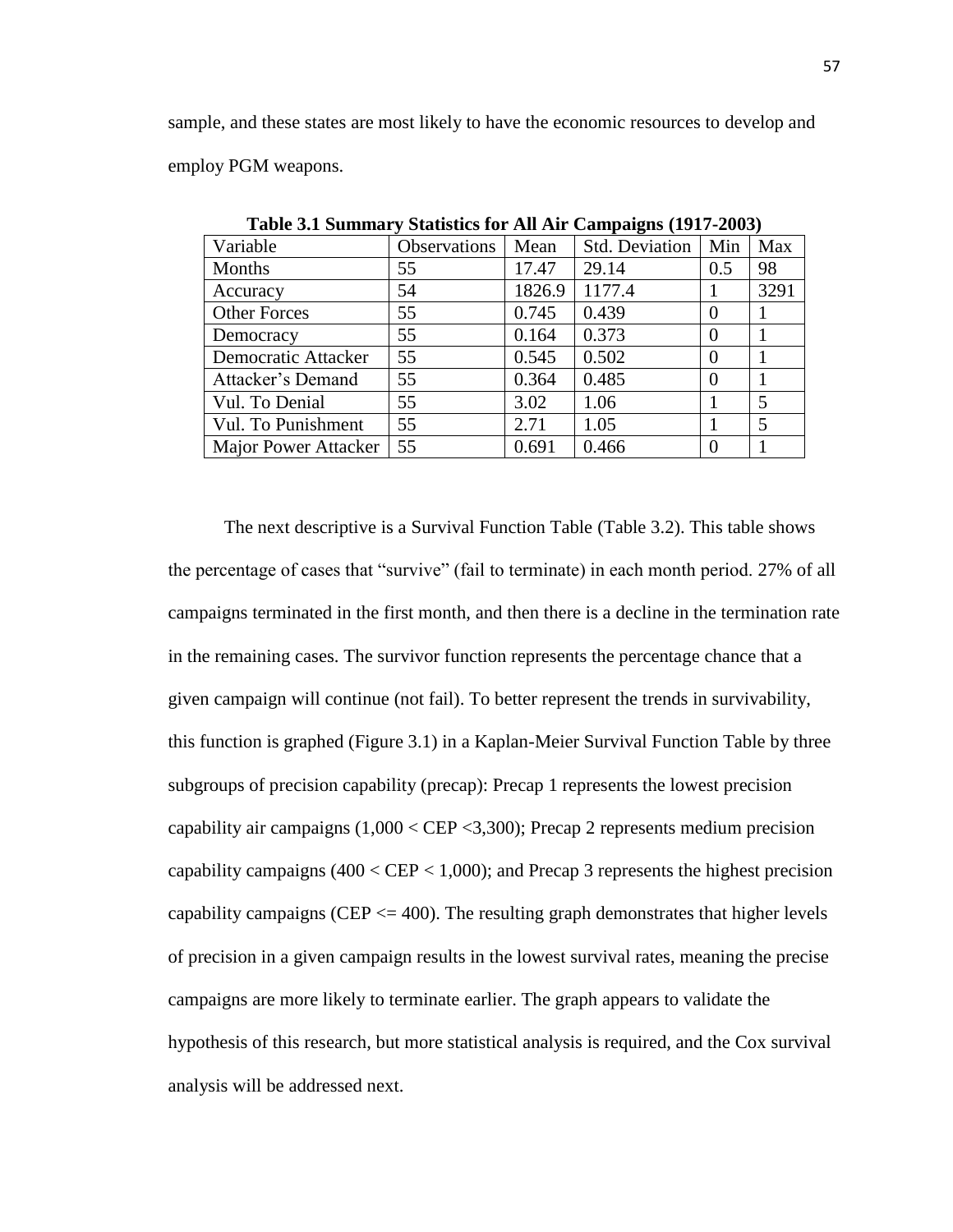sample, and these states are most likely to have the economic resources to develop and employ PGM weapons.

| Variable             | Observations | Mean   | <b>Std. Deviation</b> | Min      | Max  |
|----------------------|--------------|--------|-----------------------|----------|------|
| Months               | 55           | 17.47  | 29.14                 | 0.5      | 98   |
| Accuracy             | 54           | 1826.9 | 1177.4                |          | 3291 |
| <b>Other Forces</b>  | 55           | 0.745  | 0.439                 | $\Omega$ |      |
| Democracy            | 55           | 0.164  | 0.373                 | $\Omega$ |      |
| Democratic Attacker  | 55           | 0.545  | 0.502                 | $\Omega$ |      |
| Attacker's Demand    | 55           | 0.364  | 0.485                 | $\theta$ |      |
| Vul. To Denial       | 55           | 3.02   | 1.06                  |          | 5    |
| Vul. To Punishment   | 55           | 2.71   | 1.05                  |          | 5    |
| Major Power Attacker | 55           | 0.691  | 0.466                 | 0        |      |

**Table 3.1 Summary Statistics for All Air Campaigns (1917-2003)**

The next descriptive is a Survival Function Table (Table 3.2). This table shows the percentage of cases that "survive" (fail to terminate) in each month period. 27% of all campaigns terminated in the first month, and then there is a decline in the termination rate in the remaining cases. The survivor function represents the percentage chance that a given campaign will continue (not fail). To better represent the trends in survivability, this function is graphed (Figure 3.1) in a Kaplan-Meier Survival Function Table by three subgroups of precision capability (precap): Precap 1 represents the lowest precision capability air campaigns (1,000 < CEP <3,300); Precap 2 represents medium precision capability campaigns  $(400 <$  CEP  $< 1,000$ ); and Precap 3 represents the highest precision capability campaigns (CEP  $\leq$  400). The resulting graph demonstrates that higher levels of precision in a given campaign results in the lowest survival rates, meaning the precise campaigns are more likely to terminate earlier. The graph appears to validate the hypothesis of this research, but more statistical analysis is required, and the Cox survival analysis will be addressed next.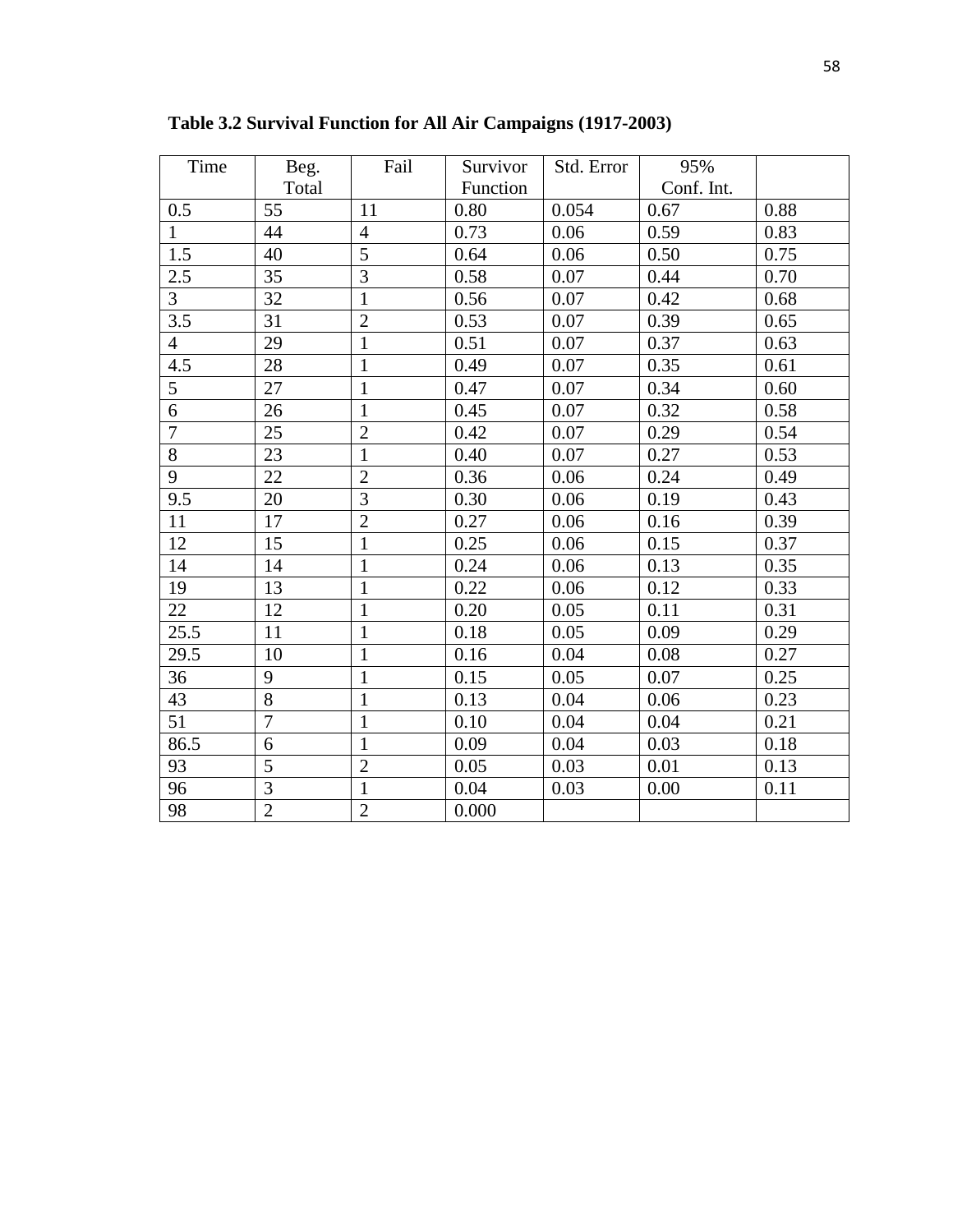| Time           | Beg.           | Fail           | Survivor | Std. Error | 95%        |      |
|----------------|----------------|----------------|----------|------------|------------|------|
|                | Total          |                | Function |            | Conf. Int. |      |
| 0.5            | 55             | 11             | 0.80     | 0.054      | 0.67       | 0.88 |
| $\mathbf{1}$   | 44             | $\overline{4}$ | 0.73     | 0.06       | 0.59       | 0.83 |
| 1.5            | 40             | 5              | 0.64     | 0.06       | 0.50       | 0.75 |
| 2.5            | 35             | $\overline{3}$ | 0.58     | 0.07       | 0.44       | 0.70 |
| $\overline{3}$ | 32             | $\overline{1}$ | 0.56     | 0.07       | 0.42       | 0.68 |
| 3.5            | 31             | $\overline{2}$ | 0.53     | 0.07       | 0.39       | 0.65 |
| $\overline{4}$ | 29             | $\mathbf{1}$   | 0.51     | 0.07       | 0.37       | 0.63 |
| 4.5            | 28             | $\mathbf{1}$   | 0.49     | 0.07       | 0.35       | 0.61 |
| 5              | 27             | $\mathbf{1}$   | 0.47     | 0.07       | 0.34       | 0.60 |
| 6              | 26             | $\mathbf{1}$   | 0.45     | 0.07       | 0.32       | 0.58 |
| $\overline{7}$ | 25             | $\overline{2}$ | 0.42     | 0.07       | 0.29       | 0.54 |
| 8              | 23             | $\mathbf{1}$   | 0.40     | 0.07       | 0.27       | 0.53 |
| 9              | 22             | $\overline{2}$ | 0.36     | 0.06       | 0.24       | 0.49 |
| 9.5            | 20             | $\overline{3}$ | 0.30     | 0.06       | 0.19       | 0.43 |
| 11             | 17             | $\overline{2}$ | 0.27     | 0.06       | 0.16       | 0.39 |
| 12             | 15             | $\mathbf{1}$   | 0.25     | 0.06       | 0.15       | 0.37 |
| 14             | 14             | $\mathbf{1}$   | 0.24     | 0.06       | 0.13       | 0.35 |
| 19             | 13             | $\mathbf{1}$   | 0.22     | 0.06       | 0.12       | 0.33 |
| 22             | 12             | $\mathbf{1}$   | 0.20     | 0.05       | 0.11       | 0.31 |
| 25.5           | 11             | $\mathbf{1}$   | 0.18     | 0.05       | 0.09       | 0.29 |
| 29.5           | 10             | $\overline{1}$ | 0.16     | 0.04       | 0.08       | 0.27 |
| 36             | 9              | $\mathbf{1}$   | 0.15     | 0.05       | 0.07       | 0.25 |
| 43             | $\overline{8}$ | $\mathbf{1}$   | 0.13     | 0.04       | 0.06       | 0.23 |
| 51             | $\overline{7}$ | $\mathbf{1}$   | 0.10     | 0.04       | 0.04       | 0.21 |
| 86.5           | $\overline{6}$ | $\mathbf{1}$   | 0.09     | 0.04       | 0.03       | 0.18 |
| 93             | $\overline{5}$ | $\overline{2}$ | 0.05     | 0.03       | 0.01       | 0.13 |
| 96             | $\overline{3}$ | $\mathbf{1}$   | 0.04     | 0.03       | 0.00       | 0.11 |
| 98             | $\overline{2}$ | $\overline{2}$ | 0.000    |            |            |      |

**Table 3.2 Survival Function for All Air Campaigns (1917-2003)**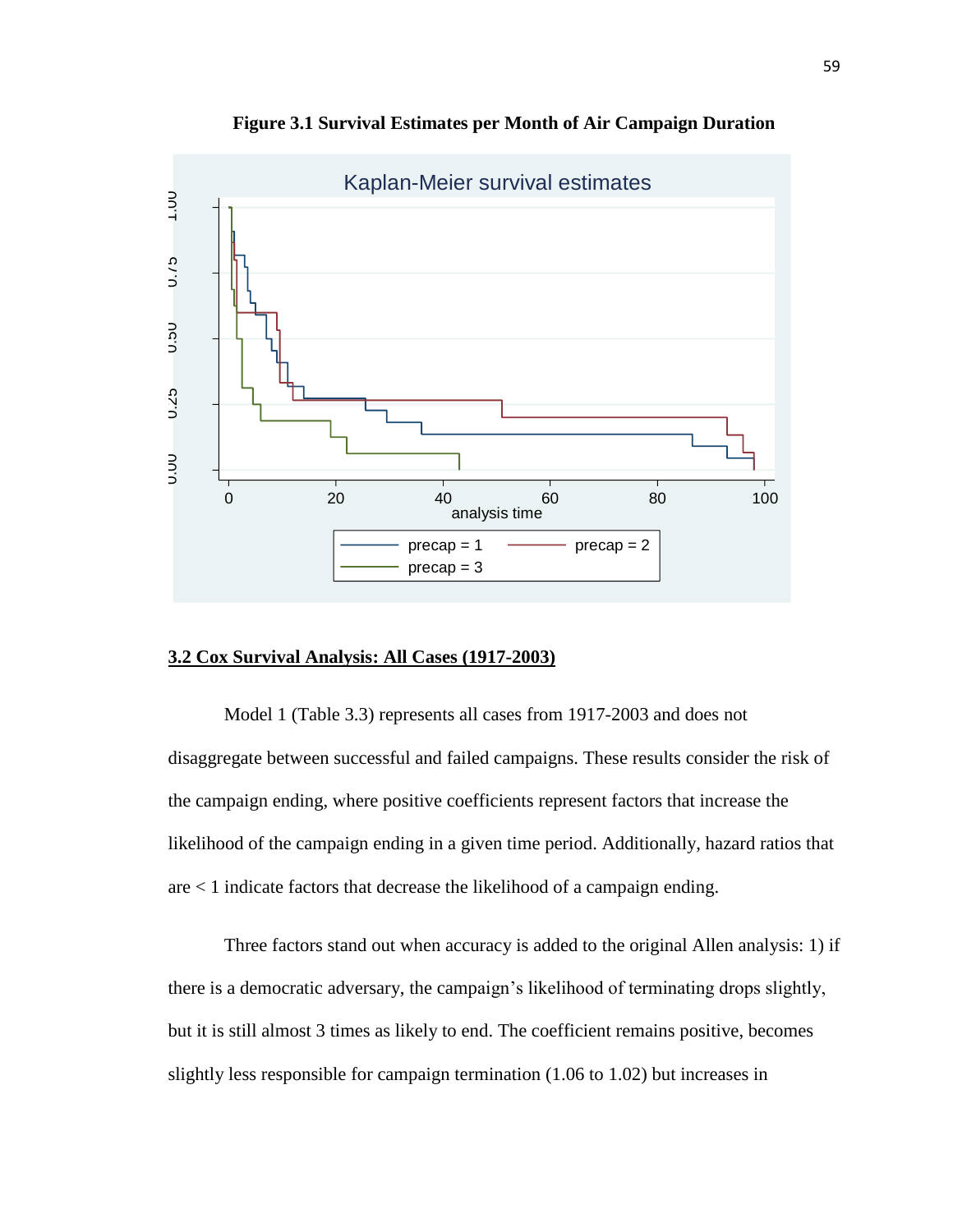

**Figure 3.1 Survival Estimates per Month of Air Campaign Duration**

# **3.2 Cox Survival Analysis: All Cases (1917-2003)**

Model 1 (Table 3.3) represents all cases from 1917-2003 and does not disaggregate between successful and failed campaigns. These results consider the risk of the campaign ending, where positive coefficients represent factors that increase the likelihood of the campaign ending in a given time period. Additionally, hazard ratios that are < 1 indicate factors that decrease the likelihood of a campaign ending.

Three factors stand out when accuracy is added to the original Allen analysis: 1) if there is a democratic adversary, the campaign's likelihood of terminating drops slightly, but it is still almost 3 times as likely to end. The coefficient remains positive, becomes slightly less responsible for campaign termination (1.06 to 1.02) but increases in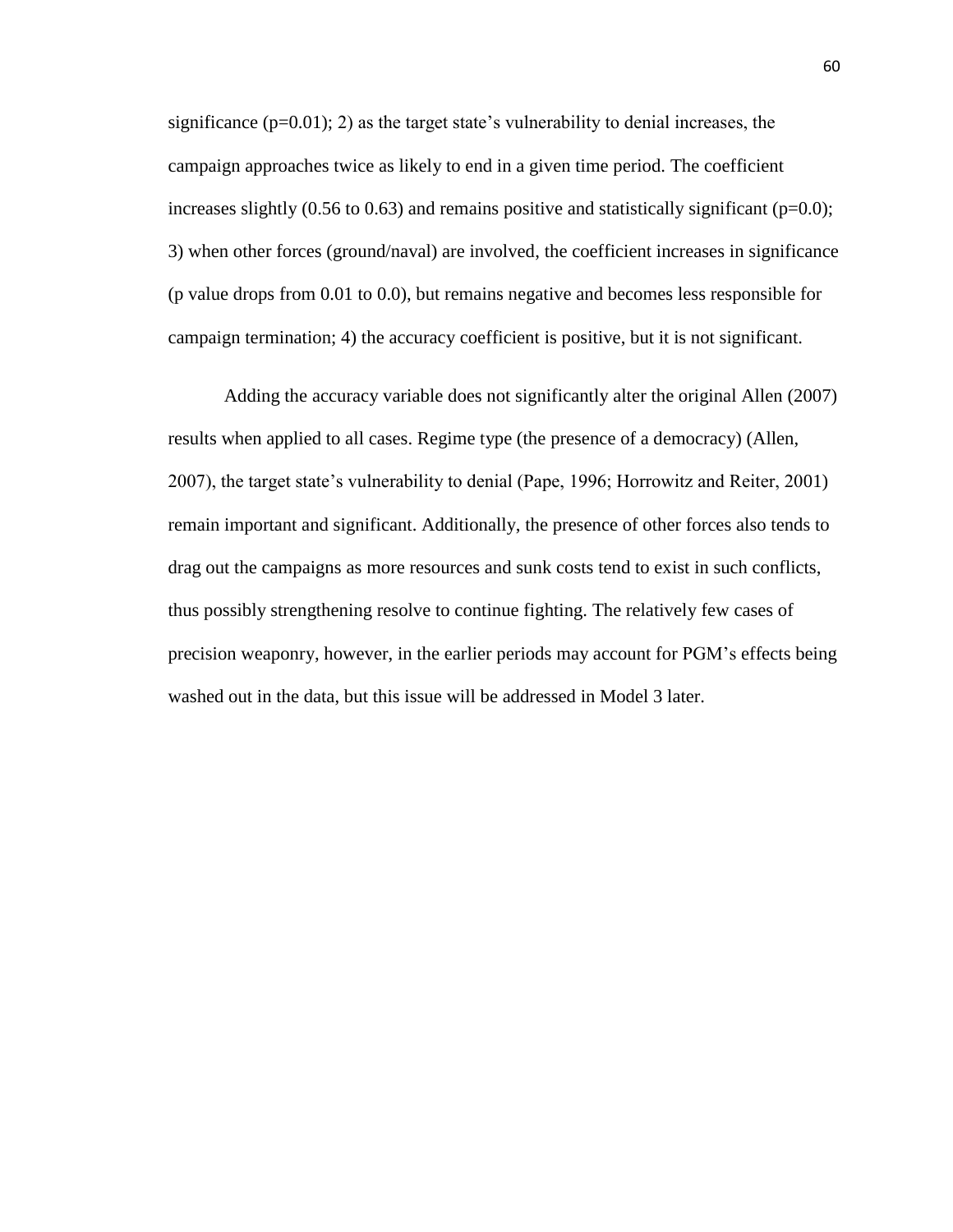significance  $(p=0.01)$ ; 2) as the target state's vulnerability to denial increases, the campaign approaches twice as likely to end in a given time period. The coefficient increases slightly  $(0.56 \text{ to } 0.63)$  and remains positive and statistically significant ( $p=0.0$ ); 3) when other forces (ground/naval) are involved, the coefficient increases in significance (p value drops from 0.01 to 0.0), but remains negative and becomes less responsible for campaign termination; 4) the accuracy coefficient is positive, but it is not significant.

Adding the accuracy variable does not significantly alter the original Allen (2007) results when applied to all cases. Regime type (the presence of a democracy) (Allen, 2007), the target state's vulnerability to denial (Pape, 1996; Horrowitz and Reiter, 2001) remain important and significant. Additionally, the presence of other forces also tends to drag out the campaigns as more resources and sunk costs tend to exist in such conflicts, thus possibly strengthening resolve to continue fighting. The relatively few cases of precision weaponry, however, in the earlier periods may account for PGM's effects being washed out in the data, but this issue will be addressed in Model 3 later.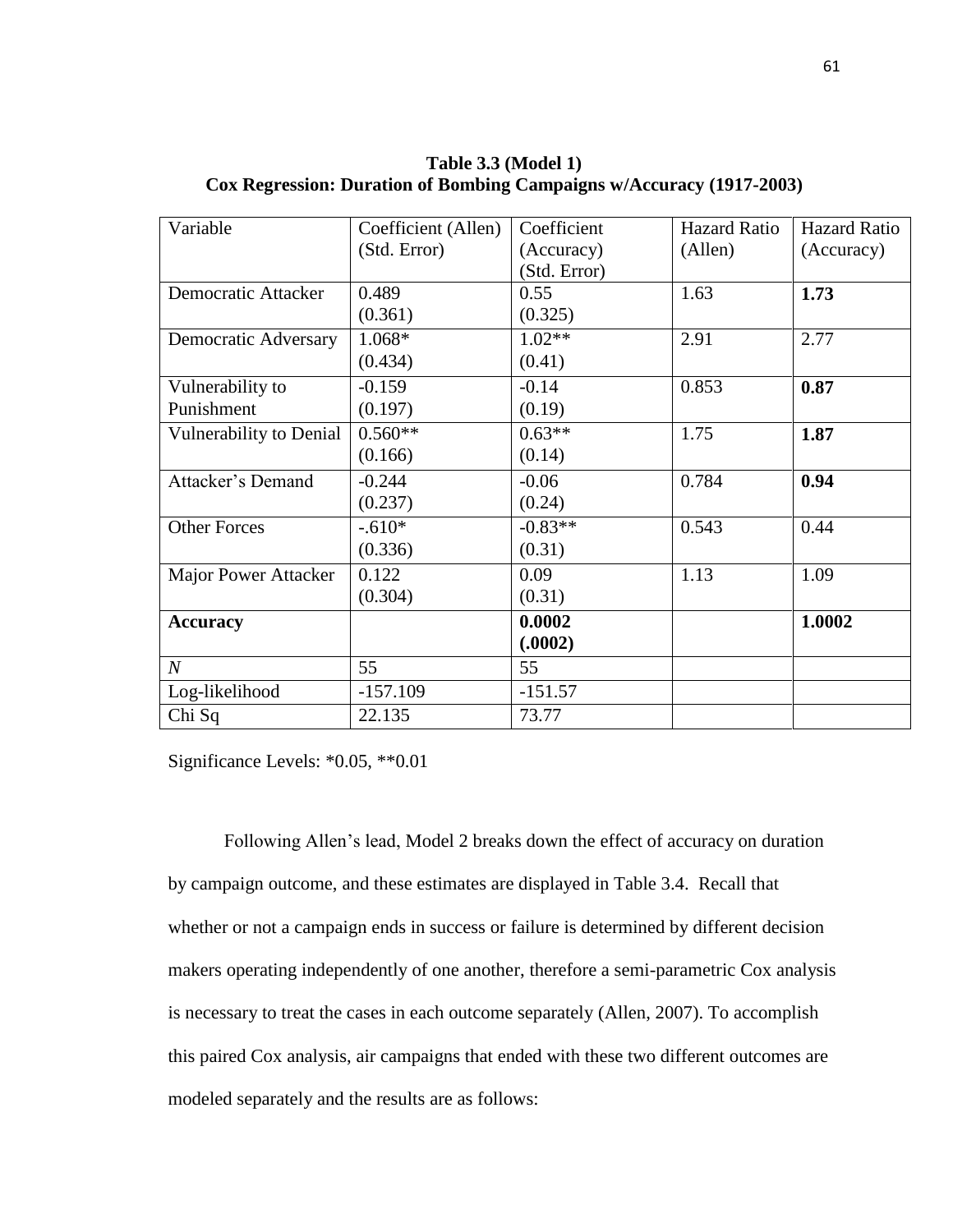| Variable                | Coefficient (Allen) | Coefficient  | <b>Hazard Ratio</b> | <b>Hazard Ratio</b> |
|-------------------------|---------------------|--------------|---------------------|---------------------|
|                         | (Std. Error)        | (Accuracy)   | (Allen)             | (Accuracy)          |
|                         |                     | (Std. Error) |                     |                     |
| Democratic Attacker     | 0.489               | 0.55         | 1.63                | 1.73                |
|                         | (0.361)             | (0.325)      |                     |                     |
| Democratic Adversary    | $1.068*$            | $1.02**$     | 2.91                | 2.77                |
|                         | (0.434)             | (0.41)       |                     |                     |
| Vulnerability to        | $-0.159$            | $-0.14$      | 0.853               | 0.87                |
| Punishment              | (0.197)             | (0.19)       |                     |                     |
| Vulnerability to Denial | $0.560**$           | $0.63**$     | 1.75                | 1.87                |
|                         | (0.166)             | (0.14)       |                     |                     |
| Attacker's Demand       | $-0.244$            | $-0.06$      | 0.784               | 0.94                |
|                         | (0.237)             | (0.24)       |                     |                     |
| <b>Other Forces</b>     | $-.610*$            | $-0.83**$    | 0.543               | 0.44                |
|                         | (0.336)             | (0.31)       |                     |                     |
| Major Power Attacker    | 0.122               | 0.09         | 1.13                | 1.09                |
|                         | (0.304)             | (0.31)       |                     |                     |
| <b>Accuracy</b>         |                     | 0.0002       |                     | 1.0002              |
|                         |                     | (.0002)      |                     |                     |
| $N_{\rm}$               | 55                  | 55           |                     |                     |
| Log-likelihood          | $-157.109$          | $-151.57$    |                     |                     |
| Chi Sq                  | 22.135              | 73.77        |                     |                     |

**Table 3.3 (Model 1) Cox Regression: Duration of Bombing Campaigns w/Accuracy (1917-2003)**

Significance Levels: \*0.05, \*\*0.01

Following Allen's lead, Model 2 breaks down the effect of accuracy on duration by campaign outcome, and these estimates are displayed in Table 3.4. Recall that whether or not a campaign ends in success or failure is determined by different decision makers operating independently of one another, therefore a semi-parametric Cox analysis is necessary to treat the cases in each outcome separately (Allen, 2007). To accomplish this paired Cox analysis, air campaigns that ended with these two different outcomes are modeled separately and the results are as follows: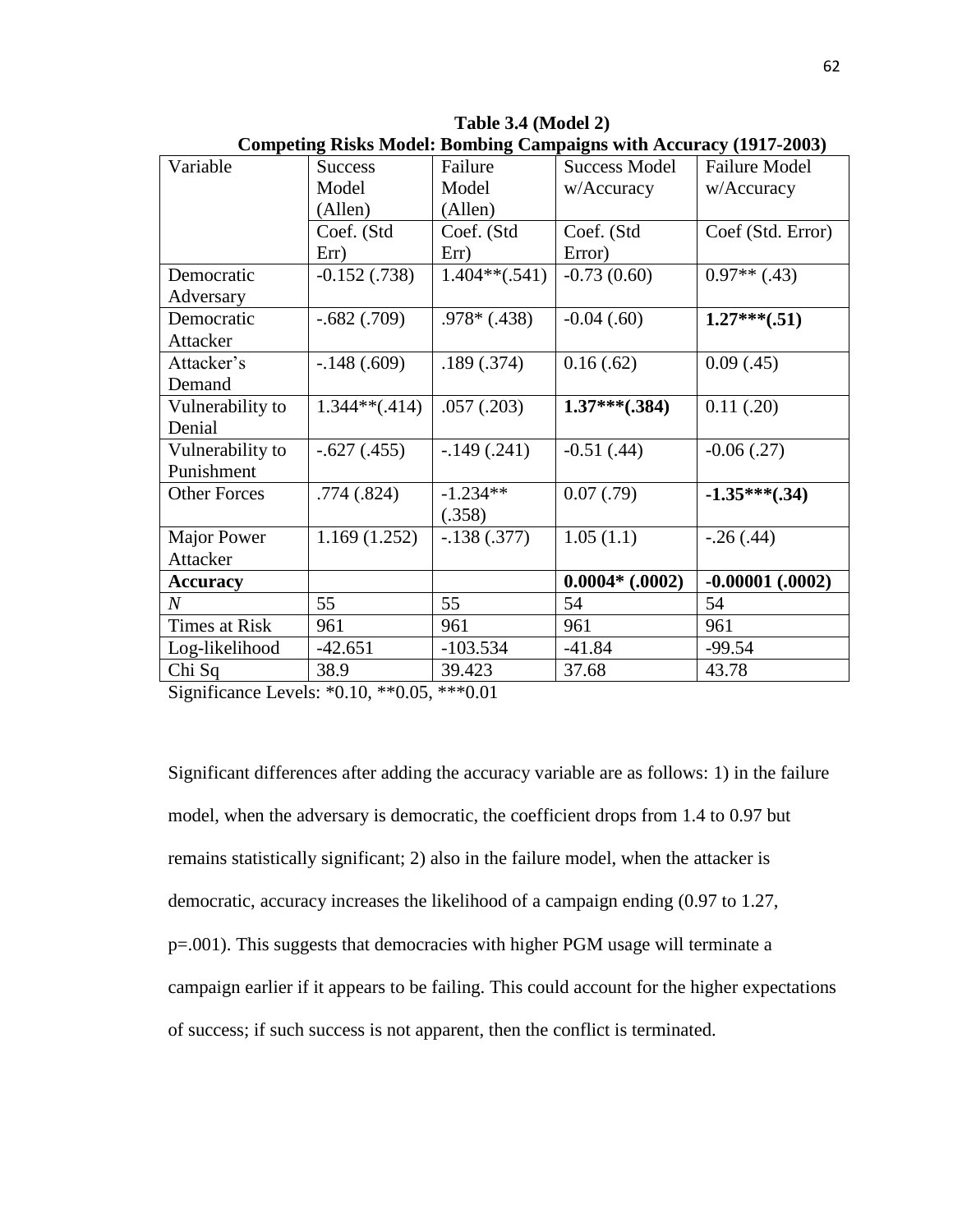| Variable                       | <b>Success</b>  | Failure         | <b>Success Model</b> | <b>Failure Model</b> |
|--------------------------------|-----------------|-----------------|----------------------|----------------------|
|                                | Model           | Model           | w/Accuracy           | w/Accuracy           |
|                                | (Allen)         | (Allen)         |                      |                      |
|                                | Coef. (Std      | Coef. (Std      | Coef. (Std           | Coef (Std. Error)    |
|                                | Err)            | Err)            | Error)               |                      |
| Democratic                     | $-0.152(0.738)$ | $1.404**(.541)$ | $-0.73(0.60)$        | $0.97**$ (.43)       |
| Adversary                      |                 |                 |                      |                      |
| Democratic                     | $-.682(.709)$   | $.978*(.438)$   | $-0.04$ $(.60)$      | $1.27***(.51)$       |
| Attacker                       |                 |                 |                      |                      |
| Attacker's                     | $-.148(.609)$   | .189(.374)      | 0.16(.62)            | 0.09(0.45)           |
| Demand                         |                 |                 |                      |                      |
| Vulnerability to               | $1.344**(.414)$ | .057(.203)      | $1.37***(.384)$      | 0.11(.20)            |
| Denial                         |                 |                 |                      |                      |
| Vulnerability to               | $-.627(.455)$   | $-.149(.241)$   | $-0.51(0.44)$        | $-0.06$ $(.27)$      |
| Punishment                     |                 |                 |                      |                      |
| <b>Other Forces</b>            | .774(.824)      | $-1.234**$      | 0.07(0.79)           | $-1.35***(.34)$      |
|                                |                 | (.358)          |                      |                      |
| Major Power                    | 1.169(1.252)    | $-.138(.377)$   | 1.05(1.1)            | $-.26(.44)$          |
| Attacker                       |                 |                 |                      |                      |
| <b>Accuracy</b>                |                 |                 | $0.0004*$ (.0002)    | $-0.00001$ $(.0002)$ |
| $N_{\rm \scriptscriptstyle I}$ | 55              | 55              | 54                   | 54                   |
| <b>Times at Risk</b>           | 961             | 961             | 961                  | 961                  |
| Log-likelihood                 | $-42.651$       | $-103.534$      | $-41.84$             | $-99.54$             |
| Chi Sq                         | 38.9            | 39.423          | 37.68                | 43.78                |

**Table 3.4 (Model 2) Competing Risks Model: Bombing Campaigns with Accuracy (1917-2003)**

Significance Levels: \*0.10, \*\*0.05, \*\*\*0.01

Significant differences after adding the accuracy variable are as follows: 1) in the failure model, when the adversary is democratic, the coefficient drops from 1.4 to 0.97 but remains statistically significant; 2) also in the failure model, when the attacker is democratic, accuracy increases the likelihood of a campaign ending (0.97 to 1.27, p=.001). This suggests that democracies with higher PGM usage will terminate a campaign earlier if it appears to be failing. This could account for the higher expectations of success; if such success is not apparent, then the conflict is terminated.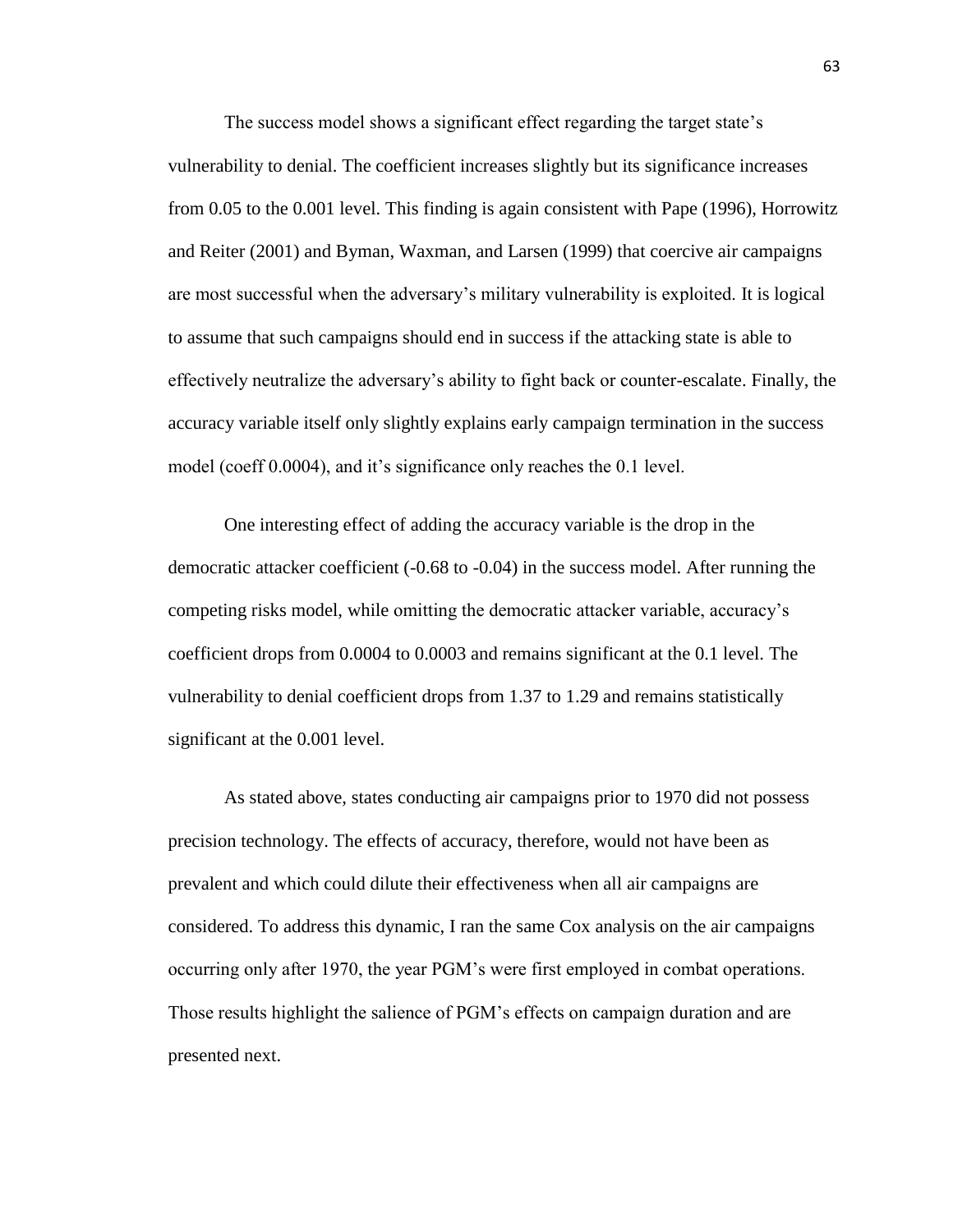The success model shows a significant effect regarding the target state's vulnerability to denial. The coefficient increases slightly but its significance increases from 0.05 to the 0.001 level. This finding is again consistent with Pape (1996), Horrowitz and Reiter (2001) and Byman, Waxman, and Larsen (1999) that coercive air campaigns are most successful when the adversary's military vulnerability is exploited. It is logical to assume that such campaigns should end in success if the attacking state is able to effectively neutralize the adversary's ability to fight back or counter-escalate. Finally, the accuracy variable itself only slightly explains early campaign termination in the success model (coeff 0.0004), and it's significance only reaches the 0.1 level.

One interesting effect of adding the accuracy variable is the drop in the democratic attacker coefficient (-0.68 to -0.04) in the success model. After running the competing risks model, while omitting the democratic attacker variable, accuracy's coefficient drops from 0.0004 to 0.0003 and remains significant at the 0.1 level. The vulnerability to denial coefficient drops from 1.37 to 1.29 and remains statistically significant at the 0.001 level.

As stated above, states conducting air campaigns prior to 1970 did not possess precision technology. The effects of accuracy, therefore, would not have been as prevalent and which could dilute their effectiveness when all air campaigns are considered. To address this dynamic, I ran the same Cox analysis on the air campaigns occurring only after 1970, the year PGM's were first employed in combat operations. Those results highlight the salience of PGM's effects on campaign duration and are presented next.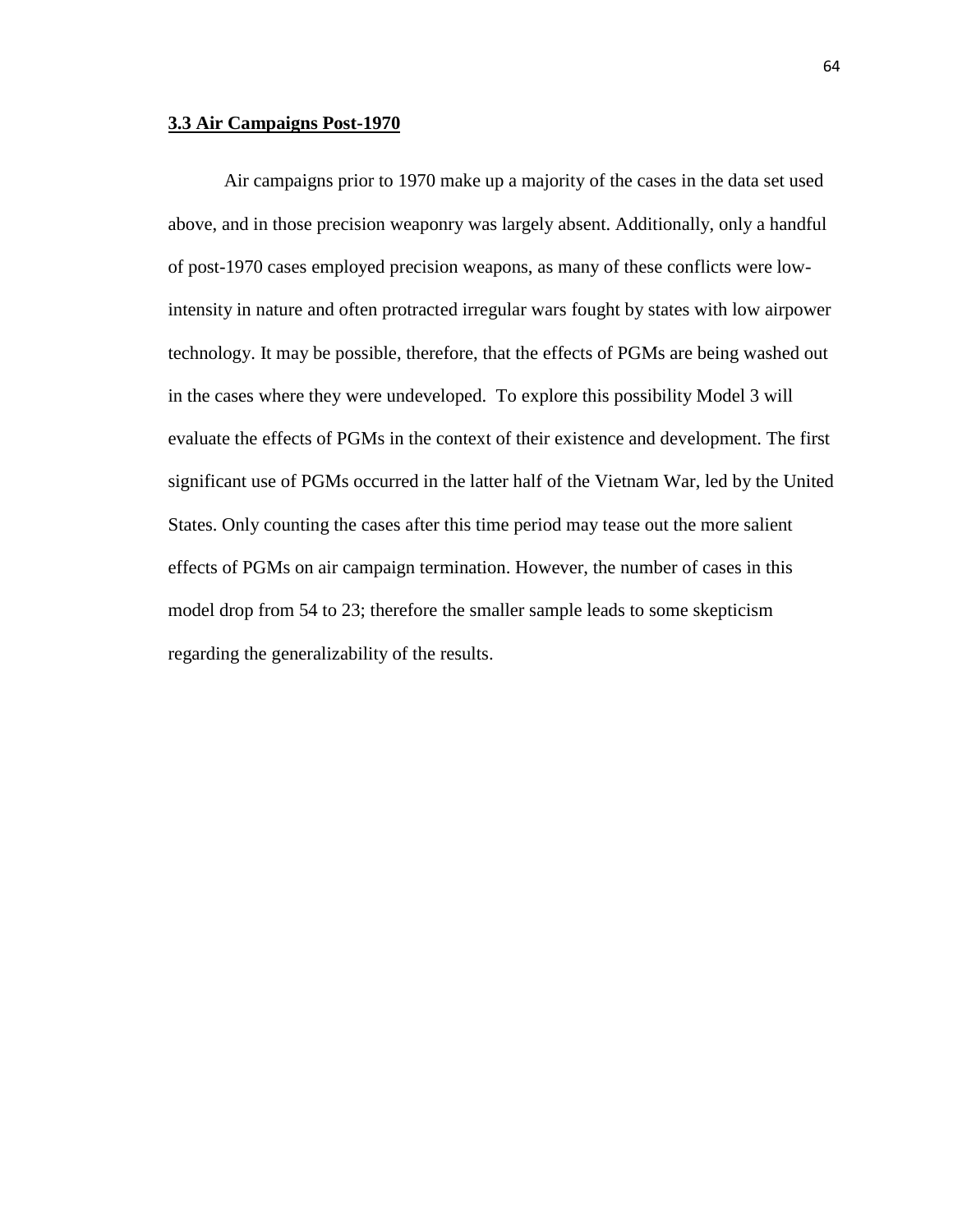### **3.3 Air Campaigns Post-1970**

Air campaigns prior to 1970 make up a majority of the cases in the data set used above, and in those precision weaponry was largely absent. Additionally, only a handful of post-1970 cases employed precision weapons, as many of these conflicts were lowintensity in nature and often protracted irregular wars fought by states with low airpower technology. It may be possible, therefore, that the effects of PGMs are being washed out in the cases where they were undeveloped. To explore this possibility Model 3 will evaluate the effects of PGMs in the context of their existence and development. The first significant use of PGMs occurred in the latter half of the Vietnam War, led by the United States. Only counting the cases after this time period may tease out the more salient effects of PGMs on air campaign termination. However, the number of cases in this model drop from 54 to 23; therefore the smaller sample leads to some skepticism regarding the generalizability of the results.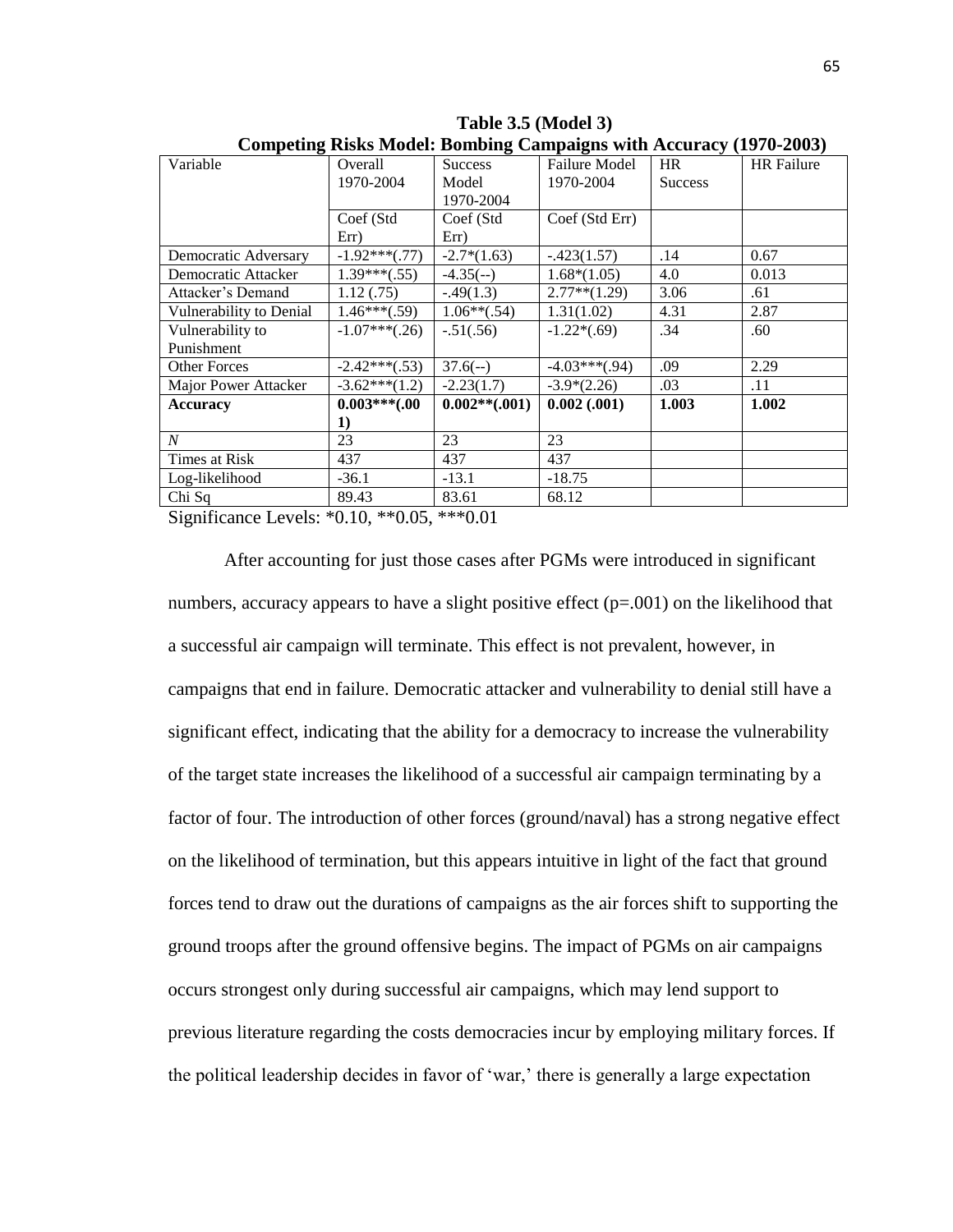| o<br>Variable           | Overall         | 0<br><b>Success</b> | Failure Model   | <b>HR</b>      | <b>HR</b> Failure |
|-------------------------|-----------------|---------------------|-----------------|----------------|-------------------|
|                         | 1970-2004       | Model               | 1970-2004       | <b>Success</b> |                   |
|                         |                 | 1970-2004           |                 |                |                   |
|                         | Coef (Std       | Coef (Std           | Coef (Std Err)  |                |                   |
|                         | Err)            | Err)                |                 |                |                   |
| Democratic Adversary    | $-1.92***(.77)$ | $-2.7*(1.63)$       | $-.423(1.57)$   | .14            | 0.67              |
| Democratic Attacker     | $1.39***(.55)$  | $-4.35(-)$          | $1.68*(1.05)$   | 4.0            | 0.013             |
| Attacker's Demand       | 1.12(.75)       | $-.49(1.3)$         | $2.77**$ (1.29) | 3.06           | .61               |
| Vulnerability to Denial | $1.46***(.59)$  | $1.06**(.54)$       | 1.31(1.02)      | 4.31           | 2.87              |
| Vulnerability to        | $-1.07***(.26)$ | $-.51(.56)$         | $-1.22*(.69)$   | .34            | .60               |
| Punishment              |                 |                     |                 |                |                   |
| <b>Other Forces</b>     | $-2.42***(.53)$ | $37.6(-)$           | $-4.03***(.94)$ | .09            | 2.29              |
| Major Power Attacker    | $-3.62***(1.2)$ | $-2.23(1.7)$        | $-3.9*(2.26)$   | .03            | .11               |
| <b>Accuracy</b>         | $0.003***00$    | $0.002**(.001)$     | $0.002$ (.001)  | 1.003          | 1.002             |
|                         | 1)              |                     |                 |                |                   |
| $\boldsymbol{N}$        | 23              | 23                  | 23              |                |                   |
| Times at Risk           | 437             | 437                 | 437             |                |                   |
| Log-likelihood          | $-36.1$         | $-13.1$             | $-18.75$        |                |                   |
| Chi Sq                  | 89.43           | 83.61               | 68.12           |                |                   |

**Table 3.5 (Model 3) Competing Risks Model: Bombing Campaigns with Accuracy (1970-2003)**

Significance Levels: \*0.10, \*\*0.05, \*\*\*0.01

After accounting for just those cases after PGMs were introduced in significant numbers, accuracy appears to have a slight positive effect (p=.001) on the likelihood that a successful air campaign will terminate. This effect is not prevalent, however, in campaigns that end in failure. Democratic attacker and vulnerability to denial still have a significant effect, indicating that the ability for a democracy to increase the vulnerability of the target state increases the likelihood of a successful air campaign terminating by a factor of four. The introduction of other forces (ground/naval) has a strong negative effect on the likelihood of termination, but this appears intuitive in light of the fact that ground forces tend to draw out the durations of campaigns as the air forces shift to supporting the ground troops after the ground offensive begins. The impact of PGMs on air campaigns occurs strongest only during successful air campaigns, which may lend support to previous literature regarding the costs democracies incur by employing military forces. If the political leadership decides in favor of 'war,' there is generally a large expectation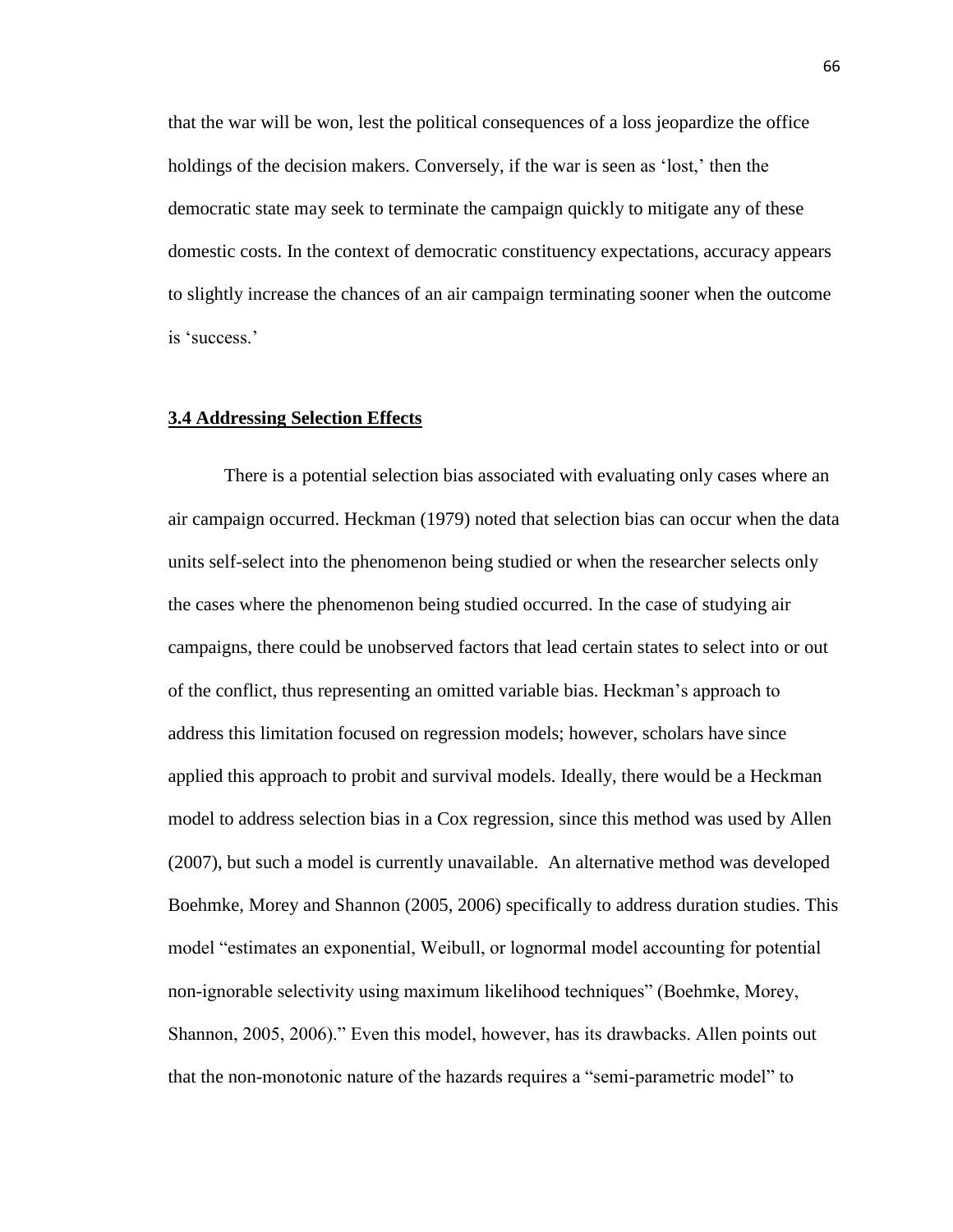that the war will be won, lest the political consequences of a loss jeopardize the office holdings of the decision makers. Conversely, if the war is seen as 'lost,' then the democratic state may seek to terminate the campaign quickly to mitigate any of these domestic costs. In the context of democratic constituency expectations, accuracy appears to slightly increase the chances of an air campaign terminating sooner when the outcome is 'success.'

#### **3.4 Addressing Selection Effects**

There is a potential selection bias associated with evaluating only cases where an air campaign occurred. Heckman (1979) noted that selection bias can occur when the data units self-select into the phenomenon being studied or when the researcher selects only the cases where the phenomenon being studied occurred. In the case of studying air campaigns, there could be unobserved factors that lead certain states to select into or out of the conflict, thus representing an omitted variable bias. Heckman's approach to address this limitation focused on regression models; however, scholars have since applied this approach to probit and survival models. Ideally, there would be a Heckman model to address selection bias in a Cox regression, since this method was used by Allen (2007), but such a model is currently unavailable. An alternative method was developed Boehmke, Morey and Shannon (2005, 2006) specifically to address duration studies. This model "estimates an exponential, Weibull, or lognormal model accounting for potential non-ignorable selectivity using maximum likelihood techniques" (Boehmke, Morey, Shannon, 2005, 2006)." Even this model, however, has its drawbacks. Allen points out that the non-monotonic nature of the hazards requires a "semi-parametric model" to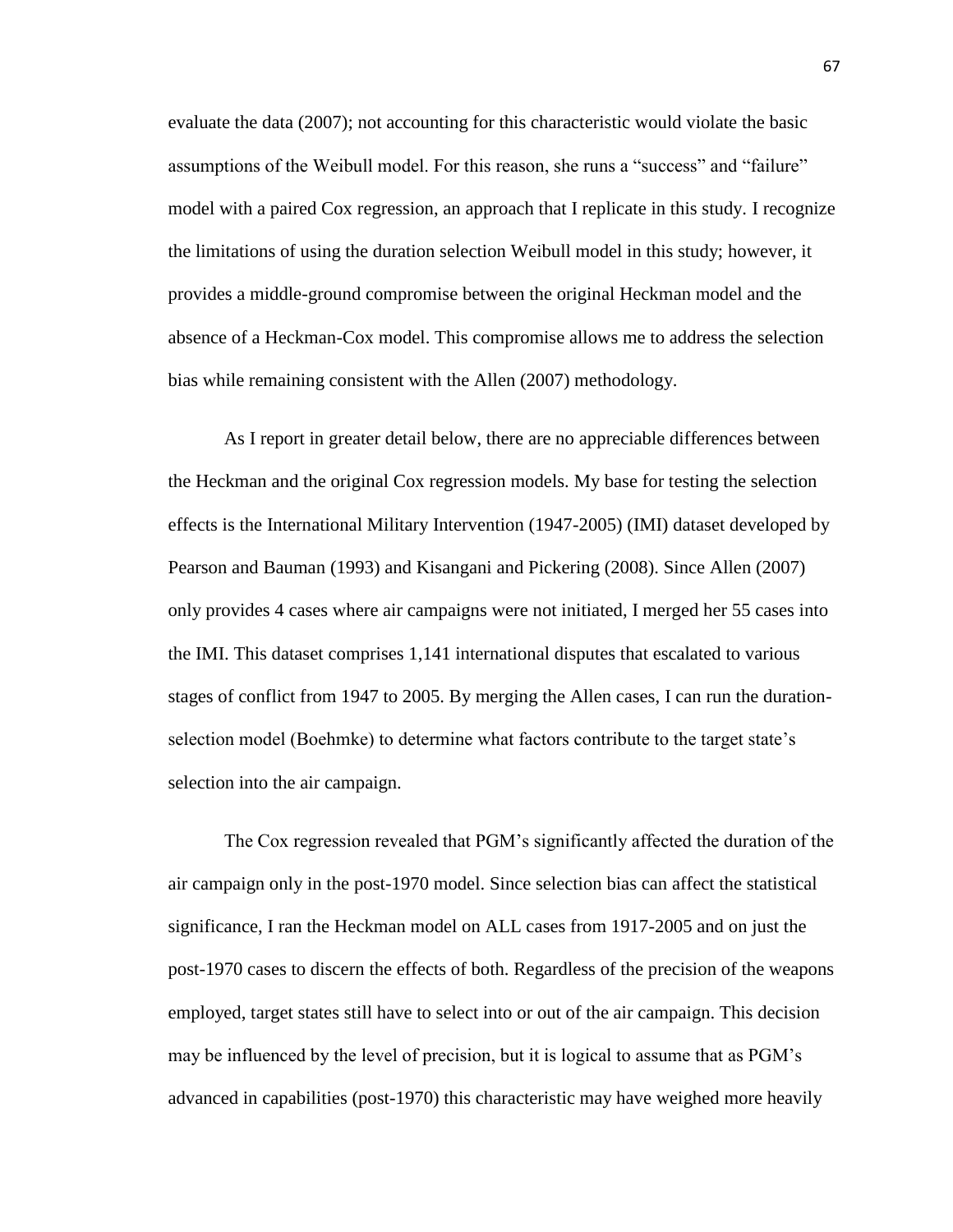evaluate the data (2007); not accounting for this characteristic would violate the basic assumptions of the Weibull model. For this reason, she runs a "success" and "failure" model with a paired Cox regression, an approach that I replicate in this study. I recognize the limitations of using the duration selection Weibull model in this study; however, it provides a middle-ground compromise between the original Heckman model and the absence of a Heckman-Cox model. This compromise allows me to address the selection bias while remaining consistent with the Allen (2007) methodology.

As I report in greater detail below, there are no appreciable differences between the Heckman and the original Cox regression models. My base for testing the selection effects is the International Military Intervention (1947-2005) (IMI) dataset developed by Pearson and Bauman (1993) and Kisangani and Pickering (2008). Since Allen (2007) only provides 4 cases where air campaigns were not initiated, I merged her 55 cases into the IMI. This dataset comprises 1,141 international disputes that escalated to various stages of conflict from 1947 to 2005. By merging the Allen cases, I can run the durationselection model (Boehmke) to determine what factors contribute to the target state's selection into the air campaign.

The Cox regression revealed that PGM's significantly affected the duration of the air campaign only in the post-1970 model. Since selection bias can affect the statistical significance, I ran the Heckman model on ALL cases from 1917-2005 and on just the post-1970 cases to discern the effects of both. Regardless of the precision of the weapons employed, target states still have to select into or out of the air campaign. This decision may be influenced by the level of precision, but it is logical to assume that as PGM's advanced in capabilities (post-1970) this characteristic may have weighed more heavily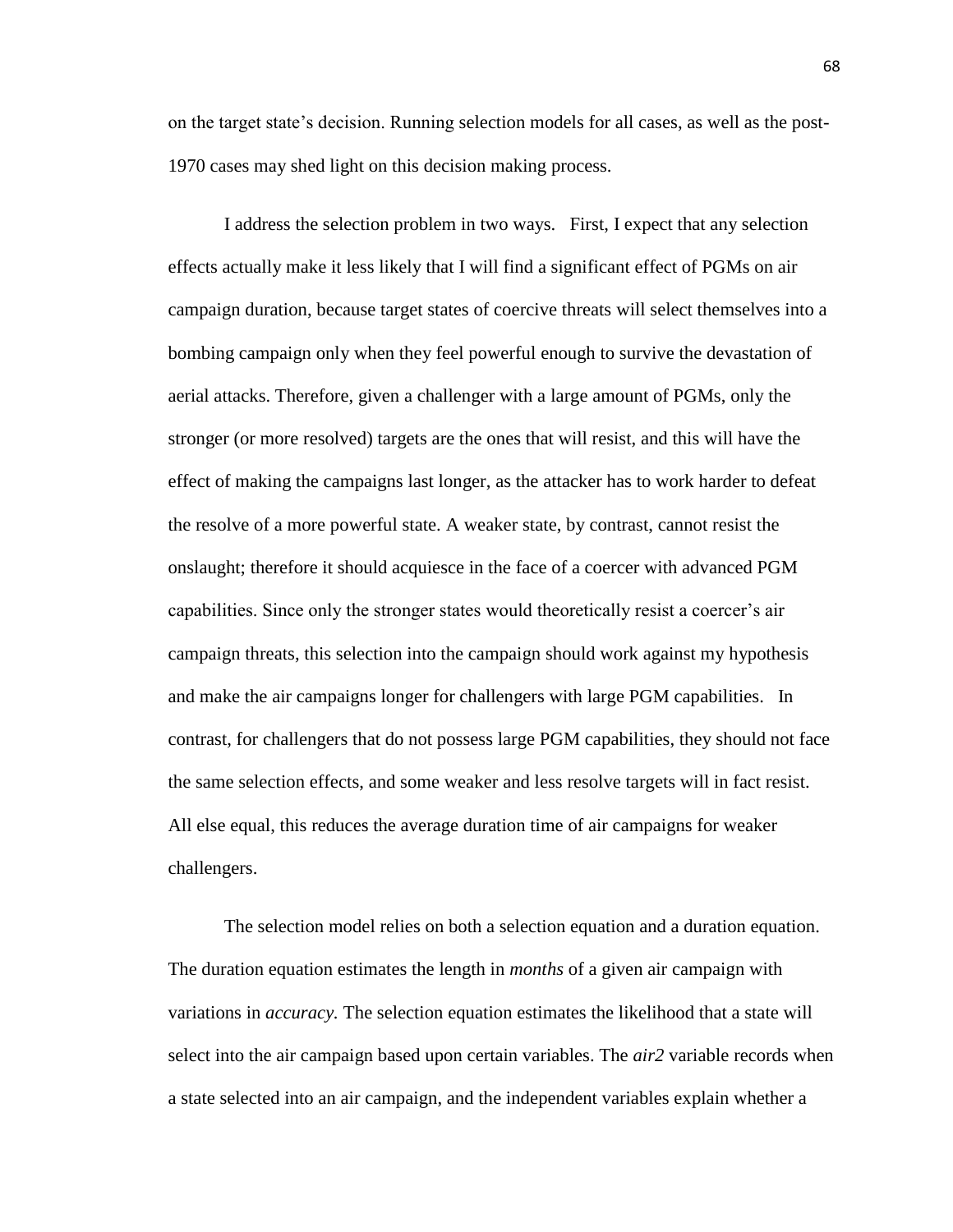on the target state's decision. Running selection models for all cases, as well as the post-1970 cases may shed light on this decision making process.

I address the selection problem in two ways. First, I expect that any selection effects actually make it less likely that I will find a significant effect of PGMs on air campaign duration, because target states of coercive threats will select themselves into a bombing campaign only when they feel powerful enough to survive the devastation of aerial attacks. Therefore, given a challenger with a large amount of PGMs, only the stronger (or more resolved) targets are the ones that will resist, and this will have the effect of making the campaigns last longer, as the attacker has to work harder to defeat the resolve of a more powerful state. A weaker state, by contrast, cannot resist the onslaught; therefore it should acquiesce in the face of a coercer with advanced PGM capabilities. Since only the stronger states would theoretically resist a coercer's air campaign threats, this selection into the campaign should work against my hypothesis and make the air campaigns longer for challengers with large PGM capabilities. In contrast, for challengers that do not possess large PGM capabilities, they should not face the same selection effects, and some weaker and less resolve targets will in fact resist. All else equal, this reduces the average duration time of air campaigns for weaker challengers.

The selection model relies on both a selection equation and a duration equation. The duration equation estimates the length in *months* of a given air campaign with variations in *accuracy.* The selection equation estimates the likelihood that a state will select into the air campaign based upon certain variables. The *air2* variable records when a state selected into an air campaign, and the independent variables explain whether a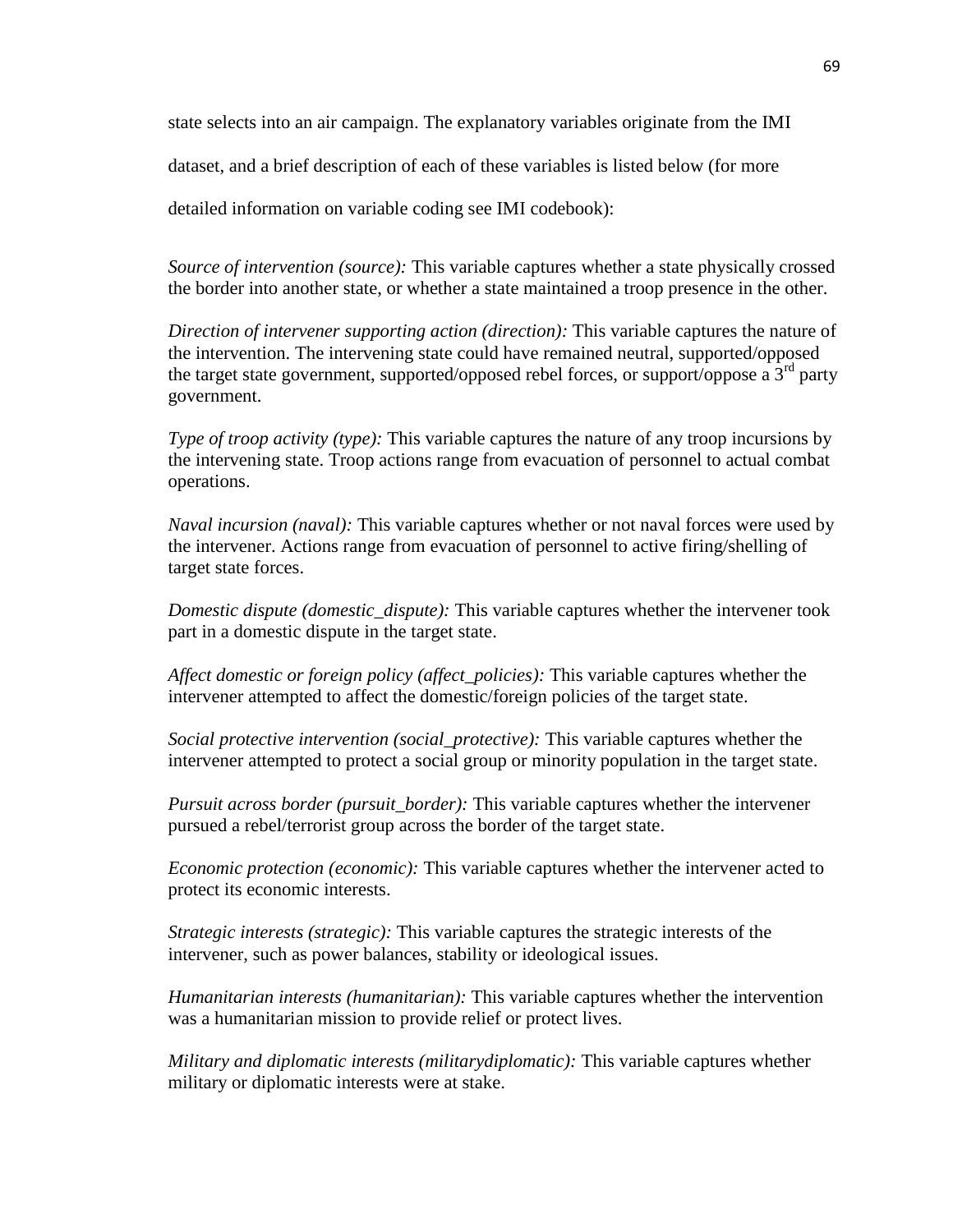state selects into an air campaign. The explanatory variables originate from the IMI

dataset, and a brief description of each of these variables is listed below (for more

detailed information on variable coding see IMI codebook):

*Source of intervention (source):* This variable captures whether a state physically crossed the border into another state, or whether a state maintained a troop presence in the other.

*Direction of intervener supporting action (direction)*: This variable captures the nature of the intervention. The intervening state could have remained neutral, supported/opposed the target state government, supported/opposed rebel forces, or support/oppose a  $3<sup>rd</sup>$  party government.

*Type of troop activity (type):* This variable captures the nature of any troop incursions by the intervening state. Troop actions range from evacuation of personnel to actual combat operations.

*Naval incursion (naval):* This variable captures whether or not naval forces were used by the intervener. Actions range from evacuation of personnel to active firing/shelling of target state forces.

*Domestic dispute (domestic\_dispute):* This variable captures whether the intervener took part in a domestic dispute in the target state.

*Affect domestic or foreign policy (affect\_policies):* This variable captures whether the intervener attempted to affect the domestic/foreign policies of the target state.

*Social protective intervention (social\_protective):* This variable captures whether the intervener attempted to protect a social group or minority population in the target state.

*Pursuit across border (pursuit\_border):* This variable captures whether the intervener pursued a rebel/terrorist group across the border of the target state.

*Economic protection (economic):* This variable captures whether the intervener acted to protect its economic interests.

*Strategic interests (strategic):* This variable captures the strategic interests of the intervener, such as power balances, stability or ideological issues.

*Humanitarian interests (humanitarian):* This variable captures whether the intervention was a humanitarian mission to provide relief or protect lives.

*Military and diplomatic interests (militarydiplomatic):* This variable captures whether military or diplomatic interests were at stake.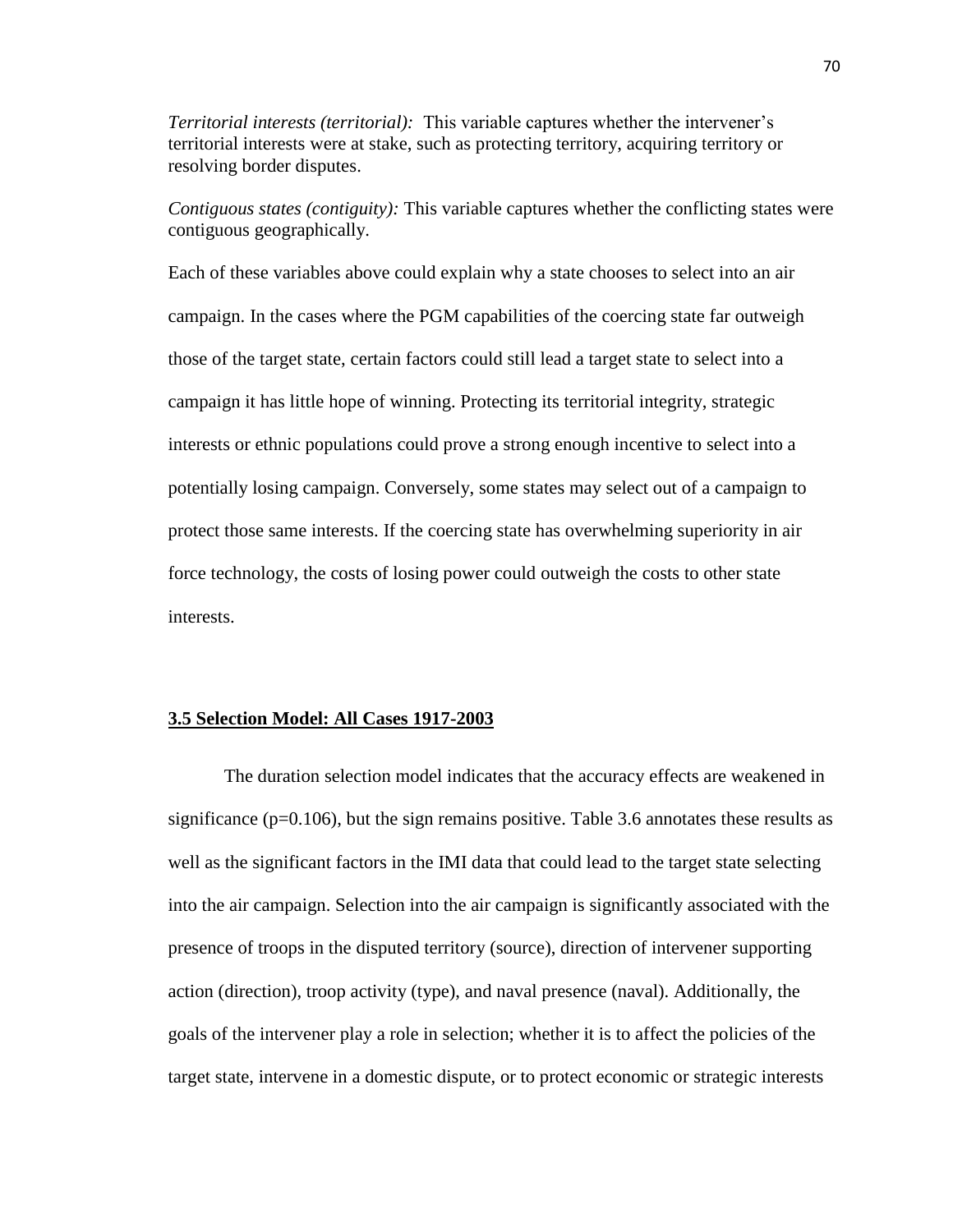*Territorial interests (territorial):* This variable captures whether the intervener's territorial interests were at stake, such as protecting territory, acquiring territory or resolving border disputes.

*Contiguous states (contiguity):* This variable captures whether the conflicting states were contiguous geographically.

Each of these variables above could explain why a state chooses to select into an air campaign. In the cases where the PGM capabilities of the coercing state far outweigh those of the target state, certain factors could still lead a target state to select into a campaign it has little hope of winning. Protecting its territorial integrity, strategic interests or ethnic populations could prove a strong enough incentive to select into a potentially losing campaign. Conversely, some states may select out of a campaign to protect those same interests. If the coercing state has overwhelming superiority in air force technology, the costs of losing power could outweigh the costs to other state interests.

## **3.5 Selection Model: All Cases 1917-2003**

The duration selection model indicates that the accuracy effects are weakened in significance ( $p=0.106$ ), but the sign remains positive. Table 3.6 annotates these results as well as the significant factors in the IMI data that could lead to the target state selecting into the air campaign. Selection into the air campaign is significantly associated with the presence of troops in the disputed territory (source), direction of intervener supporting action (direction), troop activity (type), and naval presence (naval). Additionally, the goals of the intervener play a role in selection; whether it is to affect the policies of the target state, intervene in a domestic dispute, or to protect economic or strategic interests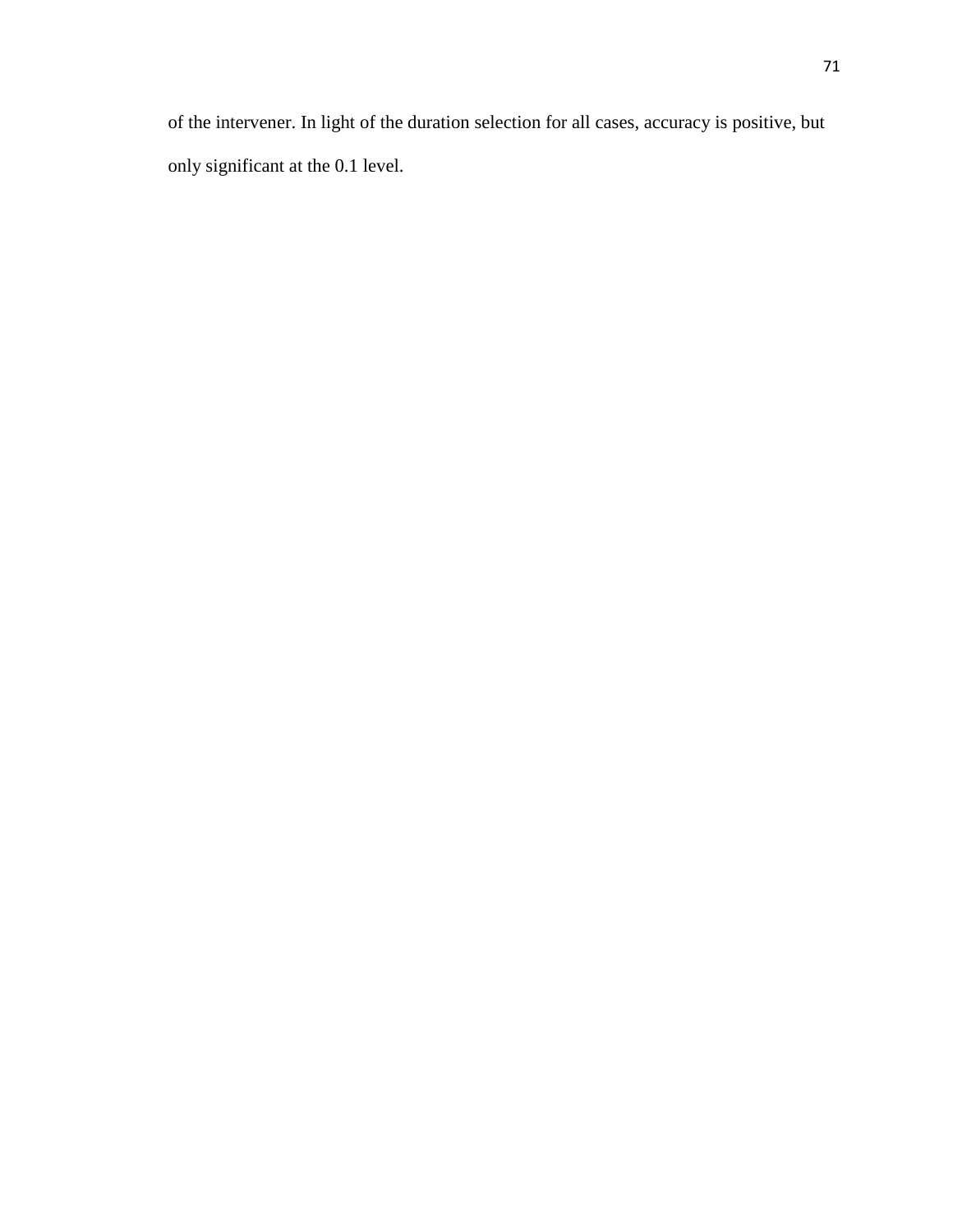of the intervener. In light of the duration selection for all cases, accuracy is positive, but only significant at the 0.1 level.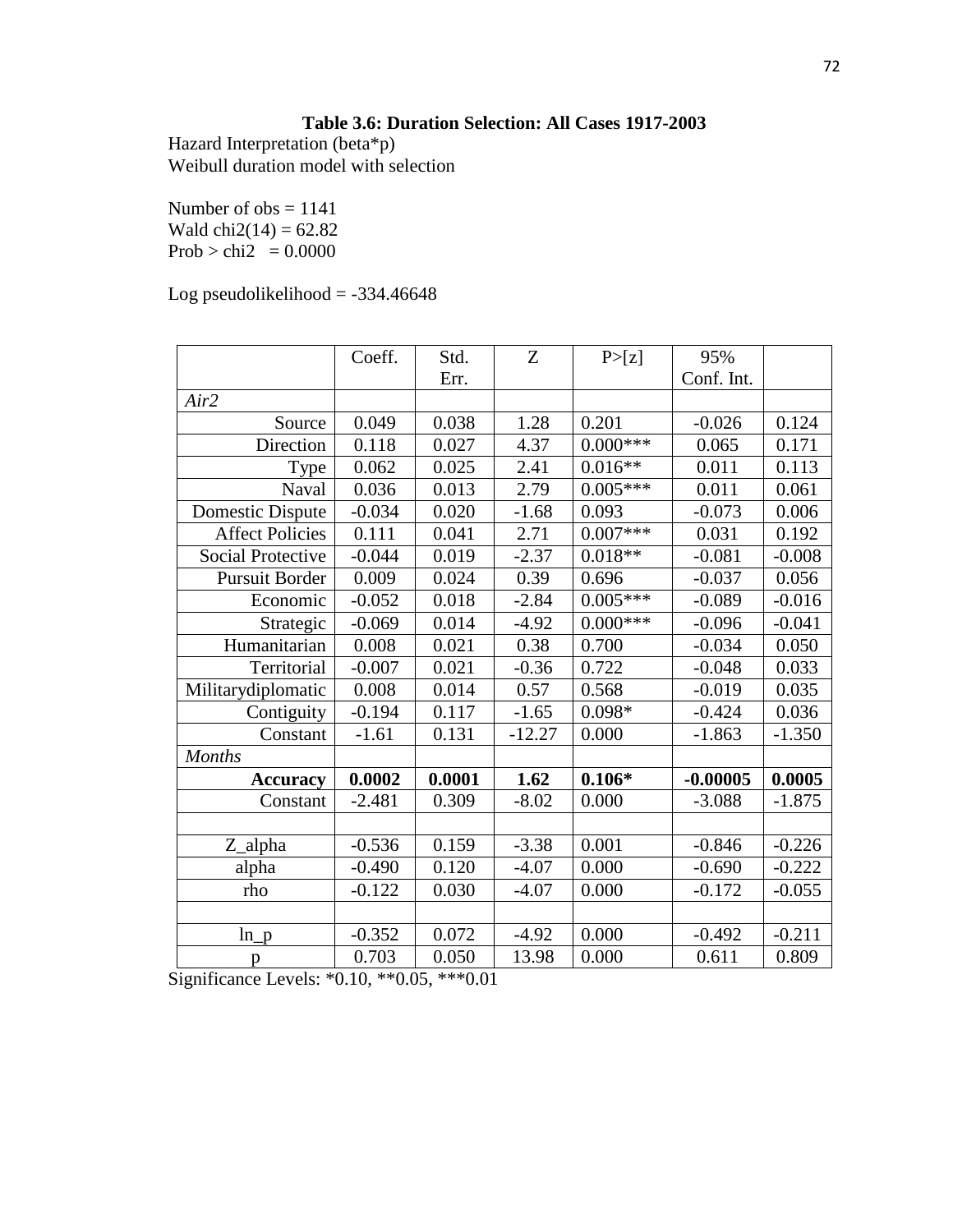# **Table 3.6: Duration Selection: All Cases 1917-2003**

Hazard Interpretation (beta\*p) Weibull duration model with selection

Number of  $obs = 1141$ Wald  $chi2(14) = 62.82$ Prob > chi2 =  $0.0000$ 

Log pseudolikelihood  $= -334.46648$ 

|                          | Coeff.   | Std.   | Z        | P>[z]      | 95%        |          |
|--------------------------|----------|--------|----------|------------|------------|----------|
|                          |          | Err.   |          |            | Conf. Int. |          |
| Air2                     |          |        |          |            |            |          |
| Source                   | 0.049    | 0.038  | 1.28     | 0.201      | $-0.026$   | 0.124    |
| Direction                | 0.118    | 0.027  | 4.37     | $0.000***$ | 0.065      | 0.171    |
| Type                     | 0.062    | 0.025  | 2.41     | $0.016**$  | 0.011      | 0.113    |
| Naval                    | 0.036    | 0.013  | 2.79     | $0.005***$ | 0.011      | 0.061    |
| Domestic Dispute         | $-0.034$ | 0.020  | $-1.68$  | 0.093      | $-0.073$   | 0.006    |
| <b>Affect Policies</b>   | 0.111    | 0.041  | 2.71     | $0.007***$ | 0.031      | 0.192    |
| <b>Social Protective</b> | $-0.044$ | 0.019  | $-2.37$  | $0.018**$  | $-0.081$   | $-0.008$ |
| <b>Pursuit Border</b>    | 0.009    | 0.024  | 0.39     | 0.696      | $-0.037$   | 0.056    |
| Economic                 | $-0.052$ | 0.018  | $-2.84$  | $0.005***$ | $-0.089$   | $-0.016$ |
| Strategic                | $-0.069$ | 0.014  | $-4.92$  | $0.000***$ | $-0.096$   | $-0.041$ |
| Humanitarian             | 0.008    | 0.021  | 0.38     | 0.700      | $-0.034$   | 0.050    |
| Territorial              | $-0.007$ | 0.021  | $-0.36$  | 0.722      | $-0.048$   | 0.033    |
| Militarydiplomatic       | 0.008    | 0.014  | 0.57     | 0.568      | $-0.019$   | 0.035    |
| Contiguity               | $-0.194$ | 0.117  | $-1.65$  | $0.098*$   | $-0.424$   | 0.036    |
| Constant                 | $-1.61$  | 0.131  | $-12.27$ | 0.000      | $-1.863$   | $-1.350$ |
| <b>Months</b>            |          |        |          |            |            |          |
| <b>Accuracy</b>          | 0.0002   | 0.0001 | 1.62     | $0.106*$   | $-0.00005$ | 0.0005   |
| Constant                 | $-2.481$ | 0.309  | $-8.02$  | 0.000      | $-3.088$   | $-1.875$ |
|                          |          |        |          |            |            |          |
| Z_alpha                  | $-0.536$ | 0.159  | $-3.38$  | 0.001      | $-0.846$   | $-0.226$ |
| alpha                    | $-0.490$ | 0.120  | $-4.07$  | 0.000      | $-0.690$   | $-0.222$ |
| rho                      | $-0.122$ | 0.030  | $-4.07$  | 0.000      | $-0.172$   | $-0.055$ |
|                          |          |        |          |            |            |          |
| $ln_p$                   | $-0.352$ | 0.072  | $-4.92$  | 0.000      | $-0.492$   | $-0.211$ |
| p                        | 0.703    | 0.050  | 13.98    | 0.000      | 0.611      | 0.809    |

Significance Levels: \*0.10, \*\*0.05, \*\*\*0.01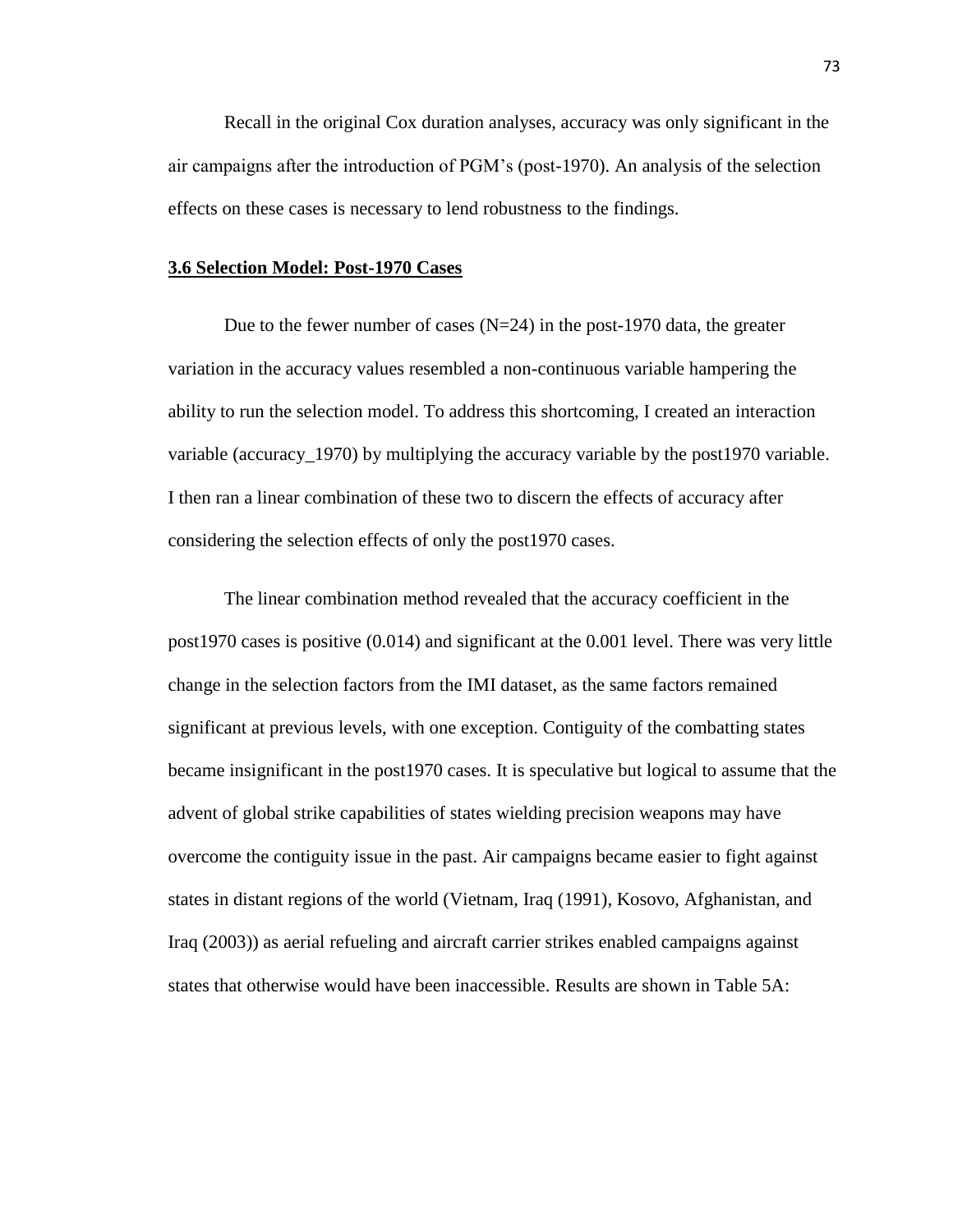Recall in the original Cox duration analyses, accuracy was only significant in the air campaigns after the introduction of PGM's (post-1970). An analysis of the selection effects on these cases is necessary to lend robustness to the findings.

#### **3.6 Selection Model: Post-1970 Cases**

Due to the fewer number of cases  $(N=24)$  in the post-1970 data, the greater variation in the accuracy values resembled a non-continuous variable hampering the ability to run the selection model. To address this shortcoming, I created an interaction variable (accuracy 1970) by multiplying the accuracy variable by the post1970 variable. I then ran a linear combination of these two to discern the effects of accuracy after considering the selection effects of only the post1970 cases.

The linear combination method revealed that the accuracy coefficient in the post1970 cases is positive (0.014) and significant at the 0.001 level. There was very little change in the selection factors from the IMI dataset, as the same factors remained significant at previous levels, with one exception. Contiguity of the combatting states became insignificant in the post1970 cases. It is speculative but logical to assume that the advent of global strike capabilities of states wielding precision weapons may have overcome the contiguity issue in the past. Air campaigns became easier to fight against states in distant regions of the world (Vietnam, Iraq (1991), Kosovo, Afghanistan, and Iraq (2003)) as aerial refueling and aircraft carrier strikes enabled campaigns against states that otherwise would have been inaccessible. Results are shown in Table 5A: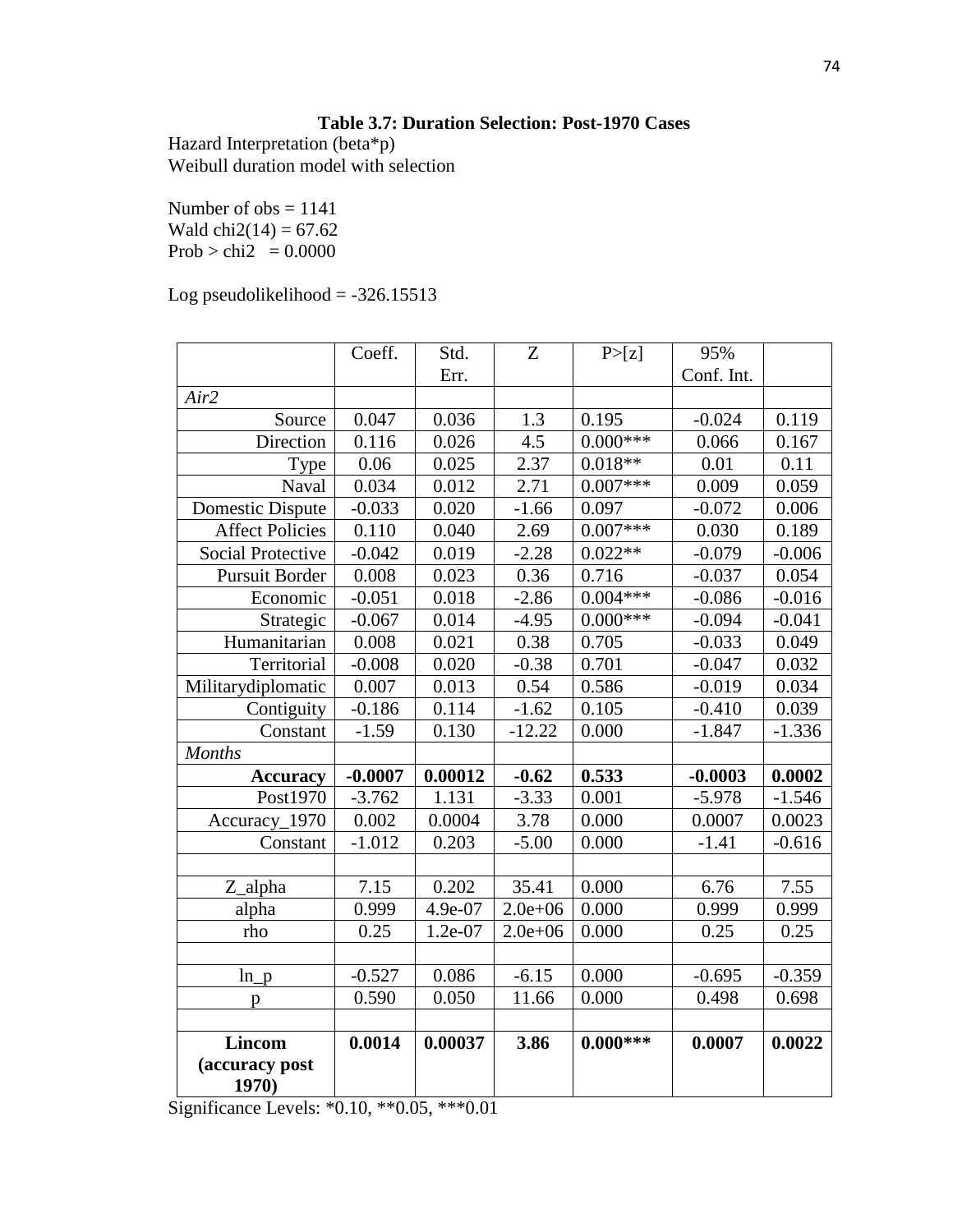# **Table 3.7: Duration Selection: Post-1970 Cases**

Hazard Interpretation (beta\*p) Weibull duration model with selection

Number of  $obs = 1141$ Wald  $chi2(14) = 67.62$ Prob > chi2 =  $0.0000$ 

Log pseudolikelihood =  $-326.15513$ 

|                          | Coeff.    | Std.    | Z           | P > [z]    | 95%        |          |
|--------------------------|-----------|---------|-------------|------------|------------|----------|
|                          |           | Err.    |             |            | Conf. Int. |          |
| Air2                     |           |         |             |            |            |          |
| Source                   | 0.047     | 0.036   | 1.3         | 0.195      | $-0.024$   | 0.119    |
| Direction                | 0.116     | 0.026   | 4.5         | $0.000***$ | 0.066      | 0.167    |
| Type                     | 0.06      | 0.025   | 2.37        | $0.018**$  | 0.01       | 0.11     |
| Naval                    | 0.034     | 0.012   | 2.71        | $0.007***$ | 0.009      | 0.059    |
| <b>Domestic Dispute</b>  | $-0.033$  | 0.020   | $-1.66$     | 0.097      | $-0.072$   | 0.006    |
| <b>Affect Policies</b>   | 0.110     | 0.040   | 2.69        | $0.007***$ | 0.030      | 0.189    |
| <b>Social Protective</b> | $-0.042$  | 0.019   | $-2.28$     | $0.022**$  | $-0.079$   | $-0.006$ |
| <b>Pursuit Border</b>    | 0.008     | 0.023   | 0.36        | 0.716      | $-0.037$   | 0.054    |
| Economic                 | $-0.051$  | 0.018   | $-2.86$     | $0.004***$ | $-0.086$   | $-0.016$ |
| Strategic                | $-0.067$  | 0.014   | $-4.95$     | $0.000***$ | $-0.094$   | $-0.041$ |
| Humanitarian             | 0.008     | 0.021   | 0.38        | 0.705      | $-0.033$   | 0.049    |
| Territorial              | $-0.008$  | 0.020   | $-0.38$     | 0.701      | $-0.047$   | 0.032    |
| Militarydiplomatic       | 0.007     | 0.013   | 0.54        | 0.586      | $-0.019$   | 0.034    |
| Contiguity               | $-0.186$  | 0.114   | $-1.62$     | 0.105      | $-0.410$   | 0.039    |
| Constant                 | $-1.59$   | 0.130   | $-12.22$    | 0.000      | $-1.847$   | $-1.336$ |
| <b>Months</b>            |           |         |             |            |            |          |
| <b>Accuracy</b>          | $-0.0007$ | 0.00012 | $-0.62$     | 0.533      | $-0.0003$  | 0.0002   |
| Post1970                 | $-3.762$  | 1.131   | $-3.33$     | 0.001      | $-5.978$   | $-1.546$ |
| Accuracy_1970            | 0.002     | 0.0004  | 3.78        | 0.000      | 0.0007     | 0.0023   |
| Constant                 | $-1.012$  | 0.203   | $-5.00$     | 0.000      | $-1.41$    | $-0.616$ |
|                          |           |         |             |            |            |          |
| Z_alpha                  | 7.15      | 0.202   | 35.41       | 0.000      | 6.76       | 7.55     |
| alpha                    | 0.999     | 4.9e-07 | $2.0e + 06$ | 0.000      | 0.999      | 0.999    |
| rho                      | 0.25      | 1.2e-07 | $2.0e + 06$ | 0.000      | 0.25       | 0.25     |
|                          |           |         |             |            |            |          |
| $ln_p$                   | $-0.527$  | 0.086   | $-6.15$     | 0.000      | $-0.695$   | $-0.359$ |
| p                        | 0.590     | 0.050   | 11.66       | 0.000      | 0.498      | 0.698    |
|                          |           |         |             |            |            |          |
| <b>Lincom</b>            | 0.0014    | 0.00037 | 3.86        | $0.000***$ | 0.0007     | 0.0022   |
| (accuracy post           |           |         |             |            |            |          |
| 1970)                    |           |         |             |            |            |          |

Significance Levels: \*0.10, \*\*0.05, \*\*\*0.01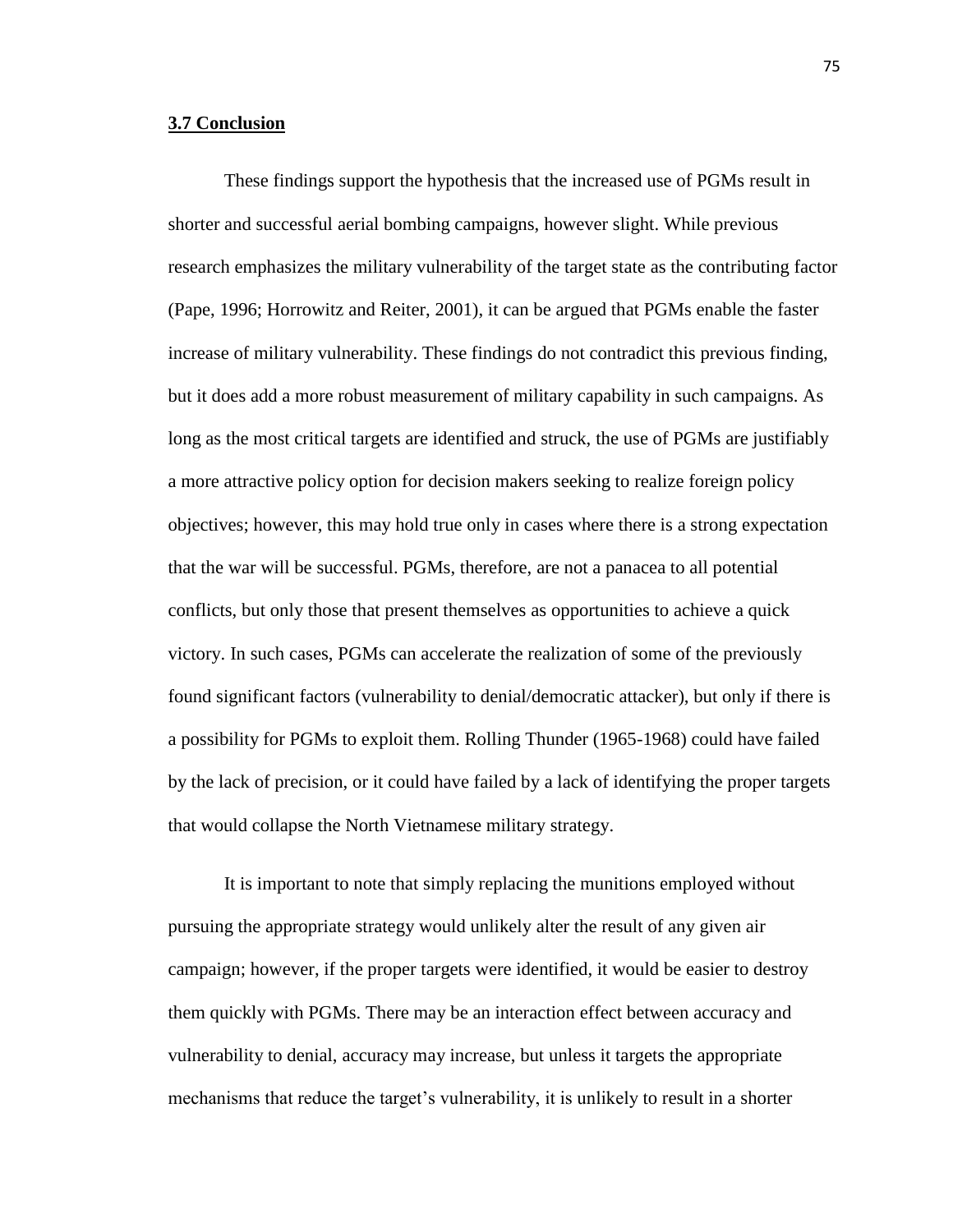#### **3.7 Conclusion**

These findings support the hypothesis that the increased use of PGMs result in shorter and successful aerial bombing campaigns, however slight. While previous research emphasizes the military vulnerability of the target state as the contributing factor (Pape, 1996; Horrowitz and Reiter, 2001), it can be argued that PGMs enable the faster increase of military vulnerability. These findings do not contradict this previous finding, but it does add a more robust measurement of military capability in such campaigns. As long as the most critical targets are identified and struck, the use of PGMs are justifiably a more attractive policy option for decision makers seeking to realize foreign policy objectives; however, this may hold true only in cases where there is a strong expectation that the war will be successful. PGMs, therefore, are not a panacea to all potential conflicts, but only those that present themselves as opportunities to achieve a quick victory. In such cases, PGMs can accelerate the realization of some of the previously found significant factors (vulnerability to denial/democratic attacker), but only if there is a possibility for PGMs to exploit them. Rolling Thunder (1965-1968) could have failed by the lack of precision, or it could have failed by a lack of identifying the proper targets that would collapse the North Vietnamese military strategy.

It is important to note that simply replacing the munitions employed without pursuing the appropriate strategy would unlikely alter the result of any given air campaign; however, if the proper targets were identified, it would be easier to destroy them quickly with PGMs. There may be an interaction effect between accuracy and vulnerability to denial, accuracy may increase, but unless it targets the appropriate mechanisms that reduce the target's vulnerability, it is unlikely to result in a shorter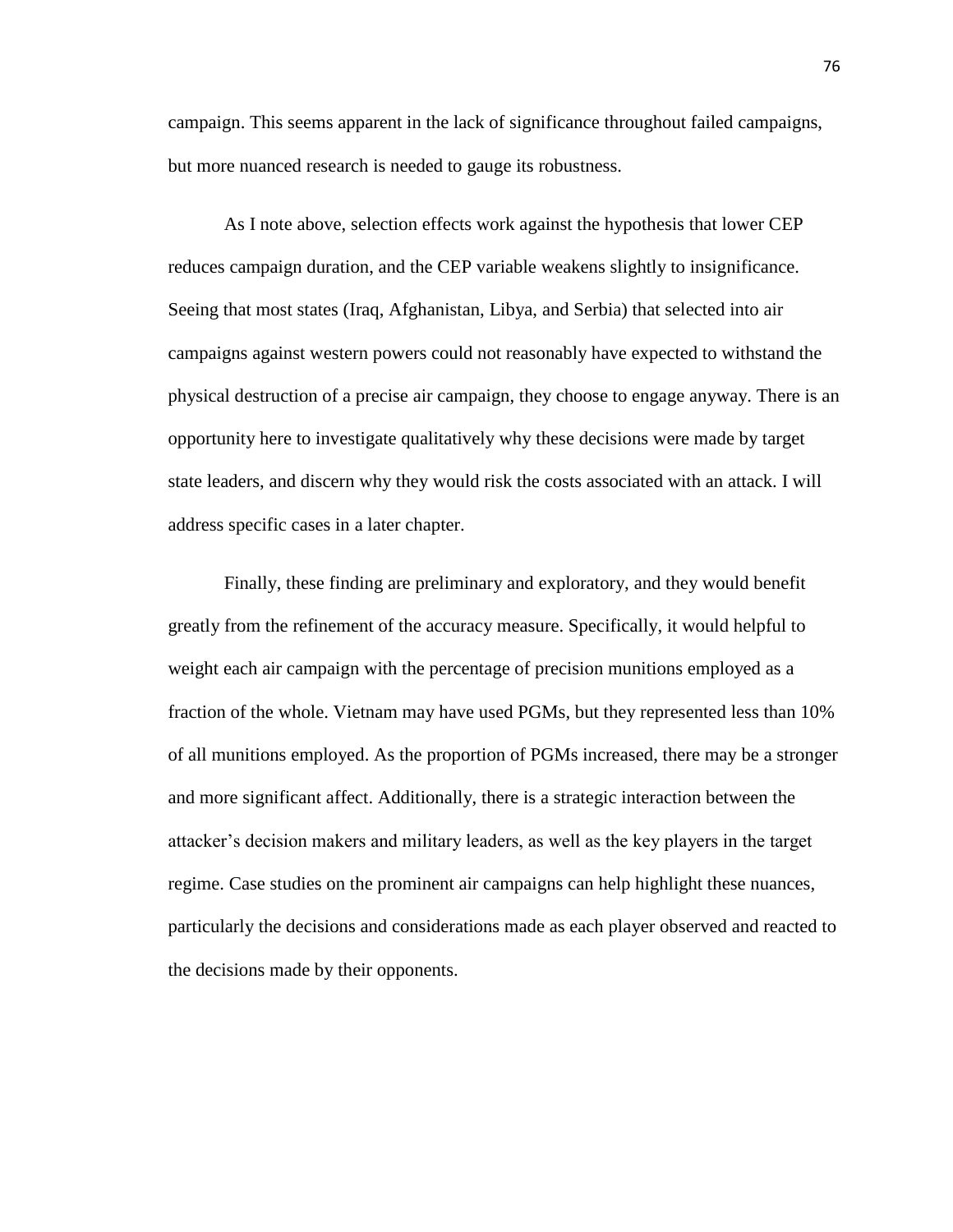campaign. This seems apparent in the lack of significance throughout failed campaigns, but more nuanced research is needed to gauge its robustness.

As I note above, selection effects work against the hypothesis that lower CEP reduces campaign duration, and the CEP variable weakens slightly to insignificance. Seeing that most states (Iraq, Afghanistan, Libya, and Serbia) that selected into air campaigns against western powers could not reasonably have expected to withstand the physical destruction of a precise air campaign, they choose to engage anyway. There is an opportunity here to investigate qualitatively why these decisions were made by target state leaders, and discern why they would risk the costs associated with an attack. I will address specific cases in a later chapter.

Finally, these finding are preliminary and exploratory, and they would benefit greatly from the refinement of the accuracy measure. Specifically, it would helpful to weight each air campaign with the percentage of precision munitions employed as a fraction of the whole. Vietnam may have used PGMs, but they represented less than 10% of all munitions employed. As the proportion of PGMs increased, there may be a stronger and more significant affect. Additionally, there is a strategic interaction between the attacker's decision makers and military leaders, as well as the key players in the target regime. Case studies on the prominent air campaigns can help highlight these nuances, particularly the decisions and considerations made as each player observed and reacted to the decisions made by their opponents.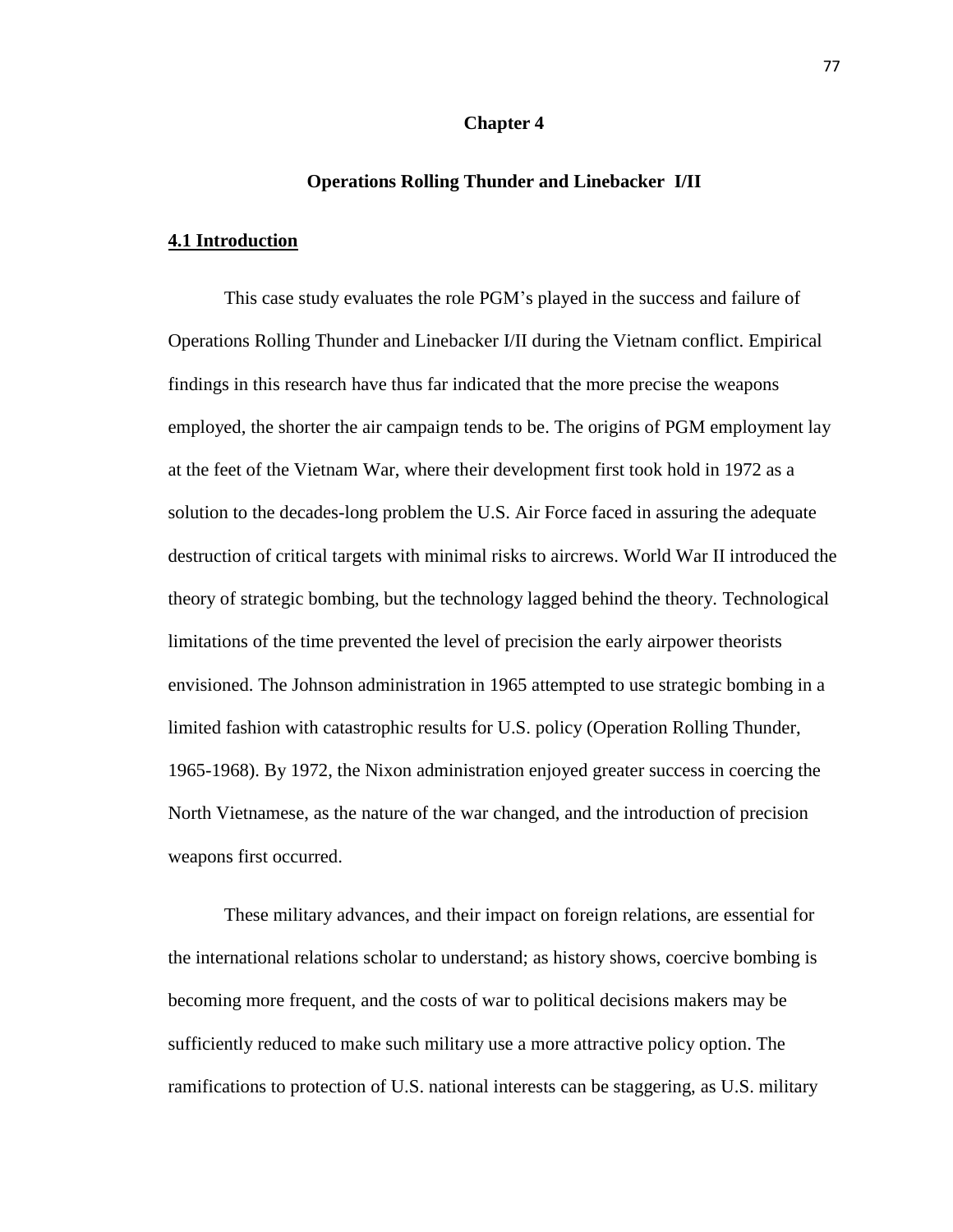## **Chapter 4**

# **Operations Rolling Thunder and Linebacker I/II**

# **4.1 Introduction**

This case study evaluates the role PGM's played in the success and failure of Operations Rolling Thunder and Linebacker I/II during the Vietnam conflict. Empirical findings in this research have thus far indicated that the more precise the weapons employed, the shorter the air campaign tends to be. The origins of PGM employment lay at the feet of the Vietnam War, where their development first took hold in 1972 as a solution to the decades-long problem the U.S. Air Force faced in assuring the adequate destruction of critical targets with minimal risks to aircrews. World War II introduced the theory of strategic bombing, but the technology lagged behind the theory. Technological limitations of the time prevented the level of precision the early airpower theorists envisioned. The Johnson administration in 1965 attempted to use strategic bombing in a limited fashion with catastrophic results for U.S. policy (Operation Rolling Thunder, 1965-1968). By 1972, the Nixon administration enjoyed greater success in coercing the North Vietnamese, as the nature of the war changed, and the introduction of precision weapons first occurred.

These military advances, and their impact on foreign relations, are essential for the international relations scholar to understand; as history shows, coercive bombing is becoming more frequent, and the costs of war to political decisions makers may be sufficiently reduced to make such military use a more attractive policy option. The ramifications to protection of U.S. national interests can be staggering, as U.S. military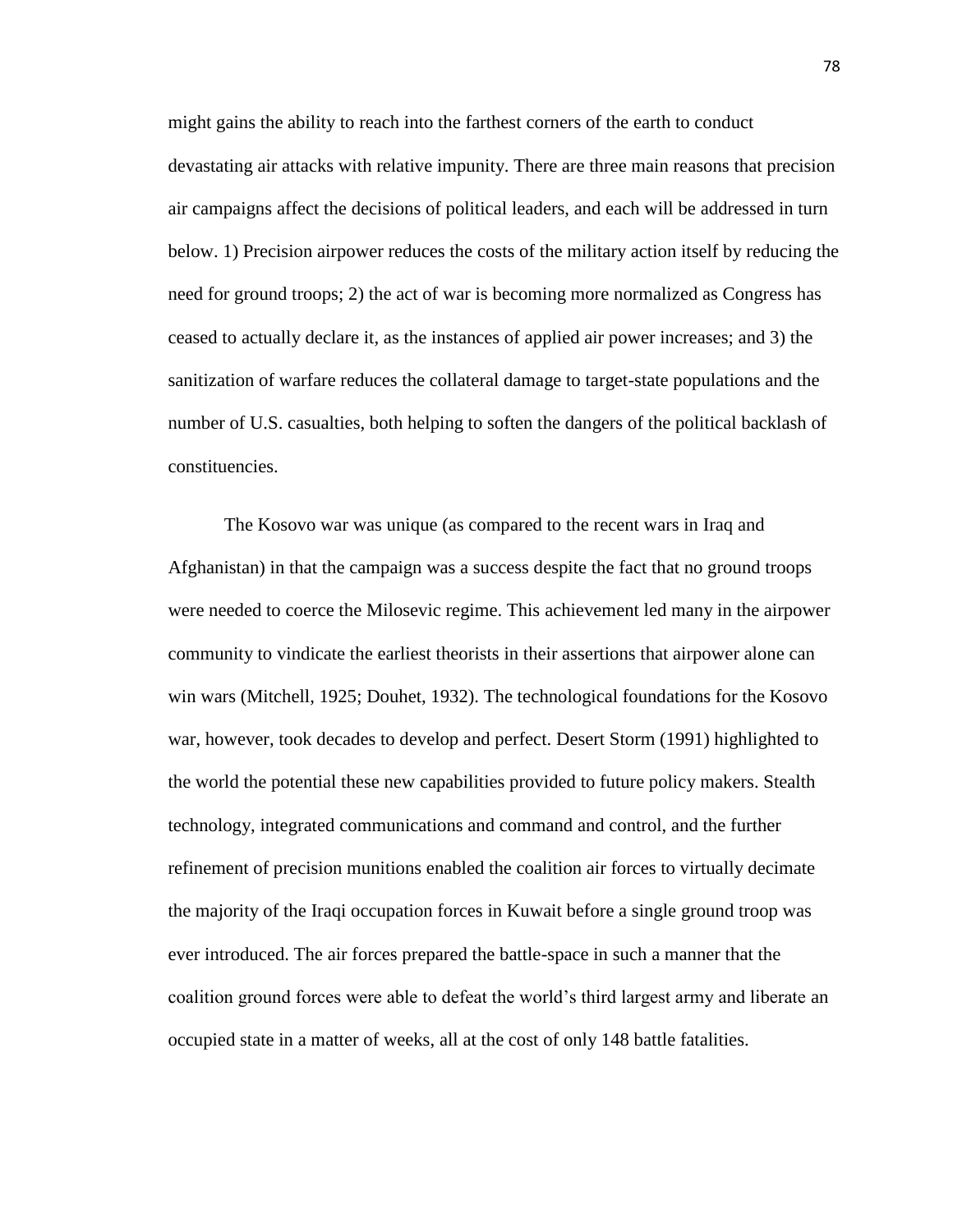might gains the ability to reach into the farthest corners of the earth to conduct devastating air attacks with relative impunity. There are three main reasons that precision air campaigns affect the decisions of political leaders, and each will be addressed in turn below. 1) Precision airpower reduces the costs of the military action itself by reducing the need for ground troops; 2) the act of war is becoming more normalized as Congress has ceased to actually declare it, as the instances of applied air power increases; and 3) the sanitization of warfare reduces the collateral damage to target-state populations and the number of U.S. casualties, both helping to soften the dangers of the political backlash of constituencies.

The Kosovo war was unique (as compared to the recent wars in Iraq and Afghanistan) in that the campaign was a success despite the fact that no ground troops were needed to coerce the Milosevic regime. This achievement led many in the airpower community to vindicate the earliest theorists in their assertions that airpower alone can win wars (Mitchell, 1925; Douhet, 1932). The technological foundations for the Kosovo war, however, took decades to develop and perfect. Desert Storm (1991) highlighted to the world the potential these new capabilities provided to future policy makers. Stealth technology, integrated communications and command and control, and the further refinement of precision munitions enabled the coalition air forces to virtually decimate the majority of the Iraqi occupation forces in Kuwait before a single ground troop was ever introduced. The air forces prepared the battle-space in such a manner that the coalition ground forces were able to defeat the world's third largest army and liberate an occupied state in a matter of weeks, all at the cost of only 148 battle fatalities.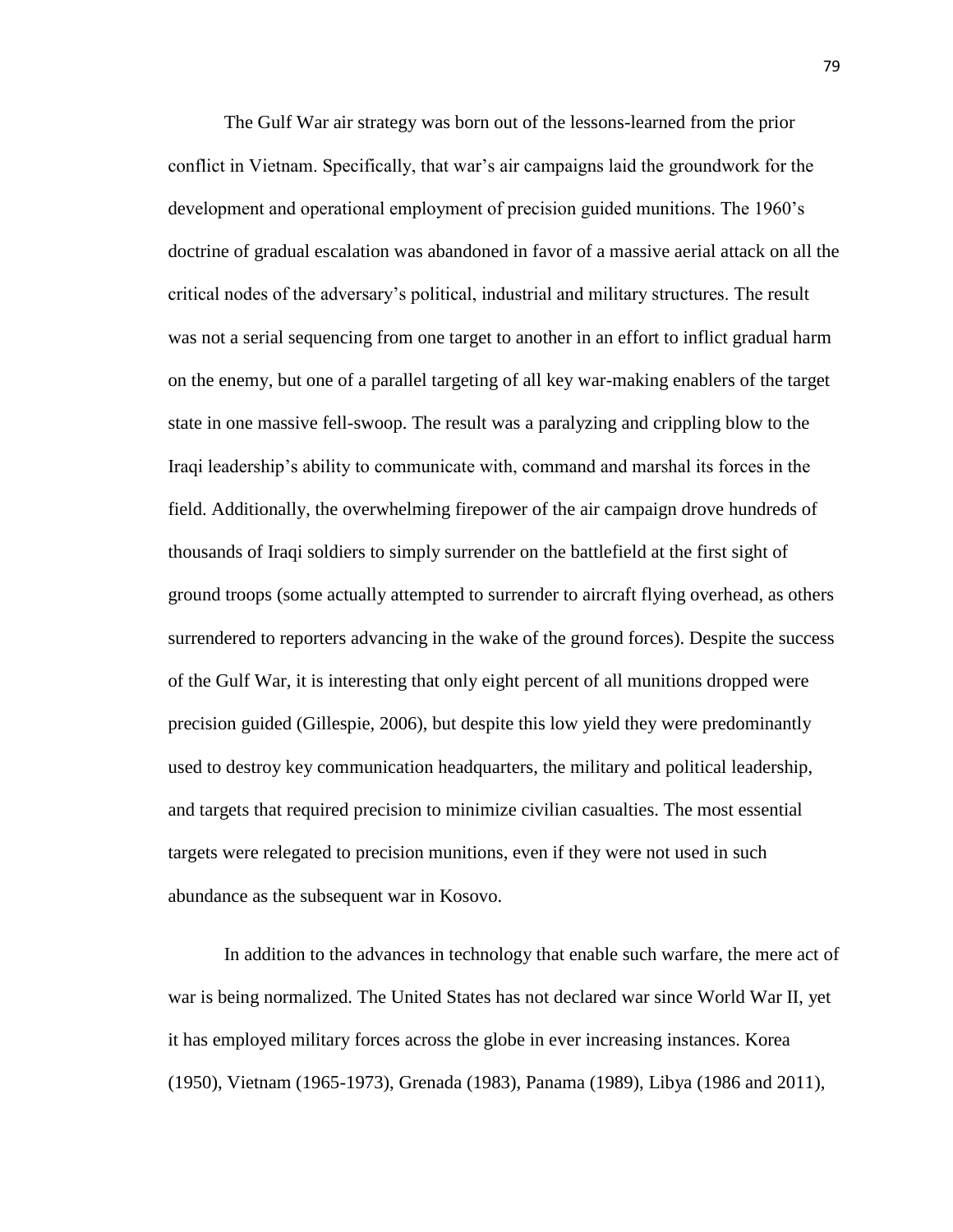The Gulf War air strategy was born out of the lessons-learned from the prior conflict in Vietnam. Specifically, that war's air campaigns laid the groundwork for the development and operational employment of precision guided munitions. The 1960's doctrine of gradual escalation was abandoned in favor of a massive aerial attack on all the critical nodes of the adversary's political, industrial and military structures. The result was not a serial sequencing from one target to another in an effort to inflict gradual harm on the enemy, but one of a parallel targeting of all key war-making enablers of the target state in one massive fell-swoop. The result was a paralyzing and crippling blow to the Iraqi leadership's ability to communicate with, command and marshal its forces in the field. Additionally, the overwhelming firepower of the air campaign drove hundreds of thousands of Iraqi soldiers to simply surrender on the battlefield at the first sight of ground troops (some actually attempted to surrender to aircraft flying overhead, as others surrendered to reporters advancing in the wake of the ground forces). Despite the success of the Gulf War, it is interesting that only eight percent of all munitions dropped were precision guided (Gillespie, 2006), but despite this low yield they were predominantly used to destroy key communication headquarters, the military and political leadership, and targets that required precision to minimize civilian casualties. The most essential targets were relegated to precision munitions, even if they were not used in such abundance as the subsequent war in Kosovo.

In addition to the advances in technology that enable such warfare, the mere act of war is being normalized. The United States has not declared war since World War II, yet it has employed military forces across the globe in ever increasing instances. Korea (1950), Vietnam (1965-1973), Grenada (1983), Panama (1989), Libya (1986 and 2011),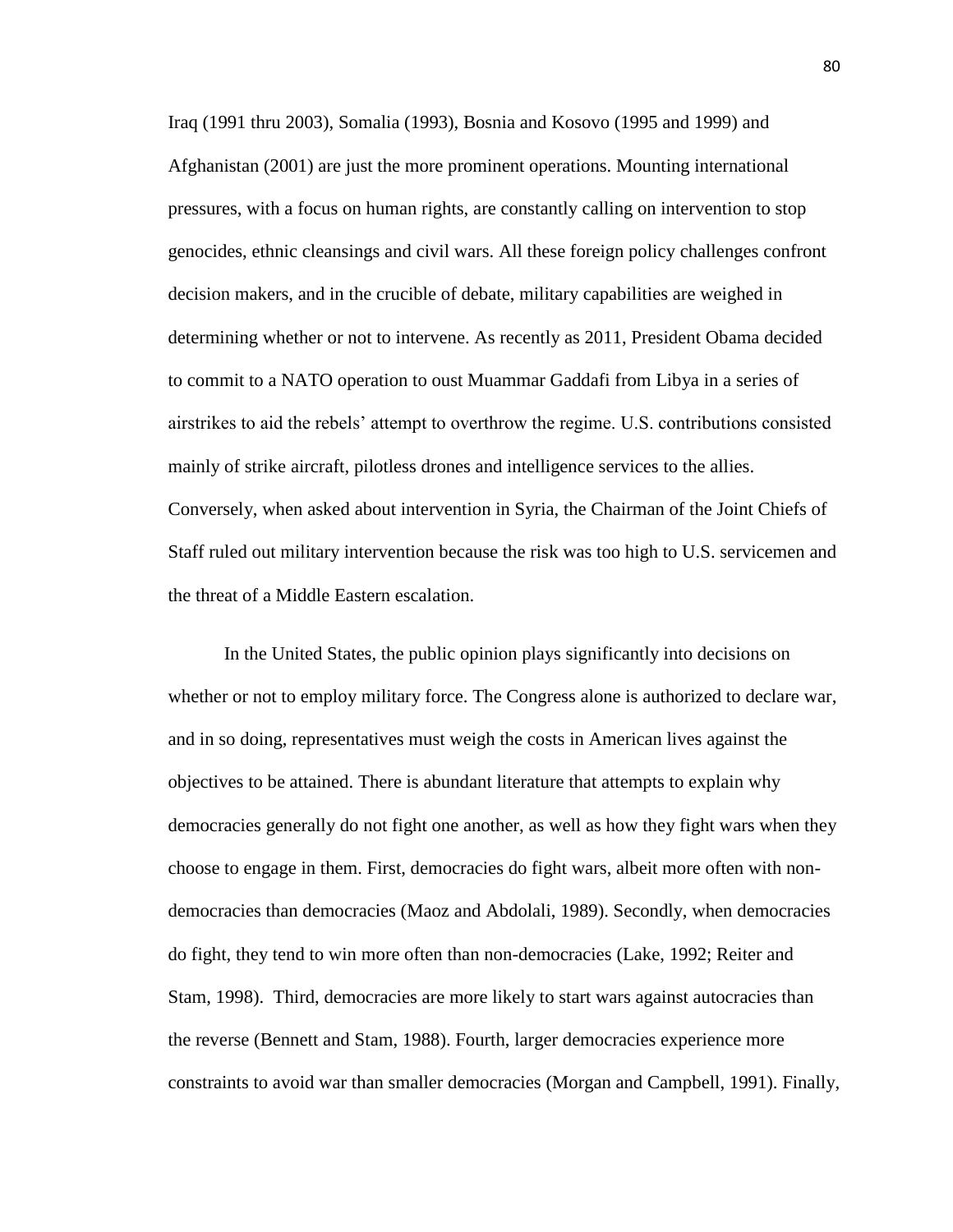Iraq (1991 thru 2003), Somalia (1993), Bosnia and Kosovo (1995 and 1999) and Afghanistan (2001) are just the more prominent operations. Mounting international pressures, with a focus on human rights, are constantly calling on intervention to stop genocides, ethnic cleansings and civil wars. All these foreign policy challenges confront decision makers, and in the crucible of debate, military capabilities are weighed in determining whether or not to intervene. As recently as 2011, President Obama decided to commit to a NATO operation to oust Muammar Gaddafi from Libya in a series of airstrikes to aid the rebels' attempt to overthrow the regime. U.S. contributions consisted mainly of strike aircraft, pilotless drones and intelligence services to the allies. Conversely, when asked about intervention in Syria, the Chairman of the Joint Chiefs of Staff ruled out military intervention because the risk was too high to U.S. servicemen and the threat of a Middle Eastern escalation.

In the United States, the public opinion plays significantly into decisions on whether or not to employ military force. The Congress alone is authorized to declare war, and in so doing, representatives must weigh the costs in American lives against the objectives to be attained. There is abundant literature that attempts to explain why democracies generally do not fight one another, as well as how they fight wars when they choose to engage in them. First, democracies do fight wars, albeit more often with nondemocracies than democracies (Maoz and Abdolali, 1989). Secondly, when democracies do fight, they tend to win more often than non-democracies (Lake, 1992; Reiter and Stam, 1998). Third, democracies are more likely to start wars against autocracies than the reverse (Bennett and Stam, 1988). Fourth, larger democracies experience more constraints to avoid war than smaller democracies (Morgan and Campbell, 1991). Finally,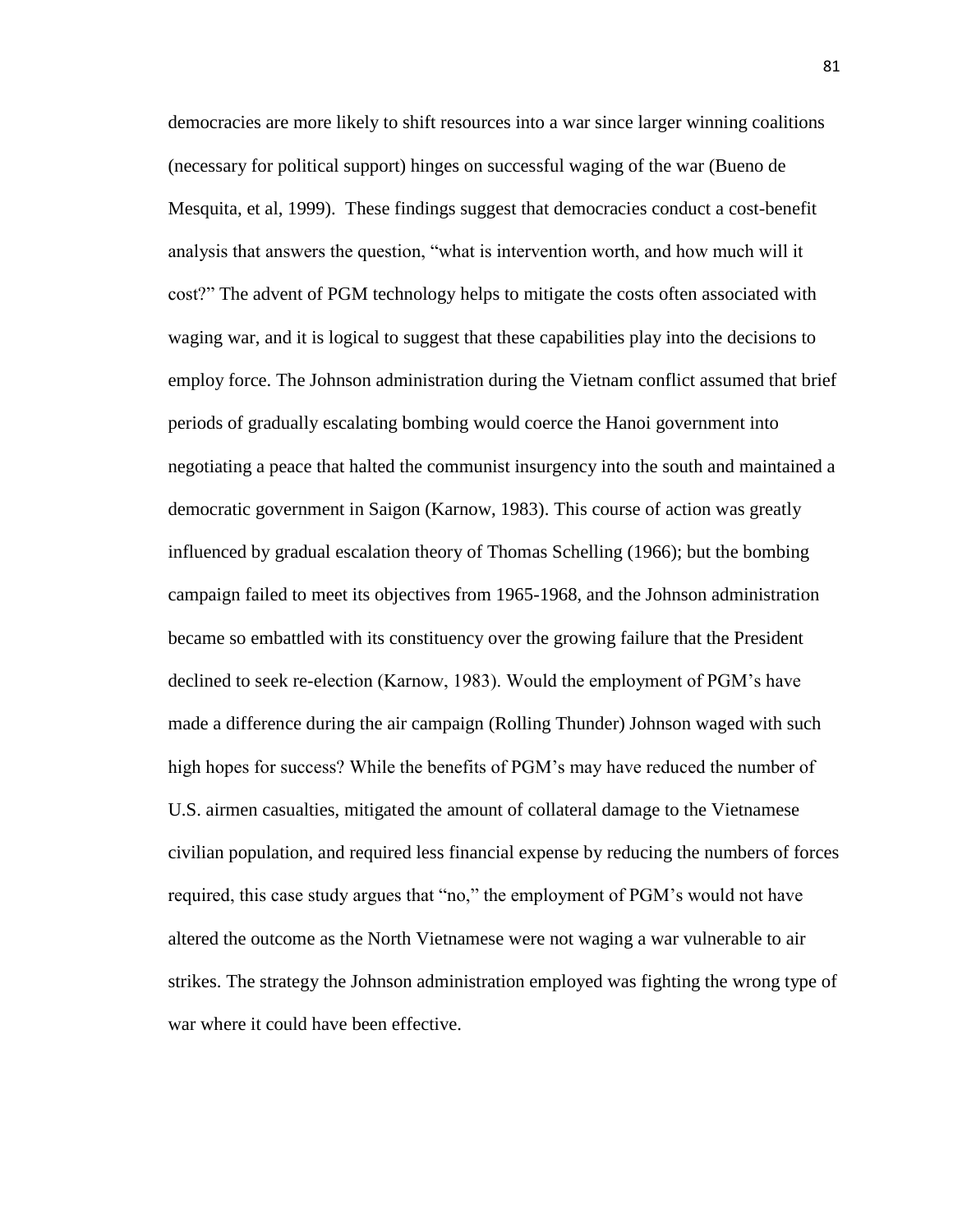democracies are more likely to shift resources into a war since larger winning coalitions (necessary for political support) hinges on successful waging of the war (Bueno de Mesquita, et al, 1999). These findings suggest that democracies conduct a cost-benefit analysis that answers the question, "what is intervention worth, and how much will it cost?" The advent of PGM technology helps to mitigate the costs often associated with waging war, and it is logical to suggest that these capabilities play into the decisions to employ force. The Johnson administration during the Vietnam conflict assumed that brief periods of gradually escalating bombing would coerce the Hanoi government into negotiating a peace that halted the communist insurgency into the south and maintained a democratic government in Saigon (Karnow, 1983). This course of action was greatly influenced by gradual escalation theory of Thomas Schelling (1966); but the bombing campaign failed to meet its objectives from 1965-1968, and the Johnson administration became so embattled with its constituency over the growing failure that the President declined to seek re-election (Karnow, 1983). Would the employment of PGM's have made a difference during the air campaign (Rolling Thunder) Johnson waged with such high hopes for success? While the benefits of PGM's may have reduced the number of U.S. airmen casualties, mitigated the amount of collateral damage to the Vietnamese civilian population, and required less financial expense by reducing the numbers of forces required, this case study argues that "no," the employment of PGM's would not have altered the outcome as the North Vietnamese were not waging a war vulnerable to air strikes. The strategy the Johnson administration employed was fighting the wrong type of war where it could have been effective.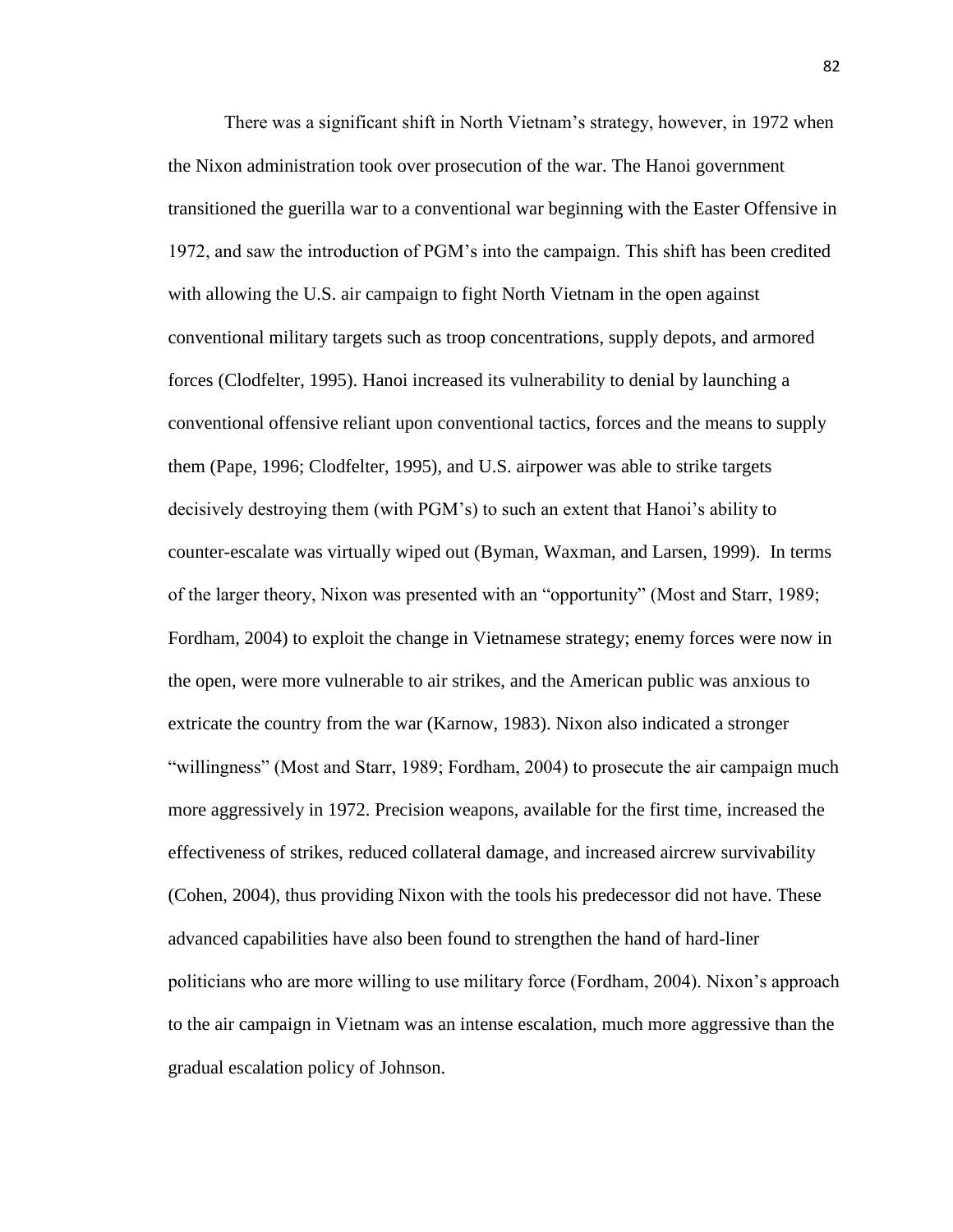There was a significant shift in North Vietnam's strategy, however, in 1972 when the Nixon administration took over prosecution of the war. The Hanoi government transitioned the guerilla war to a conventional war beginning with the Easter Offensive in 1972, and saw the introduction of PGM's into the campaign. This shift has been credited with allowing the U.S. air campaign to fight North Vietnam in the open against conventional military targets such as troop concentrations, supply depots, and armored forces (Clodfelter, 1995). Hanoi increased its vulnerability to denial by launching a conventional offensive reliant upon conventional tactics, forces and the means to supply them (Pape, 1996; Clodfelter, 1995), and U.S. airpower was able to strike targets decisively destroying them (with PGM's) to such an extent that Hanoi's ability to counter-escalate was virtually wiped out (Byman, Waxman, and Larsen, 1999). In terms of the larger theory, Nixon was presented with an "opportunity" (Most and Starr, 1989; Fordham, 2004) to exploit the change in Vietnamese strategy; enemy forces were now in the open, were more vulnerable to air strikes, and the American public was anxious to extricate the country from the war (Karnow, 1983). Nixon also indicated a stronger "willingness" (Most and Starr, 1989; Fordham, 2004) to prosecute the air campaign much more aggressively in 1972. Precision weapons, available for the first time, increased the effectiveness of strikes, reduced collateral damage, and increased aircrew survivability (Cohen, 2004), thus providing Nixon with the tools his predecessor did not have. These advanced capabilities have also been found to strengthen the hand of hard-liner politicians who are more willing to use military force (Fordham, 2004). Nixon's approach to the air campaign in Vietnam was an intense escalation, much more aggressive than the gradual escalation policy of Johnson.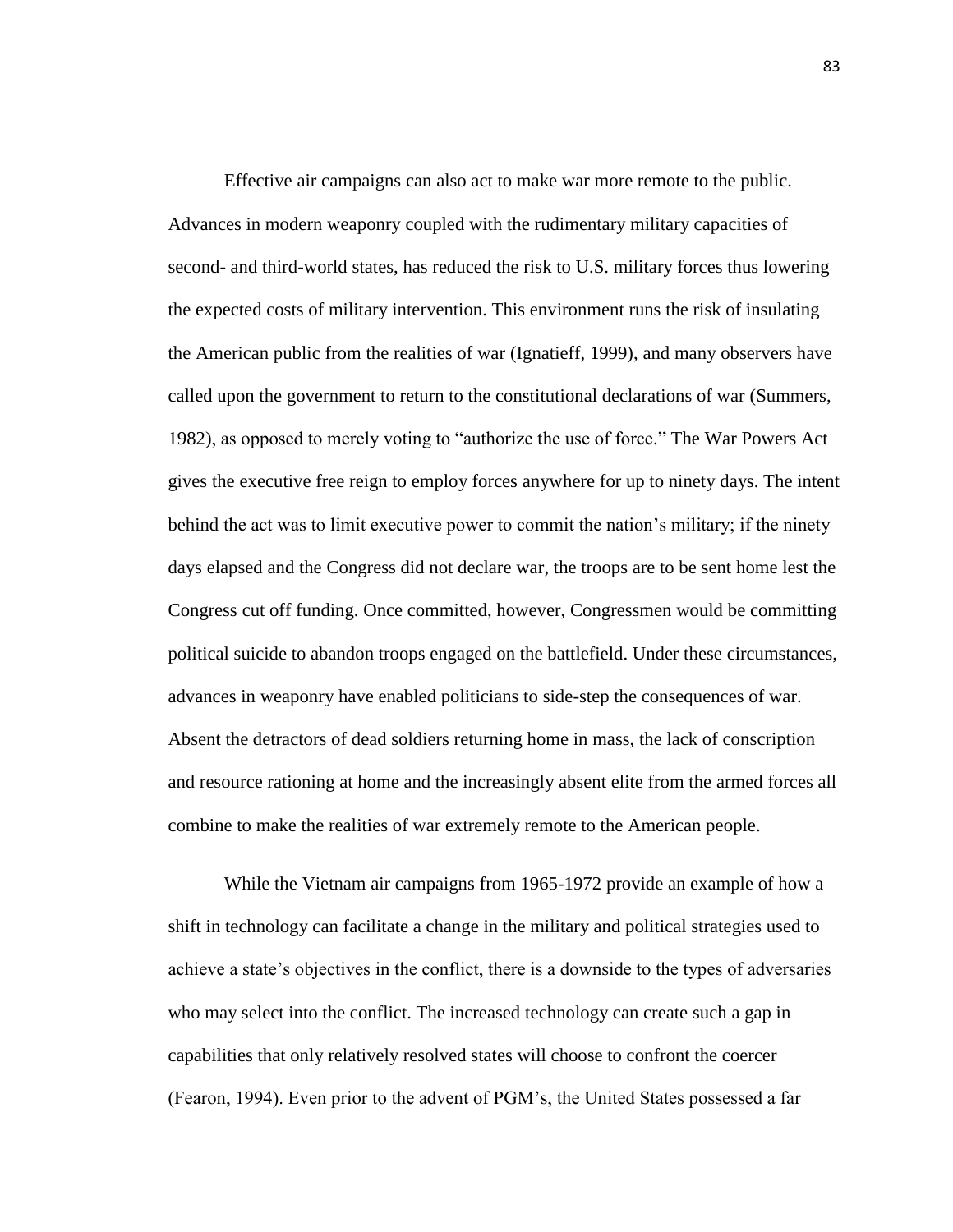Effective air campaigns can also act to make war more remote to the public. Advances in modern weaponry coupled with the rudimentary military capacities of second- and third-world states, has reduced the risk to U.S. military forces thus lowering the expected costs of military intervention. This environment runs the risk of insulating the American public from the realities of war (Ignatieff, 1999), and many observers have called upon the government to return to the constitutional declarations of war (Summers, 1982), as opposed to merely voting to "authorize the use of force." The War Powers Act gives the executive free reign to employ forces anywhere for up to ninety days. The intent behind the act was to limit executive power to commit the nation's military; if the ninety days elapsed and the Congress did not declare war, the troops are to be sent home lest the Congress cut off funding. Once committed, however, Congressmen would be committing political suicide to abandon troops engaged on the battlefield. Under these circumstances, advances in weaponry have enabled politicians to side-step the consequences of war. Absent the detractors of dead soldiers returning home in mass, the lack of conscription and resource rationing at home and the increasingly absent elite from the armed forces all combine to make the realities of war extremely remote to the American people.

While the Vietnam air campaigns from 1965-1972 provide an example of how a shift in technology can facilitate a change in the military and political strategies used to achieve a state's objectives in the conflict, there is a downside to the types of adversaries who may select into the conflict. The increased technology can create such a gap in capabilities that only relatively resolved states will choose to confront the coercer (Fearon, 1994). Even prior to the advent of PGM's, the United States possessed a far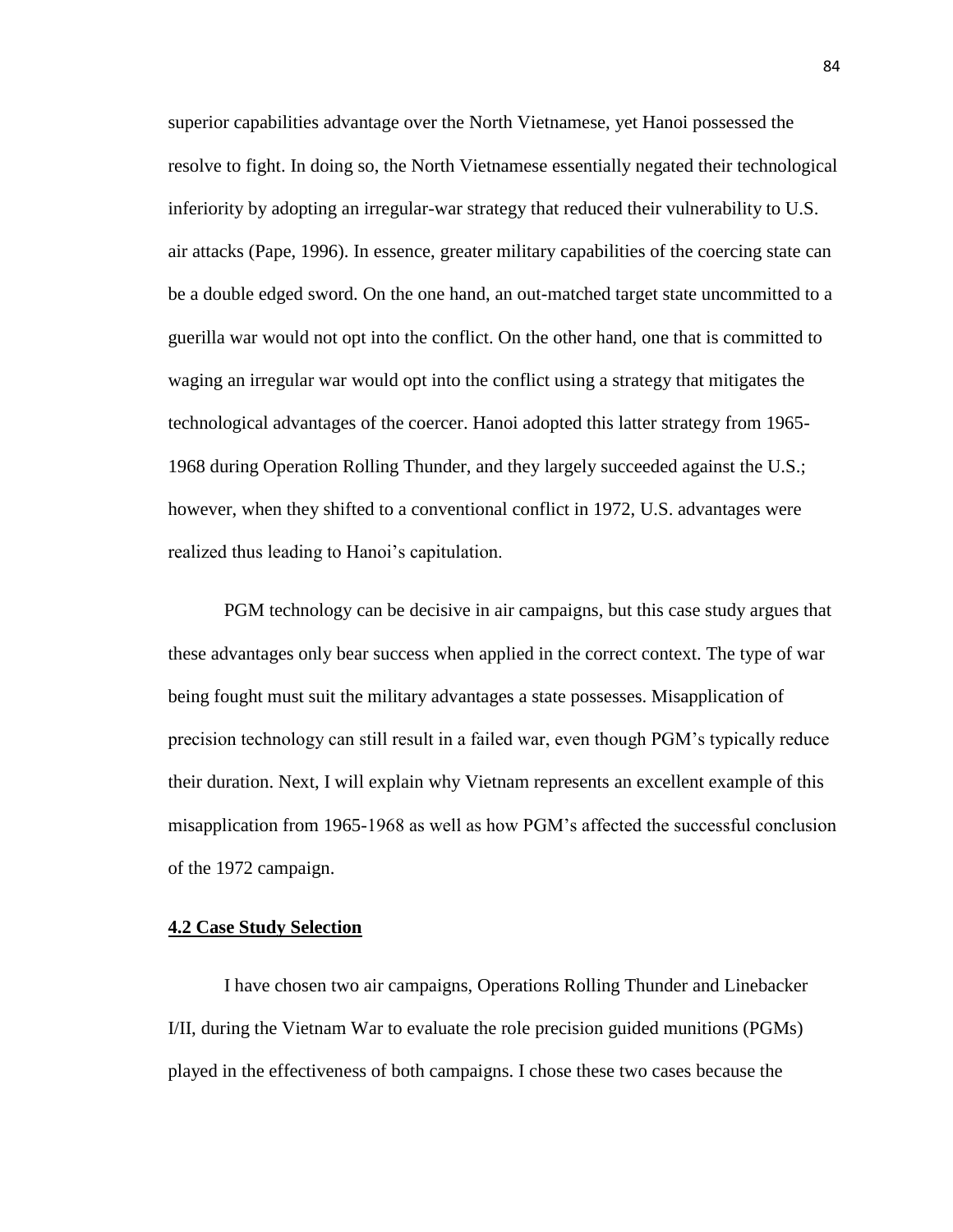superior capabilities advantage over the North Vietnamese, yet Hanoi possessed the resolve to fight. In doing so, the North Vietnamese essentially negated their technological inferiority by adopting an irregular-war strategy that reduced their vulnerability to U.S. air attacks (Pape, 1996). In essence, greater military capabilities of the coercing state can be a double edged sword. On the one hand, an out-matched target state uncommitted to a guerilla war would not opt into the conflict. On the other hand, one that is committed to waging an irregular war would opt into the conflict using a strategy that mitigates the technological advantages of the coercer. Hanoi adopted this latter strategy from 1965- 1968 during Operation Rolling Thunder, and they largely succeeded against the U.S.; however, when they shifted to a conventional conflict in 1972, U.S. advantages were realized thus leading to Hanoi's capitulation.

PGM technology can be decisive in air campaigns, but this case study argues that these advantages only bear success when applied in the correct context. The type of war being fought must suit the military advantages a state possesses. Misapplication of precision technology can still result in a failed war, even though PGM's typically reduce their duration. Next, I will explain why Vietnam represents an excellent example of this misapplication from 1965-1968 as well as how PGM's affected the successful conclusion of the 1972 campaign.

#### **4.2 Case Study Selection**

I have chosen two air campaigns, Operations Rolling Thunder and Linebacker I/II, during the Vietnam War to evaluate the role precision guided munitions (PGMs) played in the effectiveness of both campaigns. I chose these two cases because the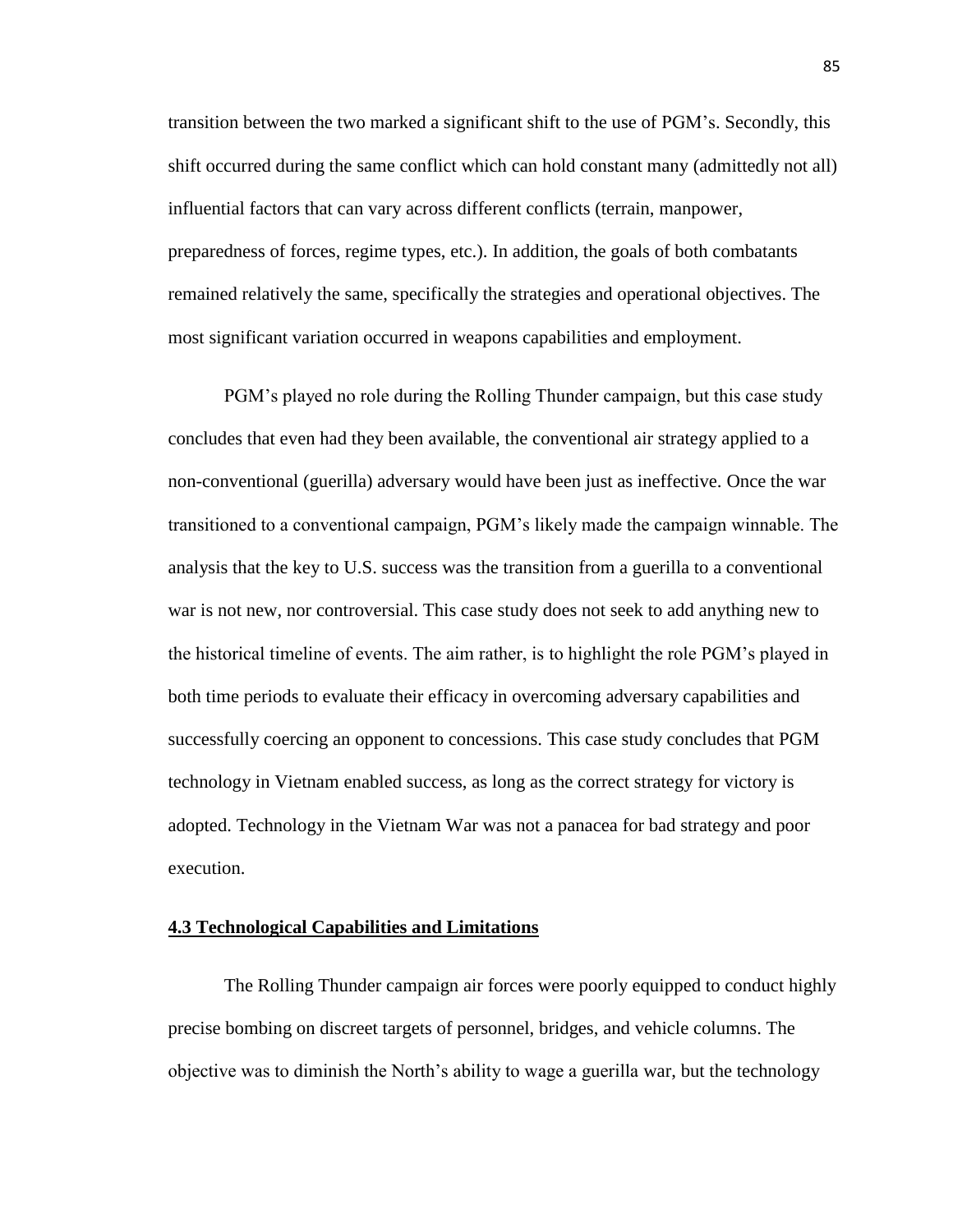transition between the two marked a significant shift to the use of PGM's. Secondly, this shift occurred during the same conflict which can hold constant many (admittedly not all) influential factors that can vary across different conflicts (terrain, manpower, preparedness of forces, regime types, etc.). In addition, the goals of both combatants remained relatively the same, specifically the strategies and operational objectives. The most significant variation occurred in weapons capabilities and employment.

PGM's played no role during the Rolling Thunder campaign, but this case study concludes that even had they been available, the conventional air strategy applied to a non-conventional (guerilla) adversary would have been just as ineffective. Once the war transitioned to a conventional campaign, PGM's likely made the campaign winnable. The analysis that the key to U.S. success was the transition from a guerilla to a conventional war is not new, nor controversial. This case study does not seek to add anything new to the historical timeline of events. The aim rather, is to highlight the role PGM's played in both time periods to evaluate their efficacy in overcoming adversary capabilities and successfully coercing an opponent to concessions. This case study concludes that PGM technology in Vietnam enabled success, as long as the correct strategy for victory is adopted. Technology in the Vietnam War was not a panacea for bad strategy and poor execution.

#### **4.3 Technological Capabilities and Limitations**

The Rolling Thunder campaign air forces were poorly equipped to conduct highly precise bombing on discreet targets of personnel, bridges, and vehicle columns. The objective was to diminish the North's ability to wage a guerilla war, but the technology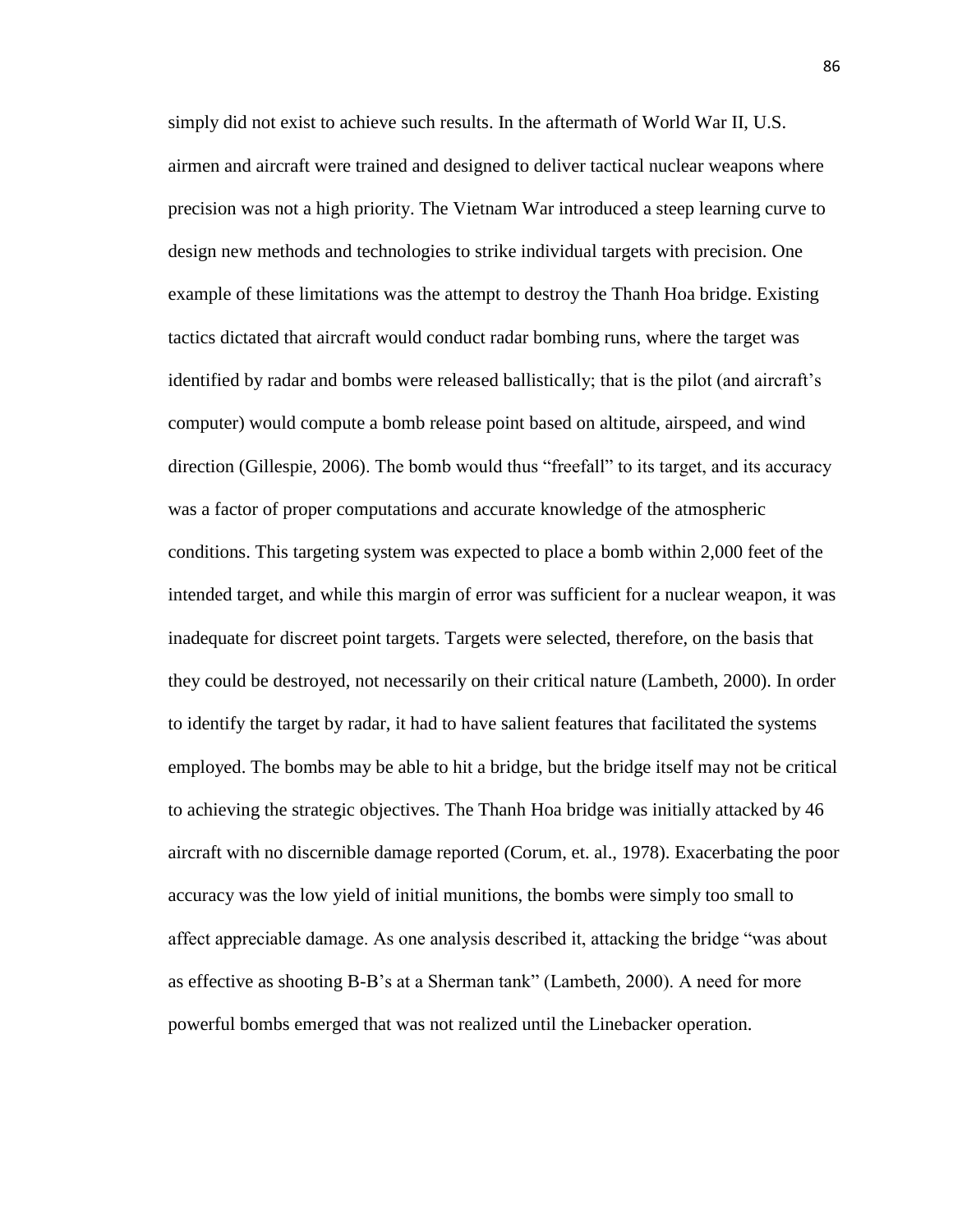simply did not exist to achieve such results. In the aftermath of World War II, U.S. airmen and aircraft were trained and designed to deliver tactical nuclear weapons where precision was not a high priority. The Vietnam War introduced a steep learning curve to design new methods and technologies to strike individual targets with precision. One example of these limitations was the attempt to destroy the Thanh Hoa bridge. Existing tactics dictated that aircraft would conduct radar bombing runs, where the target was identified by radar and bombs were released ballistically; that is the pilot (and aircraft's computer) would compute a bomb release point based on altitude, airspeed, and wind direction (Gillespie, 2006). The bomb would thus "freefall" to its target, and its accuracy was a factor of proper computations and accurate knowledge of the atmospheric conditions. This targeting system was expected to place a bomb within 2,000 feet of the intended target, and while this margin of error was sufficient for a nuclear weapon, it was inadequate for discreet point targets. Targets were selected, therefore, on the basis that they could be destroyed, not necessarily on their critical nature (Lambeth, 2000). In order to identify the target by radar, it had to have salient features that facilitated the systems employed. The bombs may be able to hit a bridge, but the bridge itself may not be critical to achieving the strategic objectives. The Thanh Hoa bridge was initially attacked by 46 aircraft with no discernible damage reported (Corum, et. al., 1978). Exacerbating the poor accuracy was the low yield of initial munitions, the bombs were simply too small to affect appreciable damage. As one analysis described it, attacking the bridge "was about as effective as shooting B-B's at a Sherman tank" (Lambeth, 2000). A need for more powerful bombs emerged that was not realized until the Linebacker operation.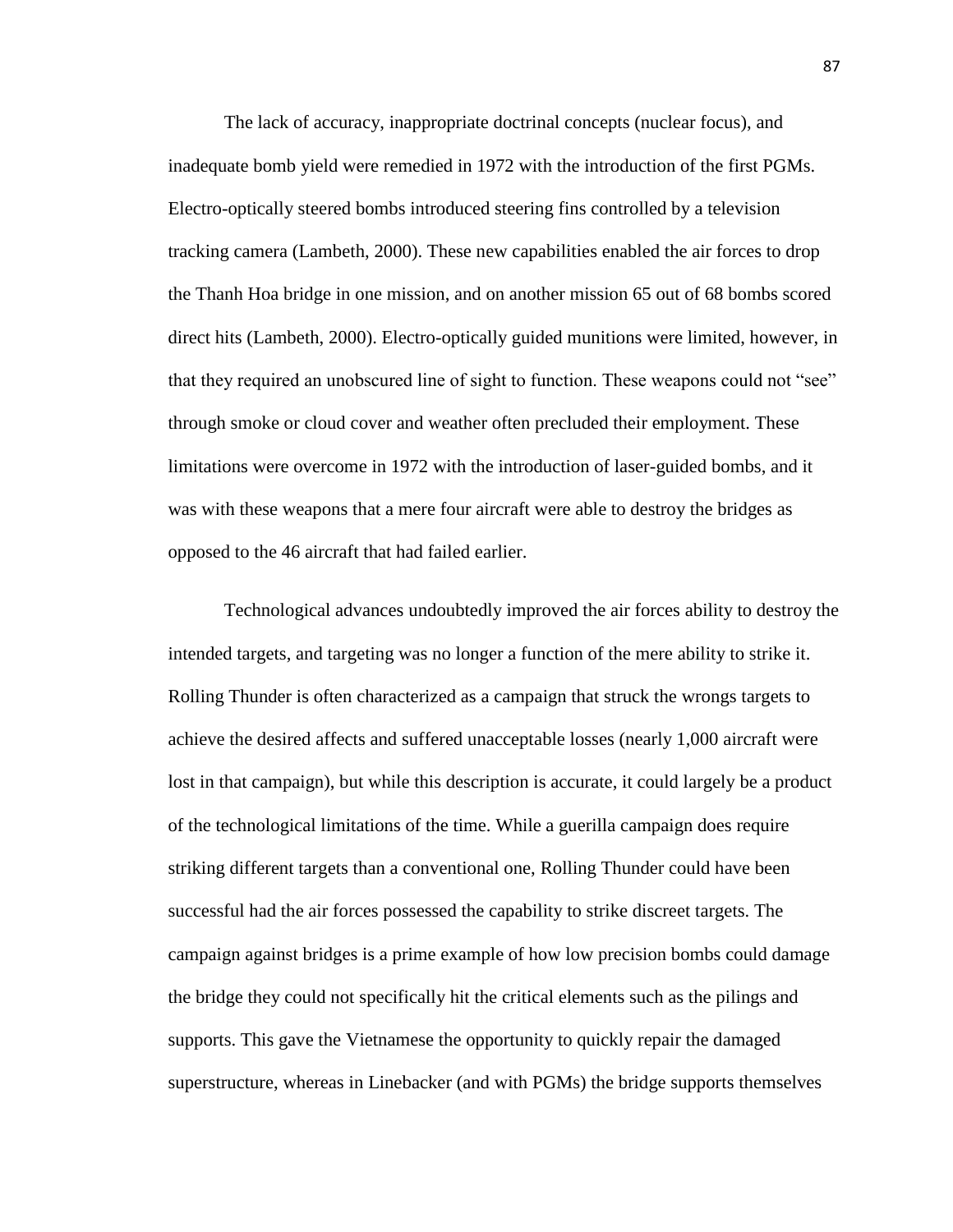The lack of accuracy, inappropriate doctrinal concepts (nuclear focus), and inadequate bomb yield were remedied in 1972 with the introduction of the first PGMs. Electro-optically steered bombs introduced steering fins controlled by a television tracking camera (Lambeth, 2000). These new capabilities enabled the air forces to drop the Thanh Hoa bridge in one mission, and on another mission 65 out of 68 bombs scored direct hits (Lambeth, 2000). Electro-optically guided munitions were limited, however, in that they required an unobscured line of sight to function. These weapons could not "see" through smoke or cloud cover and weather often precluded their employment. These limitations were overcome in 1972 with the introduction of laser-guided bombs, and it was with these weapons that a mere four aircraft were able to destroy the bridges as opposed to the 46 aircraft that had failed earlier.

Technological advances undoubtedly improved the air forces ability to destroy the intended targets, and targeting was no longer a function of the mere ability to strike it. Rolling Thunder is often characterized as a campaign that struck the wrongs targets to achieve the desired affects and suffered unacceptable losses (nearly 1,000 aircraft were lost in that campaign), but while this description is accurate, it could largely be a product of the technological limitations of the time. While a guerilla campaign does require striking different targets than a conventional one, Rolling Thunder could have been successful had the air forces possessed the capability to strike discreet targets. The campaign against bridges is a prime example of how low precision bombs could damage the bridge they could not specifically hit the critical elements such as the pilings and supports. This gave the Vietnamese the opportunity to quickly repair the damaged superstructure, whereas in Linebacker (and with PGMs) the bridge supports themselves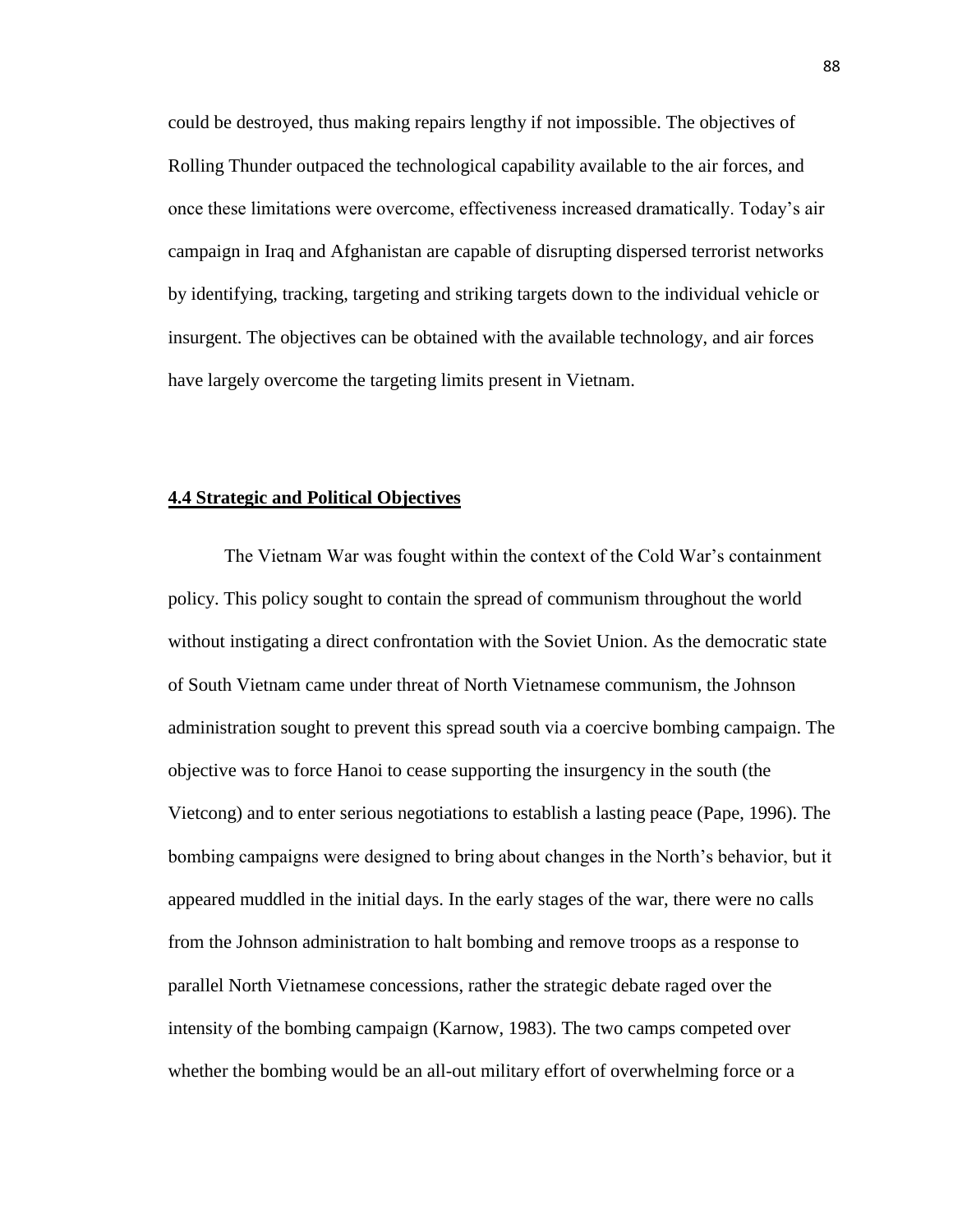could be destroyed, thus making repairs lengthy if not impossible. The objectives of Rolling Thunder outpaced the technological capability available to the air forces, and once these limitations were overcome, effectiveness increased dramatically. Today's air campaign in Iraq and Afghanistan are capable of disrupting dispersed terrorist networks by identifying, tracking, targeting and striking targets down to the individual vehicle or insurgent. The objectives can be obtained with the available technology, and air forces have largely overcome the targeting limits present in Vietnam.

# **4.4 Strategic and Political Objectives**

The Vietnam War was fought within the context of the Cold War's containment policy. This policy sought to contain the spread of communism throughout the world without instigating a direct confrontation with the Soviet Union. As the democratic state of South Vietnam came under threat of North Vietnamese communism, the Johnson administration sought to prevent this spread south via a coercive bombing campaign. The objective was to force Hanoi to cease supporting the insurgency in the south (the Vietcong) and to enter serious negotiations to establish a lasting peace (Pape, 1996). The bombing campaigns were designed to bring about changes in the North's behavior, but it appeared muddled in the initial days. In the early stages of the war, there were no calls from the Johnson administration to halt bombing and remove troops as a response to parallel North Vietnamese concessions, rather the strategic debate raged over the intensity of the bombing campaign (Karnow, 1983). The two camps competed over whether the bombing would be an all-out military effort of overwhelming force or a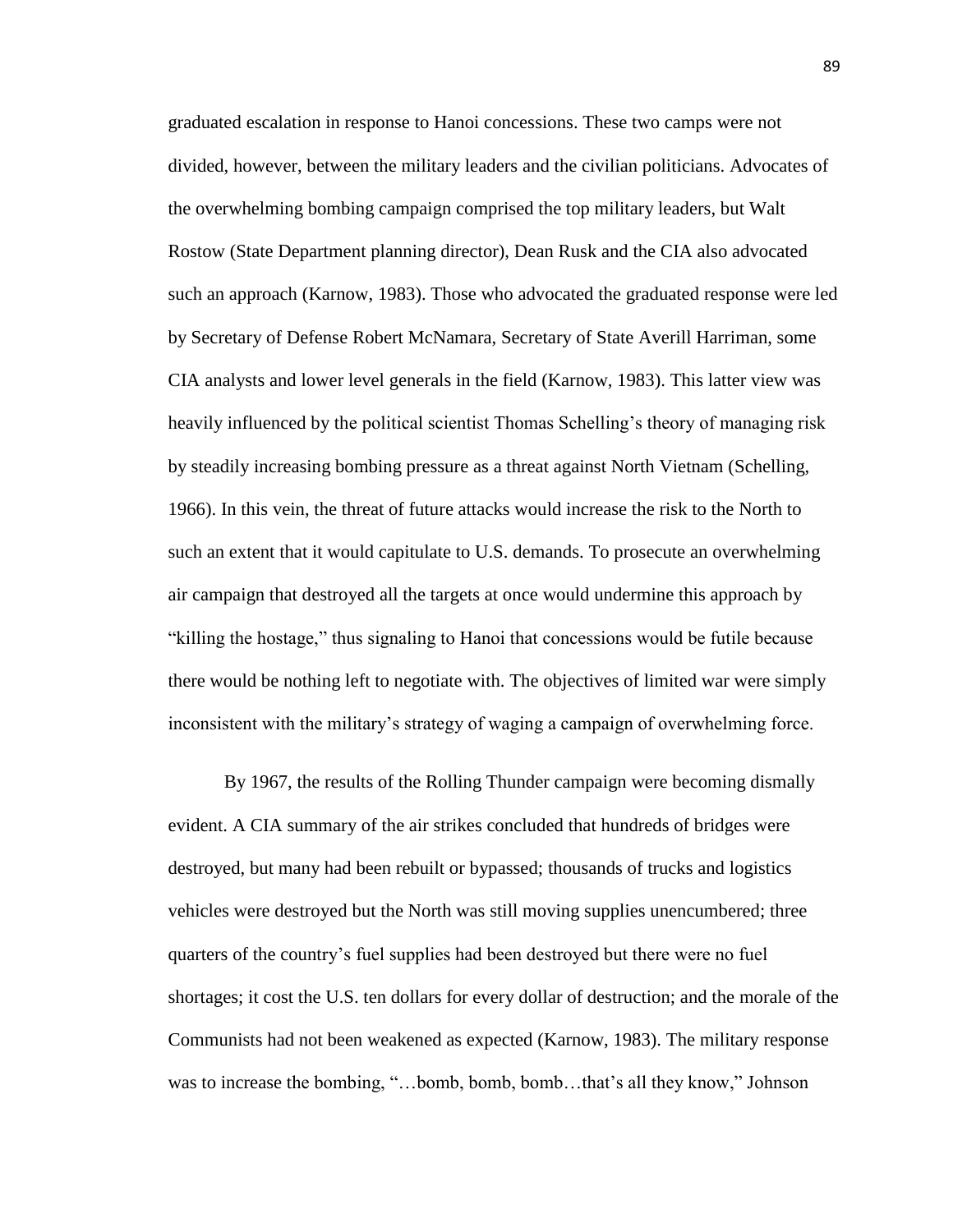graduated escalation in response to Hanoi concessions. These two camps were not divided, however, between the military leaders and the civilian politicians. Advocates of the overwhelming bombing campaign comprised the top military leaders, but Walt Rostow (State Department planning director), Dean Rusk and the CIA also advocated such an approach (Karnow, 1983). Those who advocated the graduated response were led by Secretary of Defense Robert McNamara, Secretary of State Averill Harriman, some CIA analysts and lower level generals in the field (Karnow, 1983). This latter view was heavily influenced by the political scientist Thomas Schelling's theory of managing risk by steadily increasing bombing pressure as a threat against North Vietnam (Schelling, 1966). In this vein, the threat of future attacks would increase the risk to the North to such an extent that it would capitulate to U.S. demands. To prosecute an overwhelming air campaign that destroyed all the targets at once would undermine this approach by "killing the hostage," thus signaling to Hanoi that concessions would be futile because there would be nothing left to negotiate with. The objectives of limited war were simply inconsistent with the military's strategy of waging a campaign of overwhelming force.

By 1967, the results of the Rolling Thunder campaign were becoming dismally evident. A CIA summary of the air strikes concluded that hundreds of bridges were destroyed, but many had been rebuilt or bypassed; thousands of trucks and logistics vehicles were destroyed but the North was still moving supplies unencumbered; three quarters of the country's fuel supplies had been destroyed but there were no fuel shortages; it cost the U.S. ten dollars for every dollar of destruction; and the morale of the Communists had not been weakened as expected (Karnow, 1983). The military response was to increase the bombing, "…bomb, bomb, bomb…that's all they know," Johnson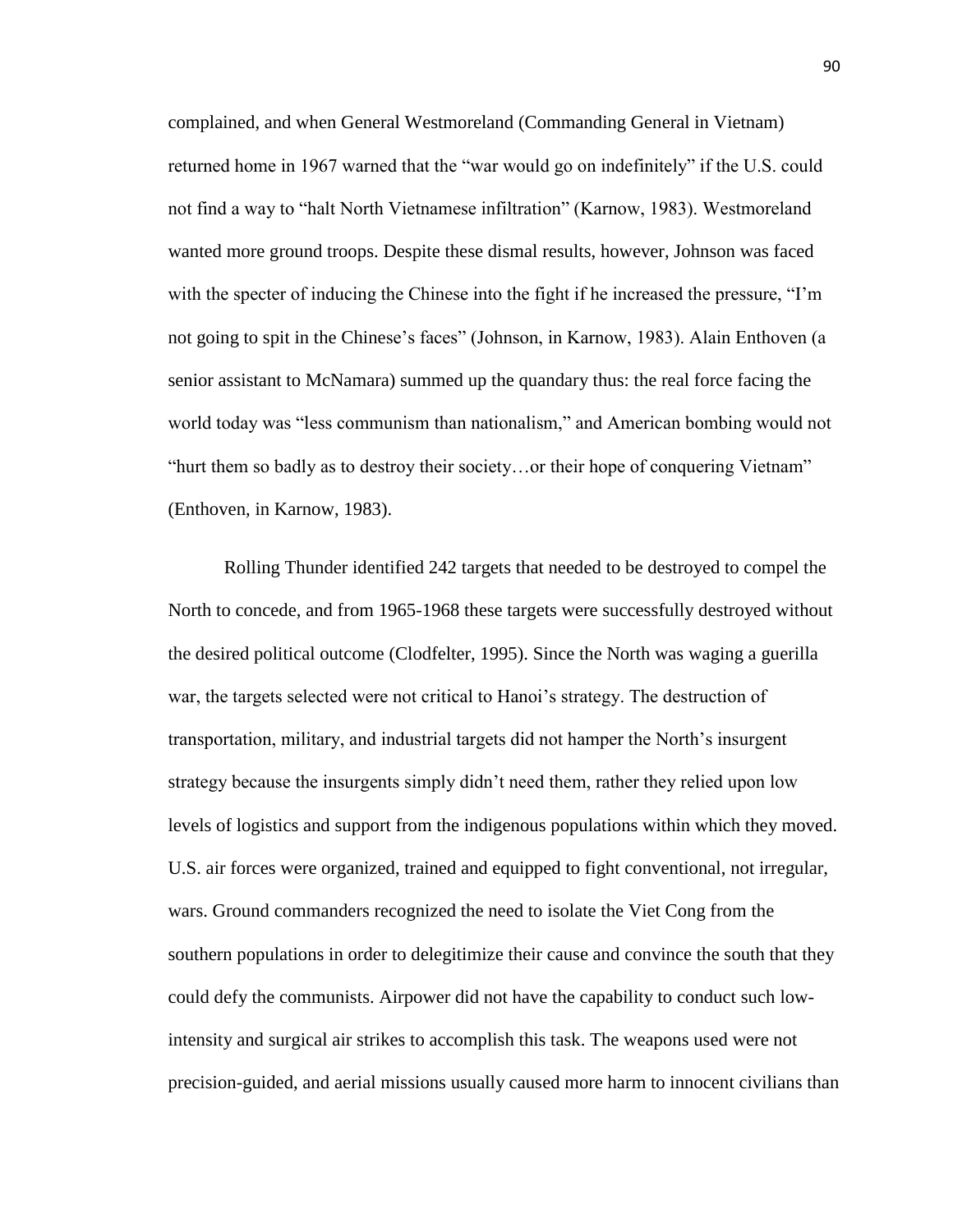complained, and when General Westmoreland (Commanding General in Vietnam) returned home in 1967 warned that the "war would go on indefinitely" if the U.S. could not find a way to "halt North Vietnamese infiltration" (Karnow, 1983). Westmoreland wanted more ground troops. Despite these dismal results, however, Johnson was faced with the specter of inducing the Chinese into the fight if he increased the pressure, "I'm not going to spit in the Chinese's faces" (Johnson, in Karnow, 1983). Alain Enthoven (a senior assistant to McNamara) summed up the quandary thus: the real force facing the world today was "less communism than nationalism," and American bombing would not "hurt them so badly as to destroy their society…or their hope of conquering Vietnam" (Enthoven, in Karnow, 1983).

Rolling Thunder identified 242 targets that needed to be destroyed to compel the North to concede, and from 1965-1968 these targets were successfully destroyed without the desired political outcome (Clodfelter, 1995). Since the North was waging a guerilla war, the targets selected were not critical to Hanoi's strategy. The destruction of transportation, military, and industrial targets did not hamper the North's insurgent strategy because the insurgents simply didn't need them, rather they relied upon low levels of logistics and support from the indigenous populations within which they moved. U.S. air forces were organized, trained and equipped to fight conventional, not irregular, wars. Ground commanders recognized the need to isolate the Viet Cong from the southern populations in order to delegitimize their cause and convince the south that they could defy the communists. Airpower did not have the capability to conduct such lowintensity and surgical air strikes to accomplish this task. The weapons used were not precision-guided, and aerial missions usually caused more harm to innocent civilians than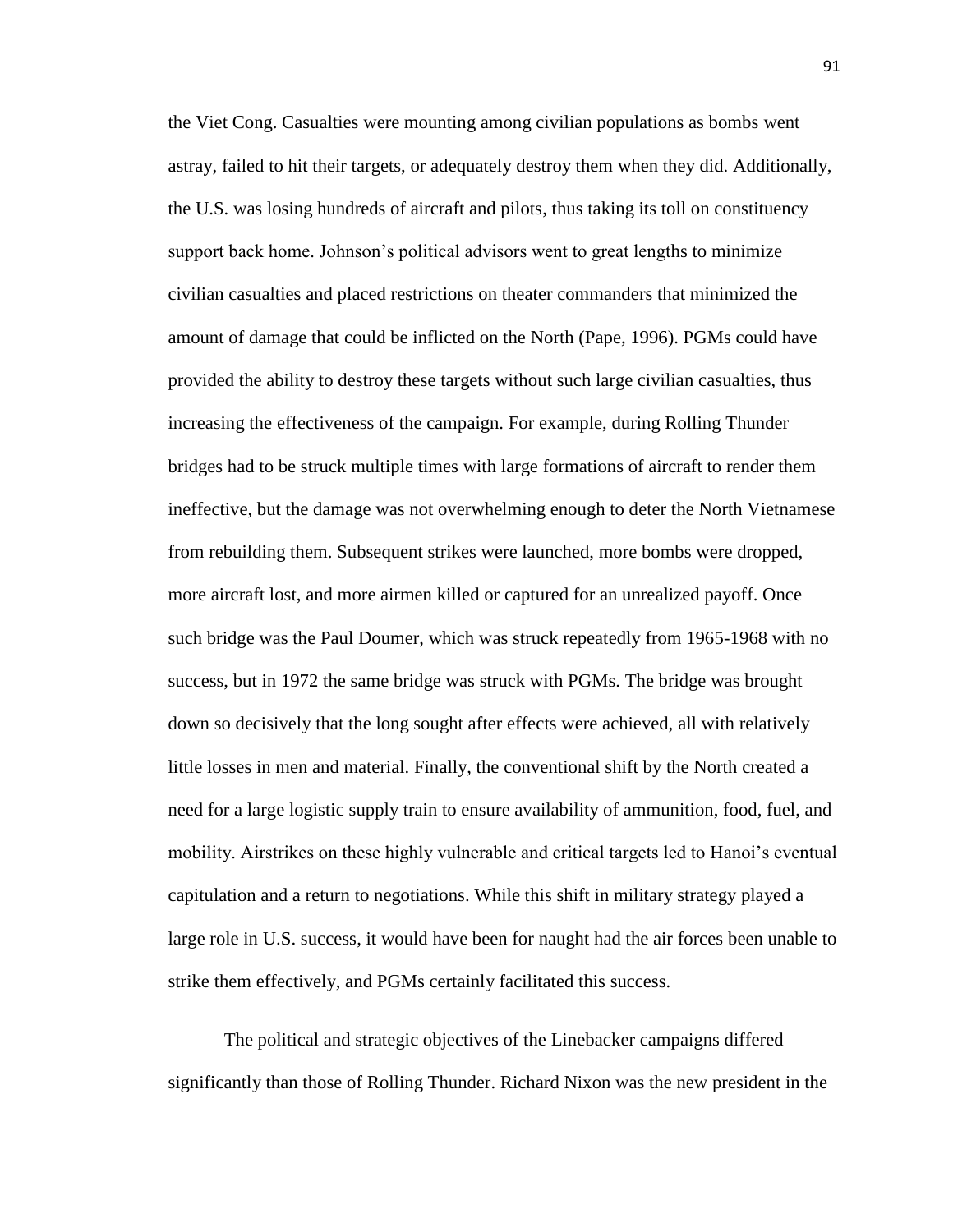the Viet Cong. Casualties were mounting among civilian populations as bombs went astray, failed to hit their targets, or adequately destroy them when they did. Additionally, the U.S. was losing hundreds of aircraft and pilots, thus taking its toll on constituency support back home. Johnson's political advisors went to great lengths to minimize civilian casualties and placed restrictions on theater commanders that minimized the amount of damage that could be inflicted on the North (Pape, 1996). PGMs could have provided the ability to destroy these targets without such large civilian casualties, thus increasing the effectiveness of the campaign. For example, during Rolling Thunder bridges had to be struck multiple times with large formations of aircraft to render them ineffective, but the damage was not overwhelming enough to deter the North Vietnamese from rebuilding them. Subsequent strikes were launched, more bombs were dropped, more aircraft lost, and more airmen killed or captured for an unrealized payoff. Once such bridge was the Paul Doumer, which was struck repeatedly from 1965-1968 with no success, but in 1972 the same bridge was struck with PGMs. The bridge was brought down so decisively that the long sought after effects were achieved, all with relatively little losses in men and material. Finally, the conventional shift by the North created a need for a large logistic supply train to ensure availability of ammunition, food, fuel, and mobility. Airstrikes on these highly vulnerable and critical targets led to Hanoi's eventual capitulation and a return to negotiations. While this shift in military strategy played a large role in U.S. success, it would have been for naught had the air forces been unable to strike them effectively, and PGMs certainly facilitated this success.

The political and strategic objectives of the Linebacker campaigns differed significantly than those of Rolling Thunder. Richard Nixon was the new president in the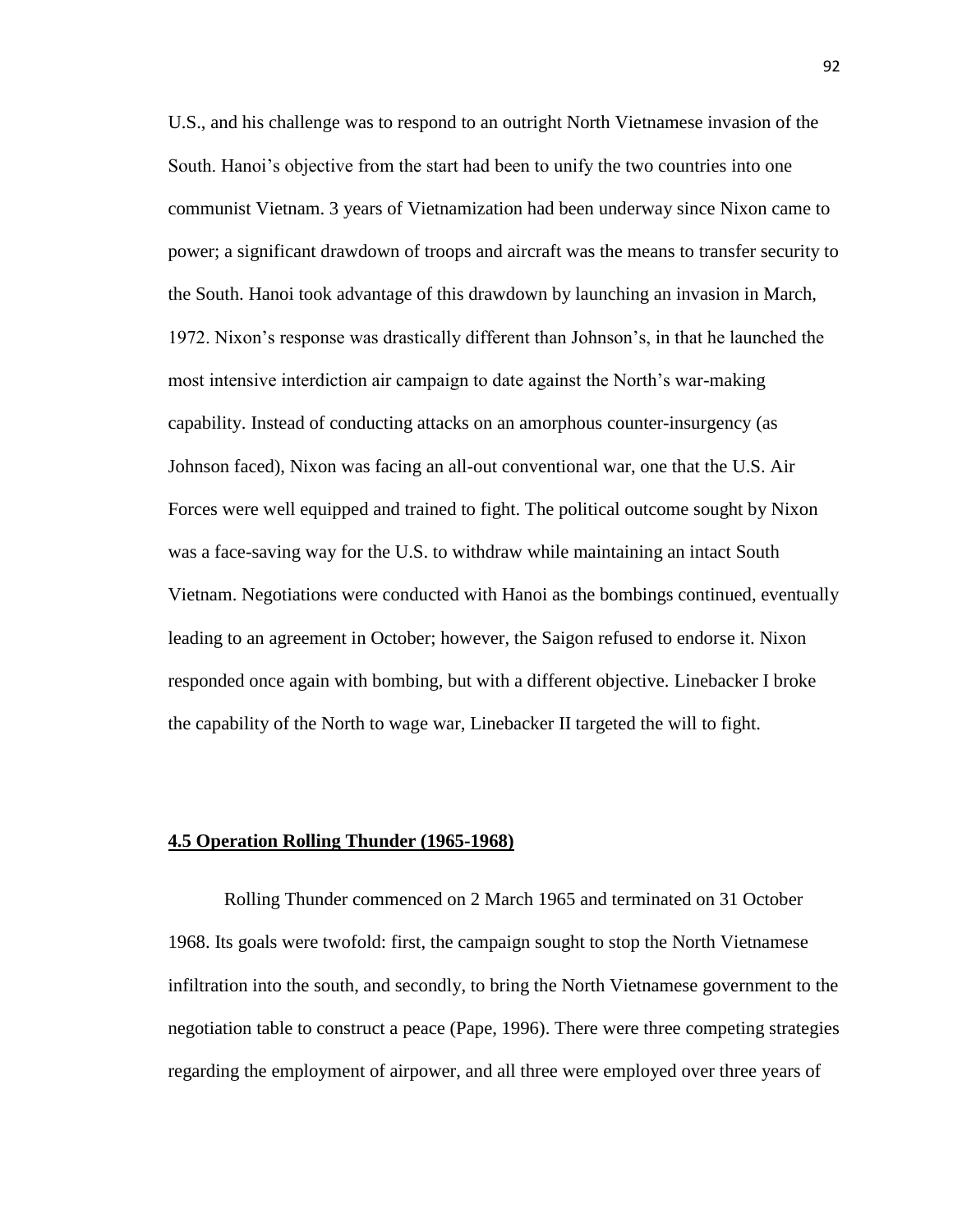U.S., and his challenge was to respond to an outright North Vietnamese invasion of the South. Hanoi's objective from the start had been to unify the two countries into one communist Vietnam. 3 years of Vietnamization had been underway since Nixon came to power; a significant drawdown of troops and aircraft was the means to transfer security to the South. Hanoi took advantage of this drawdown by launching an invasion in March, 1972. Nixon's response was drastically different than Johnson's, in that he launched the most intensive interdiction air campaign to date against the North's war-making capability. Instead of conducting attacks on an amorphous counter-insurgency (as Johnson faced), Nixon was facing an all-out conventional war, one that the U.S. Air Forces were well equipped and trained to fight. The political outcome sought by Nixon was a face-saving way for the U.S. to withdraw while maintaining an intact South Vietnam. Negotiations were conducted with Hanoi as the bombings continued, eventually leading to an agreement in October; however, the Saigon refused to endorse it. Nixon responded once again with bombing, but with a different objective. Linebacker I broke the capability of the North to wage war, Linebacker II targeted the will to fight.

# **4.5 Operation Rolling Thunder (1965-1968)**

Rolling Thunder commenced on 2 March 1965 and terminated on 31 October 1968. Its goals were twofold: first, the campaign sought to stop the North Vietnamese infiltration into the south, and secondly, to bring the North Vietnamese government to the negotiation table to construct a peace (Pape, 1996). There were three competing strategies regarding the employment of airpower, and all three were employed over three years of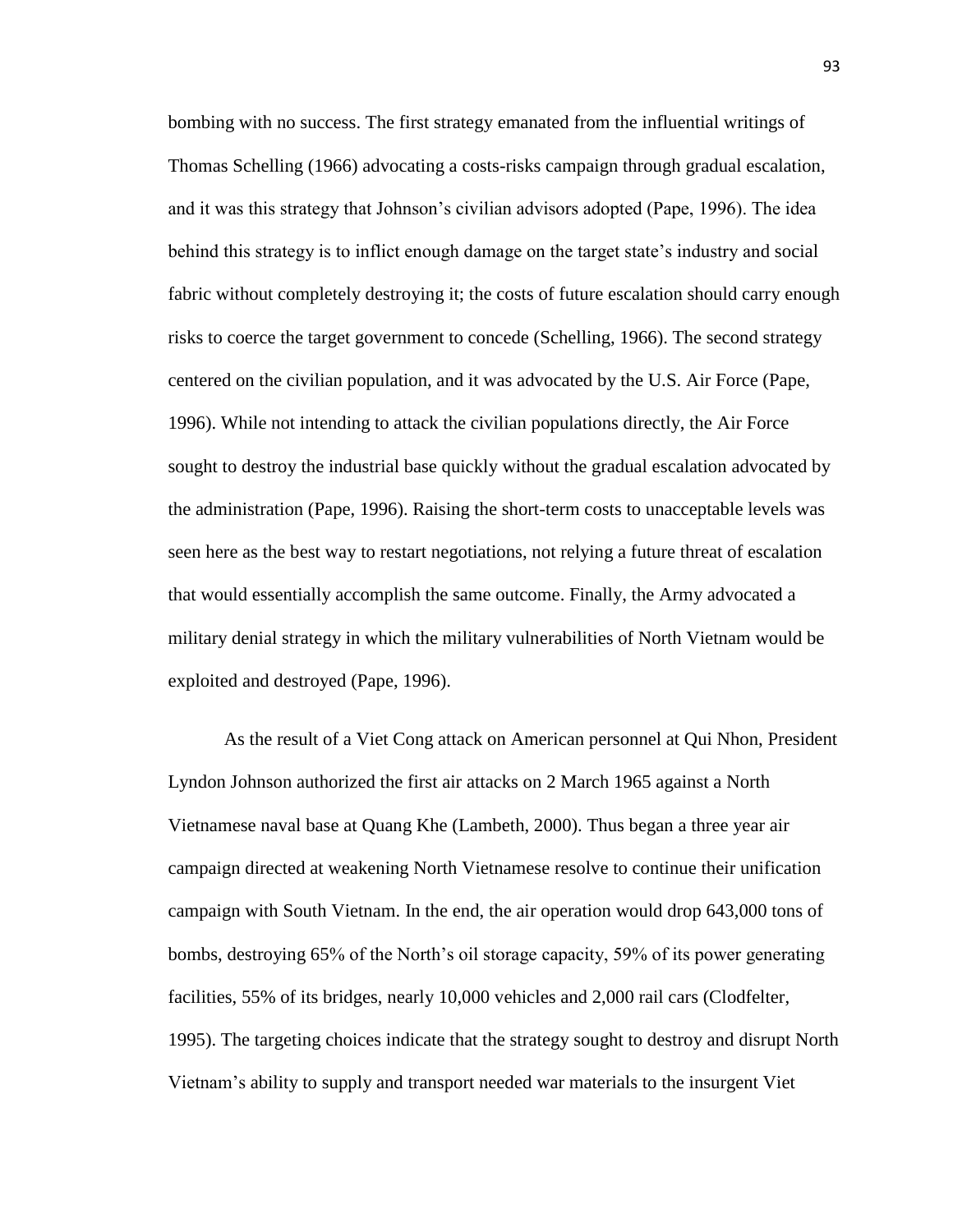bombing with no success. The first strategy emanated from the influential writings of Thomas Schelling (1966) advocating a costs-risks campaign through gradual escalation, and it was this strategy that Johnson's civilian advisors adopted (Pape, 1996). The idea behind this strategy is to inflict enough damage on the target state's industry and social fabric without completely destroying it; the costs of future escalation should carry enough risks to coerce the target government to concede (Schelling, 1966). The second strategy centered on the civilian population, and it was advocated by the U.S. Air Force (Pape, 1996). While not intending to attack the civilian populations directly, the Air Force sought to destroy the industrial base quickly without the gradual escalation advocated by the administration (Pape, 1996). Raising the short-term costs to unacceptable levels was seen here as the best way to restart negotiations, not relying a future threat of escalation that would essentially accomplish the same outcome. Finally, the Army advocated a military denial strategy in which the military vulnerabilities of North Vietnam would be exploited and destroyed (Pape, 1996).

As the result of a Viet Cong attack on American personnel at Qui Nhon, President Lyndon Johnson authorized the first air attacks on 2 March 1965 against a North Vietnamese naval base at Quang Khe (Lambeth, 2000). Thus began a three year air campaign directed at weakening North Vietnamese resolve to continue their unification campaign with South Vietnam. In the end, the air operation would drop 643,000 tons of bombs, destroying 65% of the North's oil storage capacity, 59% of its power generating facilities, 55% of its bridges, nearly 10,000 vehicles and 2,000 rail cars (Clodfelter, 1995). The targeting choices indicate that the strategy sought to destroy and disrupt North Vietnam's ability to supply and transport needed war materials to the insurgent Viet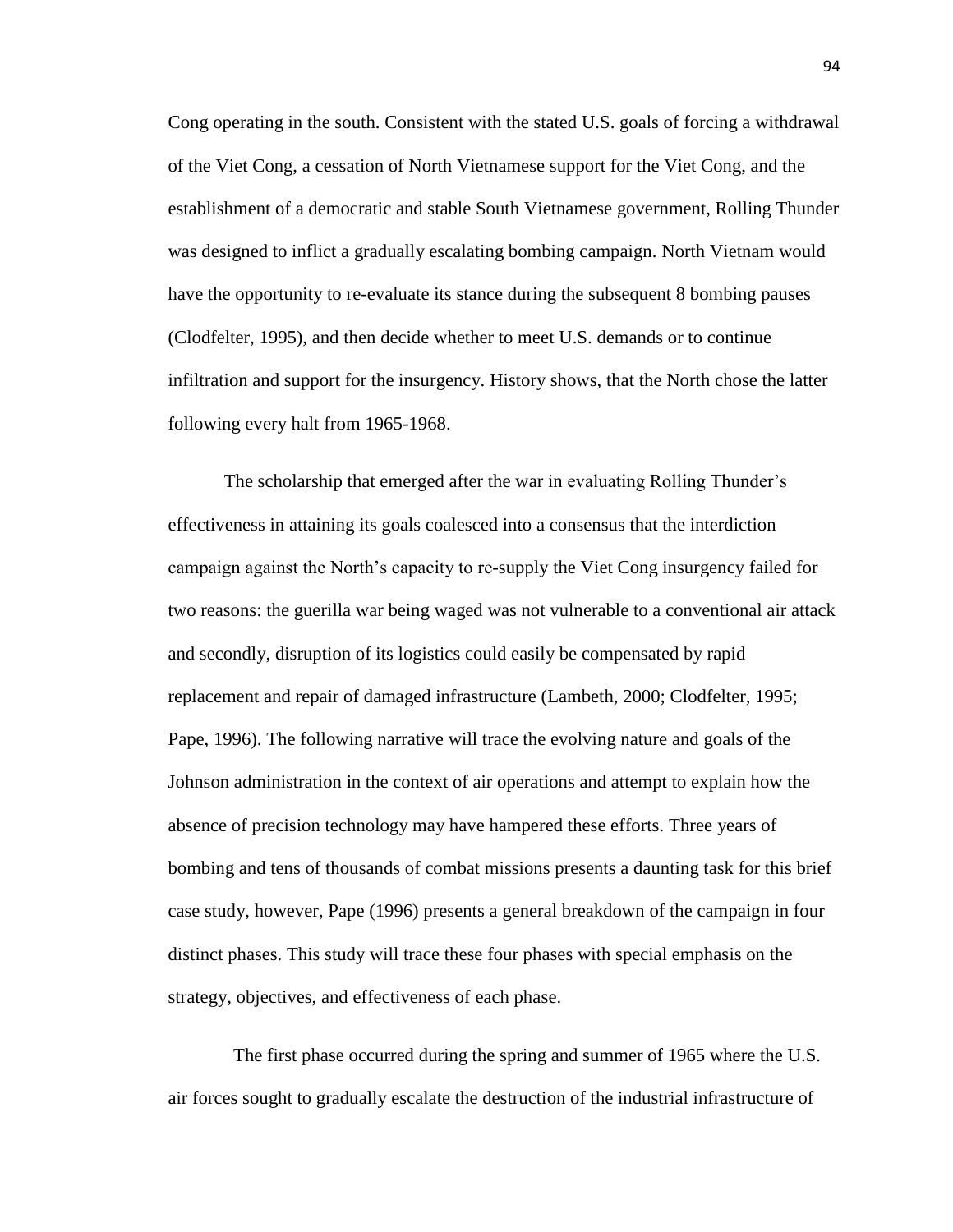Cong operating in the south. Consistent with the stated U.S. goals of forcing a withdrawal of the Viet Cong, a cessation of North Vietnamese support for the Viet Cong, and the establishment of a democratic and stable South Vietnamese government, Rolling Thunder was designed to inflict a gradually escalating bombing campaign. North Vietnam would have the opportunity to re-evaluate its stance during the subsequent 8 bombing pauses (Clodfelter, 1995), and then decide whether to meet U.S. demands or to continue infiltration and support for the insurgency. History shows, that the North chose the latter following every halt from 1965-1968.

The scholarship that emerged after the war in evaluating Rolling Thunder's effectiveness in attaining its goals coalesced into a consensus that the interdiction campaign against the North's capacity to re-supply the Viet Cong insurgency failed for two reasons: the guerilla war being waged was not vulnerable to a conventional air attack and secondly, disruption of its logistics could easily be compensated by rapid replacement and repair of damaged infrastructure (Lambeth, 2000; Clodfelter, 1995; Pape, 1996). The following narrative will trace the evolving nature and goals of the Johnson administration in the context of air operations and attempt to explain how the absence of precision technology may have hampered these efforts. Three years of bombing and tens of thousands of combat missions presents a daunting task for this brief case study, however, Pape (1996) presents a general breakdown of the campaign in four distinct phases. This study will trace these four phases with special emphasis on the strategy, objectives, and effectiveness of each phase.

 The first phase occurred during the spring and summer of 1965 where the U.S. air forces sought to gradually escalate the destruction of the industrial infrastructure of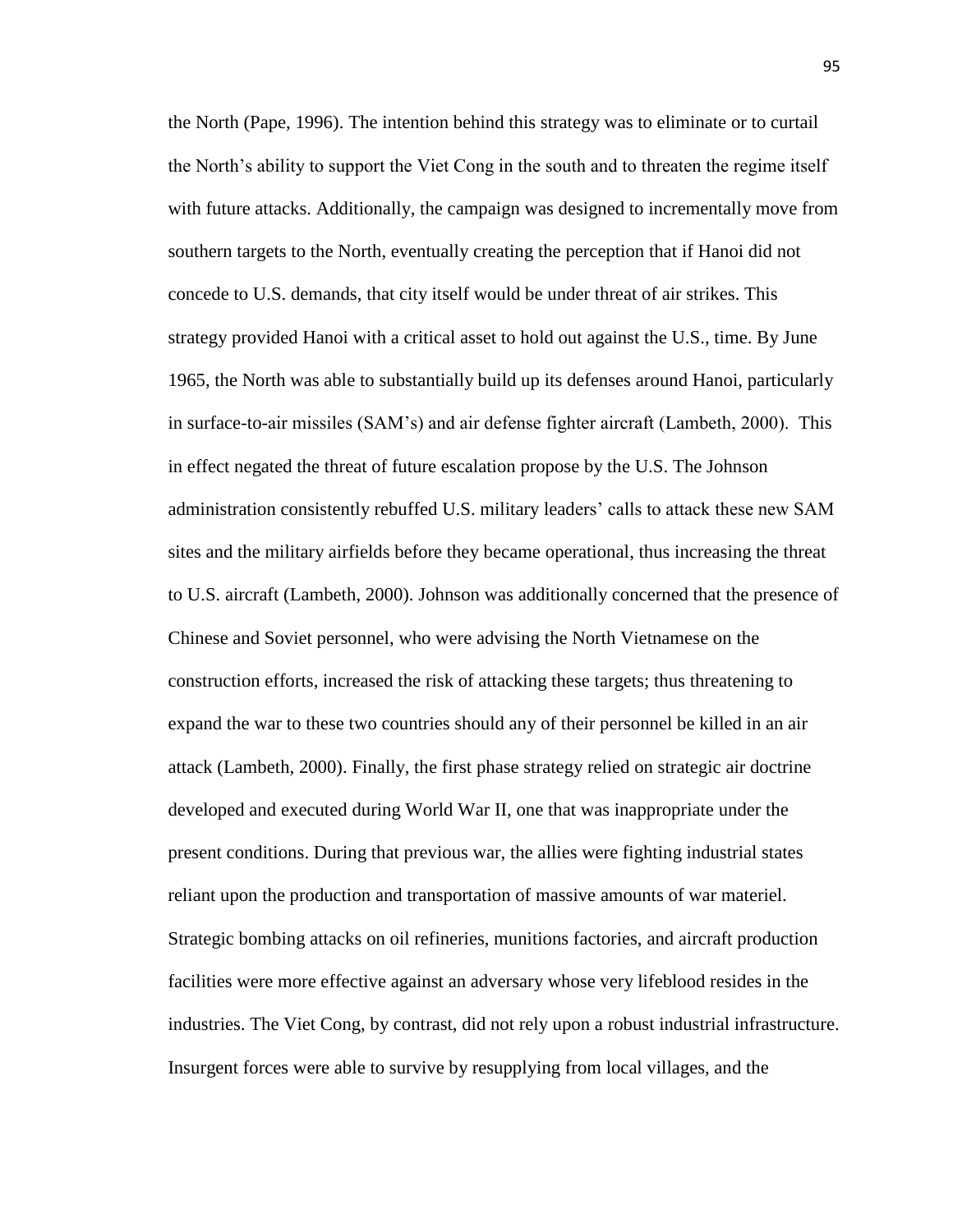the North (Pape, 1996). The intention behind this strategy was to eliminate or to curtail the North's ability to support the Viet Cong in the south and to threaten the regime itself with future attacks. Additionally, the campaign was designed to incrementally move from southern targets to the North, eventually creating the perception that if Hanoi did not concede to U.S. demands, that city itself would be under threat of air strikes. This strategy provided Hanoi with a critical asset to hold out against the U.S., time. By June 1965, the North was able to substantially build up its defenses around Hanoi, particularly in surface-to-air missiles (SAM's) and air defense fighter aircraft (Lambeth, 2000). This in effect negated the threat of future escalation propose by the U.S. The Johnson administration consistently rebuffed U.S. military leaders' calls to attack these new SAM sites and the military airfields before they became operational, thus increasing the threat to U.S. aircraft (Lambeth, 2000). Johnson was additionally concerned that the presence of Chinese and Soviet personnel, who were advising the North Vietnamese on the construction efforts, increased the risk of attacking these targets; thus threatening to expand the war to these two countries should any of their personnel be killed in an air attack (Lambeth, 2000). Finally, the first phase strategy relied on strategic air doctrine developed and executed during World War II, one that was inappropriate under the present conditions. During that previous war, the allies were fighting industrial states reliant upon the production and transportation of massive amounts of war materiel. Strategic bombing attacks on oil refineries, munitions factories, and aircraft production facilities were more effective against an adversary whose very lifeblood resides in the industries. The Viet Cong, by contrast, did not rely upon a robust industrial infrastructure. Insurgent forces were able to survive by resupplying from local villages, and the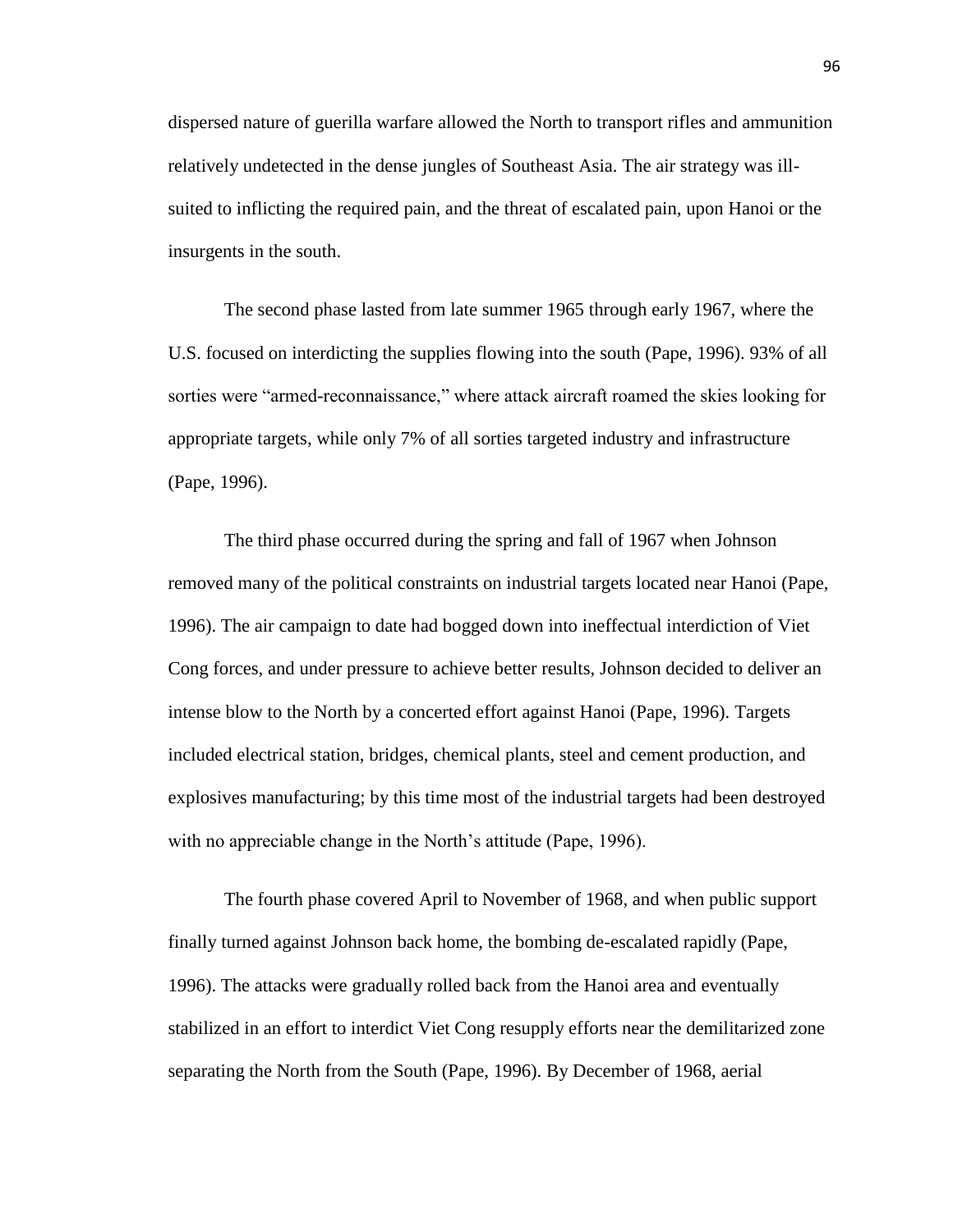dispersed nature of guerilla warfare allowed the North to transport rifles and ammunition relatively undetected in the dense jungles of Southeast Asia. The air strategy was illsuited to inflicting the required pain, and the threat of escalated pain, upon Hanoi or the insurgents in the south.

The second phase lasted from late summer 1965 through early 1967, where the U.S. focused on interdicting the supplies flowing into the south (Pape, 1996). 93% of all sorties were "armed-reconnaissance," where attack aircraft roamed the skies looking for appropriate targets, while only 7% of all sorties targeted industry and infrastructure (Pape, 1996).

The third phase occurred during the spring and fall of 1967 when Johnson removed many of the political constraints on industrial targets located near Hanoi (Pape, 1996). The air campaign to date had bogged down into ineffectual interdiction of Viet Cong forces, and under pressure to achieve better results, Johnson decided to deliver an intense blow to the North by a concerted effort against Hanoi (Pape, 1996). Targets included electrical station, bridges, chemical plants, steel and cement production, and explosives manufacturing; by this time most of the industrial targets had been destroyed with no appreciable change in the North's attitude (Pape, 1996).

The fourth phase covered April to November of 1968, and when public support finally turned against Johnson back home, the bombing de-escalated rapidly (Pape, 1996). The attacks were gradually rolled back from the Hanoi area and eventually stabilized in an effort to interdict Viet Cong resupply efforts near the demilitarized zone separating the North from the South (Pape, 1996). By December of 1968, aerial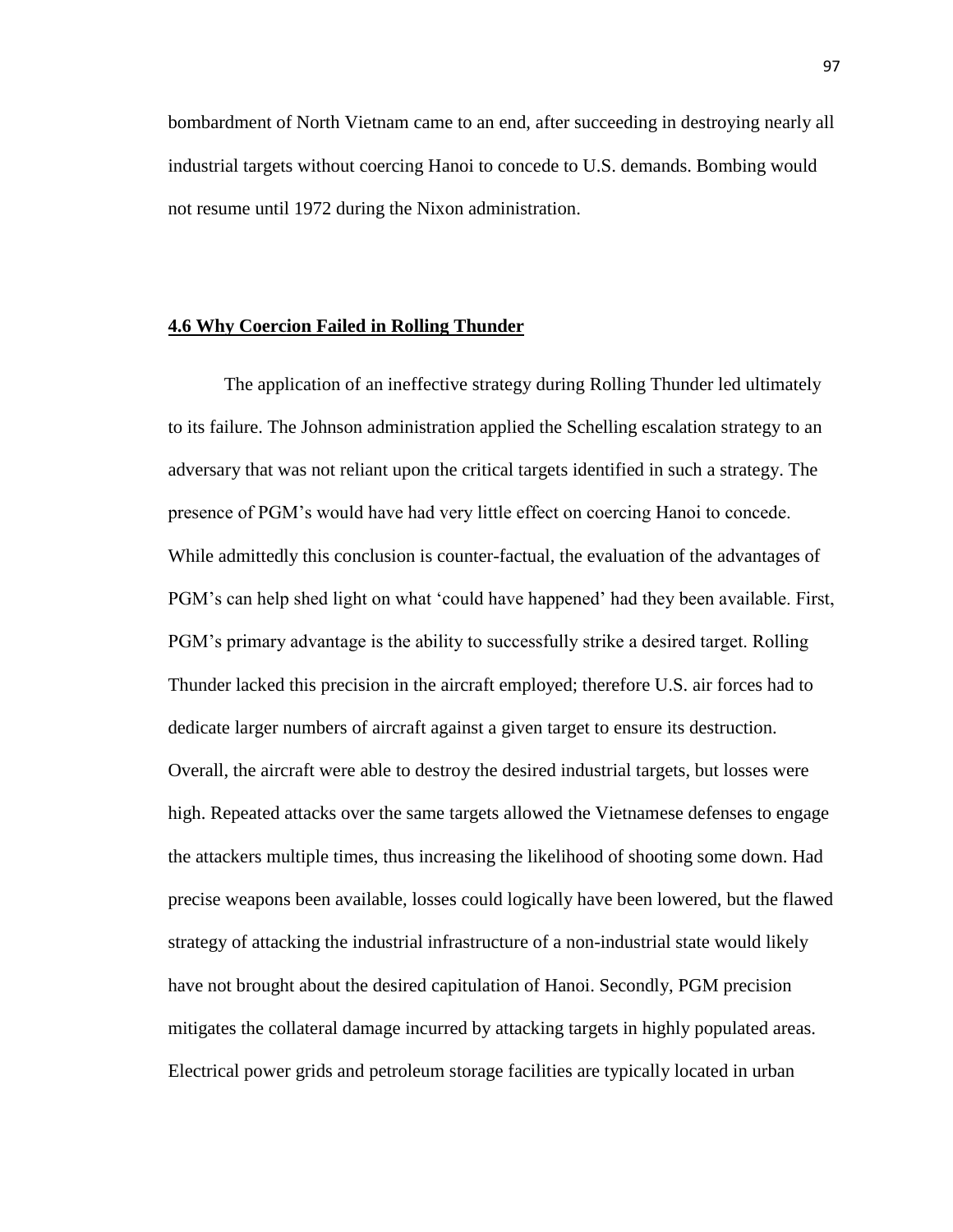bombardment of North Vietnam came to an end, after succeeding in destroying nearly all industrial targets without coercing Hanoi to concede to U.S. demands. Bombing would not resume until 1972 during the Nixon administration.

#### **4.6 Why Coercion Failed in Rolling Thunder**

The application of an ineffective strategy during Rolling Thunder led ultimately to its failure. The Johnson administration applied the Schelling escalation strategy to an adversary that was not reliant upon the critical targets identified in such a strategy. The presence of PGM's would have had very little effect on coercing Hanoi to concede. While admittedly this conclusion is counter-factual, the evaluation of the advantages of PGM's can help shed light on what 'could have happened' had they been available. First, PGM's primary advantage is the ability to successfully strike a desired target. Rolling Thunder lacked this precision in the aircraft employed; therefore U.S. air forces had to dedicate larger numbers of aircraft against a given target to ensure its destruction. Overall, the aircraft were able to destroy the desired industrial targets, but losses were high. Repeated attacks over the same targets allowed the Vietnamese defenses to engage the attackers multiple times, thus increasing the likelihood of shooting some down. Had precise weapons been available, losses could logically have been lowered, but the flawed strategy of attacking the industrial infrastructure of a non-industrial state would likely have not brought about the desired capitulation of Hanoi. Secondly, PGM precision mitigates the collateral damage incurred by attacking targets in highly populated areas. Electrical power grids and petroleum storage facilities are typically located in urban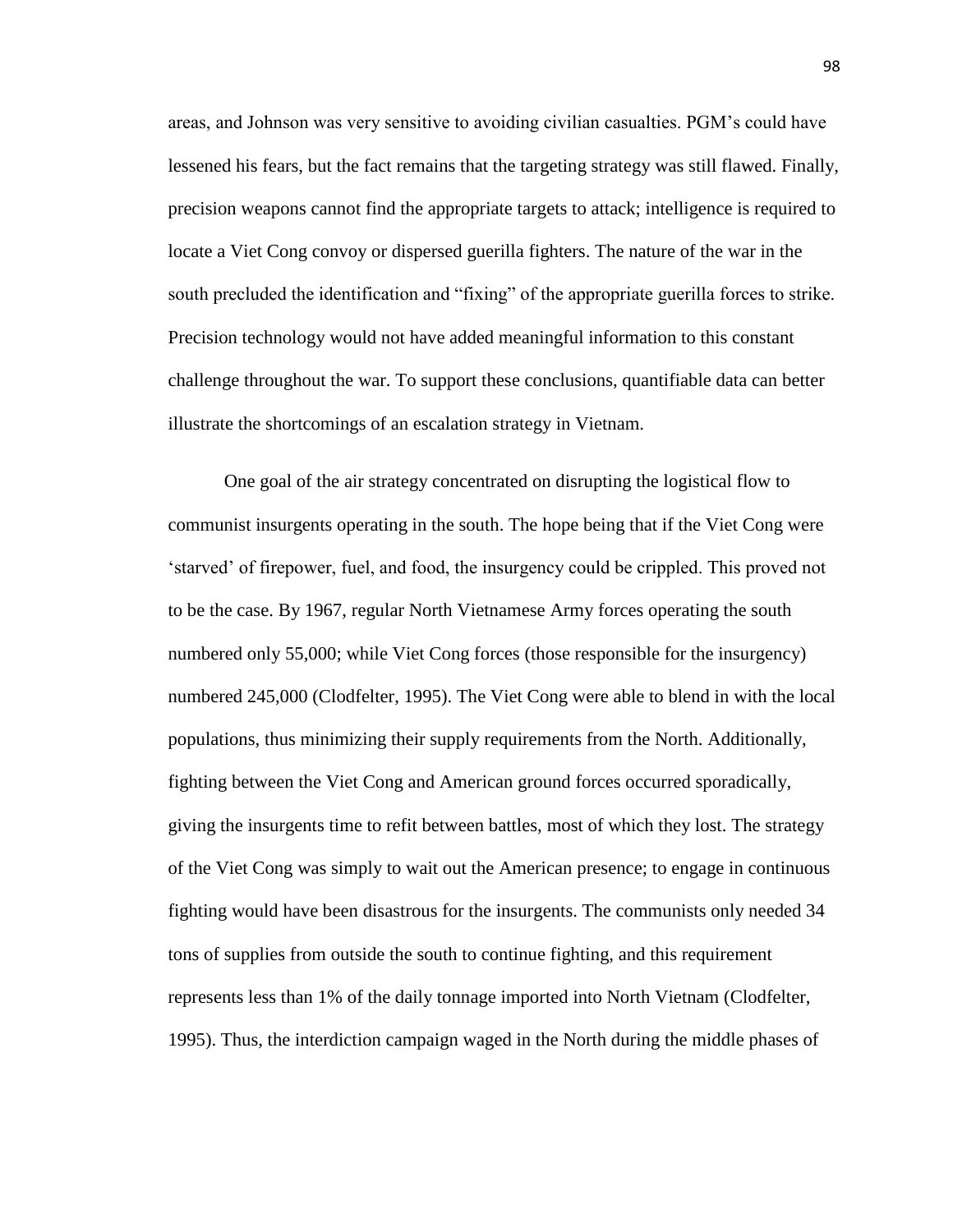areas, and Johnson was very sensitive to avoiding civilian casualties. PGM's could have lessened his fears, but the fact remains that the targeting strategy was still flawed. Finally, precision weapons cannot find the appropriate targets to attack; intelligence is required to locate a Viet Cong convoy or dispersed guerilla fighters. The nature of the war in the south precluded the identification and "fixing" of the appropriate guerilla forces to strike. Precision technology would not have added meaningful information to this constant challenge throughout the war. To support these conclusions, quantifiable data can better illustrate the shortcomings of an escalation strategy in Vietnam.

One goal of the air strategy concentrated on disrupting the logistical flow to communist insurgents operating in the south. The hope being that if the Viet Cong were 'starved' of firepower, fuel, and food, the insurgency could be crippled. This proved not to be the case. By 1967, regular North Vietnamese Army forces operating the south numbered only 55,000; while Viet Cong forces (those responsible for the insurgency) numbered 245,000 (Clodfelter, 1995). The Viet Cong were able to blend in with the local populations, thus minimizing their supply requirements from the North. Additionally, fighting between the Viet Cong and American ground forces occurred sporadically, giving the insurgents time to refit between battles, most of which they lost. The strategy of the Viet Cong was simply to wait out the American presence; to engage in continuous fighting would have been disastrous for the insurgents. The communists only needed 34 tons of supplies from outside the south to continue fighting, and this requirement represents less than 1% of the daily tonnage imported into North Vietnam (Clodfelter, 1995). Thus, the interdiction campaign waged in the North during the middle phases of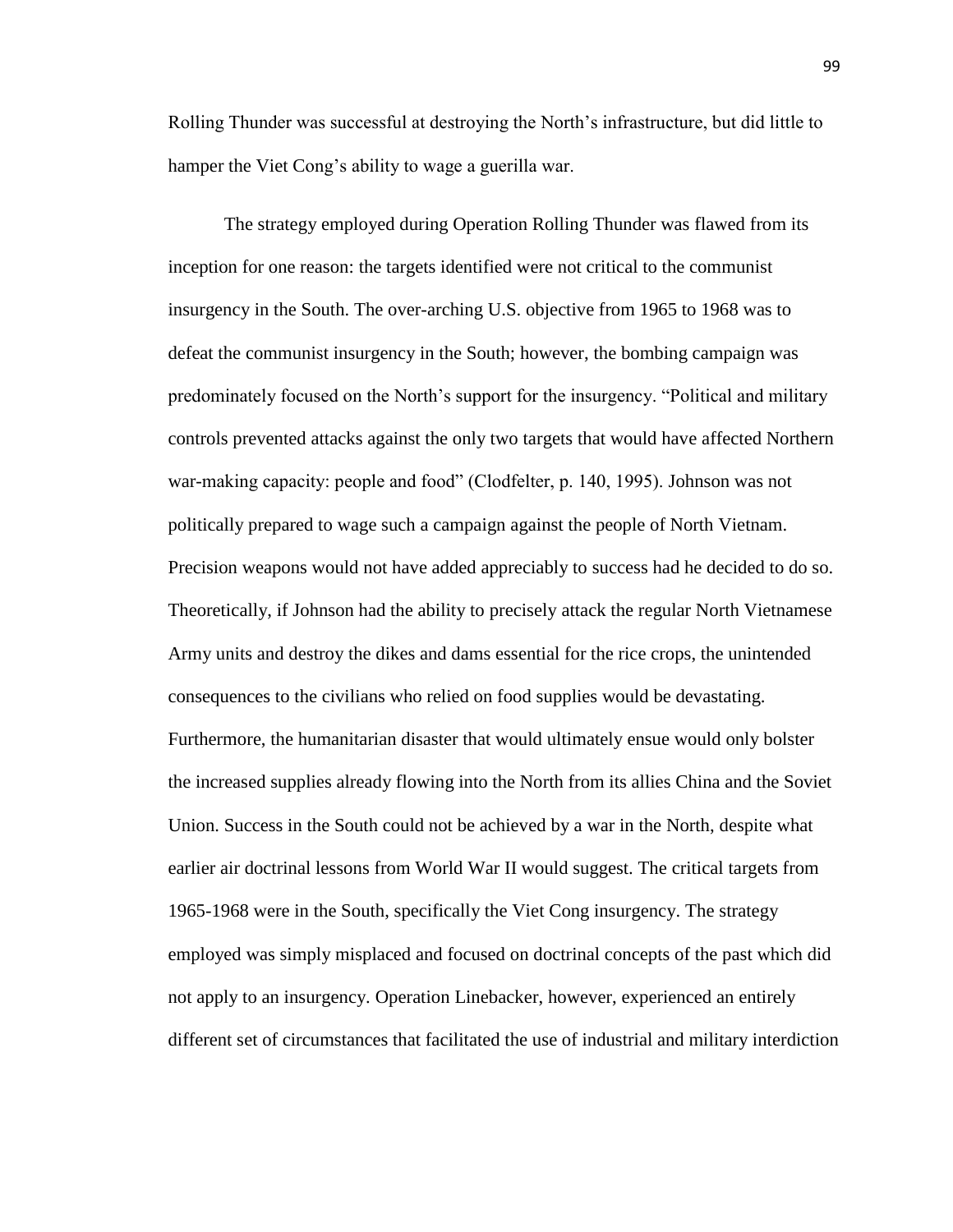Rolling Thunder was successful at destroying the North's infrastructure, but did little to hamper the Viet Cong's ability to wage a guerilla war.

The strategy employed during Operation Rolling Thunder was flawed from its inception for one reason: the targets identified were not critical to the communist insurgency in the South. The over-arching U.S. objective from 1965 to 1968 was to defeat the communist insurgency in the South; however, the bombing campaign was predominately focused on the North's support for the insurgency. "Political and military controls prevented attacks against the only two targets that would have affected Northern war-making capacity: people and food" (Clodfelter, p. 140, 1995). Johnson was not politically prepared to wage such a campaign against the people of North Vietnam. Precision weapons would not have added appreciably to success had he decided to do so. Theoretically, if Johnson had the ability to precisely attack the regular North Vietnamese Army units and destroy the dikes and dams essential for the rice crops, the unintended consequences to the civilians who relied on food supplies would be devastating. Furthermore, the humanitarian disaster that would ultimately ensue would only bolster the increased supplies already flowing into the North from its allies China and the Soviet Union. Success in the South could not be achieved by a war in the North, despite what earlier air doctrinal lessons from World War II would suggest. The critical targets from 1965-1968 were in the South, specifically the Viet Cong insurgency. The strategy employed was simply misplaced and focused on doctrinal concepts of the past which did not apply to an insurgency. Operation Linebacker, however, experienced an entirely different set of circumstances that facilitated the use of industrial and military interdiction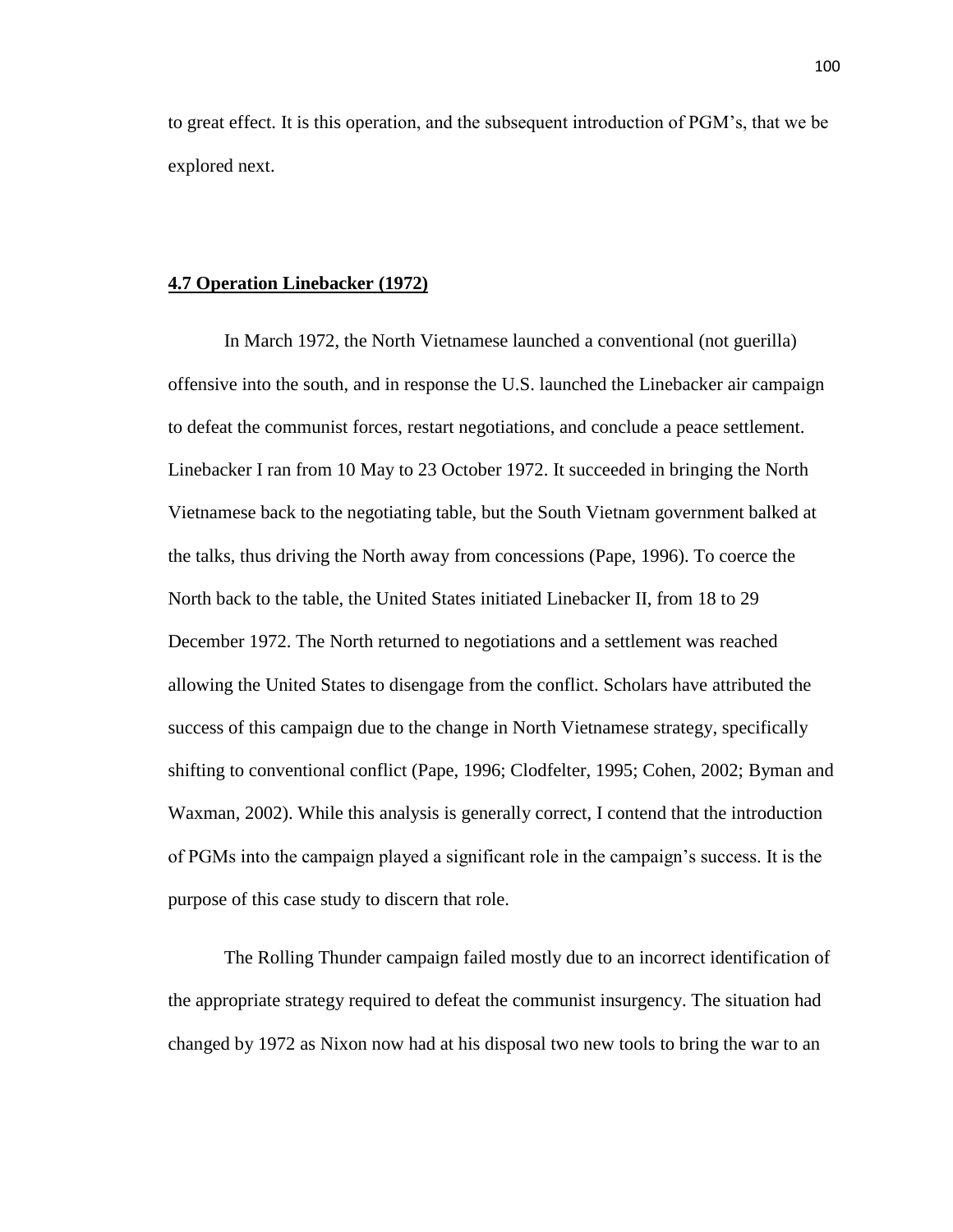to great effect. It is this operation, and the subsequent introduction of PGM's, that we be explored next.

## **4.7 Operation Linebacker (1972)**

In March 1972, the North Vietnamese launched a conventional (not guerilla) offensive into the south, and in response the U.S. launched the Linebacker air campaign to defeat the communist forces, restart negotiations, and conclude a peace settlement. Linebacker I ran from 10 May to 23 October 1972. It succeeded in bringing the North Vietnamese back to the negotiating table, but the South Vietnam government balked at the talks, thus driving the North away from concessions (Pape, 1996). To coerce the North back to the table, the United States initiated Linebacker II, from 18 to 29 December 1972. The North returned to negotiations and a settlement was reached allowing the United States to disengage from the conflict. Scholars have attributed the success of this campaign due to the change in North Vietnamese strategy, specifically shifting to conventional conflict (Pape, 1996; Clodfelter, 1995; Cohen, 2002; Byman and Waxman, 2002). While this analysis is generally correct, I contend that the introduction of PGMs into the campaign played a significant role in the campaign's success. It is the purpose of this case study to discern that role.

The Rolling Thunder campaign failed mostly due to an incorrect identification of the appropriate strategy required to defeat the communist insurgency. The situation had changed by 1972 as Nixon now had at his disposal two new tools to bring the war to an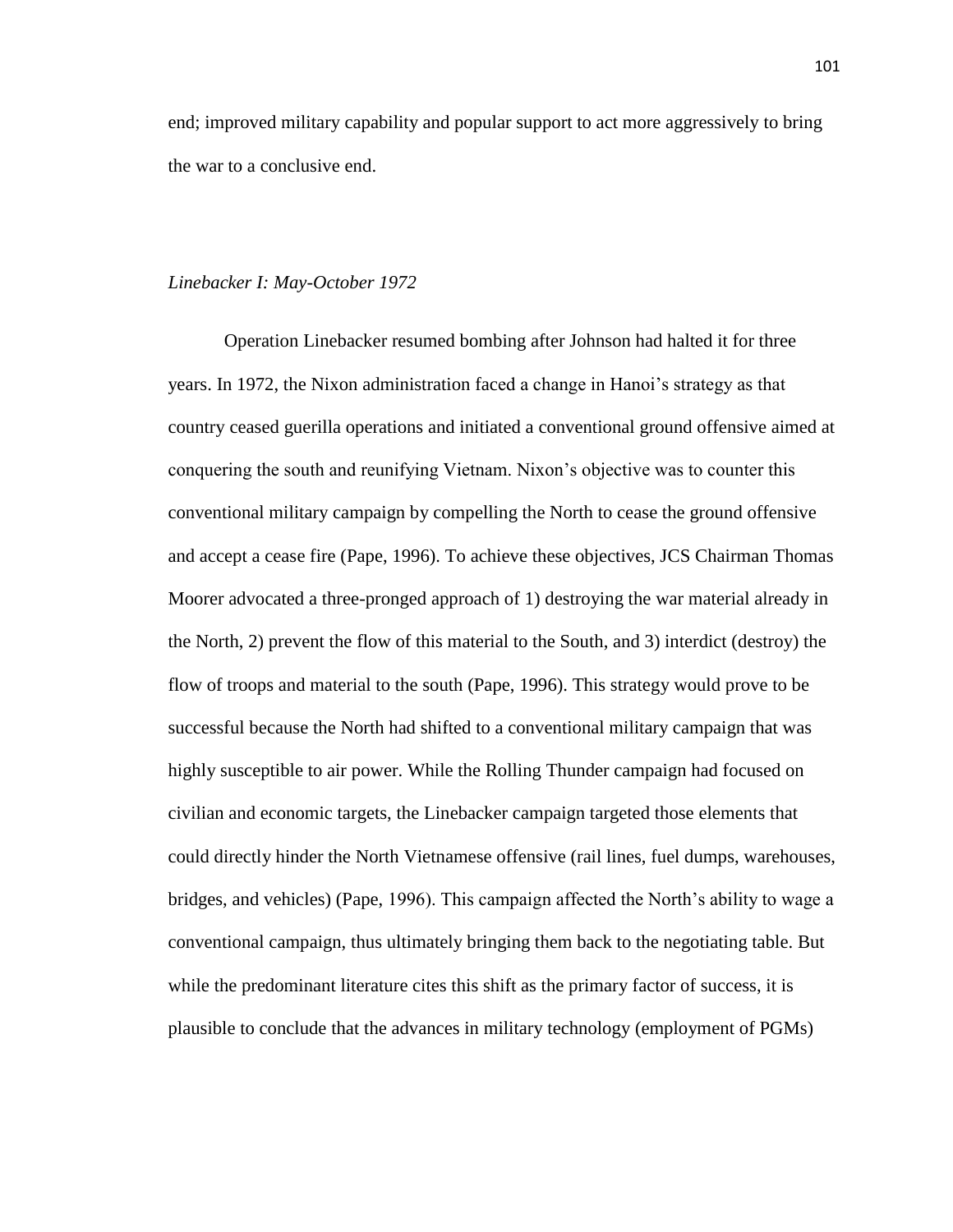end; improved military capability and popular support to act more aggressively to bring the war to a conclusive end.

### *Linebacker I: May-October 1972*

Operation Linebacker resumed bombing after Johnson had halted it for three years. In 1972, the Nixon administration faced a change in Hanoi's strategy as that country ceased guerilla operations and initiated a conventional ground offensive aimed at conquering the south and reunifying Vietnam. Nixon's objective was to counter this conventional military campaign by compelling the North to cease the ground offensive and accept a cease fire (Pape, 1996). To achieve these objectives, JCS Chairman Thomas Moorer advocated a three-pronged approach of 1) destroying the war material already in the North, 2) prevent the flow of this material to the South, and 3) interdict (destroy) the flow of troops and material to the south (Pape, 1996). This strategy would prove to be successful because the North had shifted to a conventional military campaign that was highly susceptible to air power. While the Rolling Thunder campaign had focused on civilian and economic targets, the Linebacker campaign targeted those elements that could directly hinder the North Vietnamese offensive (rail lines, fuel dumps, warehouses, bridges, and vehicles) (Pape, 1996). This campaign affected the North's ability to wage a conventional campaign, thus ultimately bringing them back to the negotiating table. But while the predominant literature cites this shift as the primary factor of success, it is plausible to conclude that the advances in military technology (employment of PGMs)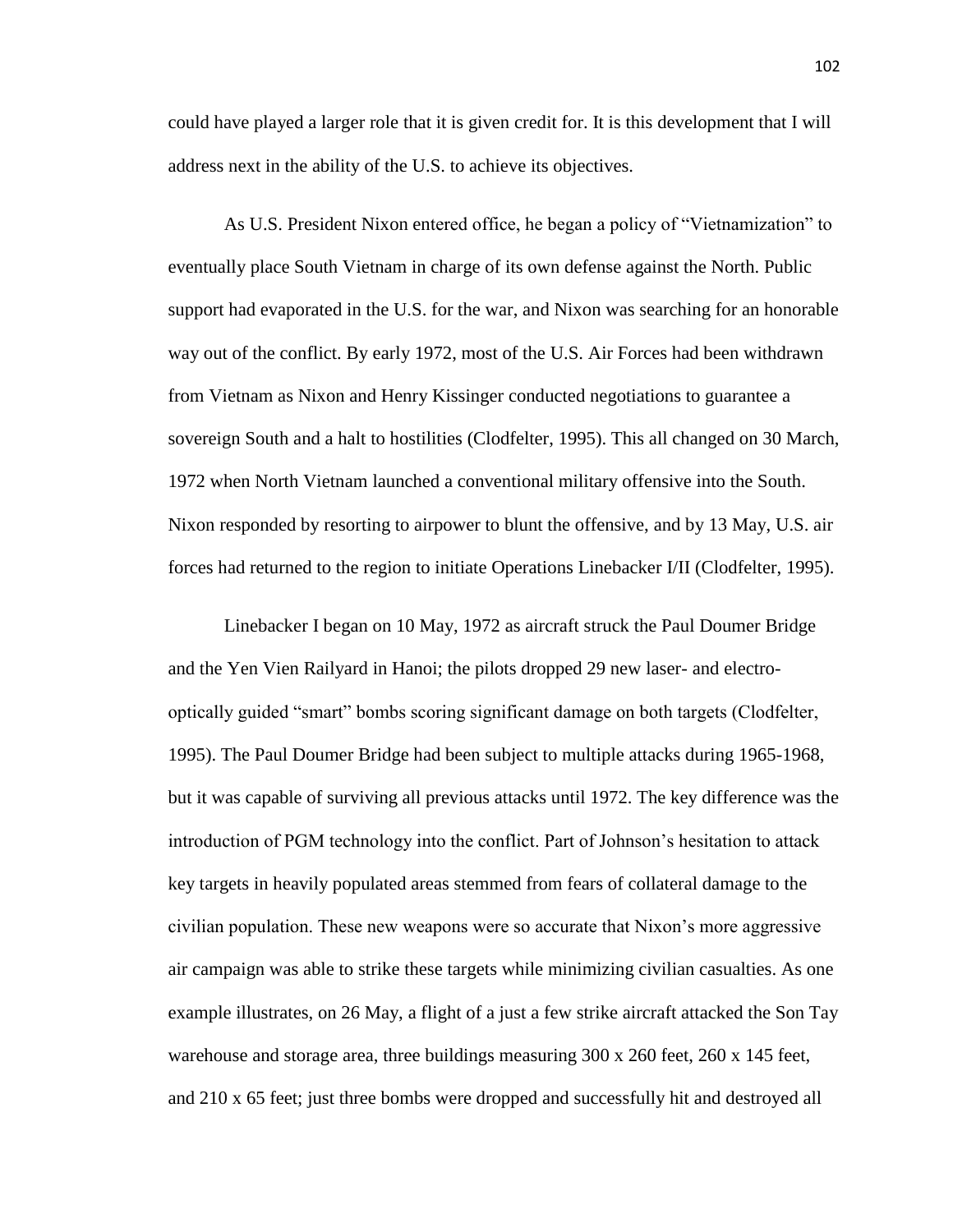could have played a larger role that it is given credit for. It is this development that I will address next in the ability of the U.S. to achieve its objectives.

As U.S. President Nixon entered office, he began a policy of "Vietnamization" to eventually place South Vietnam in charge of its own defense against the North. Public support had evaporated in the U.S. for the war, and Nixon was searching for an honorable way out of the conflict. By early 1972, most of the U.S. Air Forces had been withdrawn from Vietnam as Nixon and Henry Kissinger conducted negotiations to guarantee a sovereign South and a halt to hostilities (Clodfelter, 1995). This all changed on 30 March, 1972 when North Vietnam launched a conventional military offensive into the South. Nixon responded by resorting to airpower to blunt the offensive, and by 13 May, U.S. air forces had returned to the region to initiate Operations Linebacker I/II (Clodfelter, 1995).

Linebacker I began on 10 May, 1972 as aircraft struck the Paul Doumer Bridge and the Yen Vien Railyard in Hanoi; the pilots dropped 29 new laser- and electrooptically guided "smart" bombs scoring significant damage on both targets (Clodfelter, 1995). The Paul Doumer Bridge had been subject to multiple attacks during 1965-1968, but it was capable of surviving all previous attacks until 1972. The key difference was the introduction of PGM technology into the conflict. Part of Johnson's hesitation to attack key targets in heavily populated areas stemmed from fears of collateral damage to the civilian population. These new weapons were so accurate that Nixon's more aggressive air campaign was able to strike these targets while minimizing civilian casualties. As one example illustrates, on 26 May, a flight of a just a few strike aircraft attacked the Son Tay warehouse and storage area, three buildings measuring 300 x 260 feet, 260 x 145 feet, and 210 x 65 feet; just three bombs were dropped and successfully hit and destroyed all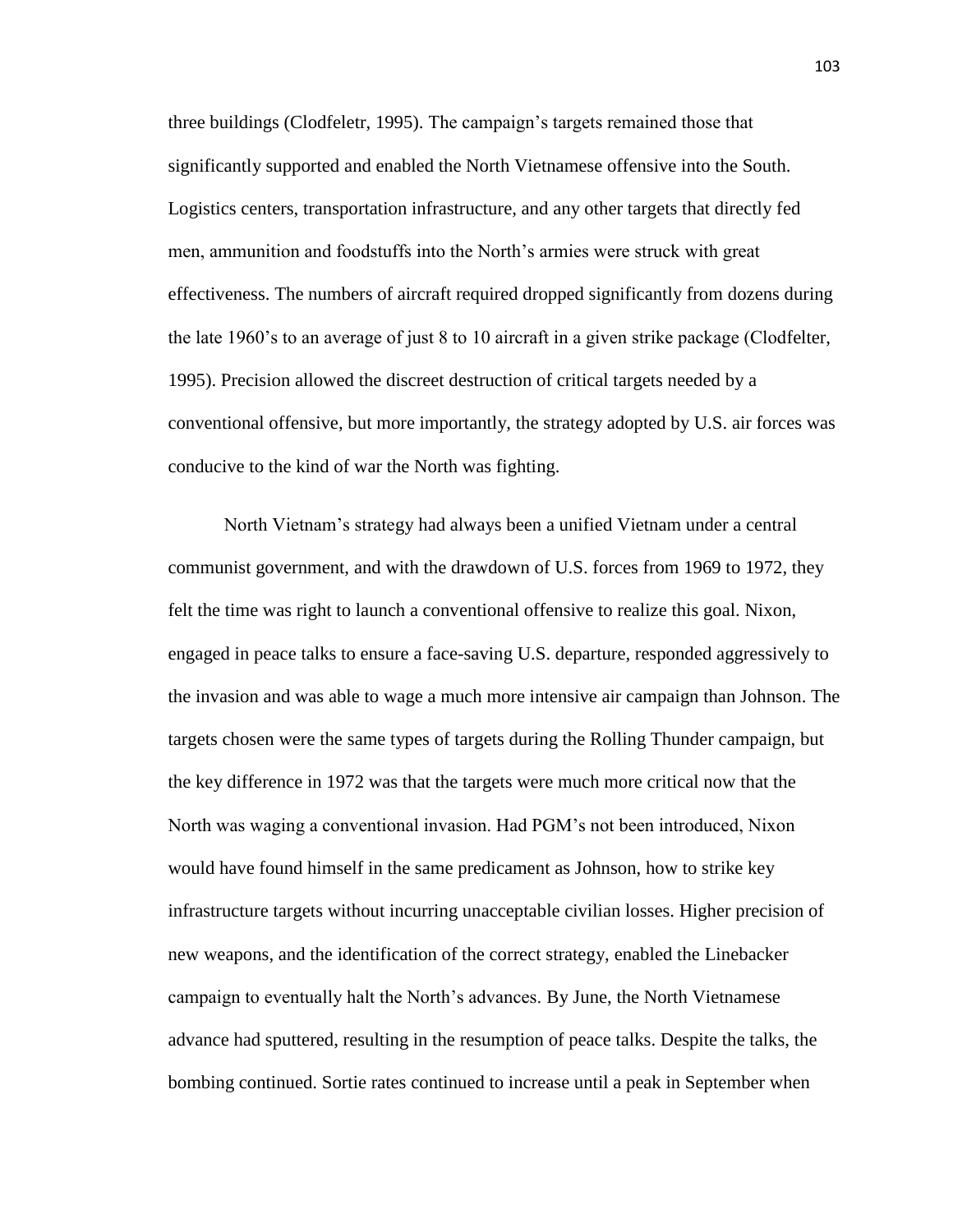three buildings (Clodfeletr, 1995). The campaign's targets remained those that significantly supported and enabled the North Vietnamese offensive into the South. Logistics centers, transportation infrastructure, and any other targets that directly fed men, ammunition and foodstuffs into the North's armies were struck with great effectiveness. The numbers of aircraft required dropped significantly from dozens during the late 1960's to an average of just 8 to 10 aircraft in a given strike package (Clodfelter, 1995). Precision allowed the discreet destruction of critical targets needed by a conventional offensive, but more importantly, the strategy adopted by U.S. air forces was conducive to the kind of war the North was fighting.

North Vietnam's strategy had always been a unified Vietnam under a central communist government, and with the drawdown of U.S. forces from 1969 to 1972, they felt the time was right to launch a conventional offensive to realize this goal. Nixon, engaged in peace talks to ensure a face-saving U.S. departure, responded aggressively to the invasion and was able to wage a much more intensive air campaign than Johnson. The targets chosen were the same types of targets during the Rolling Thunder campaign, but the key difference in 1972 was that the targets were much more critical now that the North was waging a conventional invasion. Had PGM's not been introduced, Nixon would have found himself in the same predicament as Johnson, how to strike key infrastructure targets without incurring unacceptable civilian losses. Higher precision of new weapons, and the identification of the correct strategy, enabled the Linebacker campaign to eventually halt the North's advances. By June, the North Vietnamese advance had sputtered, resulting in the resumption of peace talks. Despite the talks, the bombing continued. Sortie rates continued to increase until a peak in September when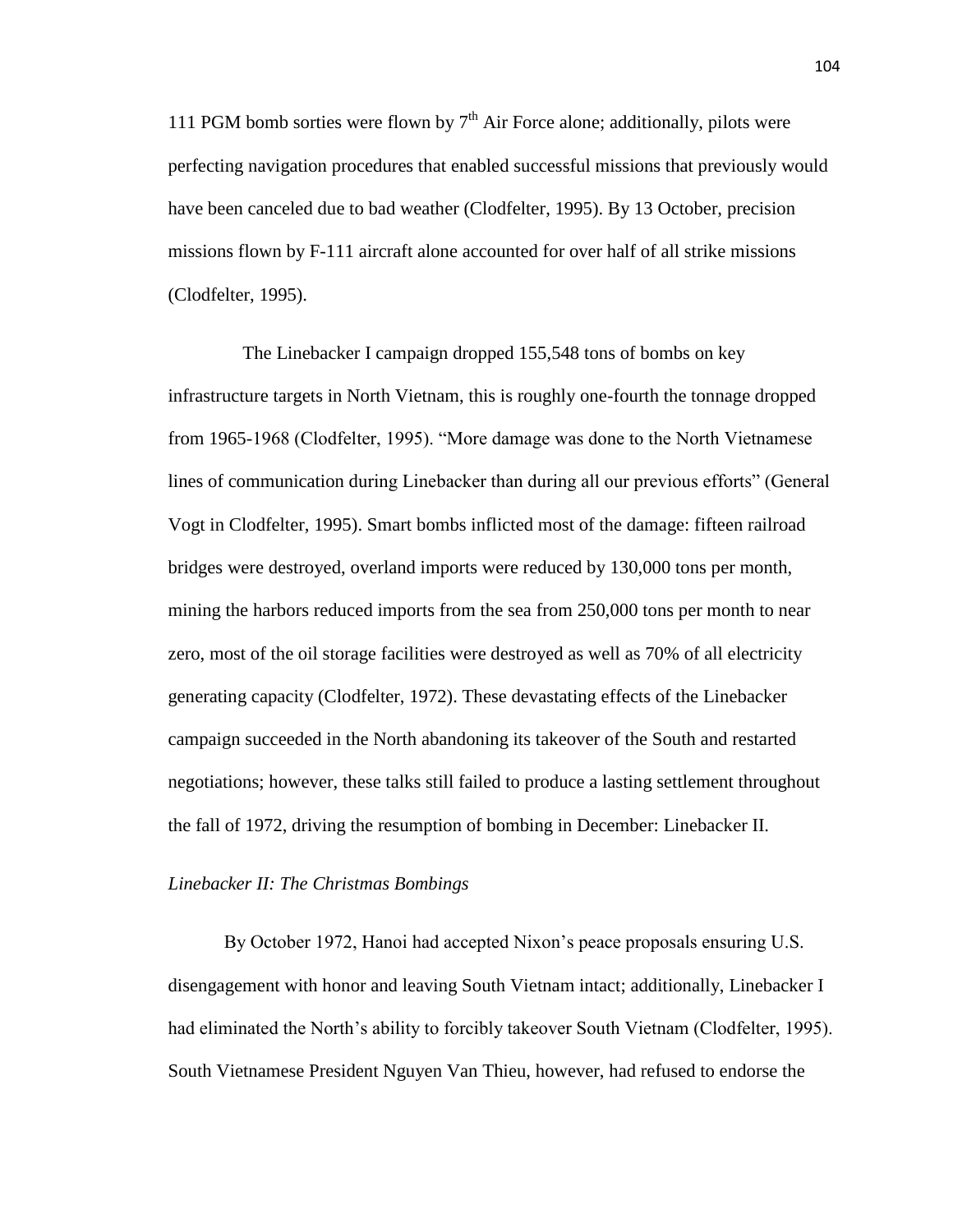111 PGM bomb sorties were flown by  $7<sup>th</sup>$  Air Force alone; additionally, pilots were perfecting navigation procedures that enabled successful missions that previously would have been canceled due to bad weather (Clodfelter, 1995). By 13 October, precision missions flown by F-111 aircraft alone accounted for over half of all strike missions (Clodfelter, 1995).

 The Linebacker I campaign dropped 155,548 tons of bombs on key infrastructure targets in North Vietnam, this is roughly one-fourth the tonnage dropped from 1965-1968 (Clodfelter, 1995). "More damage was done to the North Vietnamese lines of communication during Linebacker than during all our previous efforts" (General Vogt in Clodfelter, 1995). Smart bombs inflicted most of the damage: fifteen railroad bridges were destroyed, overland imports were reduced by 130,000 tons per month, mining the harbors reduced imports from the sea from 250,000 tons per month to near zero, most of the oil storage facilities were destroyed as well as 70% of all electricity generating capacity (Clodfelter, 1972). These devastating effects of the Linebacker campaign succeeded in the North abandoning its takeover of the South and restarted negotiations; however, these talks still failed to produce a lasting settlement throughout the fall of 1972, driving the resumption of bombing in December: Linebacker II.

# *Linebacker II: The Christmas Bombings*

By October 1972, Hanoi had accepted Nixon's peace proposals ensuring U.S. disengagement with honor and leaving South Vietnam intact; additionally, Linebacker I had eliminated the North's ability to forcibly takeover South Vietnam (Clodfelter, 1995). South Vietnamese President Nguyen Van Thieu, however, had refused to endorse the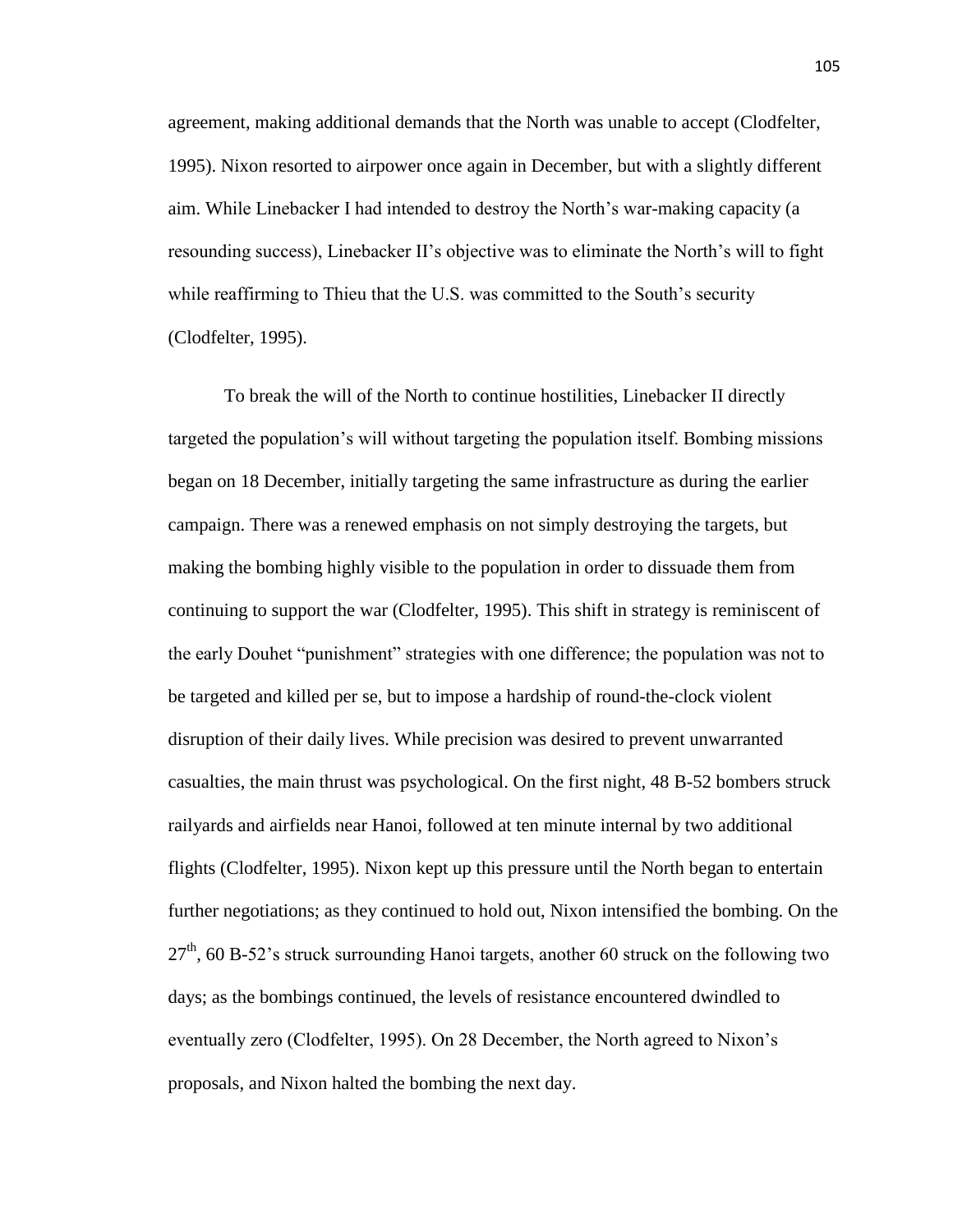agreement, making additional demands that the North was unable to accept (Clodfelter, 1995). Nixon resorted to airpower once again in December, but with a slightly different aim. While Linebacker I had intended to destroy the North's war-making capacity (a resounding success), Linebacker II's objective was to eliminate the North's will to fight while reaffirming to Thieu that the U.S. was committed to the South's security (Clodfelter, 1995).

To break the will of the North to continue hostilities, Linebacker II directly targeted the population's will without targeting the population itself. Bombing missions began on 18 December, initially targeting the same infrastructure as during the earlier campaign. There was a renewed emphasis on not simply destroying the targets, but making the bombing highly visible to the population in order to dissuade them from continuing to support the war (Clodfelter, 1995). This shift in strategy is reminiscent of the early Douhet "punishment" strategies with one difference; the population was not to be targeted and killed per se, but to impose a hardship of round-the-clock violent disruption of their daily lives. While precision was desired to prevent unwarranted casualties, the main thrust was psychological. On the first night, 48 B-52 bombers struck railyards and airfields near Hanoi, followed at ten minute internal by two additional flights (Clodfelter, 1995). Nixon kept up this pressure until the North began to entertain further negotiations; as they continued to hold out, Nixon intensified the bombing. On the  $27<sup>th</sup>$ , 60 B-52's struck surrounding Hanoi targets, another 60 struck on the following two days; as the bombings continued, the levels of resistance encountered dwindled to eventually zero (Clodfelter, 1995). On 28 December, the North agreed to Nixon's proposals, and Nixon halted the bombing the next day.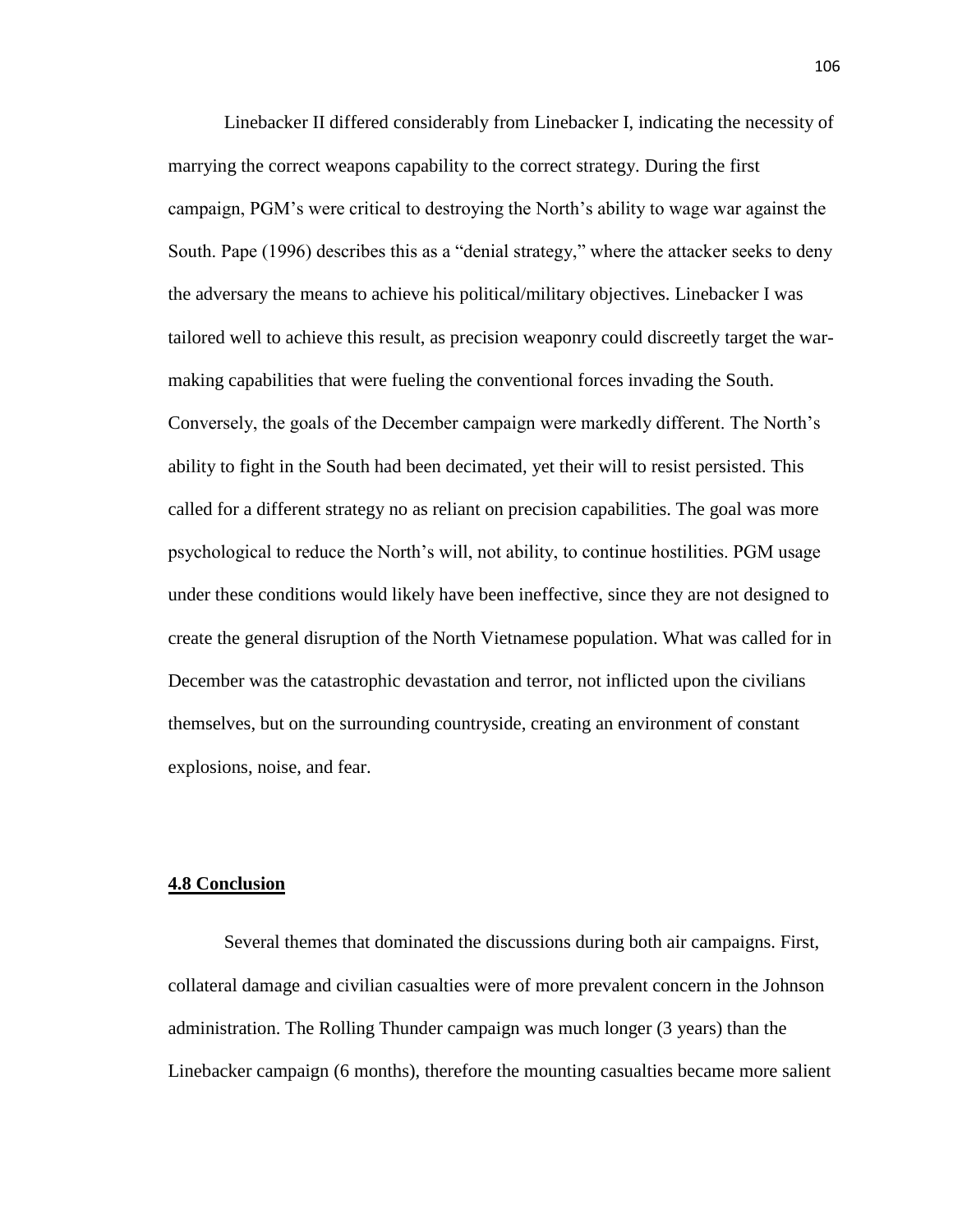Linebacker II differed considerably from Linebacker I, indicating the necessity of marrying the correct weapons capability to the correct strategy. During the first campaign, PGM's were critical to destroying the North's ability to wage war against the South. Pape (1996) describes this as a "denial strategy," where the attacker seeks to deny the adversary the means to achieve his political/military objectives. Linebacker I was tailored well to achieve this result, as precision weaponry could discreetly target the warmaking capabilities that were fueling the conventional forces invading the South. Conversely, the goals of the December campaign were markedly different. The North's ability to fight in the South had been decimated, yet their will to resist persisted. This called for a different strategy no as reliant on precision capabilities. The goal was more psychological to reduce the North's will, not ability, to continue hostilities. PGM usage under these conditions would likely have been ineffective, since they are not designed to create the general disruption of the North Vietnamese population. What was called for in December was the catastrophic devastation and terror, not inflicted upon the civilians themselves, but on the surrounding countryside, creating an environment of constant explosions, noise, and fear.

# **4.8 Conclusion**

Several themes that dominated the discussions during both air campaigns. First, collateral damage and civilian casualties were of more prevalent concern in the Johnson administration. The Rolling Thunder campaign was much longer (3 years) than the Linebacker campaign (6 months), therefore the mounting casualties became more salient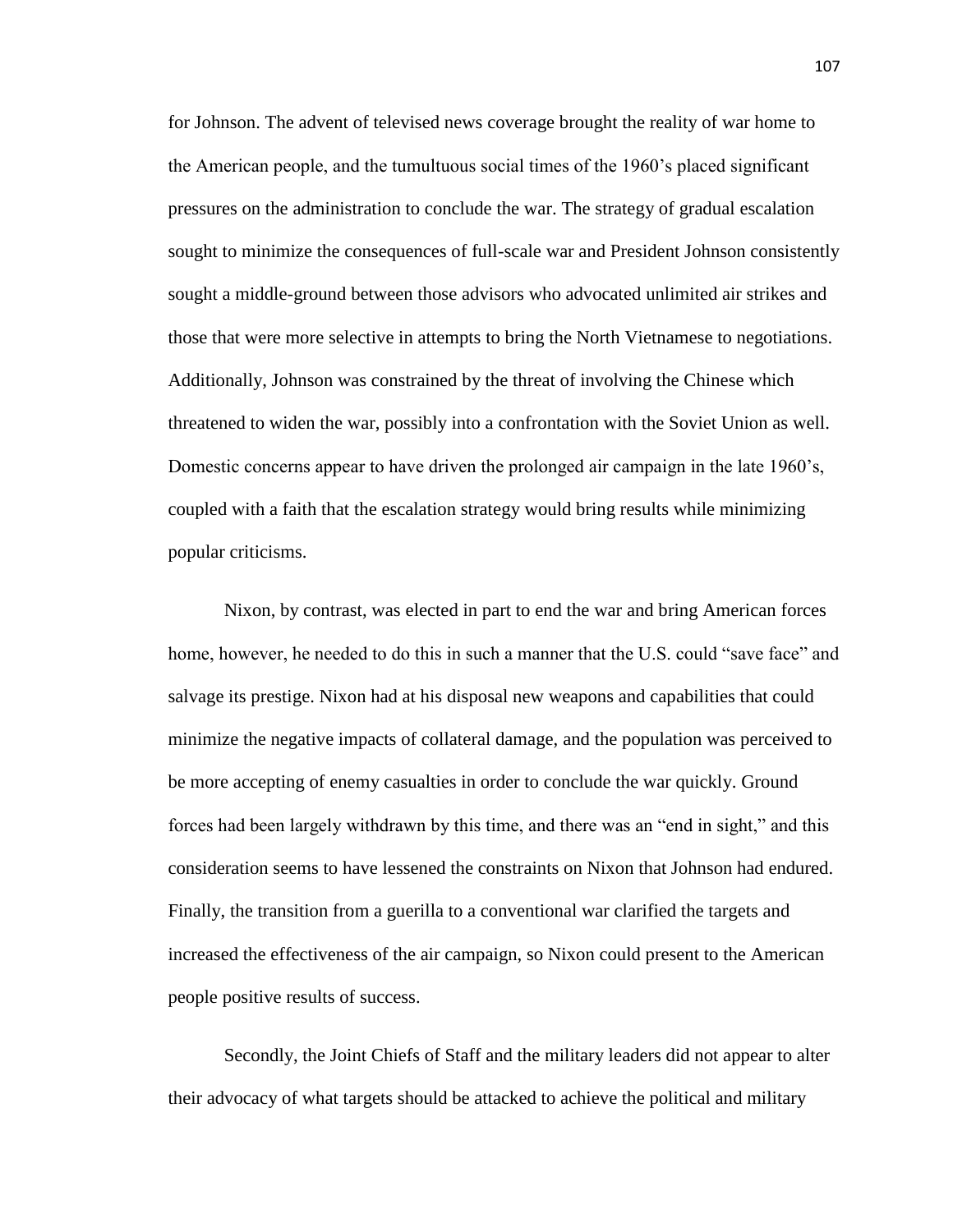for Johnson. The advent of televised news coverage brought the reality of war home to the American people, and the tumultuous social times of the 1960's placed significant pressures on the administration to conclude the war. The strategy of gradual escalation sought to minimize the consequences of full-scale war and President Johnson consistently sought a middle-ground between those advisors who advocated unlimited air strikes and those that were more selective in attempts to bring the North Vietnamese to negotiations. Additionally, Johnson was constrained by the threat of involving the Chinese which threatened to widen the war, possibly into a confrontation with the Soviet Union as well. Domestic concerns appear to have driven the prolonged air campaign in the late 1960's, coupled with a faith that the escalation strategy would bring results while minimizing popular criticisms.

Nixon, by contrast, was elected in part to end the war and bring American forces home, however, he needed to do this in such a manner that the U.S. could "save face" and salvage its prestige. Nixon had at his disposal new weapons and capabilities that could minimize the negative impacts of collateral damage, and the population was perceived to be more accepting of enemy casualties in order to conclude the war quickly. Ground forces had been largely withdrawn by this time, and there was an "end in sight," and this consideration seems to have lessened the constraints on Nixon that Johnson had endured. Finally, the transition from a guerilla to a conventional war clarified the targets and increased the effectiveness of the air campaign, so Nixon could present to the American people positive results of success.

Secondly, the Joint Chiefs of Staff and the military leaders did not appear to alter their advocacy of what targets should be attacked to achieve the political and military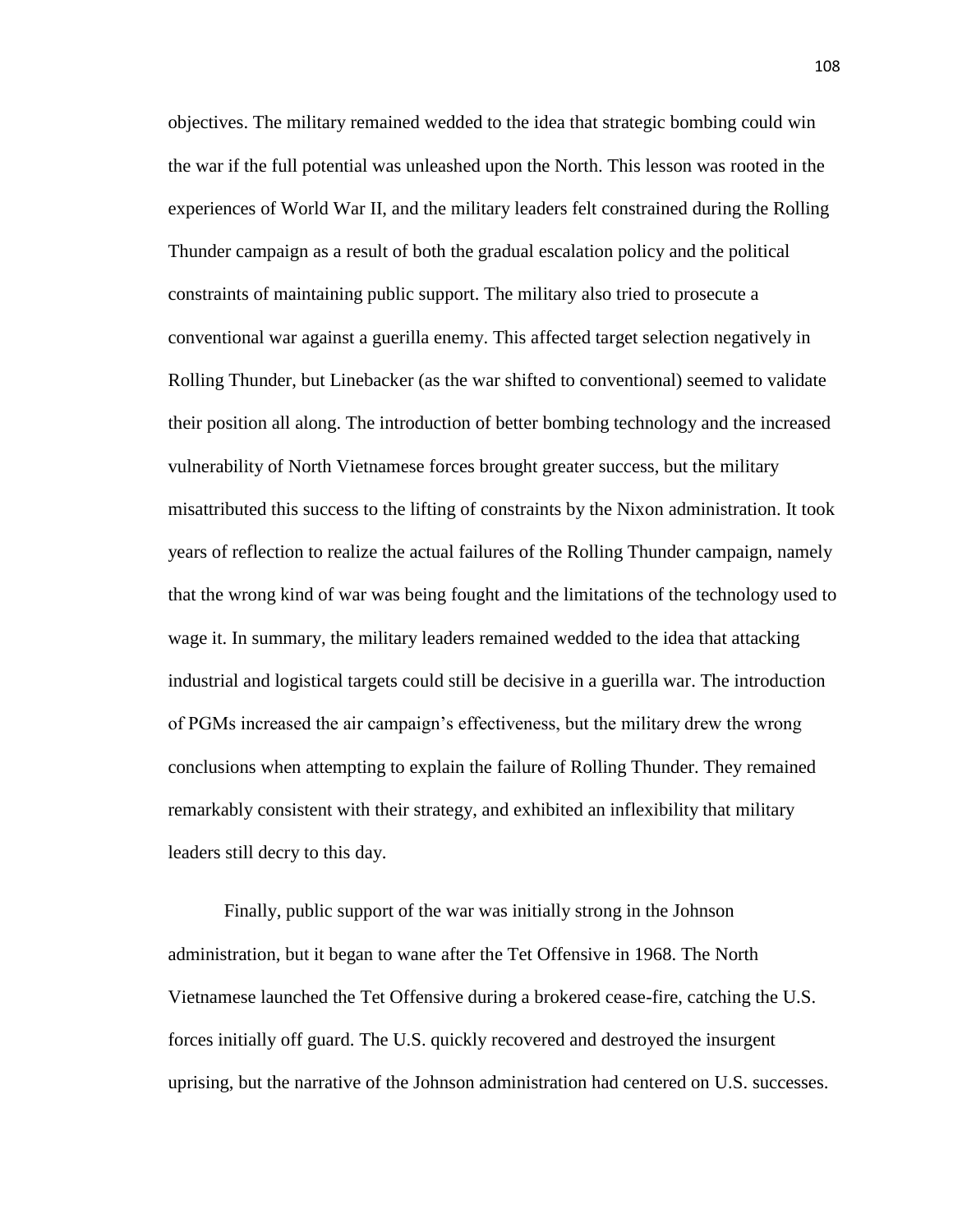objectives. The military remained wedded to the idea that strategic bombing could win the war if the full potential was unleashed upon the North. This lesson was rooted in the experiences of World War II, and the military leaders felt constrained during the Rolling Thunder campaign as a result of both the gradual escalation policy and the political constraints of maintaining public support. The military also tried to prosecute a conventional war against a guerilla enemy. This affected target selection negatively in Rolling Thunder, but Linebacker (as the war shifted to conventional) seemed to validate their position all along. The introduction of better bombing technology and the increased vulnerability of North Vietnamese forces brought greater success, but the military misattributed this success to the lifting of constraints by the Nixon administration. It took years of reflection to realize the actual failures of the Rolling Thunder campaign, namely that the wrong kind of war was being fought and the limitations of the technology used to wage it. In summary, the military leaders remained wedded to the idea that attacking industrial and logistical targets could still be decisive in a guerilla war. The introduction of PGMs increased the air campaign's effectiveness, but the military drew the wrong conclusions when attempting to explain the failure of Rolling Thunder. They remained remarkably consistent with their strategy, and exhibited an inflexibility that military leaders still decry to this day.

Finally, public support of the war was initially strong in the Johnson administration, but it began to wane after the Tet Offensive in 1968. The North Vietnamese launched the Tet Offensive during a brokered cease-fire, catching the U.S. forces initially off guard. The U.S. quickly recovered and destroyed the insurgent uprising, but the narrative of the Johnson administration had centered on U.S. successes.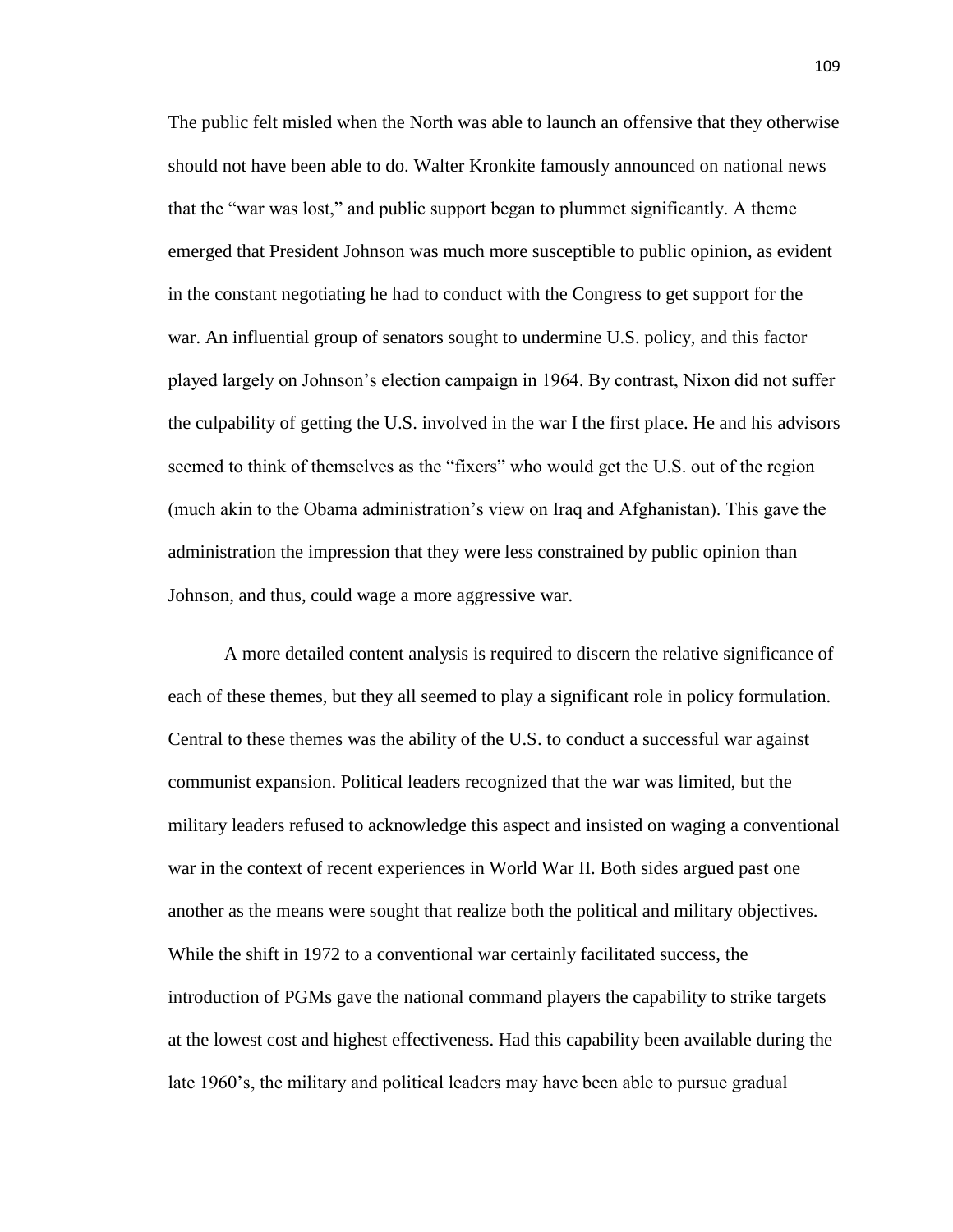The public felt misled when the North was able to launch an offensive that they otherwise should not have been able to do. Walter Kronkite famously announced on national news that the "war was lost," and public support began to plummet significantly. A theme emerged that President Johnson was much more susceptible to public opinion, as evident in the constant negotiating he had to conduct with the Congress to get support for the war. An influential group of senators sought to undermine U.S. policy, and this factor played largely on Johnson's election campaign in 1964. By contrast, Nixon did not suffer the culpability of getting the U.S. involved in the war I the first place. He and his advisors seemed to think of themselves as the "fixers" who would get the U.S. out of the region (much akin to the Obama administration's view on Iraq and Afghanistan). This gave the administration the impression that they were less constrained by public opinion than Johnson, and thus, could wage a more aggressive war.

A more detailed content analysis is required to discern the relative significance of each of these themes, but they all seemed to play a significant role in policy formulation. Central to these themes was the ability of the U.S. to conduct a successful war against communist expansion. Political leaders recognized that the war was limited, but the military leaders refused to acknowledge this aspect and insisted on waging a conventional war in the context of recent experiences in World War II. Both sides argued past one another as the means were sought that realize both the political and military objectives. While the shift in 1972 to a conventional war certainly facilitated success, the introduction of PGMs gave the national command players the capability to strike targets at the lowest cost and highest effectiveness. Had this capability been available during the late 1960's, the military and political leaders may have been able to pursue gradual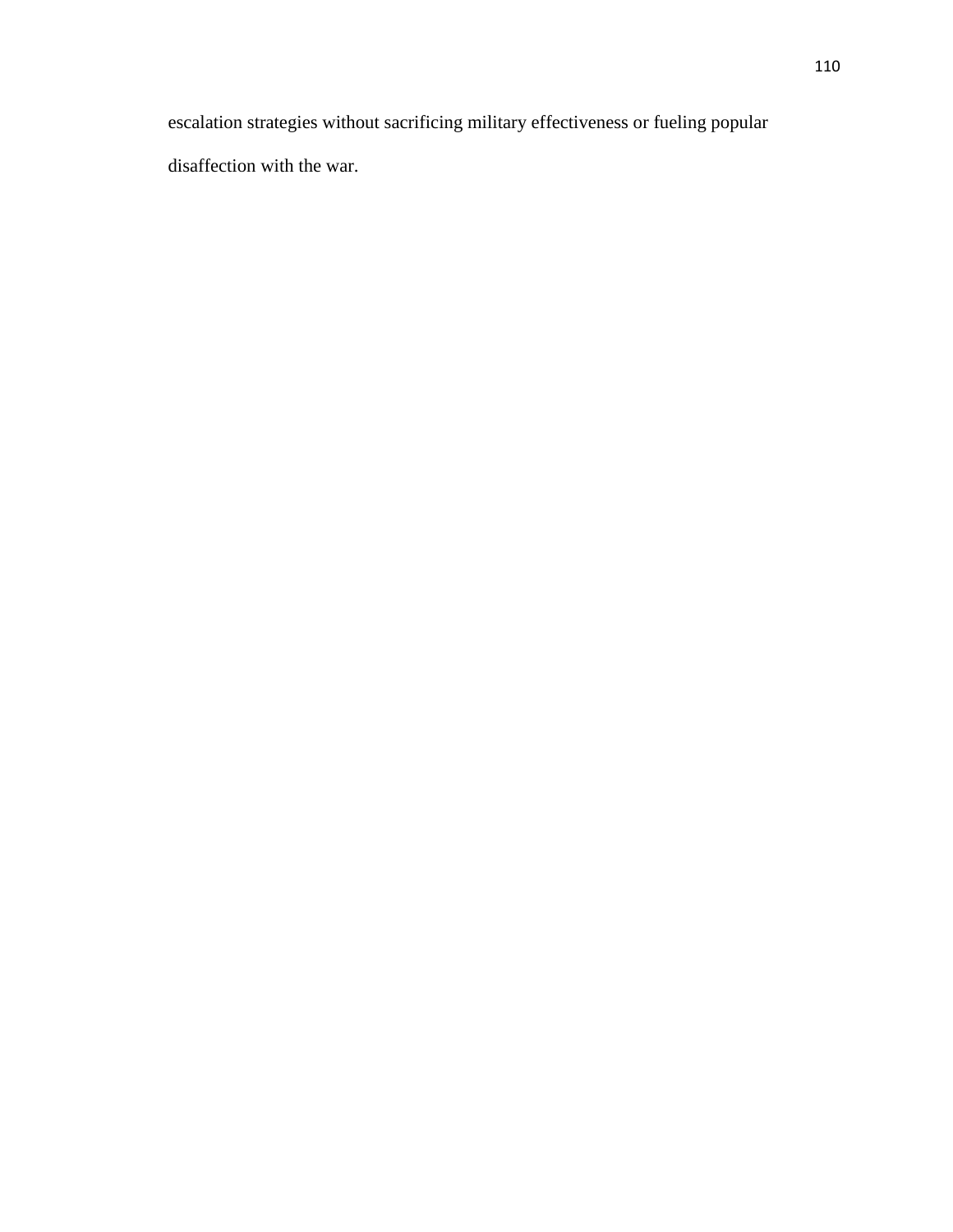escalation strategies without sacrificing military effectiveness or fueling popular disaffection with the war.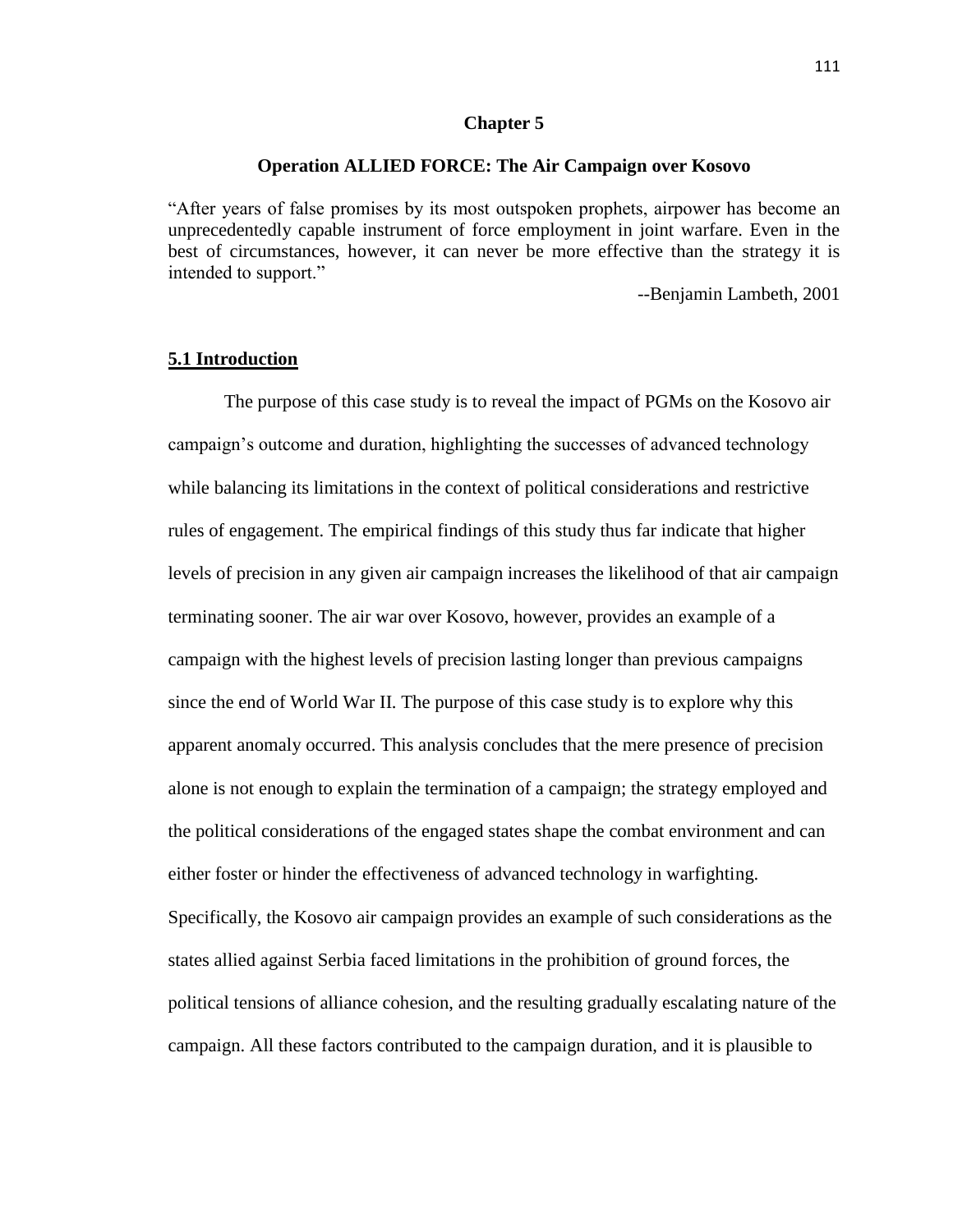#### **Chapter 5**

### **Operation ALLIED FORCE: The Air Campaign over Kosovo**

"After years of false promises by its most outspoken prophets, airpower has become an unprecedentedly capable instrument of force employment in joint warfare. Even in the best of circumstances, however, it can never be more effective than the strategy it is intended to support."

--Benjamin Lambeth, 2001

# **5.1 Introduction**

The purpose of this case study is to reveal the impact of PGMs on the Kosovo air campaign's outcome and duration, highlighting the successes of advanced technology while balancing its limitations in the context of political considerations and restrictive rules of engagement. The empirical findings of this study thus far indicate that higher levels of precision in any given air campaign increases the likelihood of that air campaign terminating sooner. The air war over Kosovo, however, provides an example of a campaign with the highest levels of precision lasting longer than previous campaigns since the end of World War II. The purpose of this case study is to explore why this apparent anomaly occurred. This analysis concludes that the mere presence of precision alone is not enough to explain the termination of a campaign; the strategy employed and the political considerations of the engaged states shape the combat environment and can either foster or hinder the effectiveness of advanced technology in warfighting. Specifically, the Kosovo air campaign provides an example of such considerations as the states allied against Serbia faced limitations in the prohibition of ground forces, the political tensions of alliance cohesion, and the resulting gradually escalating nature of the campaign. All these factors contributed to the campaign duration, and it is plausible to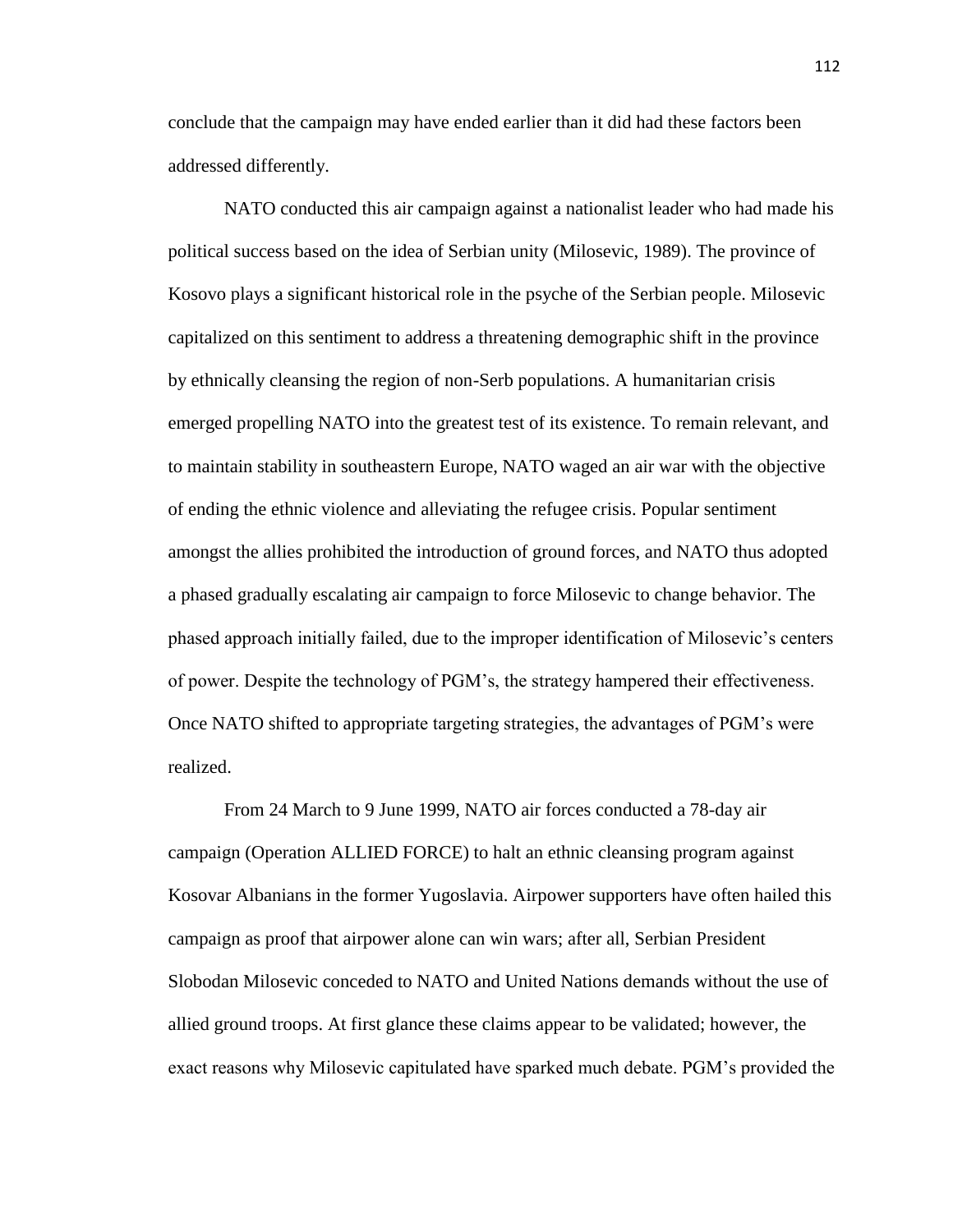conclude that the campaign may have ended earlier than it did had these factors been addressed differently.

NATO conducted this air campaign against a nationalist leader who had made his political success based on the idea of Serbian unity (Milosevic, 1989). The province of Kosovo plays a significant historical role in the psyche of the Serbian people. Milosevic capitalized on this sentiment to address a threatening demographic shift in the province by ethnically cleansing the region of non-Serb populations. A humanitarian crisis emerged propelling NATO into the greatest test of its existence. To remain relevant, and to maintain stability in southeastern Europe, NATO waged an air war with the objective of ending the ethnic violence and alleviating the refugee crisis. Popular sentiment amongst the allies prohibited the introduction of ground forces, and NATO thus adopted a phased gradually escalating air campaign to force Milosevic to change behavior. The phased approach initially failed, due to the improper identification of Milosevic's centers of power. Despite the technology of PGM's, the strategy hampered their effectiveness. Once NATO shifted to appropriate targeting strategies, the advantages of PGM's were realized.

From 24 March to 9 June 1999, NATO air forces conducted a 78-day air campaign (Operation ALLIED FORCE) to halt an ethnic cleansing program against Kosovar Albanians in the former Yugoslavia. Airpower supporters have often hailed this campaign as proof that airpower alone can win wars; after all, Serbian President Slobodan Milosevic conceded to NATO and United Nations demands without the use of allied ground troops. At first glance these claims appear to be validated; however, the exact reasons why Milosevic capitulated have sparked much debate. PGM's provided the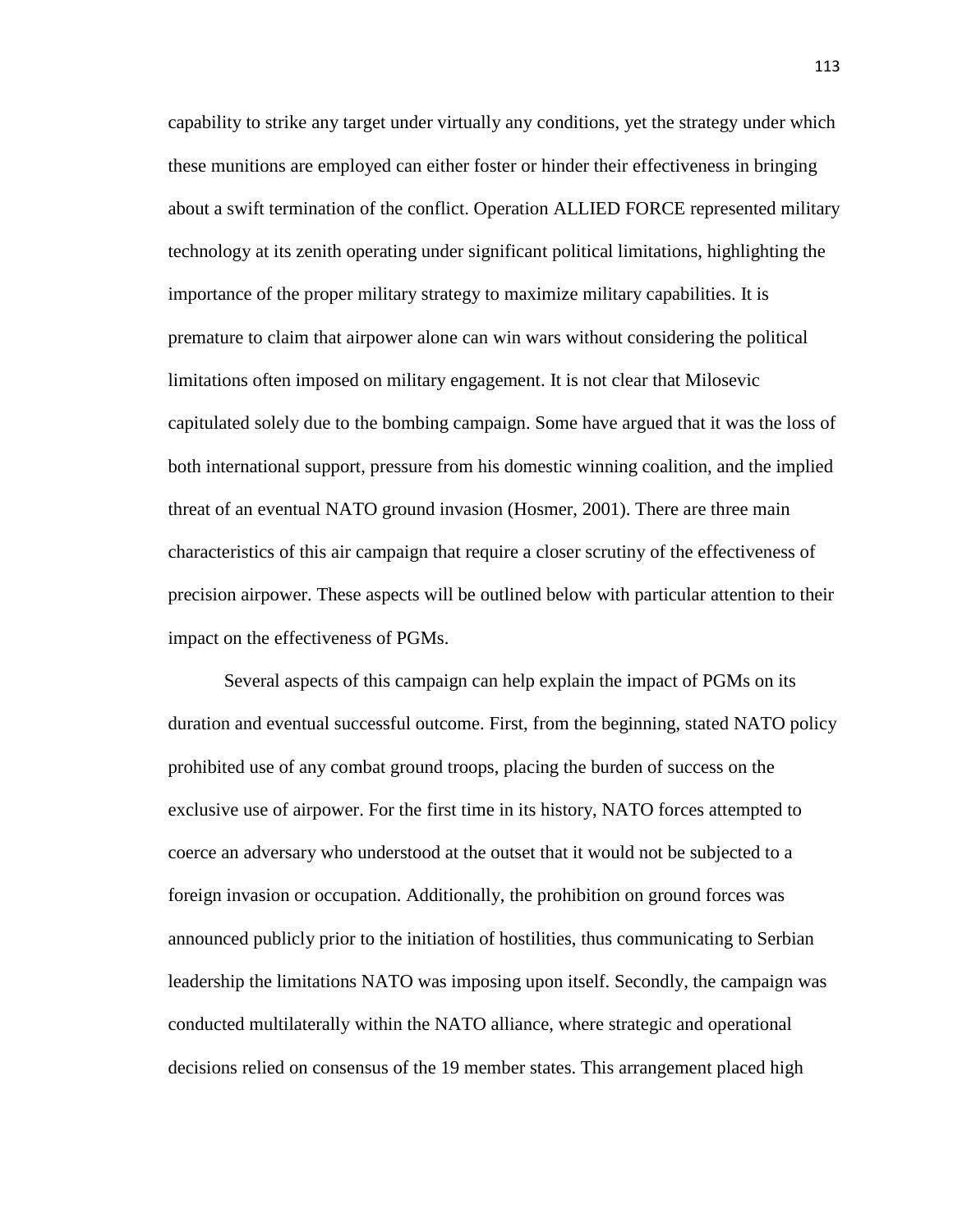capability to strike any target under virtually any conditions, yet the strategy under which these munitions are employed can either foster or hinder their effectiveness in bringing about a swift termination of the conflict. Operation ALLIED FORCE represented military technology at its zenith operating under significant political limitations, highlighting the importance of the proper military strategy to maximize military capabilities. It is premature to claim that airpower alone can win wars without considering the political limitations often imposed on military engagement. It is not clear that Milosevic capitulated solely due to the bombing campaign. Some have argued that it was the loss of both international support, pressure from his domestic winning coalition, and the implied threat of an eventual NATO ground invasion (Hosmer, 2001). There are three main characteristics of this air campaign that require a closer scrutiny of the effectiveness of precision airpower. These aspects will be outlined below with particular attention to their impact on the effectiveness of PGMs.

Several aspects of this campaign can help explain the impact of PGMs on its duration and eventual successful outcome. First, from the beginning, stated NATO policy prohibited use of any combat ground troops, placing the burden of success on the exclusive use of airpower. For the first time in its history, NATO forces attempted to coerce an adversary who understood at the outset that it would not be subjected to a foreign invasion or occupation. Additionally, the prohibition on ground forces was announced publicly prior to the initiation of hostilities, thus communicating to Serbian leadership the limitations NATO was imposing upon itself. Secondly, the campaign was conducted multilaterally within the NATO alliance, where strategic and operational decisions relied on consensus of the 19 member states. This arrangement placed high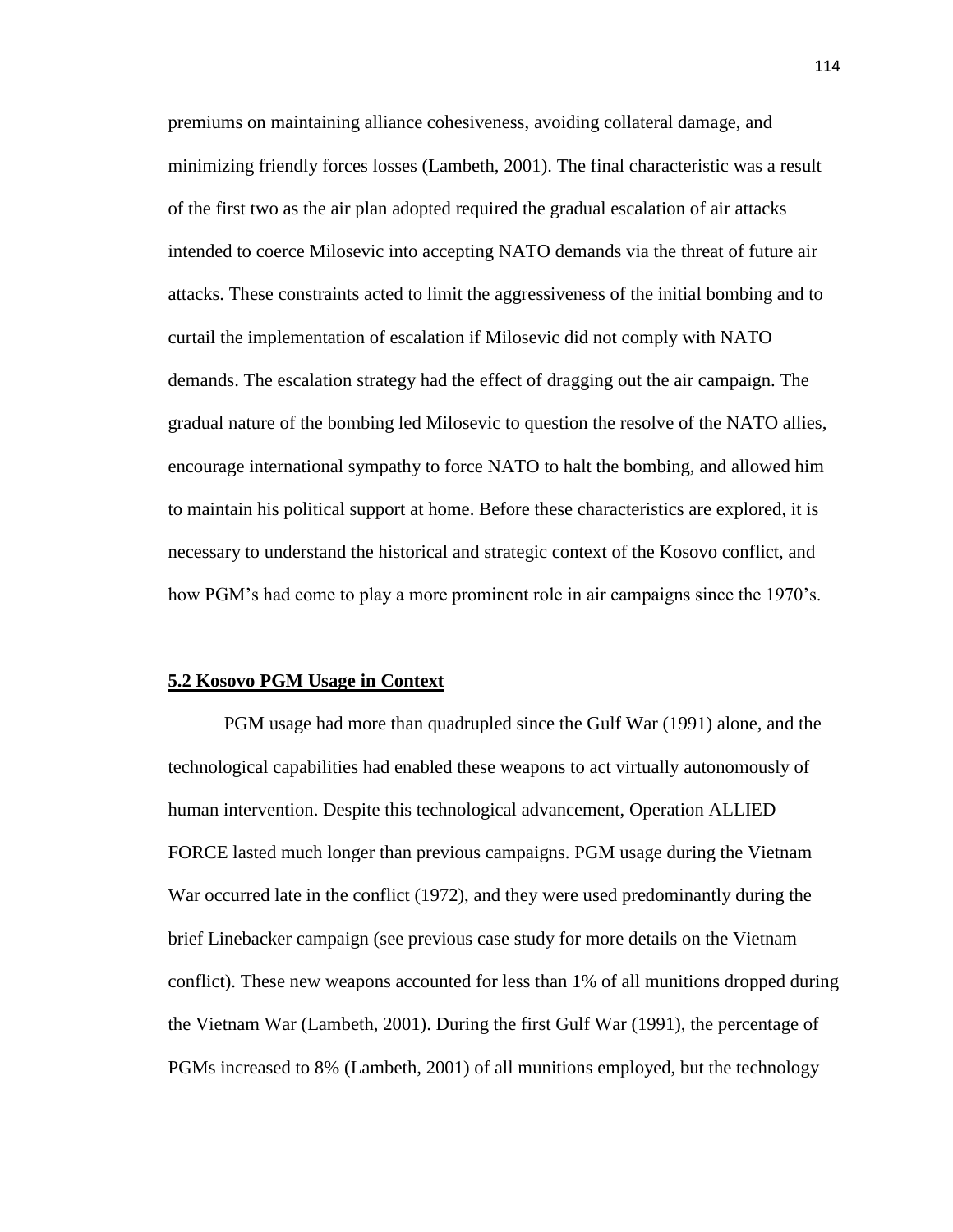premiums on maintaining alliance cohesiveness, avoiding collateral damage, and minimizing friendly forces losses (Lambeth, 2001). The final characteristic was a result of the first two as the air plan adopted required the gradual escalation of air attacks intended to coerce Milosevic into accepting NATO demands via the threat of future air attacks. These constraints acted to limit the aggressiveness of the initial bombing and to curtail the implementation of escalation if Milosevic did not comply with NATO demands. The escalation strategy had the effect of dragging out the air campaign. The gradual nature of the bombing led Milosevic to question the resolve of the NATO allies, encourage international sympathy to force NATO to halt the bombing, and allowed him to maintain his political support at home. Before these characteristics are explored, it is necessary to understand the historical and strategic context of the Kosovo conflict, and how PGM's had come to play a more prominent role in air campaigns since the 1970's.

#### **5.2 Kosovo PGM Usage in Context**

PGM usage had more than quadrupled since the Gulf War (1991) alone, and the technological capabilities had enabled these weapons to act virtually autonomously of human intervention. Despite this technological advancement, Operation ALLIED FORCE lasted much longer than previous campaigns. PGM usage during the Vietnam War occurred late in the conflict (1972), and they were used predominantly during the brief Linebacker campaign (see previous case study for more details on the Vietnam conflict). These new weapons accounted for less than 1% of all munitions dropped during the Vietnam War (Lambeth, 2001). During the first Gulf War (1991), the percentage of PGMs increased to 8% (Lambeth, 2001) of all munitions employed, but the technology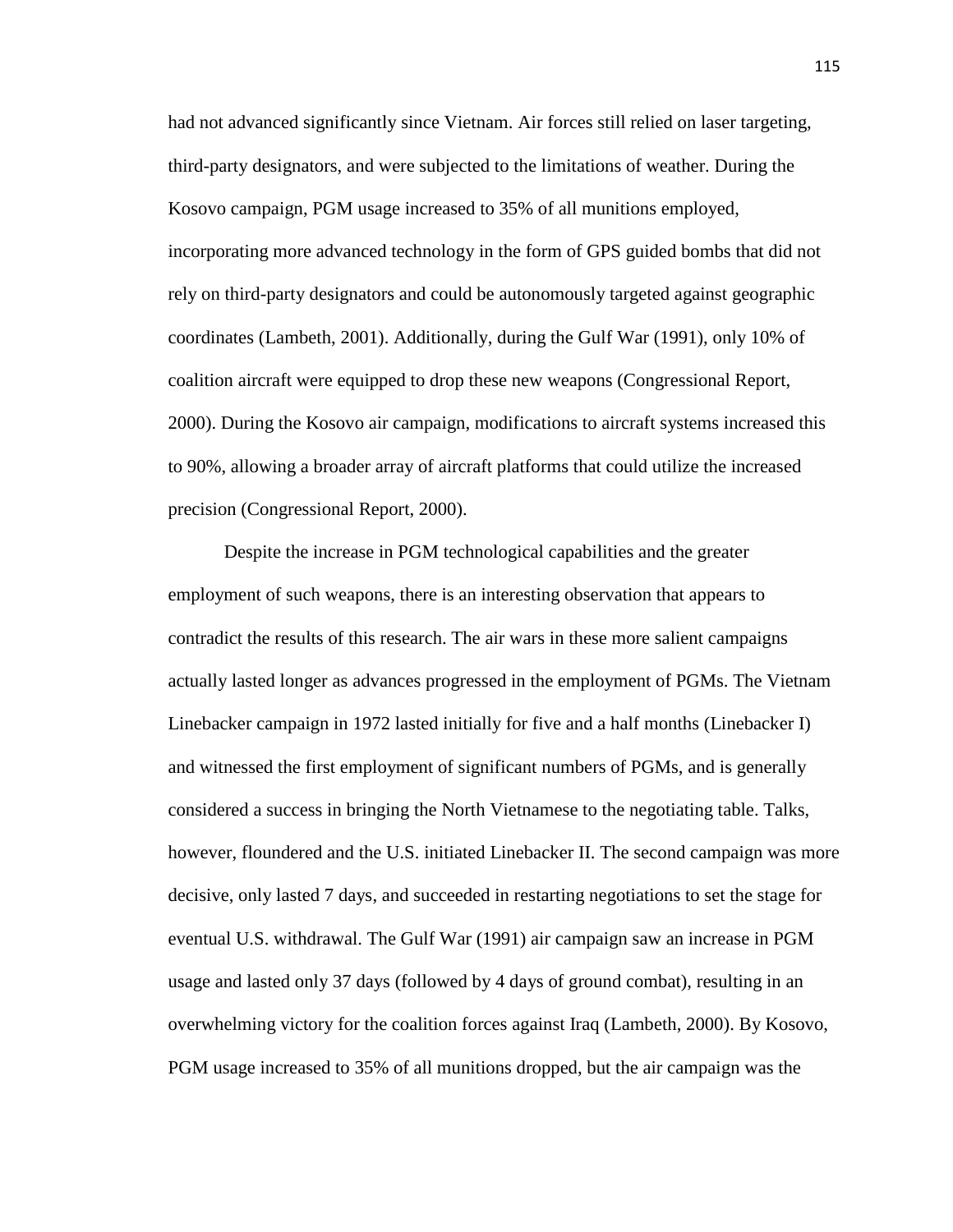had not advanced significantly since Vietnam. Air forces still relied on laser targeting, third-party designators, and were subjected to the limitations of weather. During the Kosovo campaign, PGM usage increased to 35% of all munitions employed, incorporating more advanced technology in the form of GPS guided bombs that did not rely on third-party designators and could be autonomously targeted against geographic coordinates (Lambeth, 2001). Additionally, during the Gulf War (1991), only 10% of coalition aircraft were equipped to drop these new weapons (Congressional Report, 2000). During the Kosovo air campaign, modifications to aircraft systems increased this to 90%, allowing a broader array of aircraft platforms that could utilize the increased precision (Congressional Report, 2000).

Despite the increase in PGM technological capabilities and the greater employment of such weapons, there is an interesting observation that appears to contradict the results of this research. The air wars in these more salient campaigns actually lasted longer as advances progressed in the employment of PGMs. The Vietnam Linebacker campaign in 1972 lasted initially for five and a half months (Linebacker I) and witnessed the first employment of significant numbers of PGMs, and is generally considered a success in bringing the North Vietnamese to the negotiating table. Talks, however, floundered and the U.S. initiated Linebacker II. The second campaign was more decisive, only lasted 7 days, and succeeded in restarting negotiations to set the stage for eventual U.S. withdrawal. The Gulf War (1991) air campaign saw an increase in PGM usage and lasted only 37 days (followed by 4 days of ground combat), resulting in an overwhelming victory for the coalition forces against Iraq (Lambeth, 2000). By Kosovo, PGM usage increased to 35% of all munitions dropped, but the air campaign was the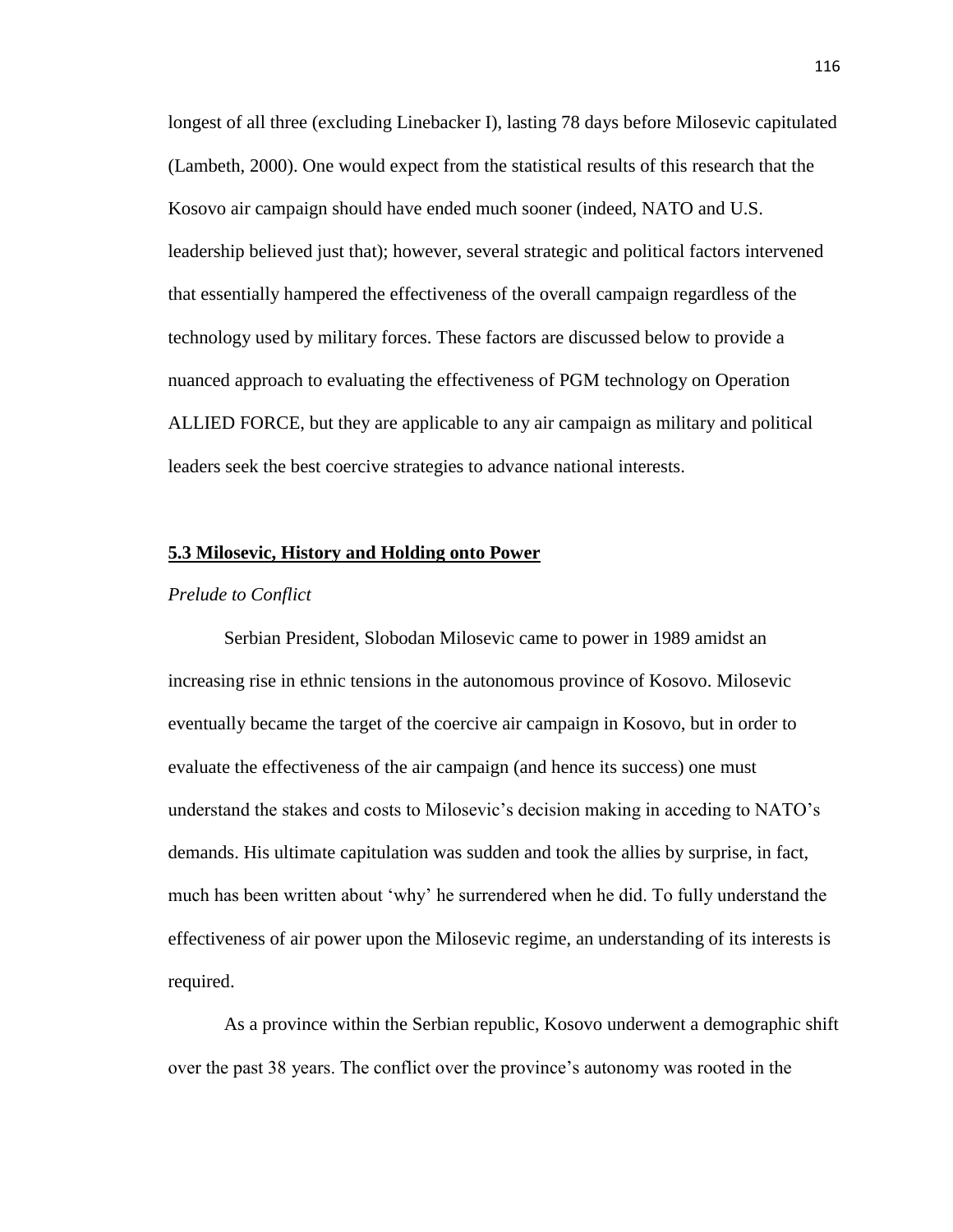longest of all three (excluding Linebacker I), lasting 78 days before Milosevic capitulated (Lambeth, 2000). One would expect from the statistical results of this research that the Kosovo air campaign should have ended much sooner (indeed, NATO and U.S. leadership believed just that); however, several strategic and political factors intervened that essentially hampered the effectiveness of the overall campaign regardless of the technology used by military forces. These factors are discussed below to provide a nuanced approach to evaluating the effectiveness of PGM technology on Operation ALLIED FORCE, but they are applicable to any air campaign as military and political leaders seek the best coercive strategies to advance national interests.

#### **5.3 Milosevic, History and Holding onto Power**

#### *Prelude to Conflict*

Serbian President, Slobodan Milosevic came to power in 1989 amidst an increasing rise in ethnic tensions in the autonomous province of Kosovo. Milosevic eventually became the target of the coercive air campaign in Kosovo, but in order to evaluate the effectiveness of the air campaign (and hence its success) one must understand the stakes and costs to Milosevic's decision making in acceding to NATO's demands. His ultimate capitulation was sudden and took the allies by surprise, in fact, much has been written about 'why' he surrendered when he did. To fully understand the effectiveness of air power upon the Milosevic regime, an understanding of its interests is required.

As a province within the Serbian republic, Kosovo underwent a demographic shift over the past 38 years. The conflict over the province's autonomy was rooted in the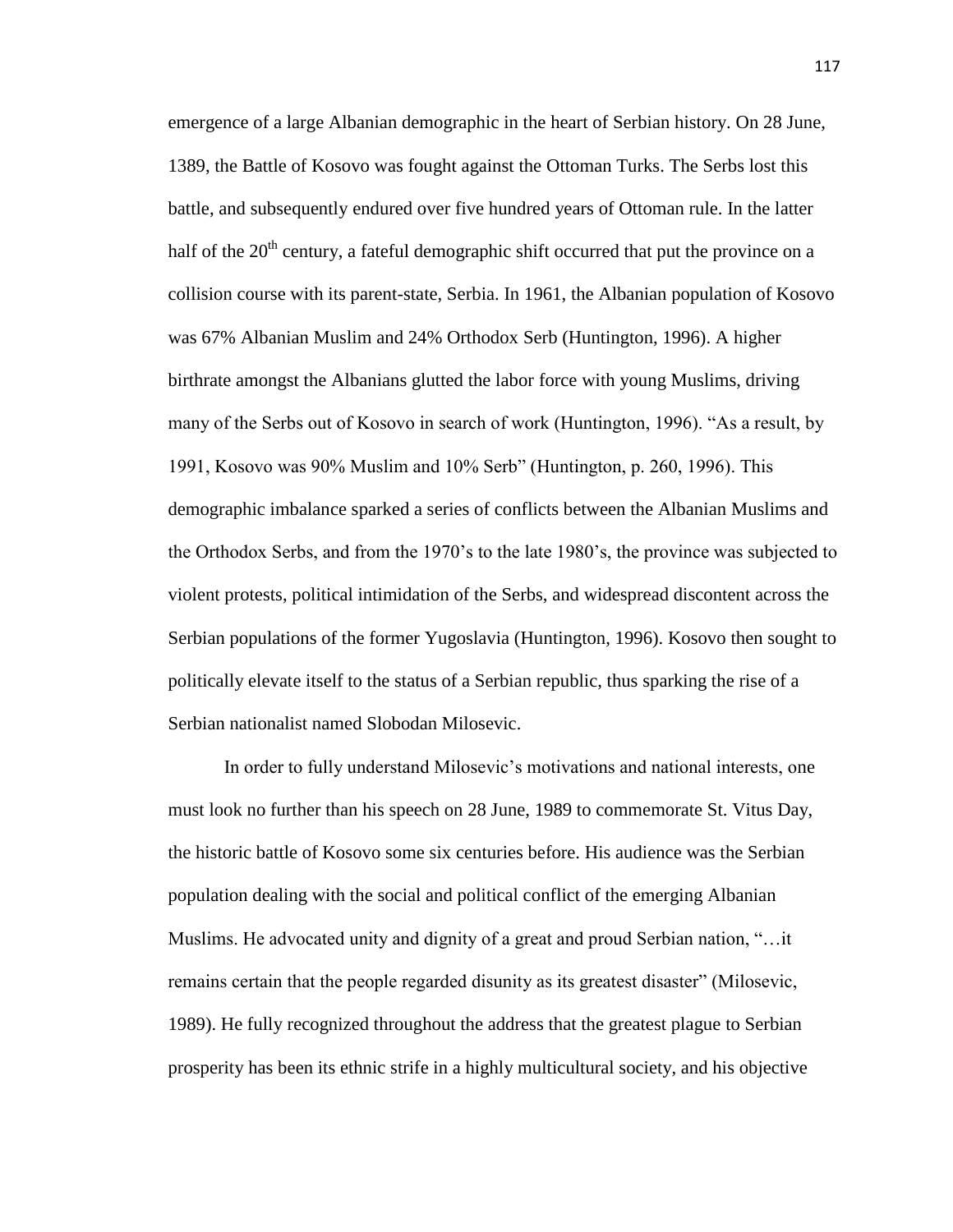emergence of a large Albanian demographic in the heart of Serbian history. On 28 June, 1389, the Battle of Kosovo was fought against the Ottoman Turks. The Serbs lost this battle, and subsequently endured over five hundred years of Ottoman rule. In the latter half of the  $20<sup>th</sup>$  century, a fateful demographic shift occurred that put the province on a collision course with its parent-state, Serbia. In 1961, the Albanian population of Kosovo was 67% Albanian Muslim and 24% Orthodox Serb (Huntington, 1996). A higher birthrate amongst the Albanians glutted the labor force with young Muslims, driving many of the Serbs out of Kosovo in search of work (Huntington, 1996). "As a result, by 1991, Kosovo was 90% Muslim and 10% Serb" (Huntington, p. 260, 1996). This demographic imbalance sparked a series of conflicts between the Albanian Muslims and the Orthodox Serbs, and from the 1970's to the late 1980's, the province was subjected to violent protests, political intimidation of the Serbs, and widespread discontent across the Serbian populations of the former Yugoslavia (Huntington, 1996). Kosovo then sought to politically elevate itself to the status of a Serbian republic, thus sparking the rise of a Serbian nationalist named Slobodan Milosevic.

In order to fully understand Milosevic's motivations and national interests, one must look no further than his speech on 28 June, 1989 to commemorate St. Vitus Day, the historic battle of Kosovo some six centuries before. His audience was the Serbian population dealing with the social and political conflict of the emerging Albanian Muslims. He advocated unity and dignity of a great and proud Serbian nation, "…it remains certain that the people regarded disunity as its greatest disaster" (Milosevic, 1989). He fully recognized throughout the address that the greatest plague to Serbian prosperity has been its ethnic strife in a highly multicultural society, and his objective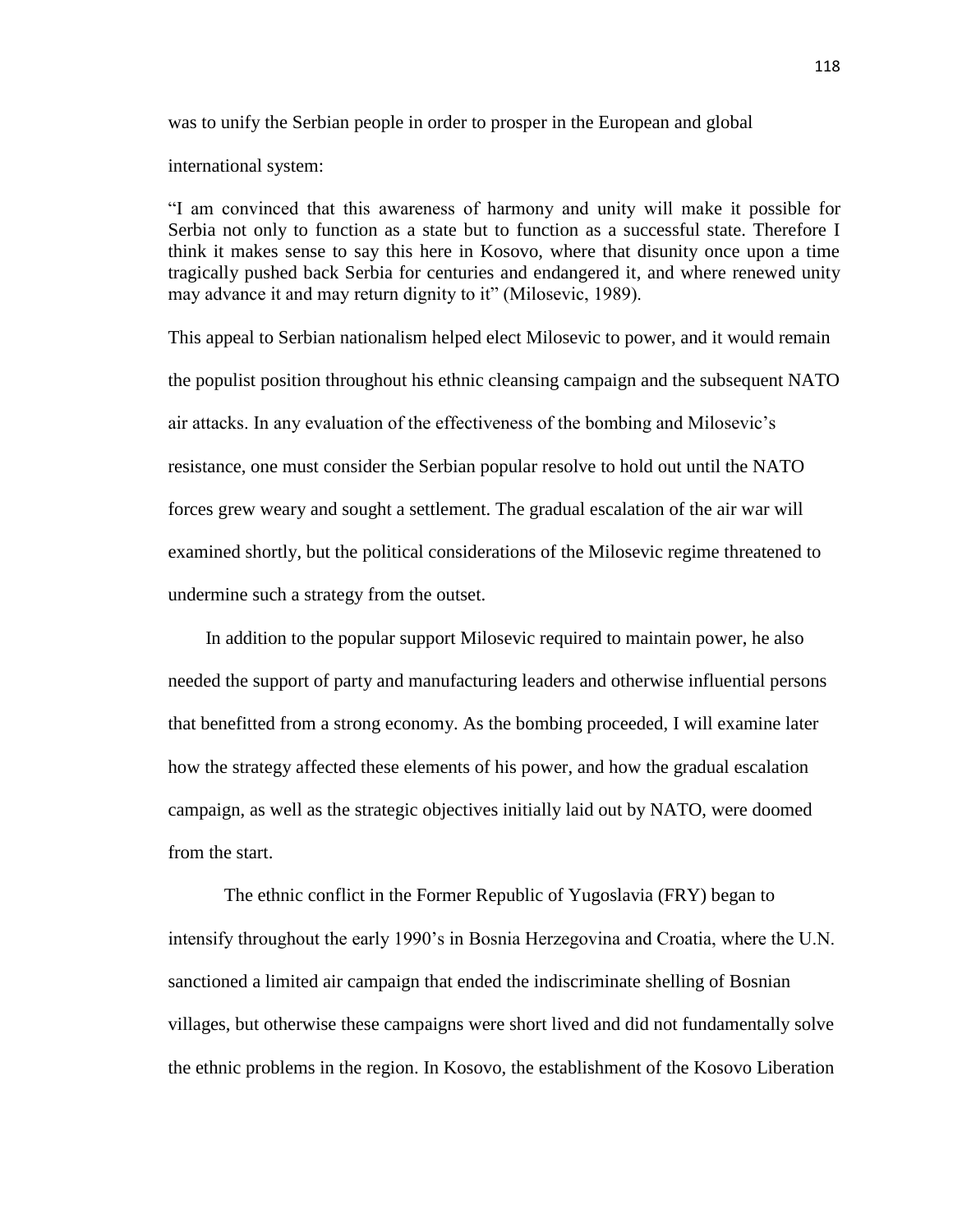was to unify the Serbian people in order to prosper in the European and global

international system:

"I am convinced that this awareness of harmony and unity will make it possible for Serbia not only to function as a state but to function as a successful state. Therefore I think it makes sense to say this here in Kosovo, where that disunity once upon a time tragically pushed back Serbia for centuries and endangered it, and where renewed unity may advance it and may return dignity to it" (Milosevic, 1989).

This appeal to Serbian nationalism helped elect Milosevic to power, and it would remain the populist position throughout his ethnic cleansing campaign and the subsequent NATO air attacks. In any evaluation of the effectiveness of the bombing and Milosevic's resistance, one must consider the Serbian popular resolve to hold out until the NATO forces grew weary and sought a settlement. The gradual escalation of the air war will examined shortly, but the political considerations of the Milosevic regime threatened to undermine such a strategy from the outset.

 In addition to the popular support Milosevic required to maintain power, he also needed the support of party and manufacturing leaders and otherwise influential persons that benefitted from a strong economy. As the bombing proceeded, I will examine later how the strategy affected these elements of his power, and how the gradual escalation campaign, as well as the strategic objectives initially laid out by NATO, were doomed from the start.

The ethnic conflict in the Former Republic of Yugoslavia (FRY) began to intensify throughout the early 1990's in Bosnia Herzegovina and Croatia, where the U.N. sanctioned a limited air campaign that ended the indiscriminate shelling of Bosnian villages, but otherwise these campaigns were short lived and did not fundamentally solve the ethnic problems in the region. In Kosovo, the establishment of the Kosovo Liberation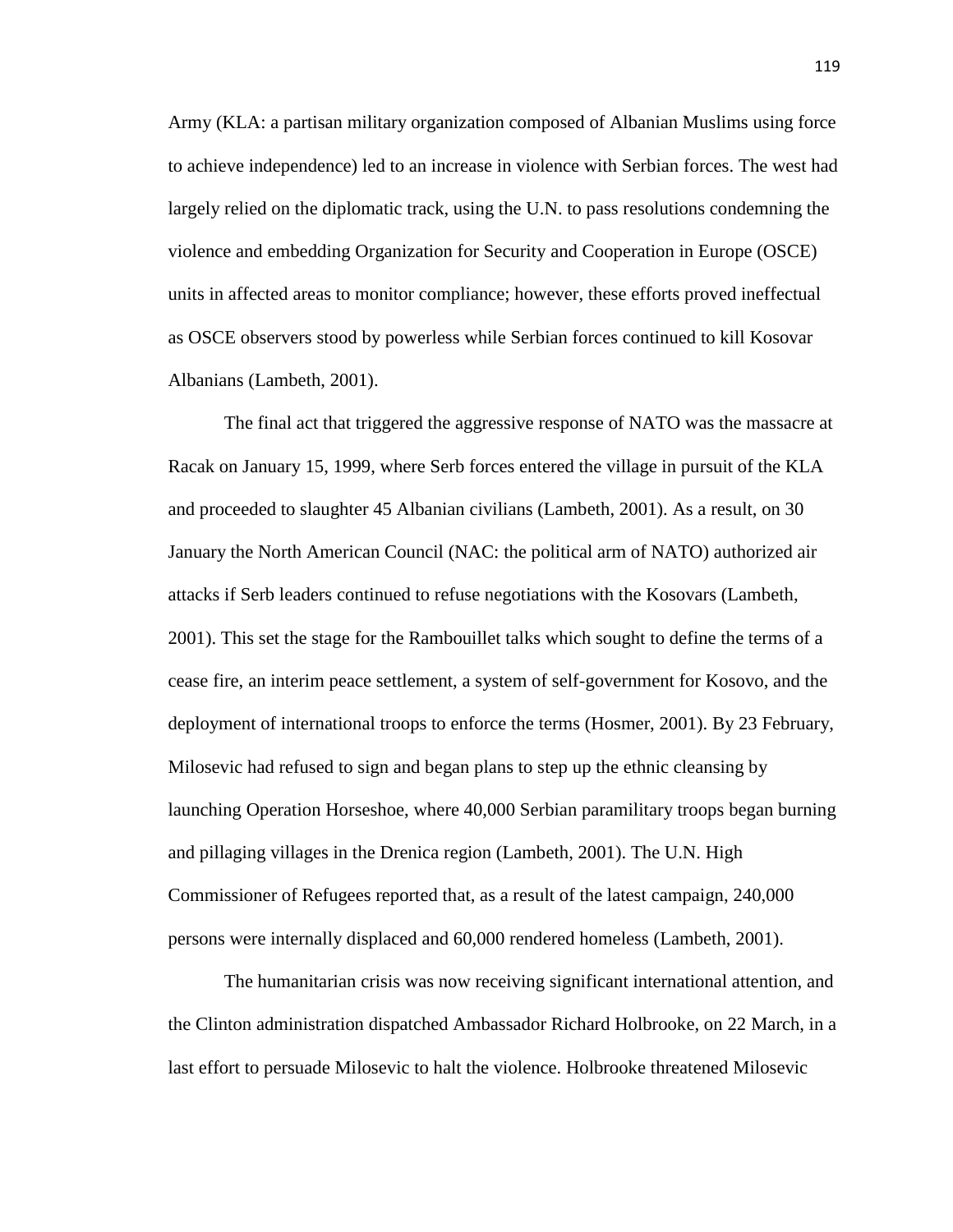Army (KLA: a partisan military organization composed of Albanian Muslims using force to achieve independence) led to an increase in violence with Serbian forces. The west had largely relied on the diplomatic track, using the U.N. to pass resolutions condemning the violence and embedding Organization for Security and Cooperation in Europe (OSCE) units in affected areas to monitor compliance; however, these efforts proved ineffectual as OSCE observers stood by powerless while Serbian forces continued to kill Kosovar Albanians (Lambeth, 2001).

The final act that triggered the aggressive response of NATO was the massacre at Racak on January 15, 1999, where Serb forces entered the village in pursuit of the KLA and proceeded to slaughter 45 Albanian civilians (Lambeth, 2001). As a result, on 30 January the North American Council (NAC: the political arm of NATO) authorized air attacks if Serb leaders continued to refuse negotiations with the Kosovars (Lambeth, 2001). This set the stage for the Rambouillet talks which sought to define the terms of a cease fire, an interim peace settlement, a system of self-government for Kosovo, and the deployment of international troops to enforce the terms (Hosmer, 2001). By 23 February, Milosevic had refused to sign and began plans to step up the ethnic cleansing by launching Operation Horseshoe, where 40,000 Serbian paramilitary troops began burning and pillaging villages in the Drenica region (Lambeth, 2001). The U.N. High Commissioner of Refugees reported that, as a result of the latest campaign, 240,000 persons were internally displaced and 60,000 rendered homeless (Lambeth, 2001).

The humanitarian crisis was now receiving significant international attention, and the Clinton administration dispatched Ambassador Richard Holbrooke, on 22 March, in a last effort to persuade Milosevic to halt the violence. Holbrooke threatened Milosevic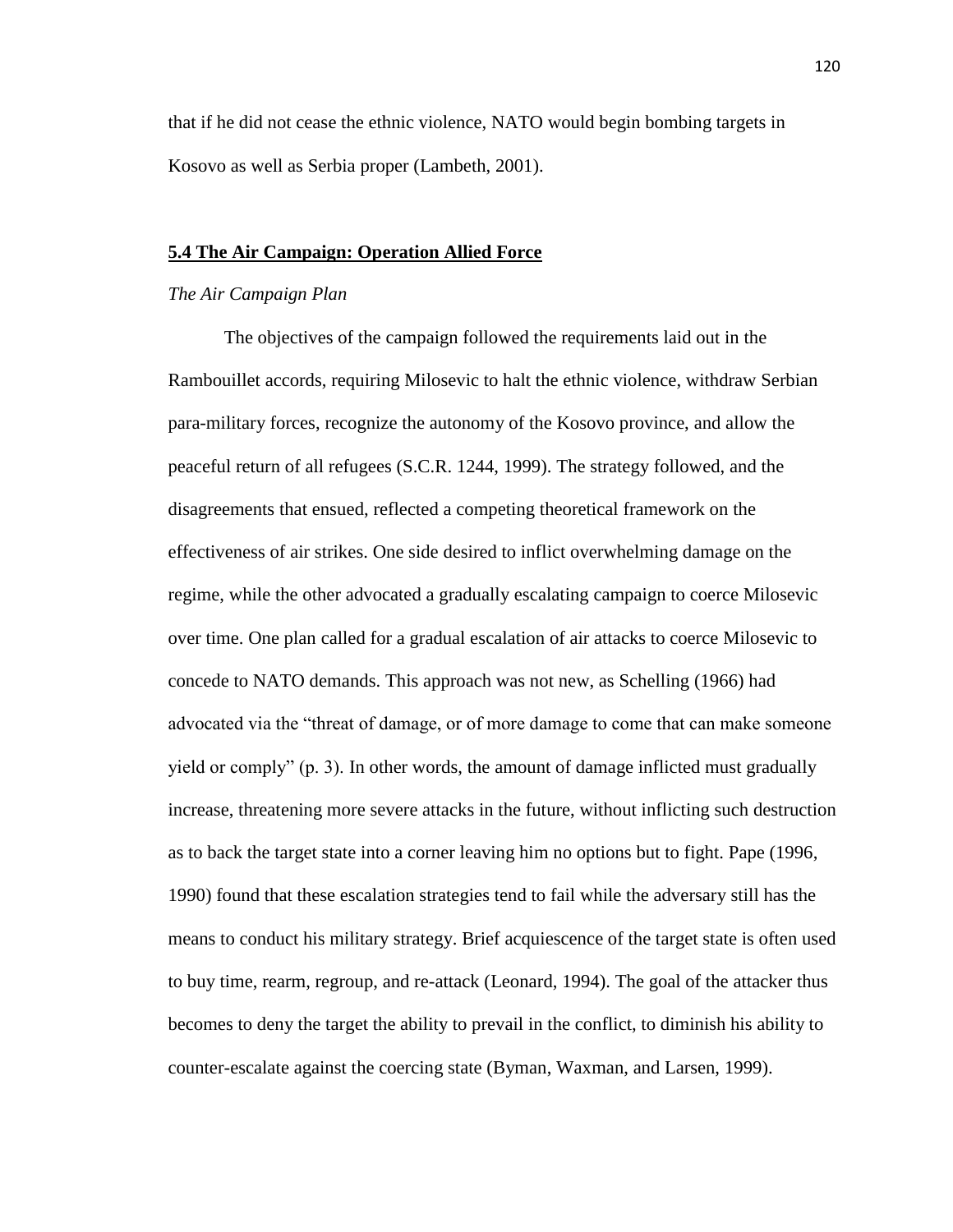that if he did not cease the ethnic violence, NATO would begin bombing targets in Kosovo as well as Serbia proper (Lambeth, 2001).

# **5.4 The Air Campaign: Operation Allied Force**

### *The Air Campaign Plan*

The objectives of the campaign followed the requirements laid out in the Rambouillet accords, requiring Milosevic to halt the ethnic violence, withdraw Serbian para-military forces, recognize the autonomy of the Kosovo province, and allow the peaceful return of all refugees (S.C.R. 1244, 1999). The strategy followed, and the disagreements that ensued, reflected a competing theoretical framework on the effectiveness of air strikes. One side desired to inflict overwhelming damage on the regime, while the other advocated a gradually escalating campaign to coerce Milosevic over time. One plan called for a gradual escalation of air attacks to coerce Milosevic to concede to NATO demands. This approach was not new, as Schelling (1966) had advocated via the "threat of damage, or of more damage to come that can make someone yield or comply" (p. 3). In other words, the amount of damage inflicted must gradually increase, threatening more severe attacks in the future, without inflicting such destruction as to back the target state into a corner leaving him no options but to fight. Pape (1996, 1990) found that these escalation strategies tend to fail while the adversary still has the means to conduct his military strategy. Brief acquiescence of the target state is often used to buy time, rearm, regroup, and re-attack (Leonard, 1994). The goal of the attacker thus becomes to deny the target the ability to prevail in the conflict, to diminish his ability to counter-escalate against the coercing state (Byman, Waxman, and Larsen, 1999).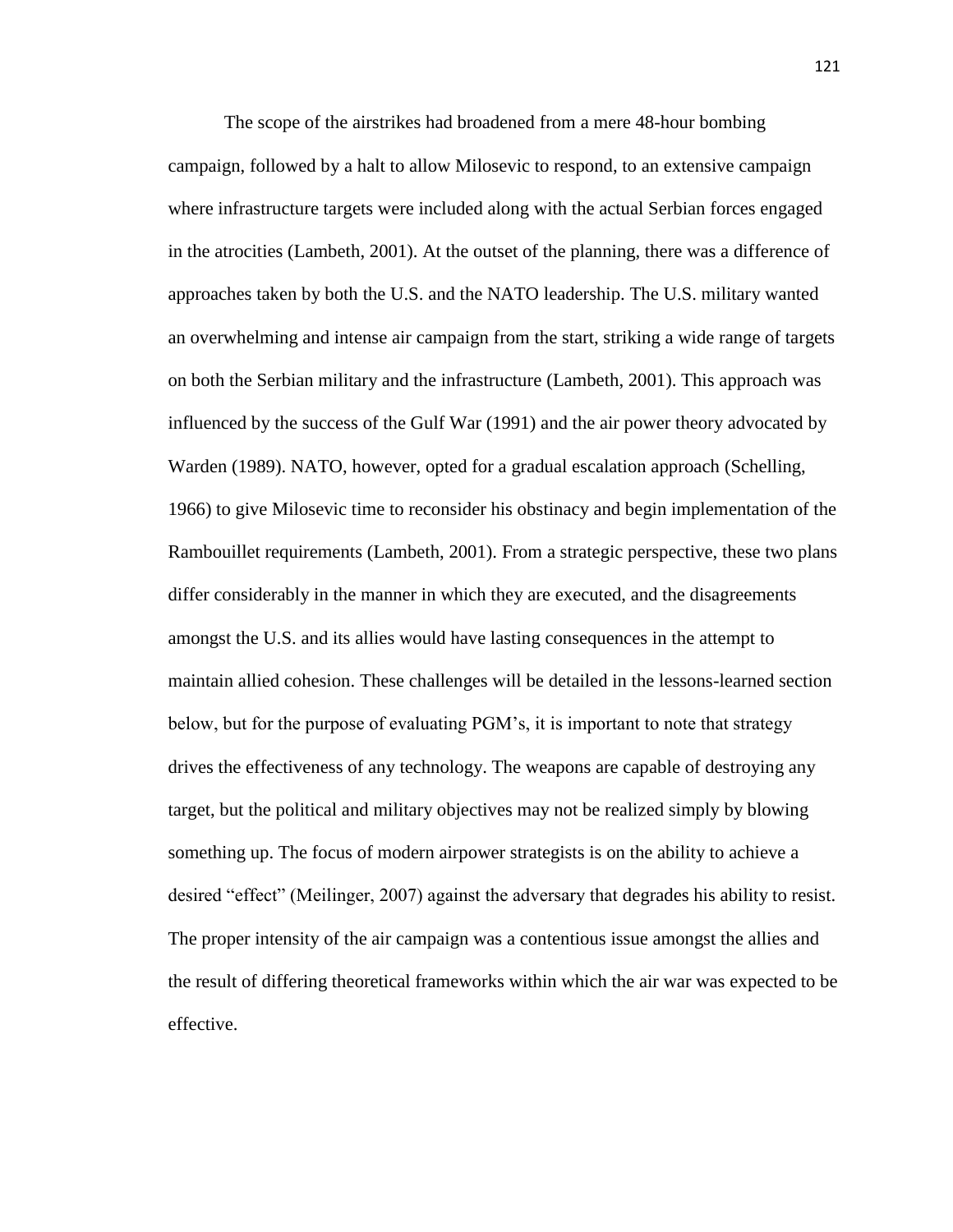The scope of the airstrikes had broadened from a mere 48-hour bombing campaign, followed by a halt to allow Milosevic to respond, to an extensive campaign where infrastructure targets were included along with the actual Serbian forces engaged in the atrocities (Lambeth, 2001). At the outset of the planning, there was a difference of approaches taken by both the U.S. and the NATO leadership. The U.S. military wanted an overwhelming and intense air campaign from the start, striking a wide range of targets on both the Serbian military and the infrastructure (Lambeth, 2001). This approach was influenced by the success of the Gulf War (1991) and the air power theory advocated by Warden (1989). NATO, however, opted for a gradual escalation approach (Schelling, 1966) to give Milosevic time to reconsider his obstinacy and begin implementation of the Rambouillet requirements (Lambeth, 2001). From a strategic perspective, these two plans differ considerably in the manner in which they are executed, and the disagreements amongst the U.S. and its allies would have lasting consequences in the attempt to maintain allied cohesion. These challenges will be detailed in the lessons-learned section below, but for the purpose of evaluating PGM's, it is important to note that strategy drives the effectiveness of any technology. The weapons are capable of destroying any target, but the political and military objectives may not be realized simply by blowing something up. The focus of modern airpower strategists is on the ability to achieve a desired "effect" (Meilinger, 2007) against the adversary that degrades his ability to resist. The proper intensity of the air campaign was a contentious issue amongst the allies and the result of differing theoretical frameworks within which the air war was expected to be effective.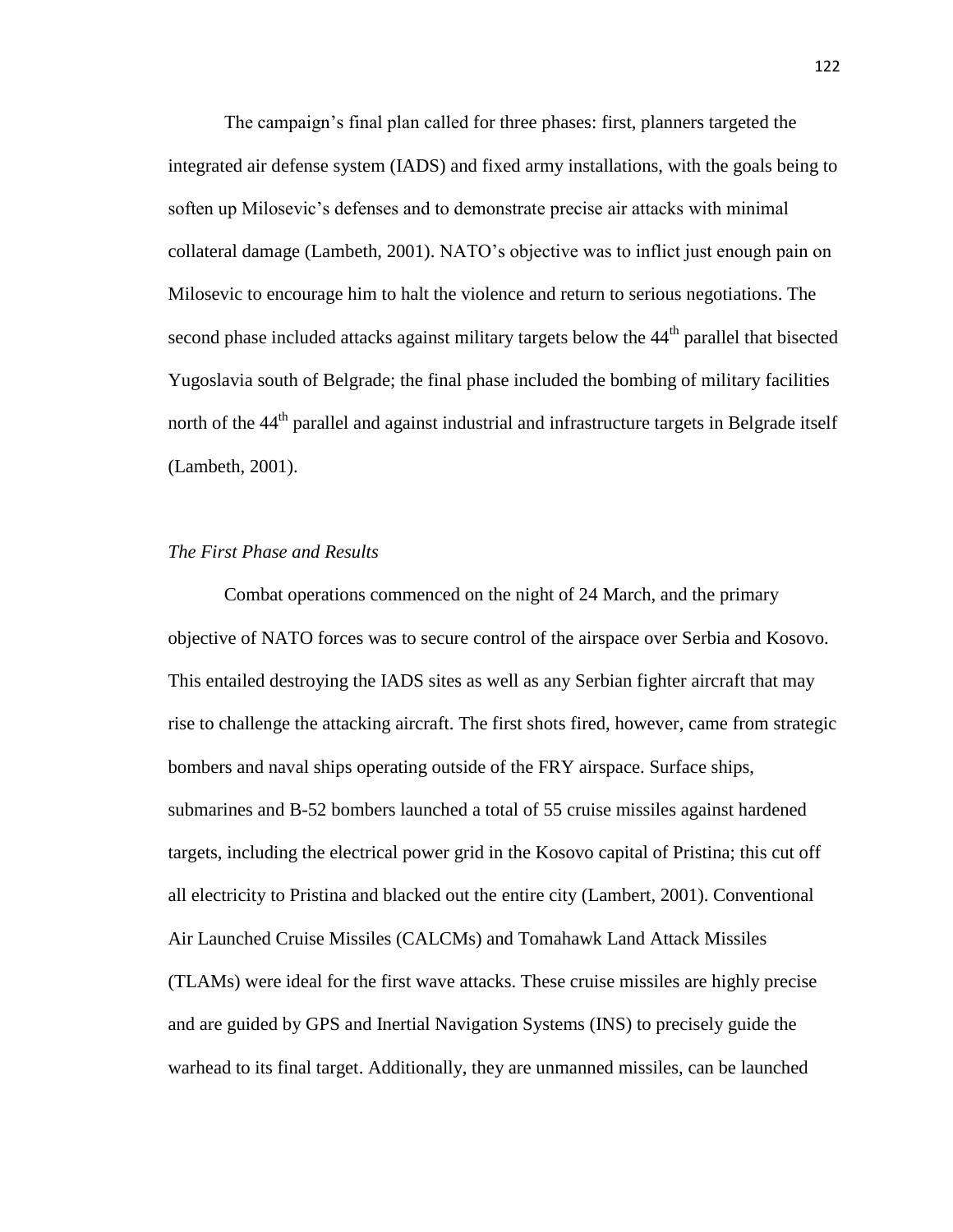The campaign's final plan called for three phases: first, planners targeted the integrated air defense system (IADS) and fixed army installations, with the goals being to soften up Milosevic's defenses and to demonstrate precise air attacks with minimal collateral damage (Lambeth, 2001). NATO's objective was to inflict just enough pain on Milosevic to encourage him to halt the violence and return to serious negotiations. The second phase included attacks against military targets below the 44<sup>th</sup> parallel that bisected Yugoslavia south of Belgrade; the final phase included the bombing of military facilities north of the 44<sup>th</sup> parallel and against industrial and infrastructure targets in Belgrade itself (Lambeth, 2001).

# *The First Phase and Results*

Combat operations commenced on the night of 24 March, and the primary objective of NATO forces was to secure control of the airspace over Serbia and Kosovo. This entailed destroying the IADS sites as well as any Serbian fighter aircraft that may rise to challenge the attacking aircraft. The first shots fired, however, came from strategic bombers and naval ships operating outside of the FRY airspace. Surface ships, submarines and B-52 bombers launched a total of 55 cruise missiles against hardened targets, including the electrical power grid in the Kosovo capital of Pristina; this cut off all electricity to Pristina and blacked out the entire city (Lambert, 2001). Conventional Air Launched Cruise Missiles (CALCMs) and Tomahawk Land Attack Missiles (TLAMs) were ideal for the first wave attacks. These cruise missiles are highly precise and are guided by GPS and Inertial Navigation Systems (INS) to precisely guide the warhead to its final target. Additionally, they are unmanned missiles, can be launched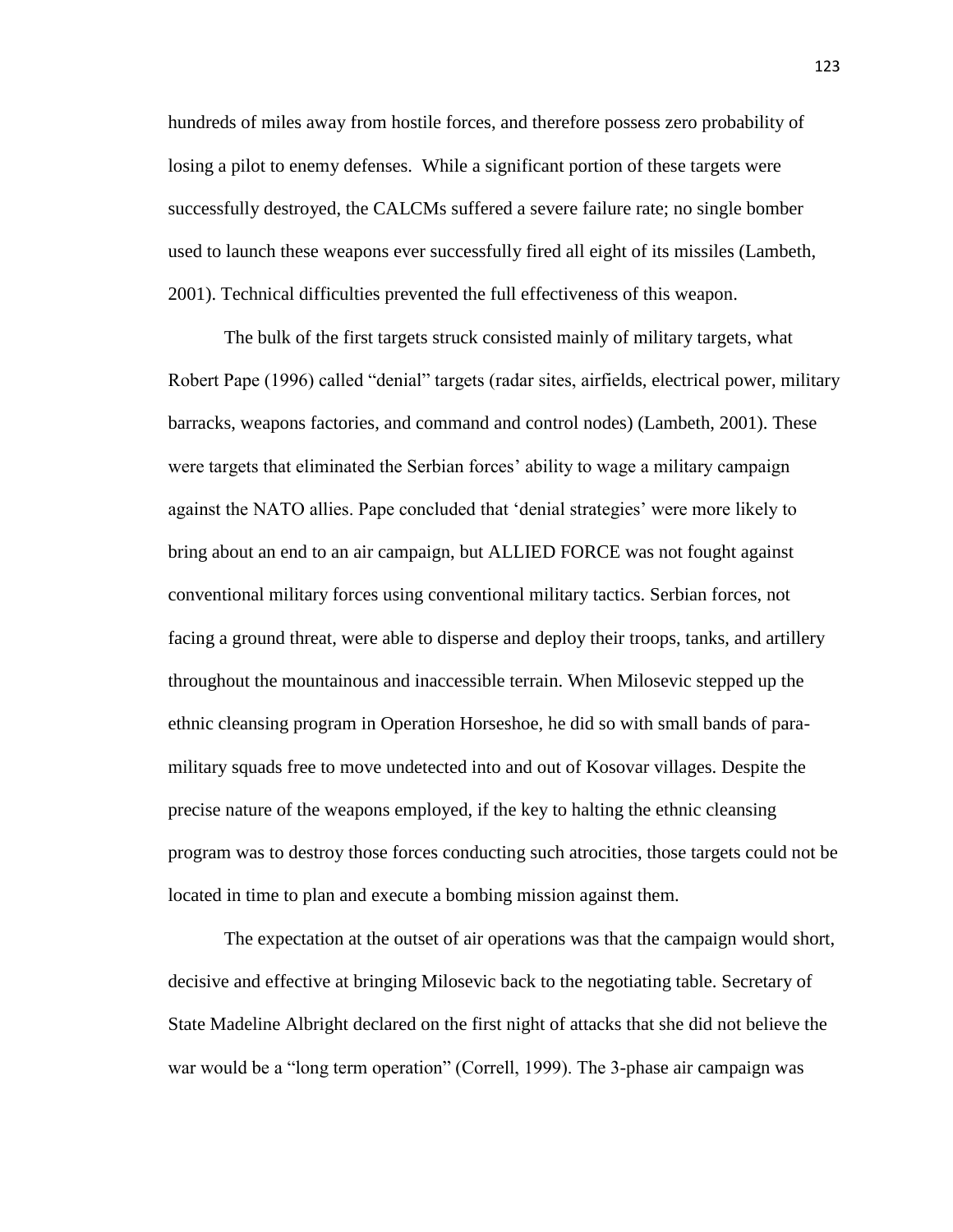hundreds of miles away from hostile forces, and therefore possess zero probability of losing a pilot to enemy defenses. While a significant portion of these targets were successfully destroyed, the CALCMs suffered a severe failure rate; no single bomber used to launch these weapons ever successfully fired all eight of its missiles (Lambeth, 2001). Technical difficulties prevented the full effectiveness of this weapon.

The bulk of the first targets struck consisted mainly of military targets, what Robert Pape (1996) called "denial" targets (radar sites, airfields, electrical power, military barracks, weapons factories, and command and control nodes) (Lambeth, 2001). These were targets that eliminated the Serbian forces' ability to wage a military campaign against the NATO allies. Pape concluded that 'denial strategies' were more likely to bring about an end to an air campaign, but ALLIED FORCE was not fought against conventional military forces using conventional military tactics. Serbian forces, not facing a ground threat, were able to disperse and deploy their troops, tanks, and artillery throughout the mountainous and inaccessible terrain. When Milosevic stepped up the ethnic cleansing program in Operation Horseshoe, he did so with small bands of paramilitary squads free to move undetected into and out of Kosovar villages. Despite the precise nature of the weapons employed, if the key to halting the ethnic cleansing program was to destroy those forces conducting such atrocities, those targets could not be located in time to plan and execute a bombing mission against them.

The expectation at the outset of air operations was that the campaign would short, decisive and effective at bringing Milosevic back to the negotiating table. Secretary of State Madeline Albright declared on the first night of attacks that she did not believe the war would be a "long term operation" (Correll, 1999). The 3-phase air campaign was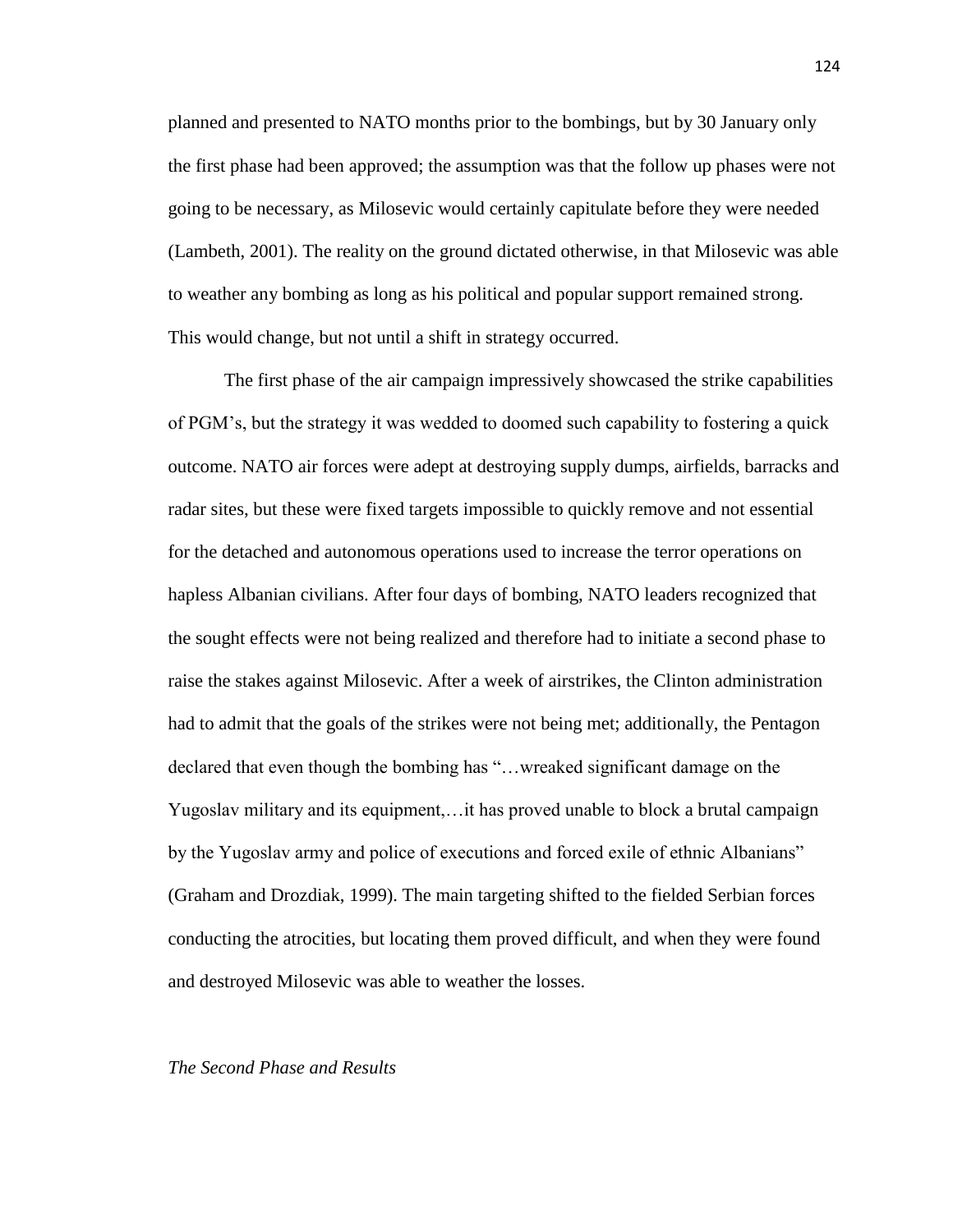planned and presented to NATO months prior to the bombings, but by 30 January only the first phase had been approved; the assumption was that the follow up phases were not going to be necessary, as Milosevic would certainly capitulate before they were needed (Lambeth, 2001). The reality on the ground dictated otherwise, in that Milosevic was able to weather any bombing as long as his political and popular support remained strong. This would change, but not until a shift in strategy occurred.

The first phase of the air campaign impressively showcased the strike capabilities of PGM's, but the strategy it was wedded to doomed such capability to fostering a quick outcome. NATO air forces were adept at destroying supply dumps, airfields, barracks and radar sites, but these were fixed targets impossible to quickly remove and not essential for the detached and autonomous operations used to increase the terror operations on hapless Albanian civilians. After four days of bombing, NATO leaders recognized that the sought effects were not being realized and therefore had to initiate a second phase to raise the stakes against Milosevic. After a week of airstrikes, the Clinton administration had to admit that the goals of the strikes were not being met; additionally, the Pentagon declared that even though the bombing has "…wreaked significant damage on the Yugoslav military and its equipment,…it has proved unable to block a brutal campaign by the Yugoslav army and police of executions and forced exile of ethnic Albanians" (Graham and Drozdiak, 1999). The main targeting shifted to the fielded Serbian forces conducting the atrocities, but locating them proved difficult, and when they were found and destroyed Milosevic was able to weather the losses.

#### *The Second Phase and Results*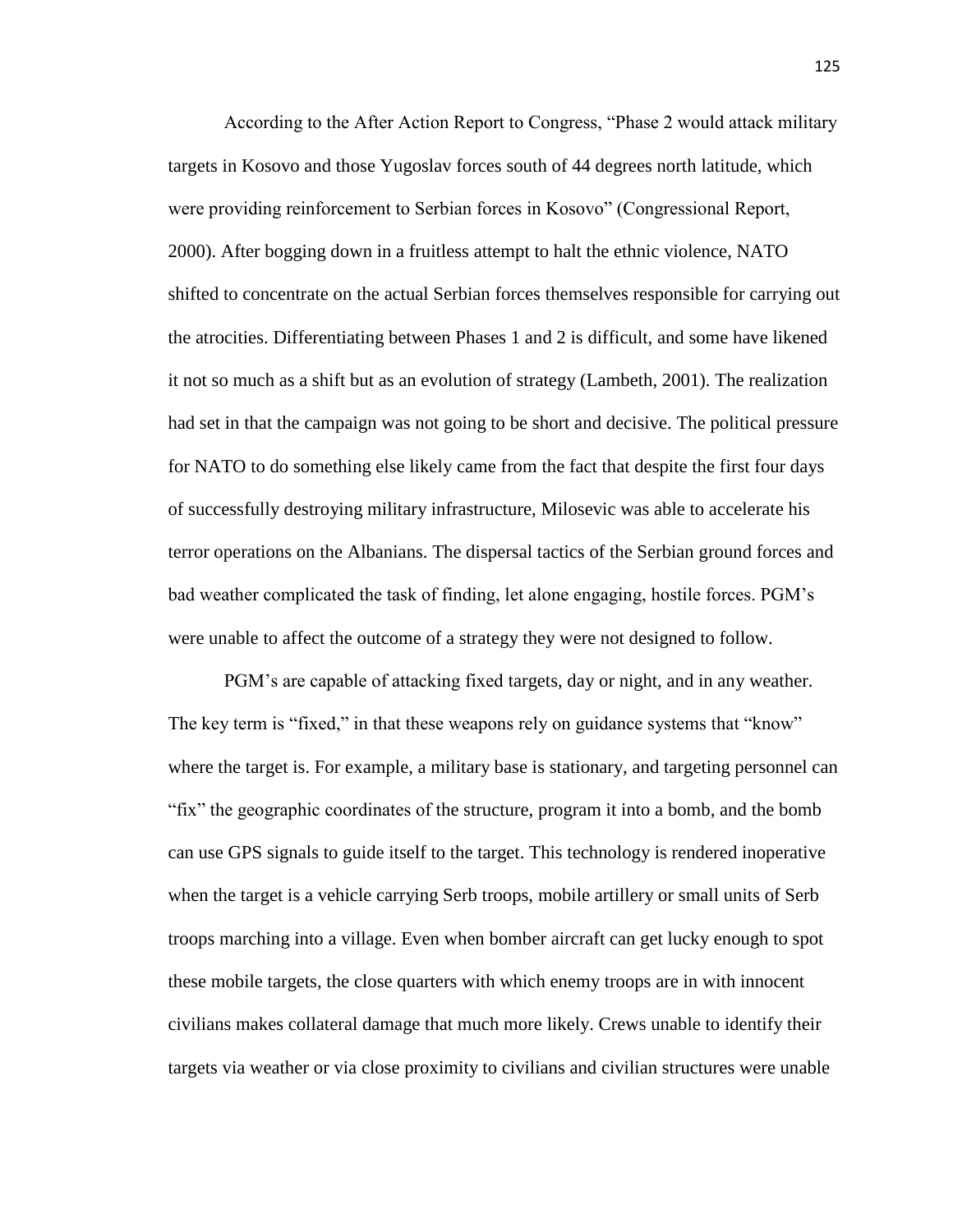According to the After Action Report to Congress, "Phase 2 would attack military targets in Kosovo and those Yugoslav forces south of 44 degrees north latitude, which were providing reinforcement to Serbian forces in Kosovo" (Congressional Report, 2000). After bogging down in a fruitless attempt to halt the ethnic violence, NATO shifted to concentrate on the actual Serbian forces themselves responsible for carrying out the atrocities. Differentiating between Phases 1 and 2 is difficult, and some have likened it not so much as a shift but as an evolution of strategy (Lambeth, 2001). The realization had set in that the campaign was not going to be short and decisive. The political pressure for NATO to do something else likely came from the fact that despite the first four days of successfully destroying military infrastructure, Milosevic was able to accelerate his terror operations on the Albanians. The dispersal tactics of the Serbian ground forces and bad weather complicated the task of finding, let alone engaging, hostile forces. PGM's were unable to affect the outcome of a strategy they were not designed to follow.

PGM's are capable of attacking fixed targets, day or night, and in any weather. The key term is "fixed," in that these weapons rely on guidance systems that "know" where the target is. For example, a military base is stationary, and targeting personnel can "fix" the geographic coordinates of the structure, program it into a bomb, and the bomb can use GPS signals to guide itself to the target. This technology is rendered inoperative when the target is a vehicle carrying Serb troops, mobile artillery or small units of Serb troops marching into a village. Even when bomber aircraft can get lucky enough to spot these mobile targets, the close quarters with which enemy troops are in with innocent civilians makes collateral damage that much more likely. Crews unable to identify their targets via weather or via close proximity to civilians and civilian structures were unable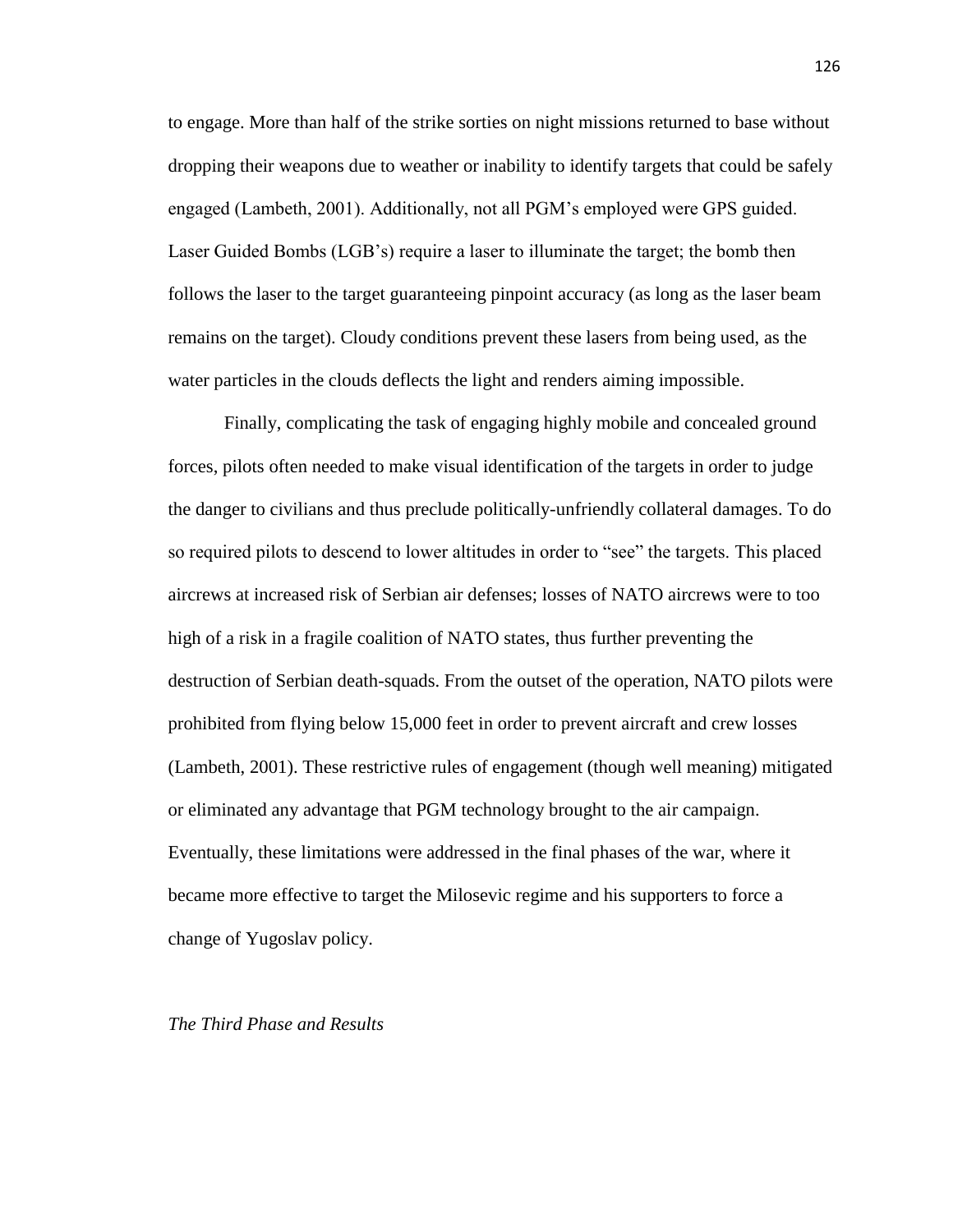to engage. More than half of the strike sorties on night missions returned to base without dropping their weapons due to weather or inability to identify targets that could be safely engaged (Lambeth, 2001). Additionally, not all PGM's employed were GPS guided. Laser Guided Bombs (LGB's) require a laser to illuminate the target; the bomb then follows the laser to the target guaranteeing pinpoint accuracy (as long as the laser beam remains on the target). Cloudy conditions prevent these lasers from being used, as the water particles in the clouds deflects the light and renders aiming impossible.

Finally, complicating the task of engaging highly mobile and concealed ground forces, pilots often needed to make visual identification of the targets in order to judge the danger to civilians and thus preclude politically-unfriendly collateral damages. To do so required pilots to descend to lower altitudes in order to "see" the targets. This placed aircrews at increased risk of Serbian air defenses; losses of NATO aircrews were to too high of a risk in a fragile coalition of NATO states, thus further preventing the destruction of Serbian death-squads. From the outset of the operation, NATO pilots were prohibited from flying below 15,000 feet in order to prevent aircraft and crew losses (Lambeth, 2001). These restrictive rules of engagement (though well meaning) mitigated or eliminated any advantage that PGM technology brought to the air campaign. Eventually, these limitations were addressed in the final phases of the war, where it became more effective to target the Milosevic regime and his supporters to force a change of Yugoslav policy.

*The Third Phase and Results*

### 126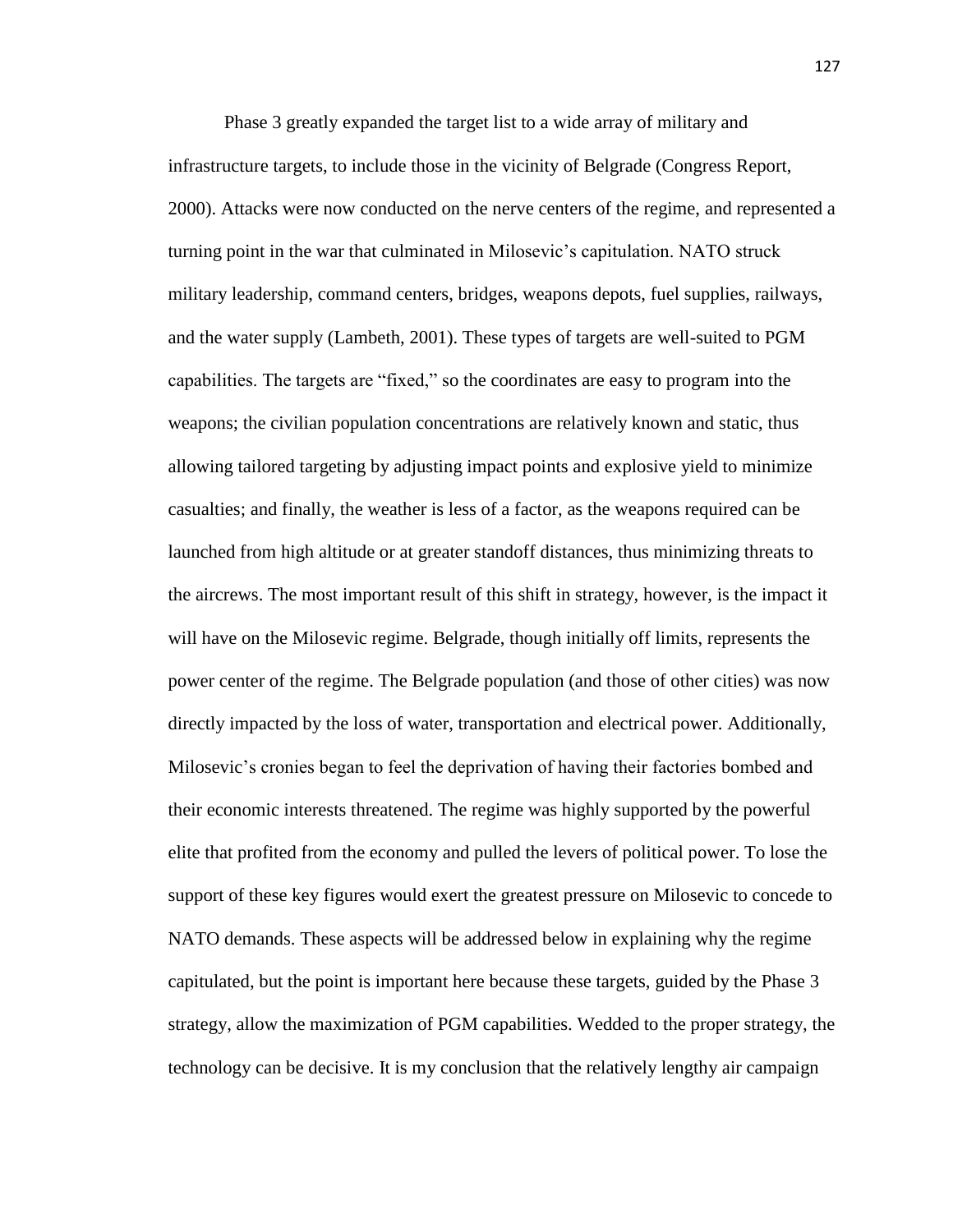Phase 3 greatly expanded the target list to a wide array of military and infrastructure targets, to include those in the vicinity of Belgrade (Congress Report, 2000). Attacks were now conducted on the nerve centers of the regime, and represented a turning point in the war that culminated in Milosevic's capitulation. NATO struck military leadership, command centers, bridges, weapons depots, fuel supplies, railways, and the water supply (Lambeth, 2001). These types of targets are well-suited to PGM capabilities. The targets are "fixed," so the coordinates are easy to program into the weapons; the civilian population concentrations are relatively known and static, thus allowing tailored targeting by adjusting impact points and explosive yield to minimize casualties; and finally, the weather is less of a factor, as the weapons required can be launched from high altitude or at greater standoff distances, thus minimizing threats to the aircrews. The most important result of this shift in strategy, however, is the impact it will have on the Milosevic regime. Belgrade, though initially off limits, represents the power center of the regime. The Belgrade population (and those of other cities) was now directly impacted by the loss of water, transportation and electrical power. Additionally, Milosevic's cronies began to feel the deprivation of having their factories bombed and their economic interests threatened. The regime was highly supported by the powerful elite that profited from the economy and pulled the levers of political power. To lose the support of these key figures would exert the greatest pressure on Milosevic to concede to NATO demands. These aspects will be addressed below in explaining why the regime capitulated, but the point is important here because these targets, guided by the Phase 3 strategy, allow the maximization of PGM capabilities. Wedded to the proper strategy, the technology can be decisive. It is my conclusion that the relatively lengthy air campaign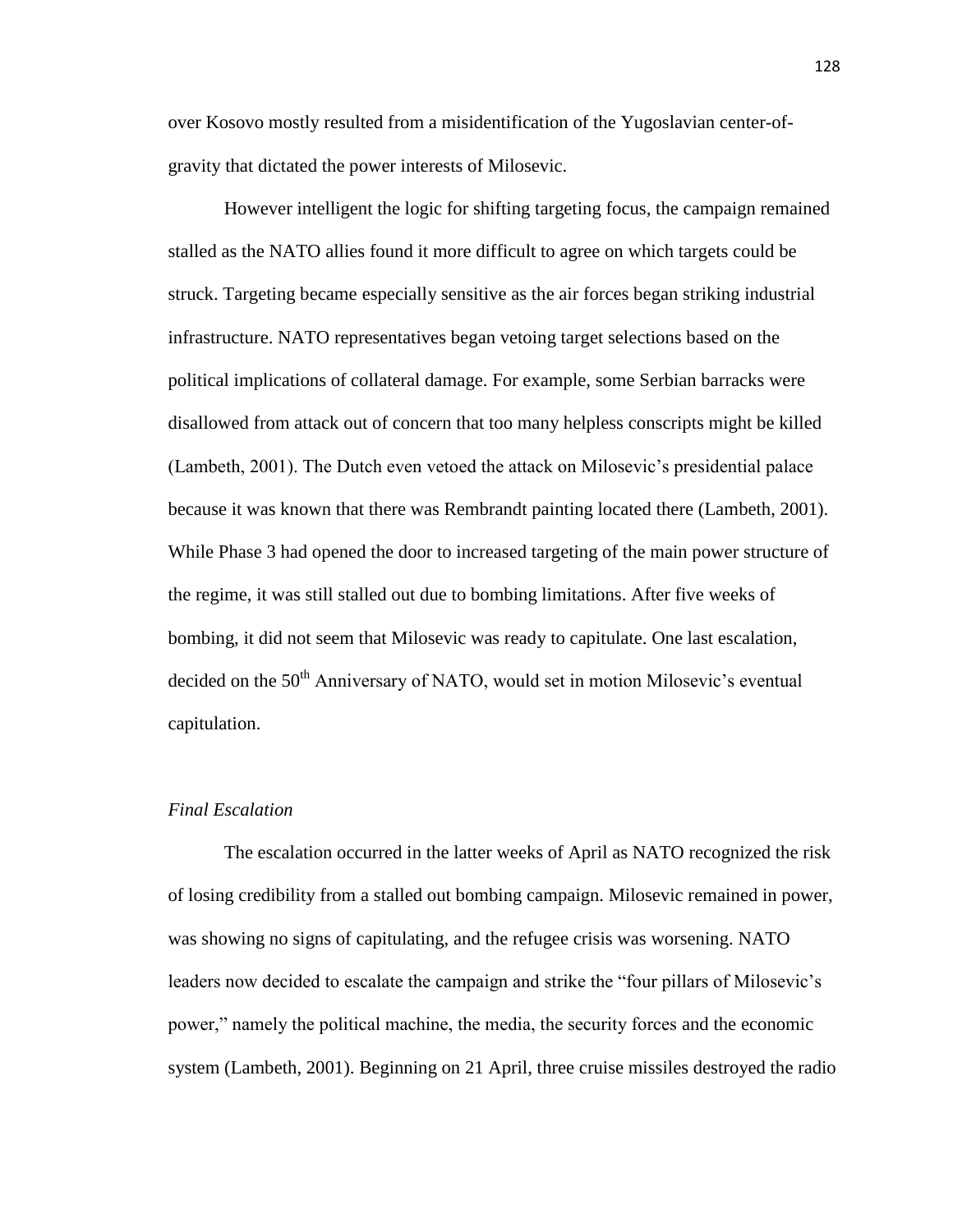over Kosovo mostly resulted from a misidentification of the Yugoslavian center-ofgravity that dictated the power interests of Milosevic.

However intelligent the logic for shifting targeting focus, the campaign remained stalled as the NATO allies found it more difficult to agree on which targets could be struck. Targeting became especially sensitive as the air forces began striking industrial infrastructure. NATO representatives began vetoing target selections based on the political implications of collateral damage. For example, some Serbian barracks were disallowed from attack out of concern that too many helpless conscripts might be killed (Lambeth, 2001). The Dutch even vetoed the attack on Milosevic's presidential palace because it was known that there was Rembrandt painting located there (Lambeth, 2001). While Phase 3 had opened the door to increased targeting of the main power structure of the regime, it was still stalled out due to bombing limitations. After five weeks of bombing, it did not seem that Milosevic was ready to capitulate. One last escalation, decided on the 50<sup>th</sup> Anniversary of NATO, would set in motion Milosevic's eventual capitulation.

### *Final Escalation*

The escalation occurred in the latter weeks of April as NATO recognized the risk of losing credibility from a stalled out bombing campaign. Milosevic remained in power, was showing no signs of capitulating, and the refugee crisis was worsening. NATO leaders now decided to escalate the campaign and strike the "four pillars of Milosevic's power," namely the political machine, the media, the security forces and the economic system (Lambeth, 2001). Beginning on 21 April, three cruise missiles destroyed the radio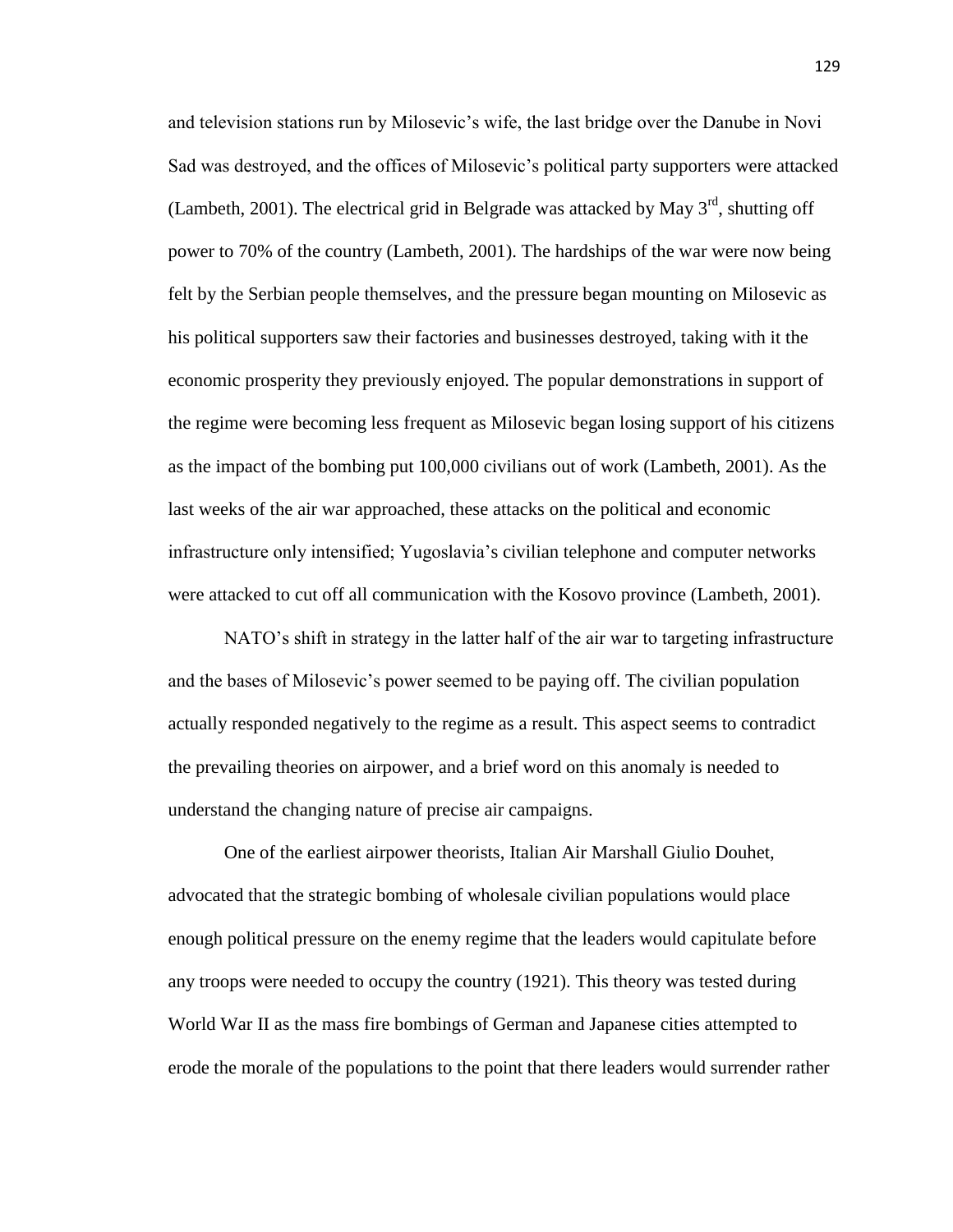and television stations run by Milosevic's wife, the last bridge over the Danube in Novi Sad was destroyed, and the offices of Milosevic's political party supporters were attacked (Lambeth, 2001). The electrical grid in Belgrade was attacked by May  $3<sup>rd</sup>$ , shutting off power to 70% of the country (Lambeth, 2001). The hardships of the war were now being felt by the Serbian people themselves, and the pressure began mounting on Milosevic as his political supporters saw their factories and businesses destroyed, taking with it the economic prosperity they previously enjoyed. The popular demonstrations in support of the regime were becoming less frequent as Milosevic began losing support of his citizens as the impact of the bombing put 100,000 civilians out of work (Lambeth, 2001). As the last weeks of the air war approached, these attacks on the political and economic infrastructure only intensified; Yugoslavia's civilian telephone and computer networks were attacked to cut off all communication with the Kosovo province (Lambeth, 2001).

NATO's shift in strategy in the latter half of the air war to targeting infrastructure and the bases of Milosevic's power seemed to be paying off. The civilian population actually responded negatively to the regime as a result. This aspect seems to contradict the prevailing theories on airpower, and a brief word on this anomaly is needed to understand the changing nature of precise air campaigns.

One of the earliest airpower theorists, Italian Air Marshall Giulio Douhet, advocated that the strategic bombing of wholesale civilian populations would place enough political pressure on the enemy regime that the leaders would capitulate before any troops were needed to occupy the country (1921). This theory was tested during World War II as the mass fire bombings of German and Japanese cities attempted to erode the morale of the populations to the point that there leaders would surrender rather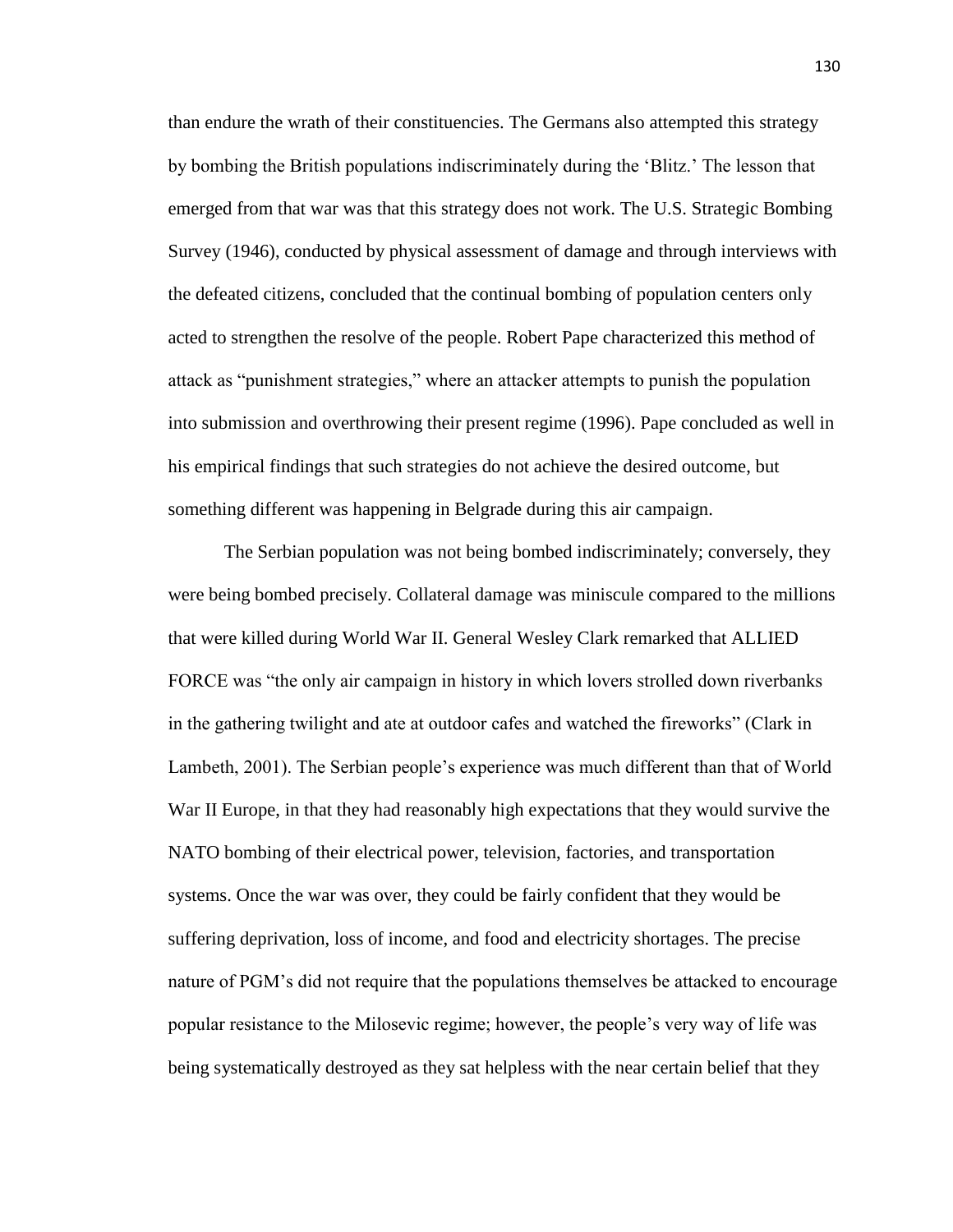than endure the wrath of their constituencies. The Germans also attempted this strategy by bombing the British populations indiscriminately during the 'Blitz.' The lesson that emerged from that war was that this strategy does not work. The U.S. Strategic Bombing Survey (1946), conducted by physical assessment of damage and through interviews with the defeated citizens, concluded that the continual bombing of population centers only acted to strengthen the resolve of the people. Robert Pape characterized this method of attack as "punishment strategies," where an attacker attempts to punish the population into submission and overthrowing their present regime (1996). Pape concluded as well in his empirical findings that such strategies do not achieve the desired outcome, but something different was happening in Belgrade during this air campaign.

The Serbian population was not being bombed indiscriminately; conversely, they were being bombed precisely. Collateral damage was miniscule compared to the millions that were killed during World War II. General Wesley Clark remarked that ALLIED FORCE was "the only air campaign in history in which lovers strolled down riverbanks in the gathering twilight and ate at outdoor cafes and watched the fireworks" (Clark in Lambeth, 2001). The Serbian people's experience was much different than that of World War II Europe, in that they had reasonably high expectations that they would survive the NATO bombing of their electrical power, television, factories, and transportation systems. Once the war was over, they could be fairly confident that they would be suffering deprivation, loss of income, and food and electricity shortages. The precise nature of PGM's did not require that the populations themselves be attacked to encourage popular resistance to the Milosevic regime; however, the people's very way of life was being systematically destroyed as they sat helpless with the near certain belief that they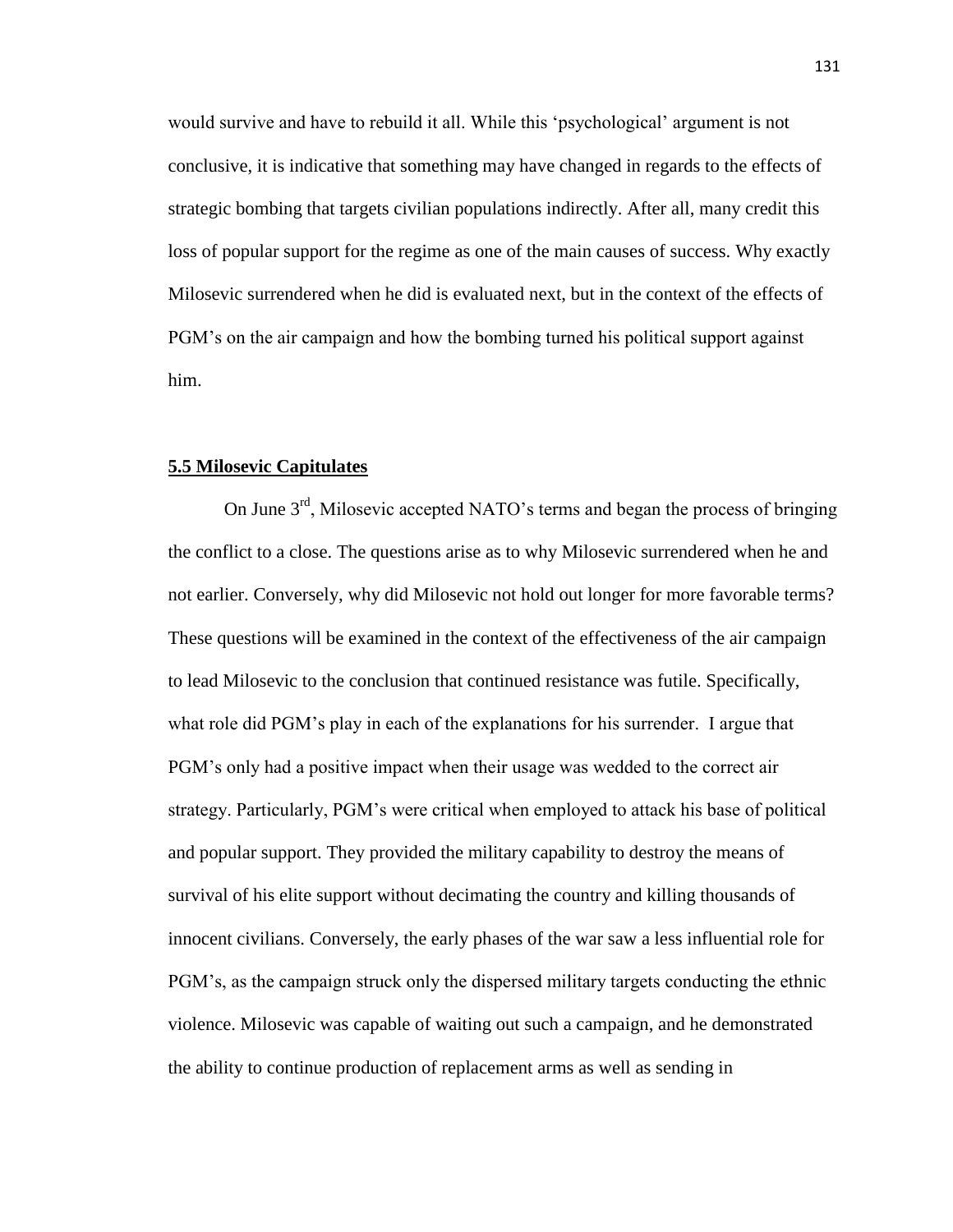would survive and have to rebuild it all. While this 'psychological' argument is not conclusive, it is indicative that something may have changed in regards to the effects of strategic bombing that targets civilian populations indirectly. After all, many credit this loss of popular support for the regime as one of the main causes of success. Why exactly Milosevic surrendered when he did is evaluated next, but in the context of the effects of PGM's on the air campaign and how the bombing turned his political support against him.

# **5.5 Milosevic Capitulates**

On June 3rd, Milosevic accepted NATO's terms and began the process of bringing the conflict to a close. The questions arise as to why Milosevic surrendered when he and not earlier. Conversely, why did Milosevic not hold out longer for more favorable terms? These questions will be examined in the context of the effectiveness of the air campaign to lead Milosevic to the conclusion that continued resistance was futile. Specifically, what role did PGM's play in each of the explanations for his surrender. I argue that PGM's only had a positive impact when their usage was wedded to the correct air strategy. Particularly, PGM's were critical when employed to attack his base of political and popular support. They provided the military capability to destroy the means of survival of his elite support without decimating the country and killing thousands of innocent civilians. Conversely, the early phases of the war saw a less influential role for PGM's, as the campaign struck only the dispersed military targets conducting the ethnic violence. Milosevic was capable of waiting out such a campaign, and he demonstrated the ability to continue production of replacement arms as well as sending in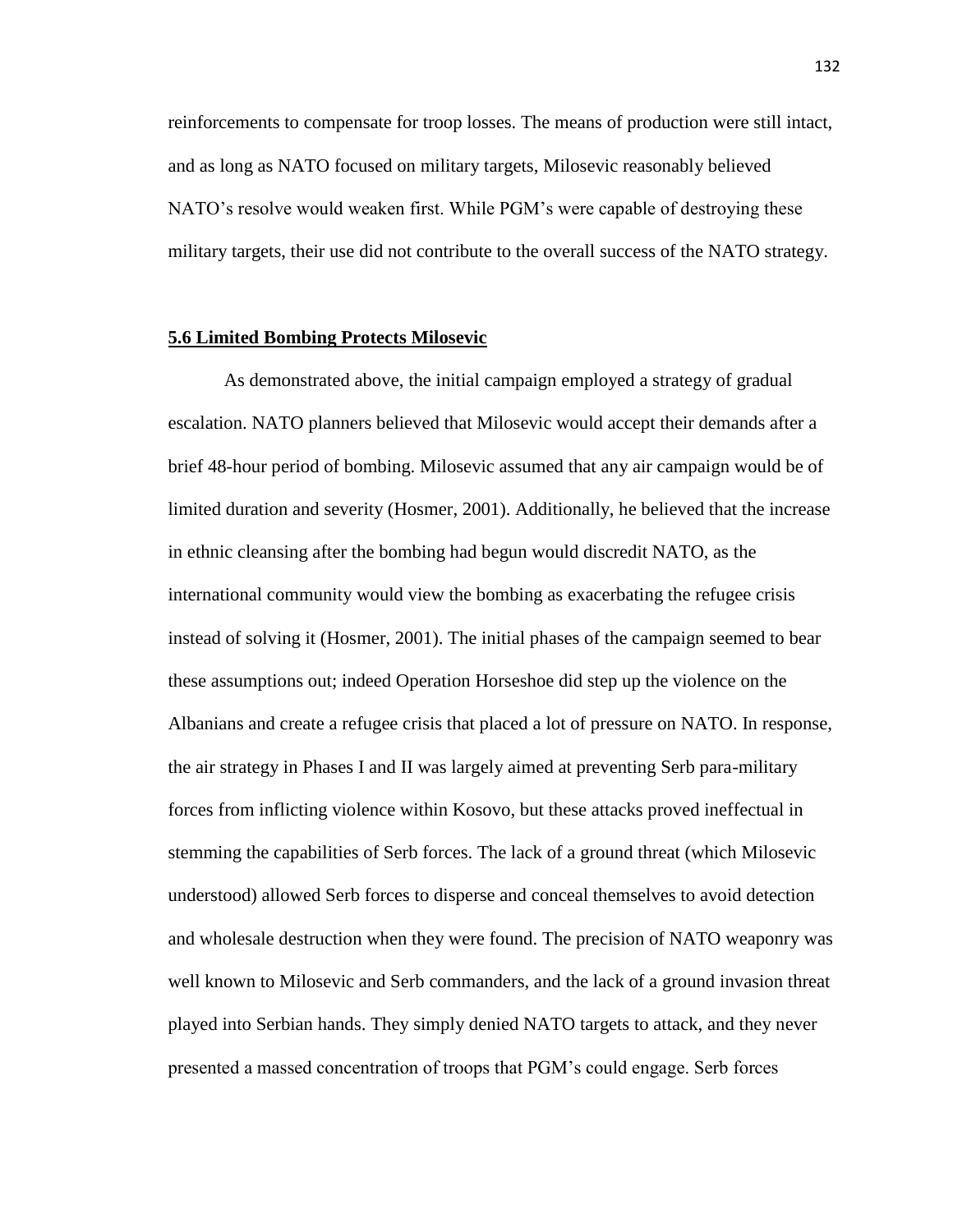reinforcements to compensate for troop losses. The means of production were still intact, and as long as NATO focused on military targets, Milosevic reasonably believed NATO's resolve would weaken first. While PGM's were capable of destroying these military targets, their use did not contribute to the overall success of the NATO strategy.

### **5.6 Limited Bombing Protects Milosevic**

As demonstrated above, the initial campaign employed a strategy of gradual escalation. NATO planners believed that Milosevic would accept their demands after a brief 48-hour period of bombing. Milosevic assumed that any air campaign would be of limited duration and severity (Hosmer, 2001). Additionally, he believed that the increase in ethnic cleansing after the bombing had begun would discredit NATO, as the international community would view the bombing as exacerbating the refugee crisis instead of solving it (Hosmer, 2001). The initial phases of the campaign seemed to bear these assumptions out; indeed Operation Horseshoe did step up the violence on the Albanians and create a refugee crisis that placed a lot of pressure on NATO. In response, the air strategy in Phases I and II was largely aimed at preventing Serb para-military forces from inflicting violence within Kosovo, but these attacks proved ineffectual in stemming the capabilities of Serb forces. The lack of a ground threat (which Milosevic understood) allowed Serb forces to disperse and conceal themselves to avoid detection and wholesale destruction when they were found. The precision of NATO weaponry was well known to Milosevic and Serb commanders, and the lack of a ground invasion threat played into Serbian hands. They simply denied NATO targets to attack, and they never presented a massed concentration of troops that PGM's could engage. Serb forces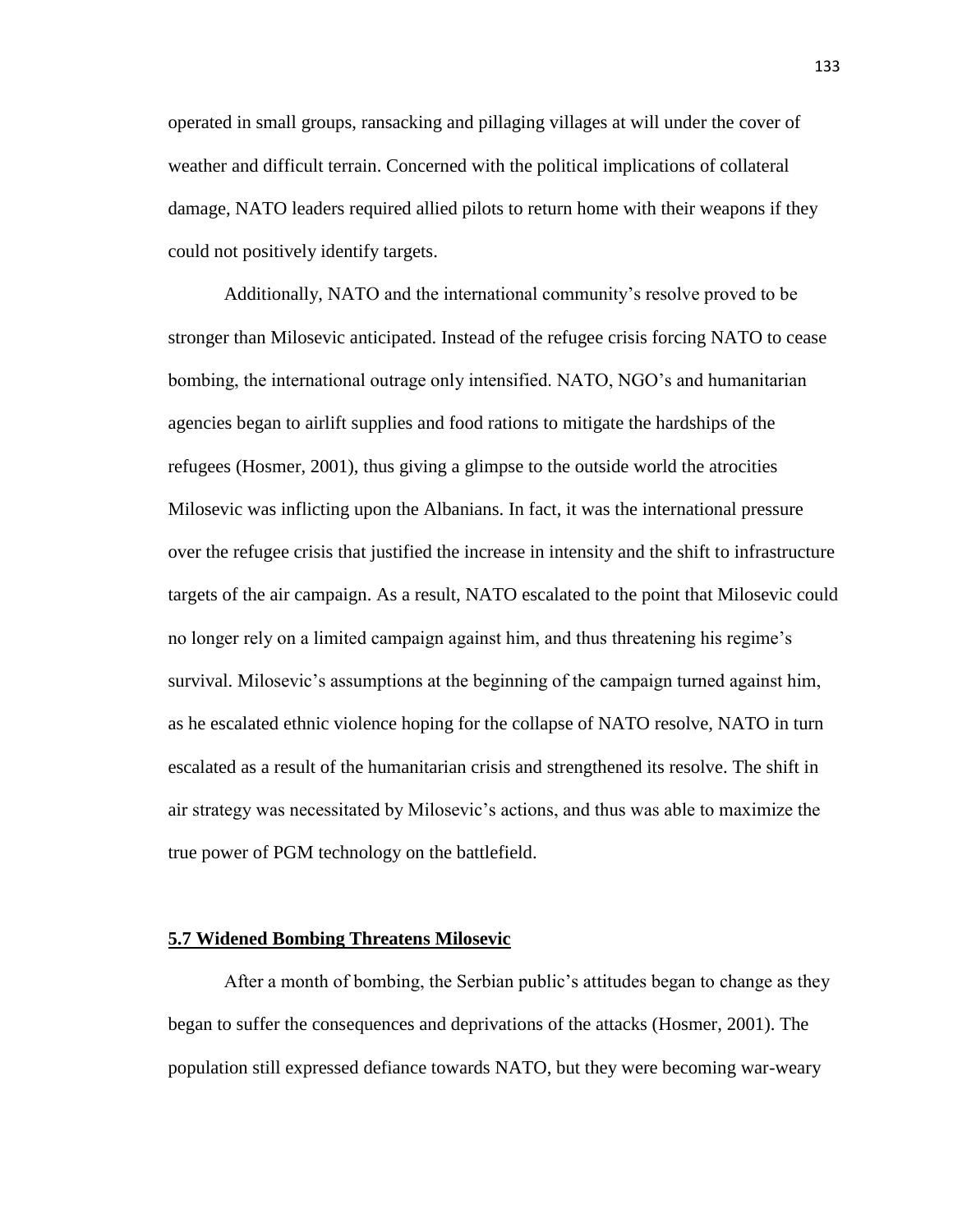operated in small groups, ransacking and pillaging villages at will under the cover of weather and difficult terrain. Concerned with the political implications of collateral damage, NATO leaders required allied pilots to return home with their weapons if they could not positively identify targets.

Additionally, NATO and the international community's resolve proved to be stronger than Milosevic anticipated. Instead of the refugee crisis forcing NATO to cease bombing, the international outrage only intensified. NATO, NGO's and humanitarian agencies began to airlift supplies and food rations to mitigate the hardships of the refugees (Hosmer, 2001), thus giving a glimpse to the outside world the atrocities Milosevic was inflicting upon the Albanians. In fact, it was the international pressure over the refugee crisis that justified the increase in intensity and the shift to infrastructure targets of the air campaign. As a result, NATO escalated to the point that Milosevic could no longer rely on a limited campaign against him, and thus threatening his regime's survival. Milosevic's assumptions at the beginning of the campaign turned against him, as he escalated ethnic violence hoping for the collapse of NATO resolve, NATO in turn escalated as a result of the humanitarian crisis and strengthened its resolve. The shift in air strategy was necessitated by Milosevic's actions, and thus was able to maximize the true power of PGM technology on the battlefield.

### **5.7 Widened Bombing Threatens Milosevic**

After a month of bombing, the Serbian public's attitudes began to change as they began to suffer the consequences and deprivations of the attacks (Hosmer, 2001). The population still expressed defiance towards NATO, but they were becoming war-weary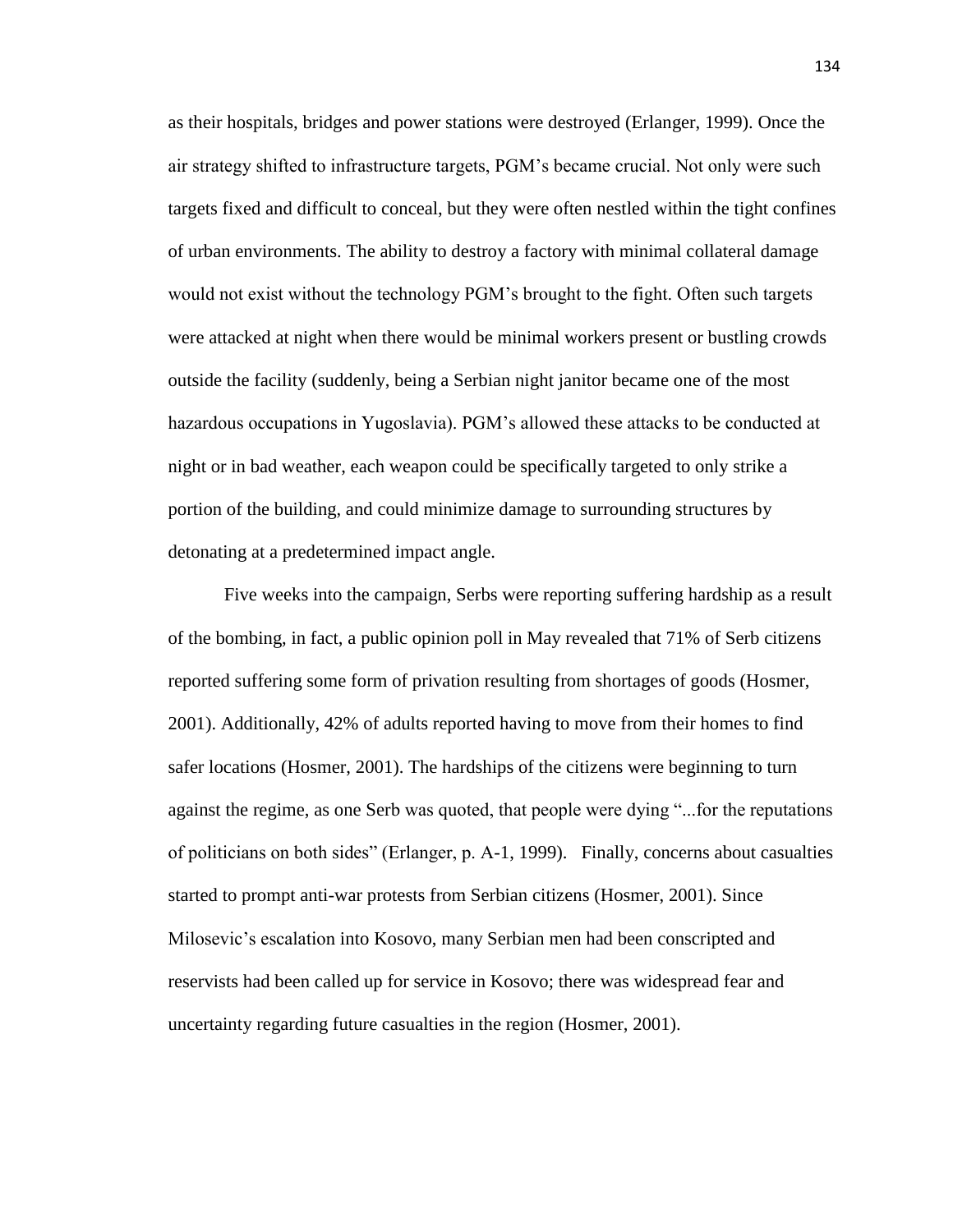as their hospitals, bridges and power stations were destroyed (Erlanger, 1999). Once the air strategy shifted to infrastructure targets, PGM's became crucial. Not only were such targets fixed and difficult to conceal, but they were often nestled within the tight confines of urban environments. The ability to destroy a factory with minimal collateral damage would not exist without the technology PGM's brought to the fight. Often such targets were attacked at night when there would be minimal workers present or bustling crowds outside the facility (suddenly, being a Serbian night janitor became one of the most hazardous occupations in Yugoslavia). PGM's allowed these attacks to be conducted at night or in bad weather, each weapon could be specifically targeted to only strike a portion of the building, and could minimize damage to surrounding structures by detonating at a predetermined impact angle.

Five weeks into the campaign, Serbs were reporting suffering hardship as a result of the bombing, in fact, a public opinion poll in May revealed that 71% of Serb citizens reported suffering some form of privation resulting from shortages of goods (Hosmer, 2001). Additionally, 42% of adults reported having to move from their homes to find safer locations (Hosmer, 2001). The hardships of the citizens were beginning to turn against the regime, as one Serb was quoted, that people were dying "...for the reputations of politicians on both sides" (Erlanger, p. A-1, 1999). Finally, concerns about casualties started to prompt anti-war protests from Serbian citizens (Hosmer, 2001). Since Milosevic's escalation into Kosovo, many Serbian men had been conscripted and reservists had been called up for service in Kosovo; there was widespread fear and uncertainty regarding future casualties in the region (Hosmer, 2001).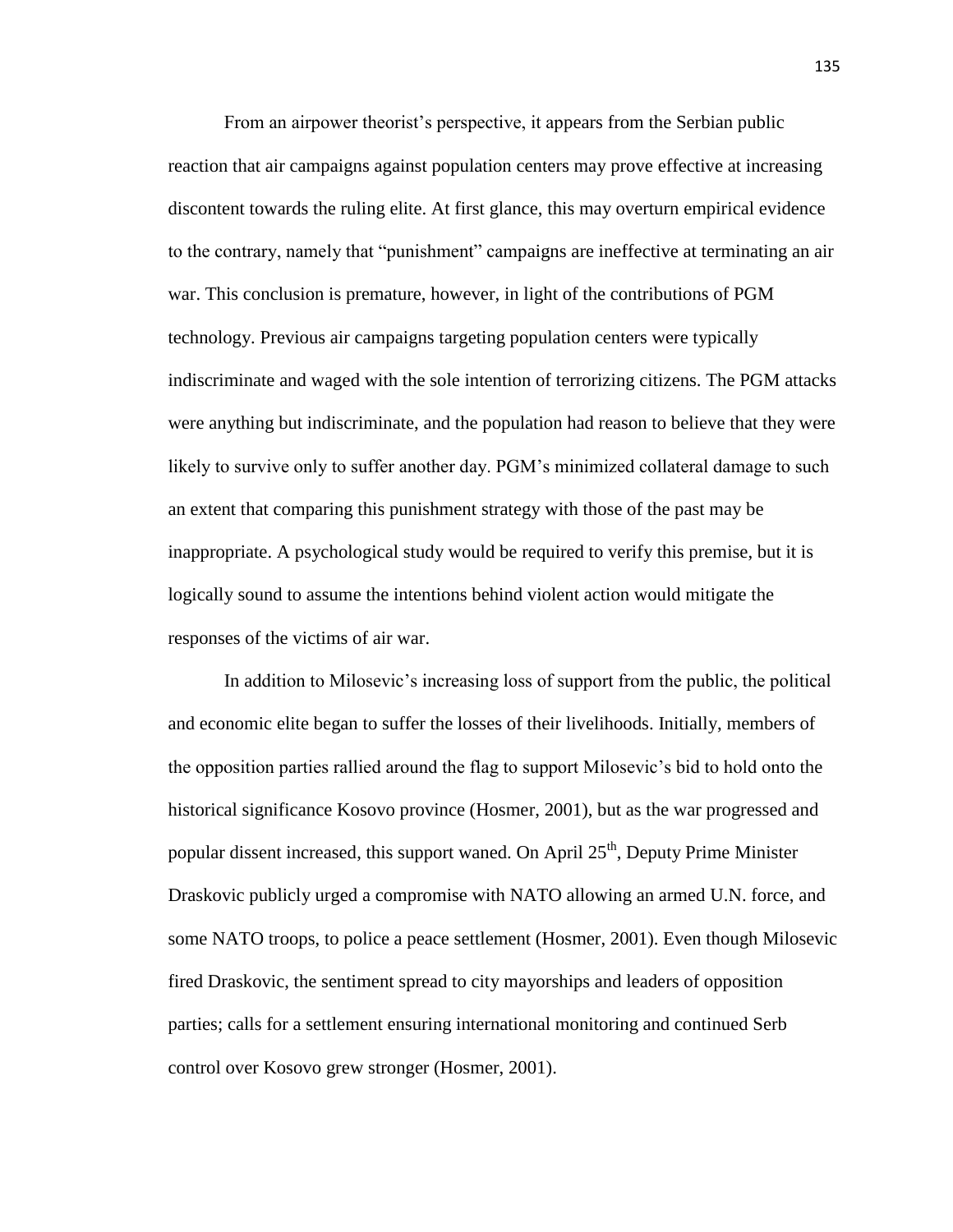From an airpower theorist's perspective, it appears from the Serbian public reaction that air campaigns against population centers may prove effective at increasing discontent towards the ruling elite. At first glance, this may overturn empirical evidence to the contrary, namely that "punishment" campaigns are ineffective at terminating an air war. This conclusion is premature, however, in light of the contributions of PGM technology. Previous air campaigns targeting population centers were typically indiscriminate and waged with the sole intention of terrorizing citizens. The PGM attacks were anything but indiscriminate, and the population had reason to believe that they were likely to survive only to suffer another day. PGM's minimized collateral damage to such an extent that comparing this punishment strategy with those of the past may be inappropriate. A psychological study would be required to verify this premise, but it is logically sound to assume the intentions behind violent action would mitigate the responses of the victims of air war.

In addition to Milosevic's increasing loss of support from the public, the political and economic elite began to suffer the losses of their livelihoods. Initially, members of the opposition parties rallied around the flag to support Milosevic's bid to hold onto the historical significance Kosovo province (Hosmer, 2001), but as the war progressed and popular dissent increased, this support waned. On April  $25<sup>th</sup>$ , Deputy Prime Minister Draskovic publicly urged a compromise with NATO allowing an armed U.N. force, and some NATO troops, to police a peace settlement (Hosmer, 2001). Even though Milosevic fired Draskovic, the sentiment spread to city mayorships and leaders of opposition parties; calls for a settlement ensuring international monitoring and continued Serb control over Kosovo grew stronger (Hosmer, 2001).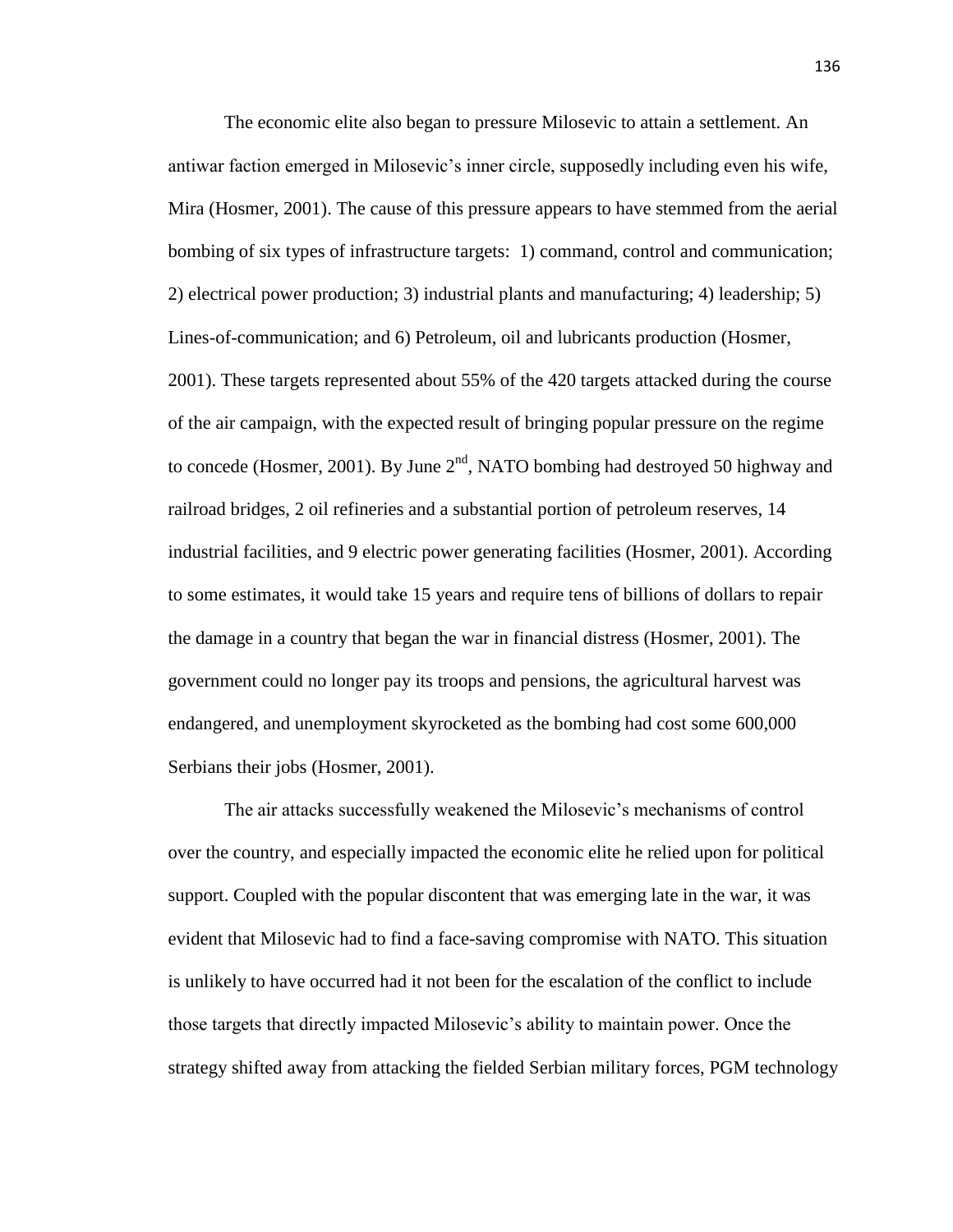The economic elite also began to pressure Milosevic to attain a settlement. An antiwar faction emerged in Milosevic's inner circle, supposedly including even his wife, Mira (Hosmer, 2001). The cause of this pressure appears to have stemmed from the aerial bombing of six types of infrastructure targets: 1) command, control and communication; 2) electrical power production; 3) industrial plants and manufacturing; 4) leadership; 5) Lines-of-communication; and 6) Petroleum, oil and lubricants production (Hosmer, 2001). These targets represented about 55% of the 420 targets attacked during the course of the air campaign, with the expected result of bringing popular pressure on the regime to concede (Hosmer, 2001). By June  $2<sup>nd</sup>$ , NATO bombing had destroyed 50 highway and railroad bridges, 2 oil refineries and a substantial portion of petroleum reserves, 14 industrial facilities, and 9 electric power generating facilities (Hosmer, 2001). According to some estimates, it would take 15 years and require tens of billions of dollars to repair the damage in a country that began the war in financial distress (Hosmer, 2001). The government could no longer pay its troops and pensions, the agricultural harvest was endangered, and unemployment skyrocketed as the bombing had cost some 600,000 Serbians their jobs (Hosmer, 2001).

The air attacks successfully weakened the Milosevic's mechanisms of control over the country, and especially impacted the economic elite he relied upon for political support. Coupled with the popular discontent that was emerging late in the war, it was evident that Milosevic had to find a face-saving compromise with NATO. This situation is unlikely to have occurred had it not been for the escalation of the conflict to include those targets that directly impacted Milosevic's ability to maintain power. Once the strategy shifted away from attacking the fielded Serbian military forces, PGM technology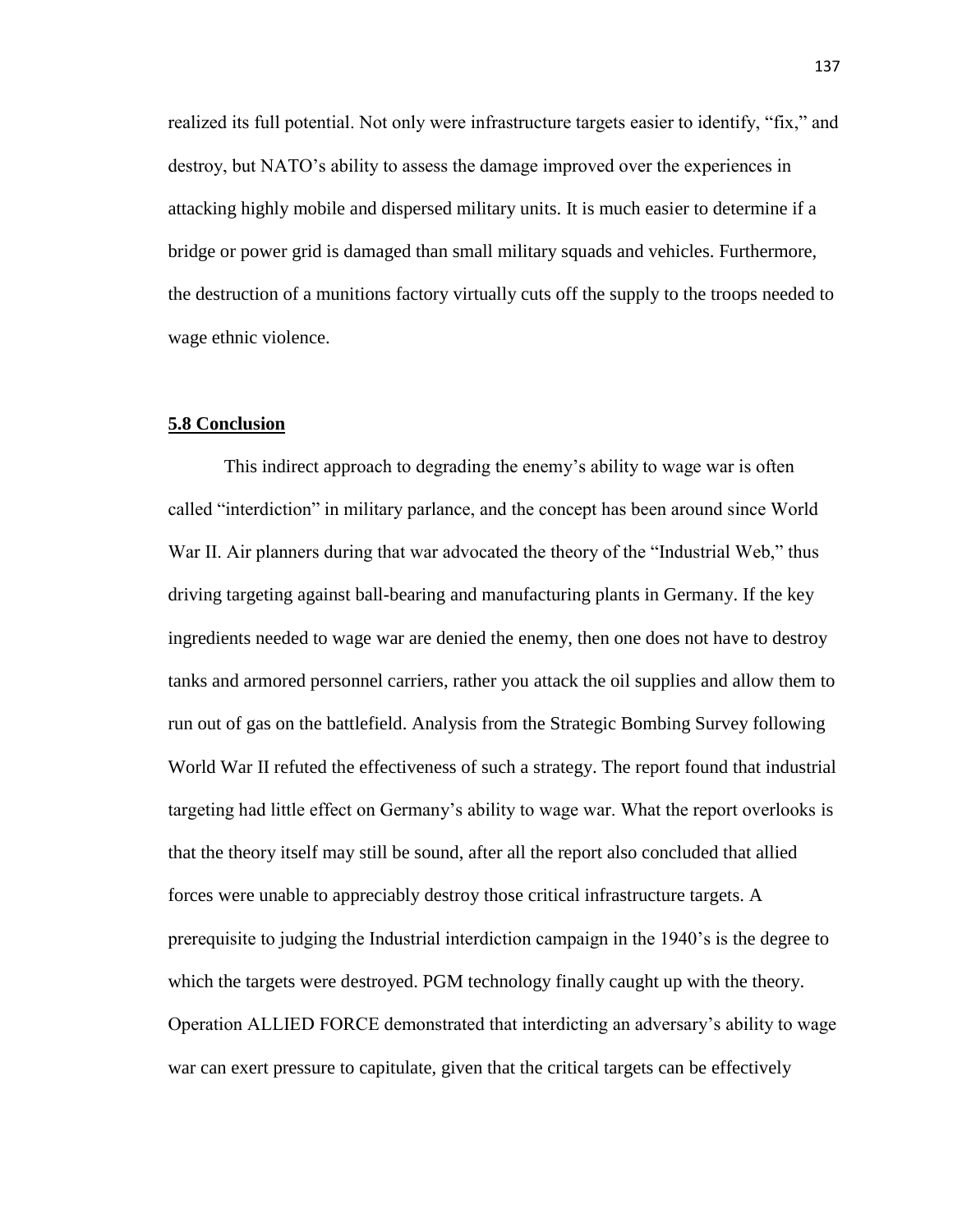realized its full potential. Not only were infrastructure targets easier to identify, "fix," and destroy, but NATO's ability to assess the damage improved over the experiences in attacking highly mobile and dispersed military units. It is much easier to determine if a bridge or power grid is damaged than small military squads and vehicles. Furthermore, the destruction of a munitions factory virtually cuts off the supply to the troops needed to wage ethnic violence.

## **5.8 Conclusion**

This indirect approach to degrading the enemy's ability to wage war is often called "interdiction" in military parlance, and the concept has been around since World War II. Air planners during that war advocated the theory of the "Industrial Web," thus driving targeting against ball-bearing and manufacturing plants in Germany. If the key ingredients needed to wage war are denied the enemy, then one does not have to destroy tanks and armored personnel carriers, rather you attack the oil supplies and allow them to run out of gas on the battlefield. Analysis from the Strategic Bombing Survey following World War II refuted the effectiveness of such a strategy. The report found that industrial targeting had little effect on Germany's ability to wage war. What the report overlooks is that the theory itself may still be sound, after all the report also concluded that allied forces were unable to appreciably destroy those critical infrastructure targets. A prerequisite to judging the Industrial interdiction campaign in the 1940's is the degree to which the targets were destroyed. PGM technology finally caught up with the theory. Operation ALLIED FORCE demonstrated that interdicting an adversary's ability to wage war can exert pressure to capitulate, given that the critical targets can be effectively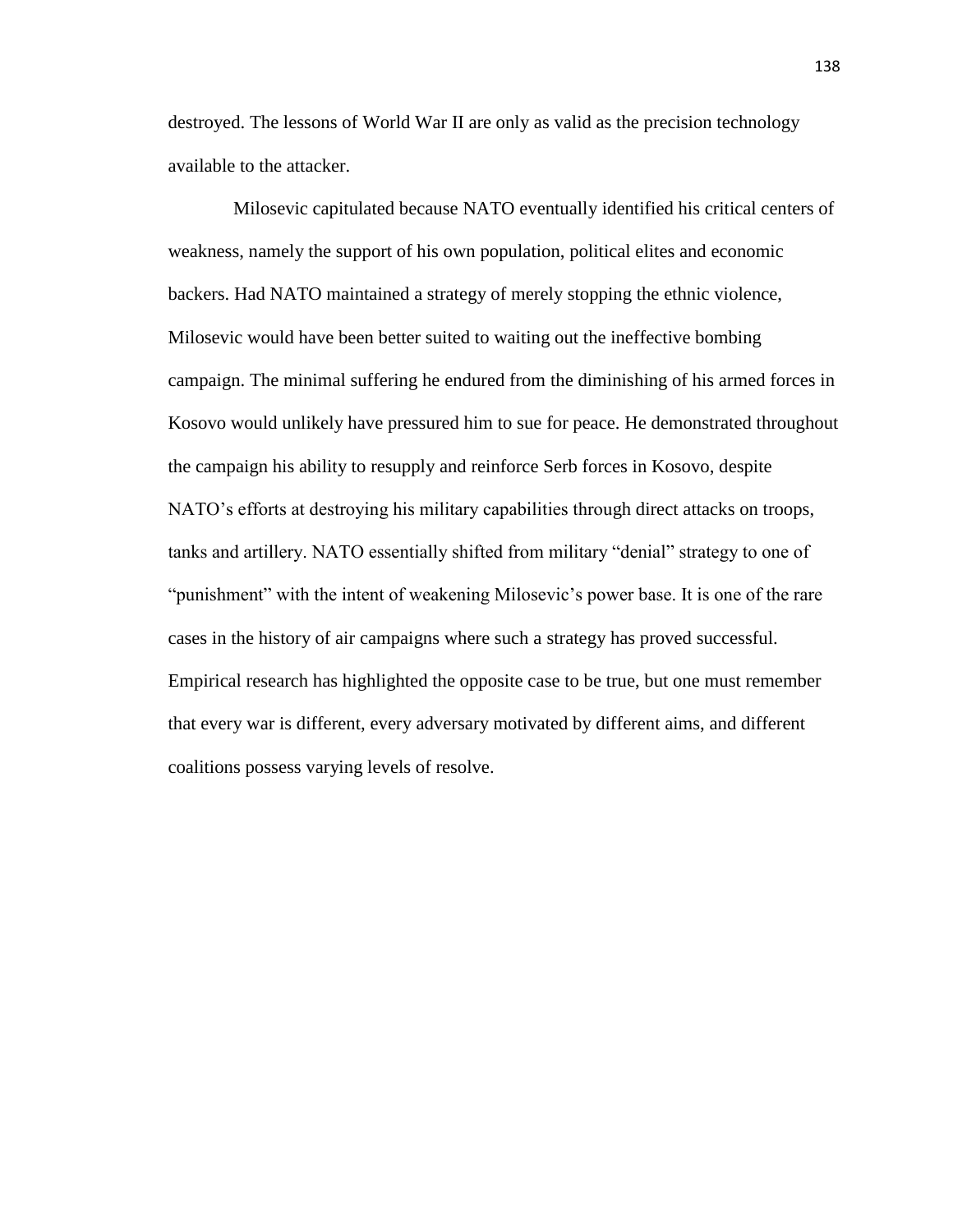destroyed. The lessons of World War II are only as valid as the precision technology available to the attacker.

 Milosevic capitulated because NATO eventually identified his critical centers of weakness, namely the support of his own population, political elites and economic backers. Had NATO maintained a strategy of merely stopping the ethnic violence, Milosevic would have been better suited to waiting out the ineffective bombing campaign. The minimal suffering he endured from the diminishing of his armed forces in Kosovo would unlikely have pressured him to sue for peace. He demonstrated throughout the campaign his ability to resupply and reinforce Serb forces in Kosovo, despite NATO's efforts at destroying his military capabilities through direct attacks on troops, tanks and artillery. NATO essentially shifted from military "denial" strategy to one of "punishment" with the intent of weakening Milosevic's power base. It is one of the rare cases in the history of air campaigns where such a strategy has proved successful. Empirical research has highlighted the opposite case to be true, but one must remember that every war is different, every adversary motivated by different aims, and different coalitions possess varying levels of resolve.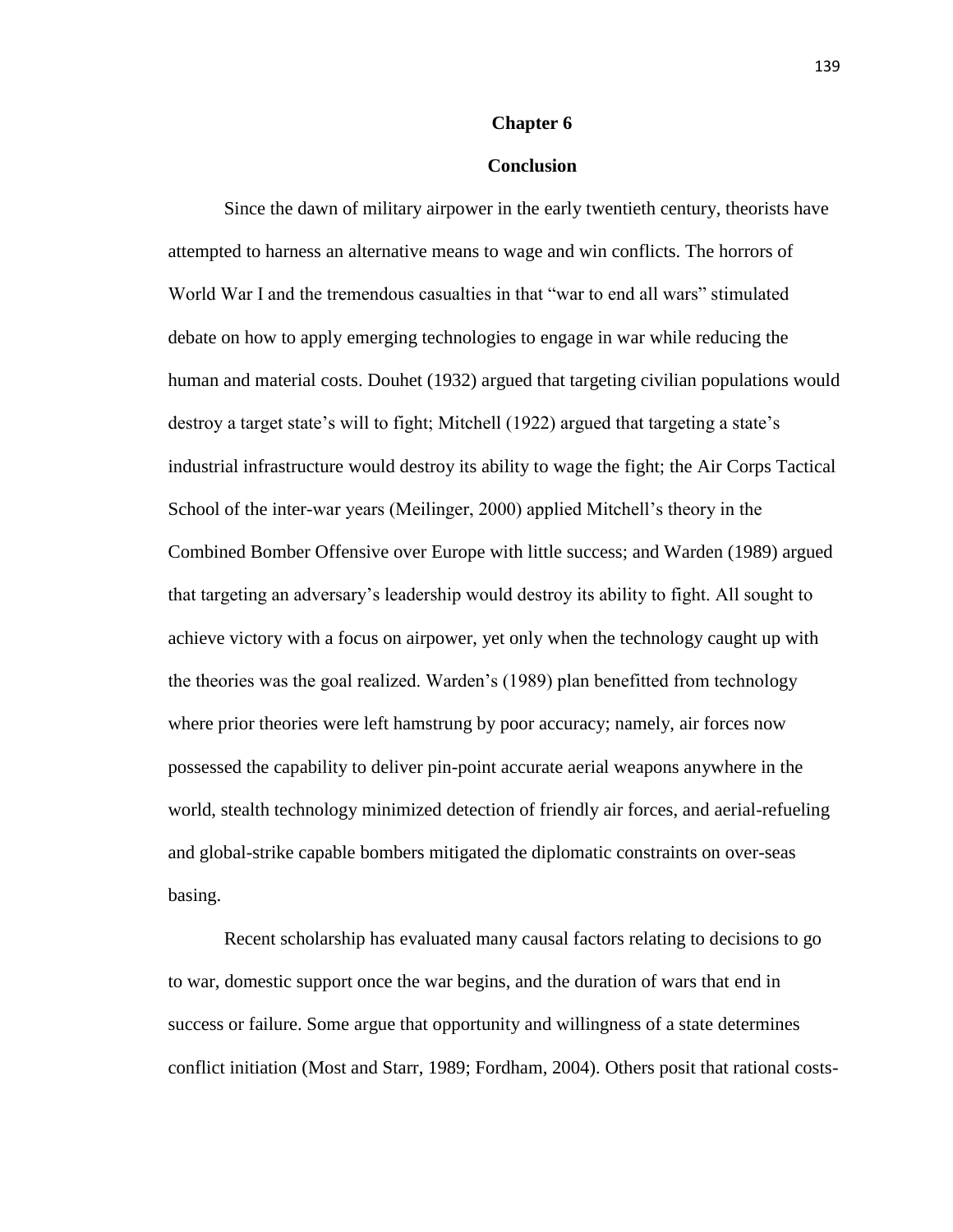#### **Chapter 6**

## **Conclusion**

Since the dawn of military airpower in the early twentieth century, theorists have attempted to harness an alternative means to wage and win conflicts. The horrors of World War I and the tremendous casualties in that "war to end all wars" stimulated debate on how to apply emerging technologies to engage in war while reducing the human and material costs. Douhet (1932) argued that targeting civilian populations would destroy a target state's will to fight; Mitchell (1922) argued that targeting a state's industrial infrastructure would destroy its ability to wage the fight; the Air Corps Tactical School of the inter-war years (Meilinger, 2000) applied Mitchell's theory in the Combined Bomber Offensive over Europe with little success; and Warden (1989) argued that targeting an adversary's leadership would destroy its ability to fight. All sought to achieve victory with a focus on airpower, yet only when the technology caught up with the theories was the goal realized. Warden's (1989) plan benefitted from technology where prior theories were left hamstrung by poor accuracy; namely, air forces now possessed the capability to deliver pin-point accurate aerial weapons anywhere in the world, stealth technology minimized detection of friendly air forces, and aerial-refueling and global-strike capable bombers mitigated the diplomatic constraints on over-seas basing.

Recent scholarship has evaluated many causal factors relating to decisions to go to war, domestic support once the war begins, and the duration of wars that end in success or failure. Some argue that opportunity and willingness of a state determines conflict initiation (Most and Starr, 1989; Fordham, 2004). Others posit that rational costs-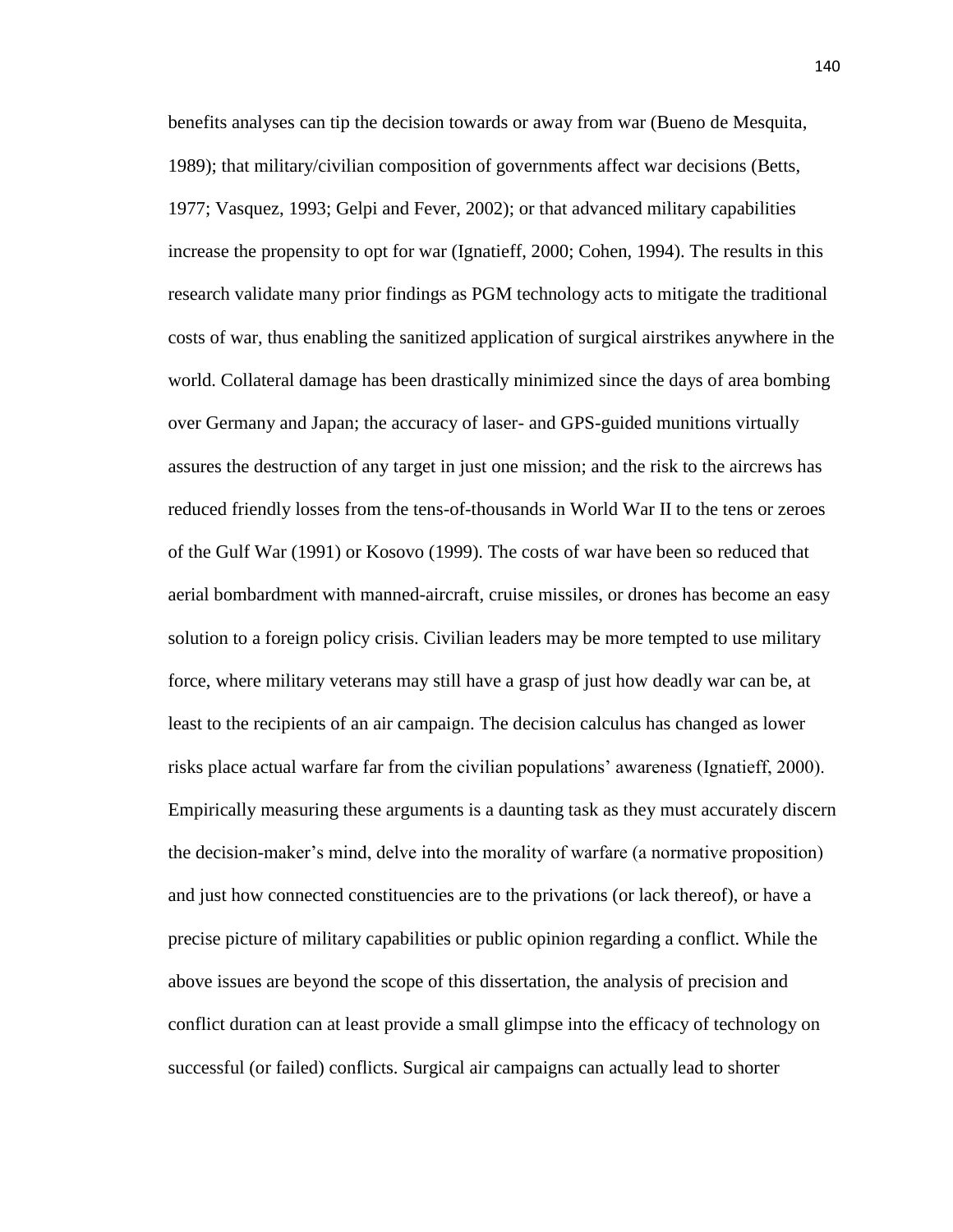benefits analyses can tip the decision towards or away from war (Bueno de Mesquita, 1989); that military/civilian composition of governments affect war decisions (Betts, 1977; Vasquez, 1993; Gelpi and Fever, 2002); or that advanced military capabilities increase the propensity to opt for war (Ignatieff, 2000; Cohen, 1994). The results in this research validate many prior findings as PGM technology acts to mitigate the traditional costs of war, thus enabling the sanitized application of surgical airstrikes anywhere in the world. Collateral damage has been drastically minimized since the days of area bombing over Germany and Japan; the accuracy of laser- and GPS-guided munitions virtually assures the destruction of any target in just one mission; and the risk to the aircrews has reduced friendly losses from the tens-of-thousands in World War II to the tens or zeroes of the Gulf War (1991) or Kosovo (1999). The costs of war have been so reduced that aerial bombardment with manned-aircraft, cruise missiles, or drones has become an easy solution to a foreign policy crisis. Civilian leaders may be more tempted to use military force, where military veterans may still have a grasp of just how deadly war can be, at least to the recipients of an air campaign. The decision calculus has changed as lower risks place actual warfare far from the civilian populations' awareness (Ignatieff, 2000). Empirically measuring these arguments is a daunting task as they must accurately discern the decision-maker's mind, delve into the morality of warfare (a normative proposition) and just how connected constituencies are to the privations (or lack thereof), or have a precise picture of military capabilities or public opinion regarding a conflict. While the above issues are beyond the scope of this dissertation, the analysis of precision and conflict duration can at least provide a small glimpse into the efficacy of technology on successful (or failed) conflicts. Surgical air campaigns can actually lead to shorter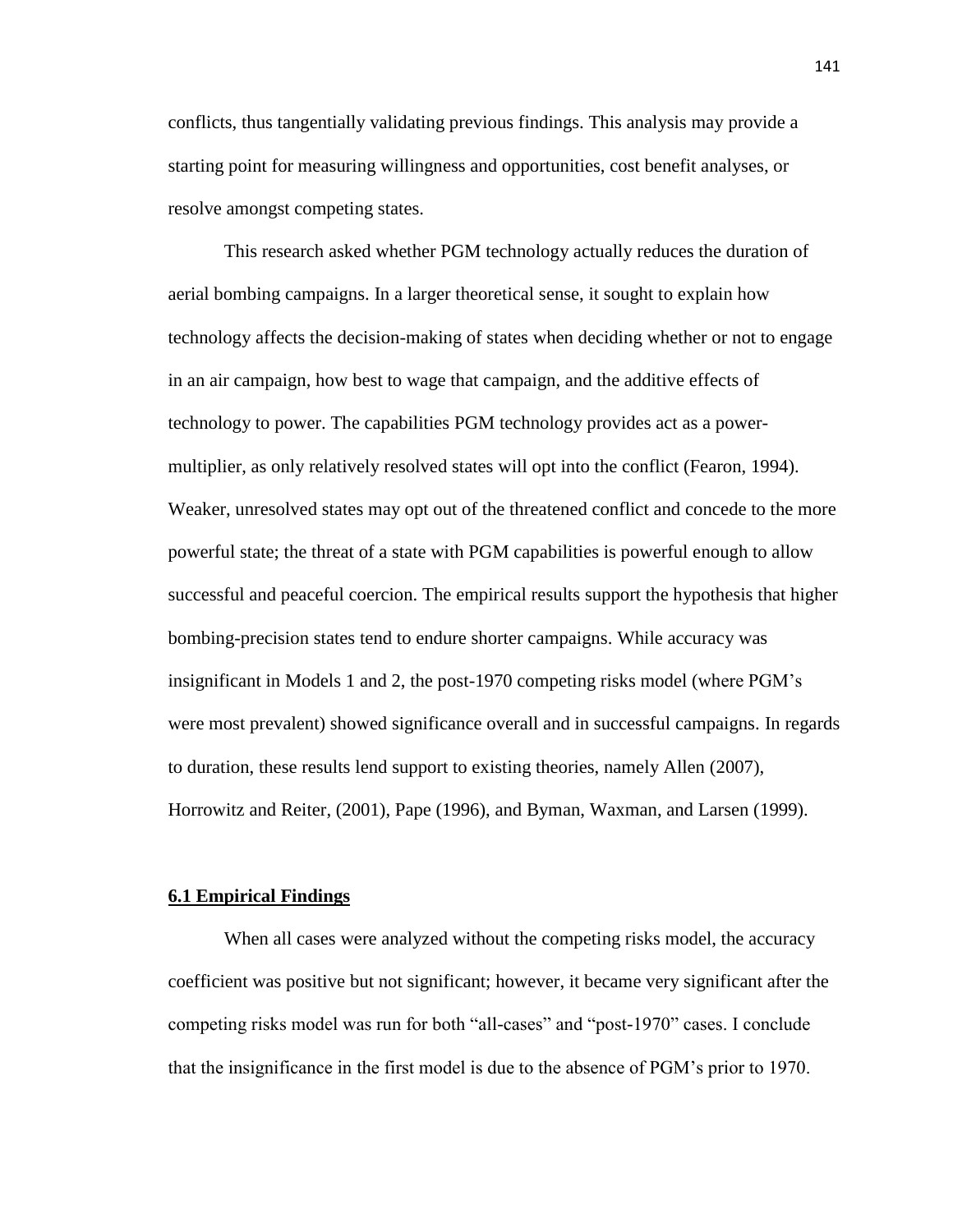conflicts, thus tangentially validating previous findings. This analysis may provide a starting point for measuring willingness and opportunities, cost benefit analyses, or resolve amongst competing states.

This research asked whether PGM technology actually reduces the duration of aerial bombing campaigns. In a larger theoretical sense, it sought to explain how technology affects the decision-making of states when deciding whether or not to engage in an air campaign, how best to wage that campaign, and the additive effects of technology to power. The capabilities PGM technology provides act as a powermultiplier, as only relatively resolved states will opt into the conflict (Fearon, 1994). Weaker, unresolved states may opt out of the threatened conflict and concede to the more powerful state; the threat of a state with PGM capabilities is powerful enough to allow successful and peaceful coercion. The empirical results support the hypothesis that higher bombing-precision states tend to endure shorter campaigns. While accuracy was insignificant in Models 1 and 2, the post-1970 competing risks model (where PGM's were most prevalent) showed significance overall and in successful campaigns. In regards to duration, these results lend support to existing theories, namely Allen (2007), Horrowitz and Reiter, (2001), Pape (1996), and Byman, Waxman, and Larsen (1999).

#### **6.1 Empirical Findings**

When all cases were analyzed without the competing risks model, the accuracy coefficient was positive but not significant; however, it became very significant after the competing risks model was run for both "all-cases" and "post-1970" cases. I conclude that the insignificance in the first model is due to the absence of PGM's prior to 1970.

141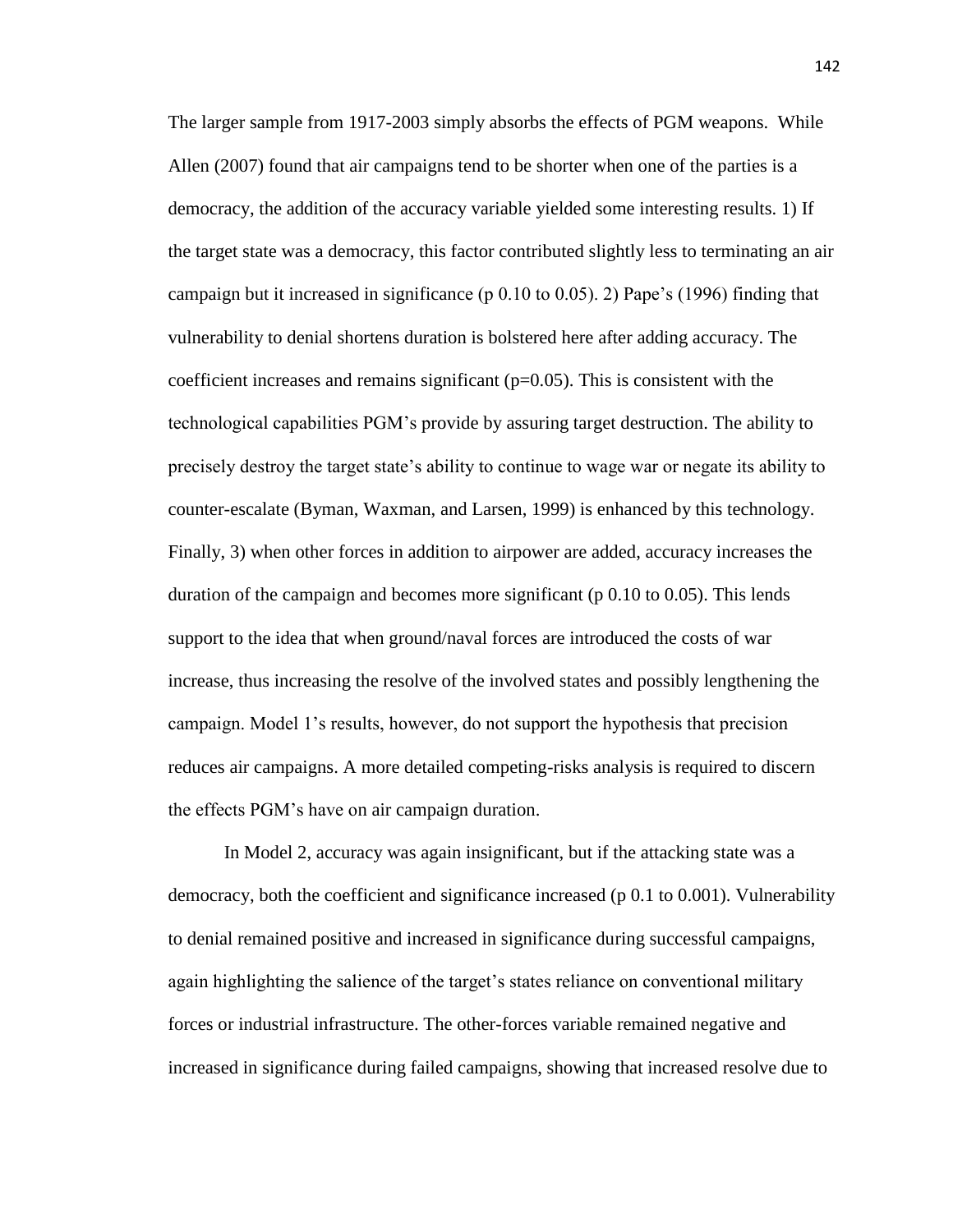The larger sample from 1917-2003 simply absorbs the effects of PGM weapons. While Allen (2007) found that air campaigns tend to be shorter when one of the parties is a democracy, the addition of the accuracy variable yielded some interesting results. 1) If the target state was a democracy, this factor contributed slightly less to terminating an air campaign but it increased in significance (p  $0.10$  to  $0.05$ ). 2) Pape's (1996) finding that vulnerability to denial shortens duration is bolstered here after adding accuracy. The coefficient increases and remains significant  $(p=0.05)$ . This is consistent with the technological capabilities PGM's provide by assuring target destruction. The ability to precisely destroy the target state's ability to continue to wage war or negate its ability to counter-escalate (Byman, Waxman, and Larsen, 1999) is enhanced by this technology. Finally, 3) when other forces in addition to airpower are added, accuracy increases the duration of the campaign and becomes more significant (p 0.10 to 0.05). This lends support to the idea that when ground/naval forces are introduced the costs of war increase, thus increasing the resolve of the involved states and possibly lengthening the campaign. Model 1's results, however, do not support the hypothesis that precision reduces air campaigns. A more detailed competing-risks analysis is required to discern the effects PGM's have on air campaign duration.

In Model 2, accuracy was again insignificant, but if the attacking state was a democracy, both the coefficient and significance increased (p 0.1 to 0.001). Vulnerability to denial remained positive and increased in significance during successful campaigns, again highlighting the salience of the target's states reliance on conventional military forces or industrial infrastructure. The other-forces variable remained negative and increased in significance during failed campaigns, showing that increased resolve due to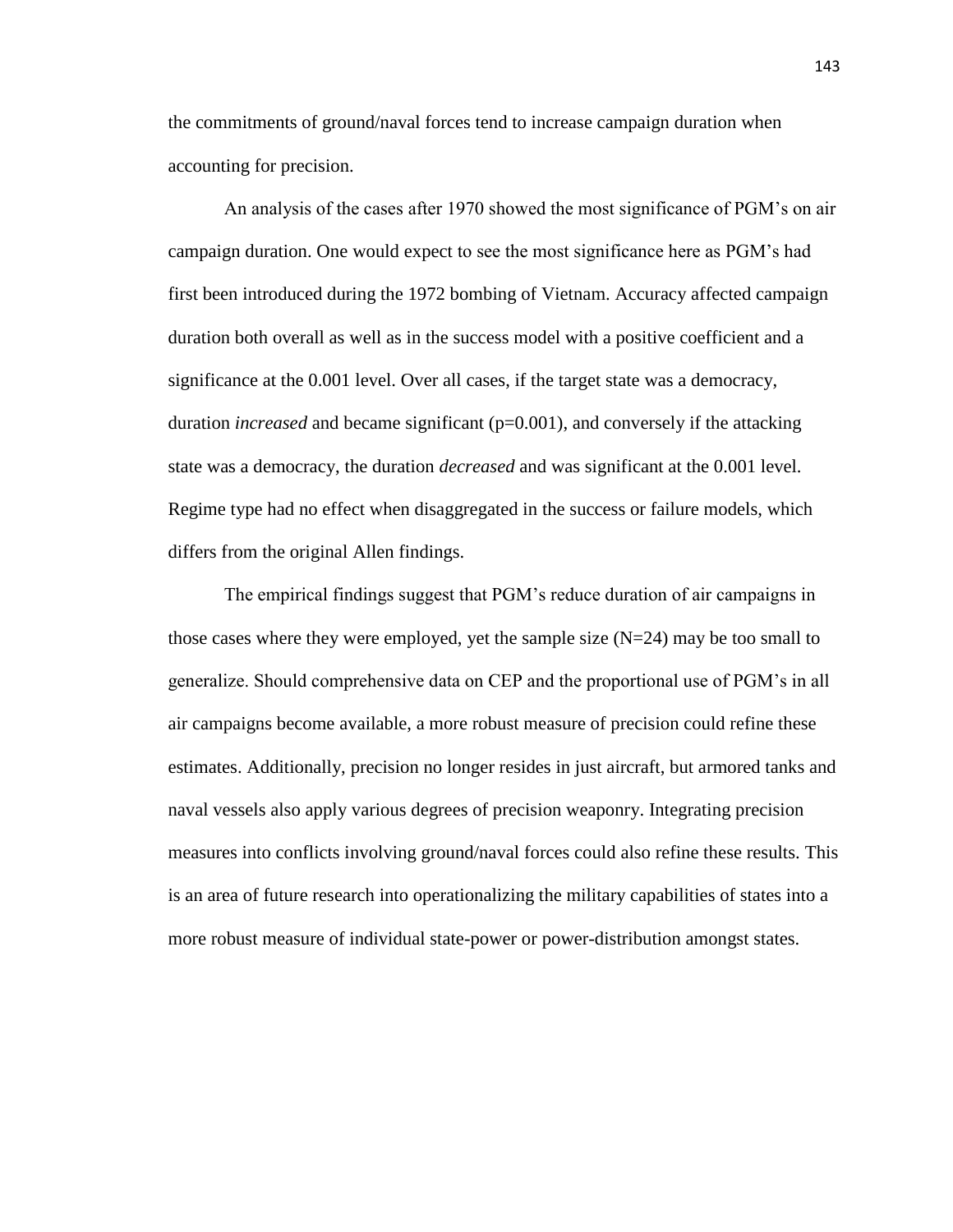the commitments of ground/naval forces tend to increase campaign duration when accounting for precision.

An analysis of the cases after 1970 showed the most significance of PGM's on air campaign duration. One would expect to see the most significance here as PGM's had first been introduced during the 1972 bombing of Vietnam. Accuracy affected campaign duration both overall as well as in the success model with a positive coefficient and a significance at the 0.001 level. Over all cases, if the target state was a democracy, duration *increased* and became significant (p=0.001), and conversely if the attacking state was a democracy, the duration *decreased* and was significant at the 0.001 level. Regime type had no effect when disaggregated in the success or failure models, which differs from the original Allen findings.

The empirical findings suggest that PGM's reduce duration of air campaigns in those cases where they were employed, yet the sample size  $(N=24)$  may be too small to generalize. Should comprehensive data on CEP and the proportional use of PGM's in all air campaigns become available, a more robust measure of precision could refine these estimates. Additionally, precision no longer resides in just aircraft, but armored tanks and naval vessels also apply various degrees of precision weaponry. Integrating precision measures into conflicts involving ground/naval forces could also refine these results. This is an area of future research into operationalizing the military capabilities of states into a more robust measure of individual state-power or power-distribution amongst states.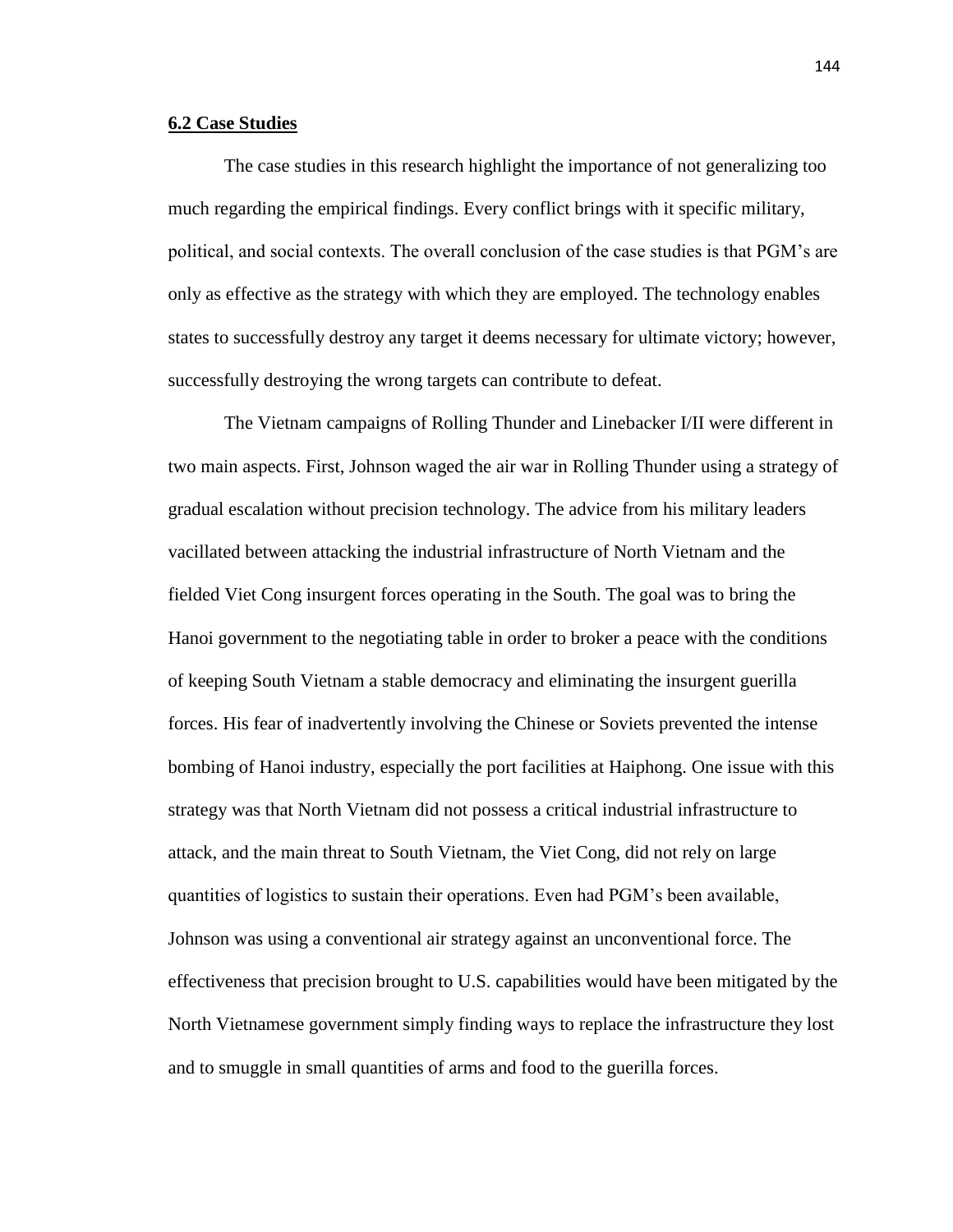### **6.2 Case Studies**

The case studies in this research highlight the importance of not generalizing too much regarding the empirical findings. Every conflict brings with it specific military, political, and social contexts. The overall conclusion of the case studies is that PGM's are only as effective as the strategy with which they are employed. The technology enables states to successfully destroy any target it deems necessary for ultimate victory; however, successfully destroying the wrong targets can contribute to defeat.

The Vietnam campaigns of Rolling Thunder and Linebacker I/II were different in two main aspects. First, Johnson waged the air war in Rolling Thunder using a strategy of gradual escalation without precision technology. The advice from his military leaders vacillated between attacking the industrial infrastructure of North Vietnam and the fielded Viet Cong insurgent forces operating in the South. The goal was to bring the Hanoi government to the negotiating table in order to broker a peace with the conditions of keeping South Vietnam a stable democracy and eliminating the insurgent guerilla forces. His fear of inadvertently involving the Chinese or Soviets prevented the intense bombing of Hanoi industry, especially the port facilities at Haiphong. One issue with this strategy was that North Vietnam did not possess a critical industrial infrastructure to attack, and the main threat to South Vietnam, the Viet Cong, did not rely on large quantities of logistics to sustain their operations. Even had PGM's been available, Johnson was using a conventional air strategy against an unconventional force. The effectiveness that precision brought to U.S. capabilities would have been mitigated by the North Vietnamese government simply finding ways to replace the infrastructure they lost and to smuggle in small quantities of arms and food to the guerilla forces.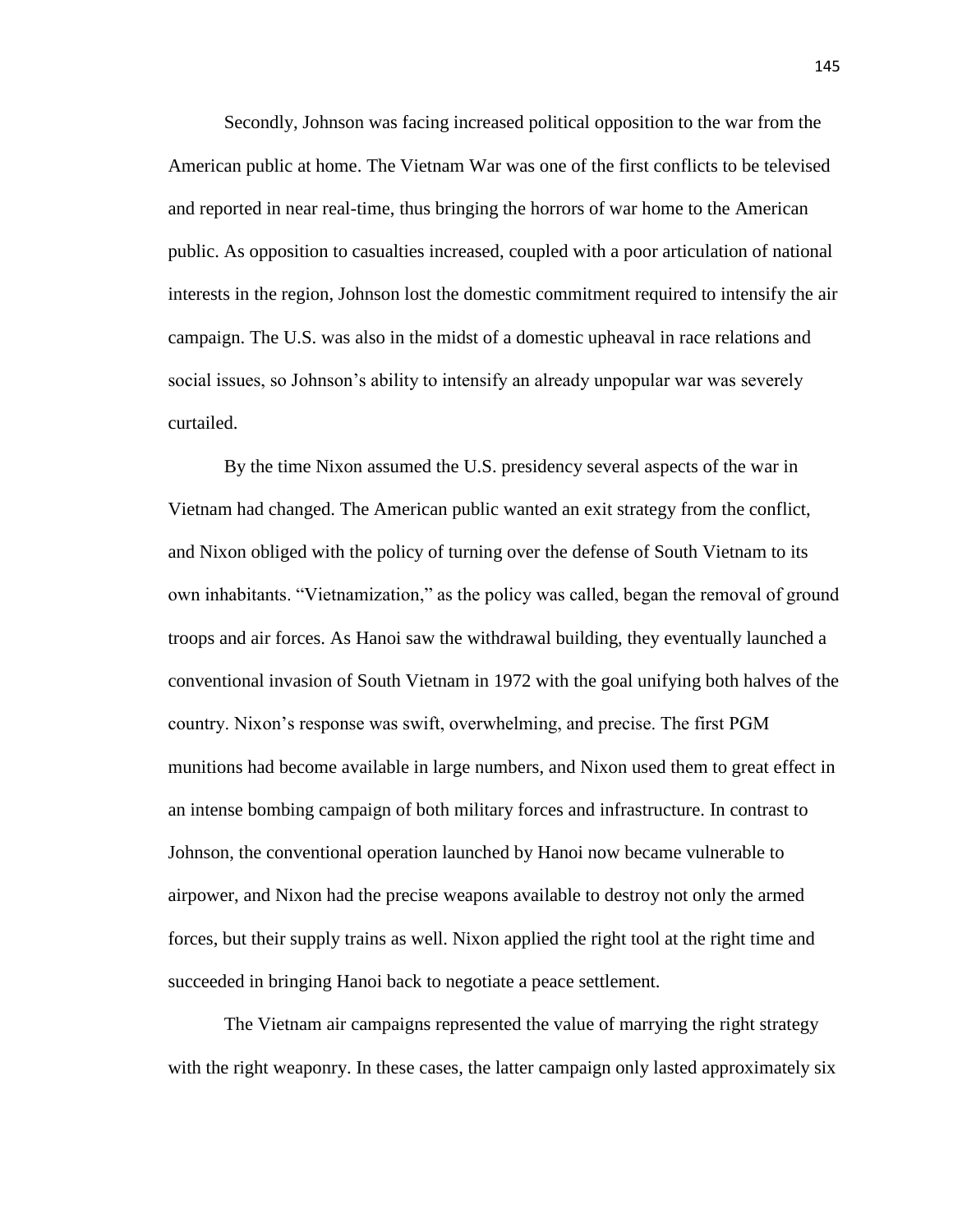Secondly, Johnson was facing increased political opposition to the war from the American public at home. The Vietnam War was one of the first conflicts to be televised and reported in near real-time, thus bringing the horrors of war home to the American public. As opposition to casualties increased, coupled with a poor articulation of national interests in the region, Johnson lost the domestic commitment required to intensify the air campaign. The U.S. was also in the midst of a domestic upheaval in race relations and social issues, so Johnson's ability to intensify an already unpopular war was severely curtailed.

By the time Nixon assumed the U.S. presidency several aspects of the war in Vietnam had changed. The American public wanted an exit strategy from the conflict, and Nixon obliged with the policy of turning over the defense of South Vietnam to its own inhabitants. "Vietnamization," as the policy was called, began the removal of ground troops and air forces. As Hanoi saw the withdrawal building, they eventually launched a conventional invasion of South Vietnam in 1972 with the goal unifying both halves of the country. Nixon's response was swift, overwhelming, and precise. The first PGM munitions had become available in large numbers, and Nixon used them to great effect in an intense bombing campaign of both military forces and infrastructure. In contrast to Johnson, the conventional operation launched by Hanoi now became vulnerable to airpower, and Nixon had the precise weapons available to destroy not only the armed forces, but their supply trains as well. Nixon applied the right tool at the right time and succeeded in bringing Hanoi back to negotiate a peace settlement.

The Vietnam air campaigns represented the value of marrying the right strategy with the right weaponry. In these cases, the latter campaign only lasted approximately six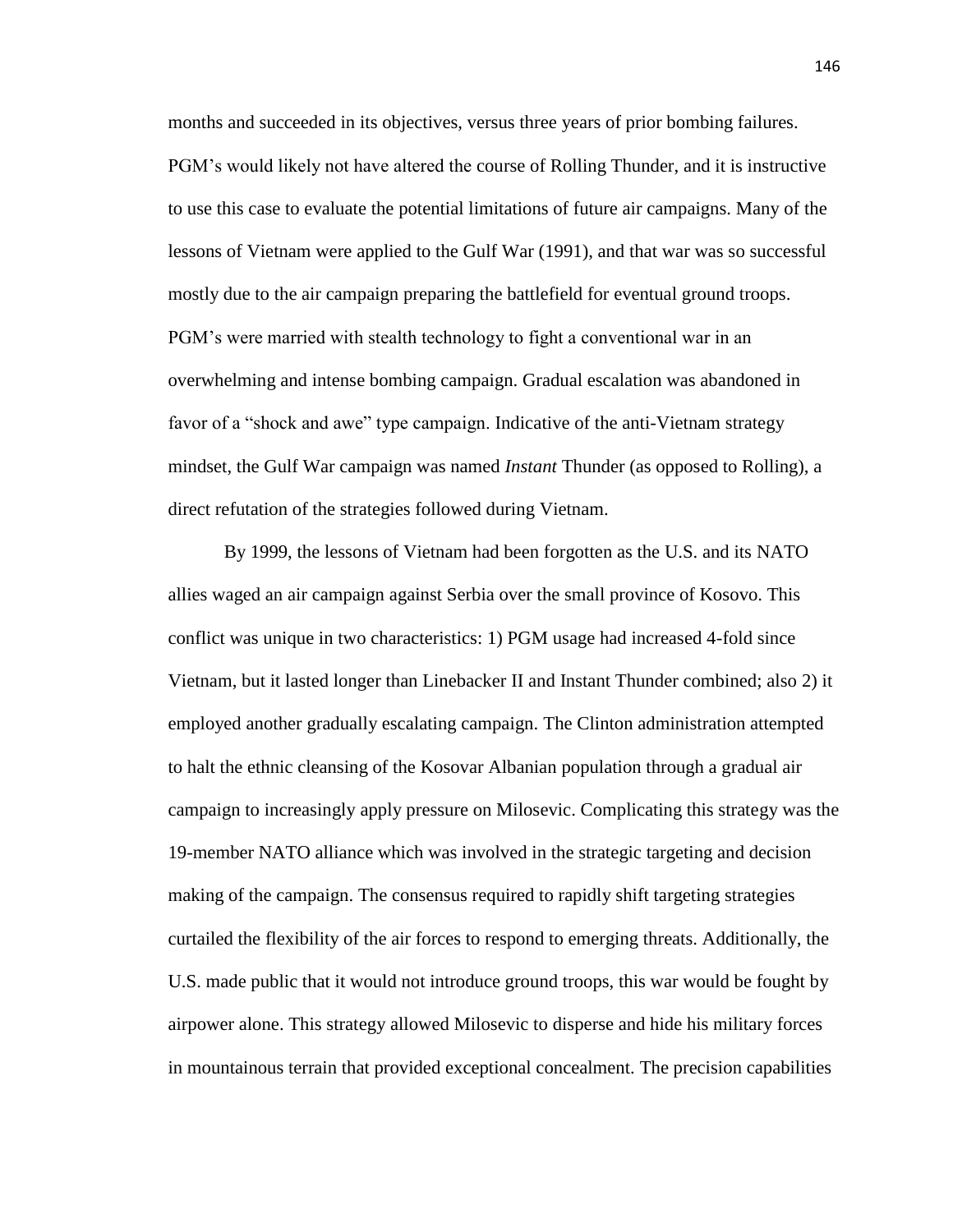months and succeeded in its objectives, versus three years of prior bombing failures. PGM's would likely not have altered the course of Rolling Thunder, and it is instructive to use this case to evaluate the potential limitations of future air campaigns. Many of the lessons of Vietnam were applied to the Gulf War (1991), and that war was so successful mostly due to the air campaign preparing the battlefield for eventual ground troops. PGM's were married with stealth technology to fight a conventional war in an overwhelming and intense bombing campaign. Gradual escalation was abandoned in favor of a "shock and awe" type campaign. Indicative of the anti-Vietnam strategy mindset, the Gulf War campaign was named *Instant* Thunder (as opposed to Rolling), a direct refutation of the strategies followed during Vietnam.

By 1999, the lessons of Vietnam had been forgotten as the U.S. and its NATO allies waged an air campaign against Serbia over the small province of Kosovo. This conflict was unique in two characteristics: 1) PGM usage had increased 4-fold since Vietnam, but it lasted longer than Linebacker II and Instant Thunder combined; also 2) it employed another gradually escalating campaign. The Clinton administration attempted to halt the ethnic cleansing of the Kosovar Albanian population through a gradual air campaign to increasingly apply pressure on Milosevic. Complicating this strategy was the 19-member NATO alliance which was involved in the strategic targeting and decision making of the campaign. The consensus required to rapidly shift targeting strategies curtailed the flexibility of the air forces to respond to emerging threats. Additionally, the U.S. made public that it would not introduce ground troops, this war would be fought by airpower alone. This strategy allowed Milosevic to disperse and hide his military forces in mountainous terrain that provided exceptional concealment. The precision capabilities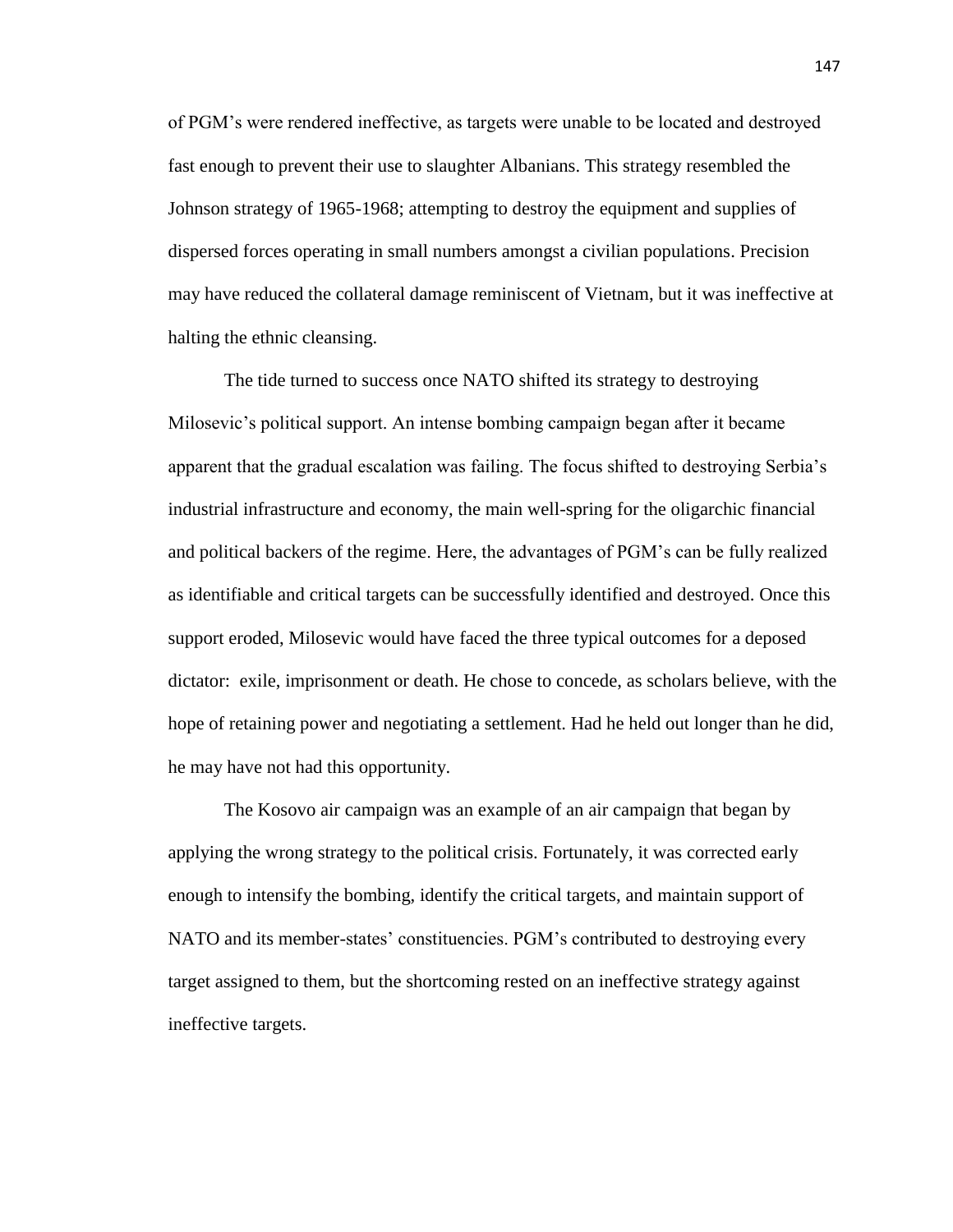of PGM's were rendered ineffective, as targets were unable to be located and destroyed fast enough to prevent their use to slaughter Albanians. This strategy resembled the Johnson strategy of 1965-1968; attempting to destroy the equipment and supplies of dispersed forces operating in small numbers amongst a civilian populations. Precision may have reduced the collateral damage reminiscent of Vietnam, but it was ineffective at halting the ethnic cleansing.

The tide turned to success once NATO shifted its strategy to destroying Milosevic's political support. An intense bombing campaign began after it became apparent that the gradual escalation was failing. The focus shifted to destroying Serbia's industrial infrastructure and economy, the main well-spring for the oligarchic financial and political backers of the regime. Here, the advantages of PGM's can be fully realized as identifiable and critical targets can be successfully identified and destroyed. Once this support eroded, Milosevic would have faced the three typical outcomes for a deposed dictator: exile, imprisonment or death. He chose to concede, as scholars believe, with the hope of retaining power and negotiating a settlement. Had he held out longer than he did, he may have not had this opportunity.

The Kosovo air campaign was an example of an air campaign that began by applying the wrong strategy to the political crisis. Fortunately, it was corrected early enough to intensify the bombing, identify the critical targets, and maintain support of NATO and its member-states' constituencies. PGM's contributed to destroying every target assigned to them, but the shortcoming rested on an ineffective strategy against ineffective targets.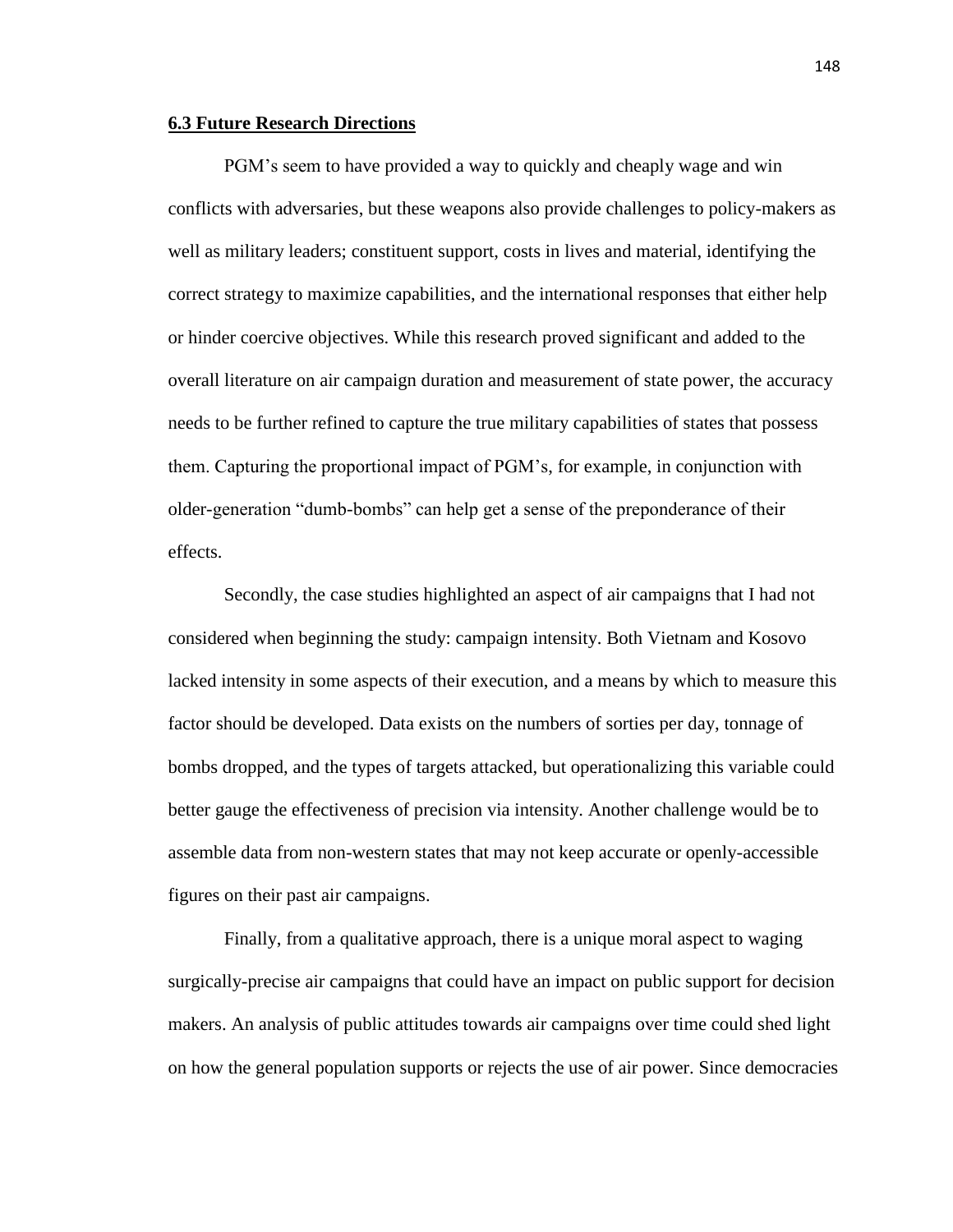### **6.3 Future Research Directions**

PGM's seem to have provided a way to quickly and cheaply wage and win conflicts with adversaries, but these weapons also provide challenges to policy-makers as well as military leaders; constituent support, costs in lives and material, identifying the correct strategy to maximize capabilities, and the international responses that either help or hinder coercive objectives. While this research proved significant and added to the overall literature on air campaign duration and measurement of state power, the accuracy needs to be further refined to capture the true military capabilities of states that possess them. Capturing the proportional impact of PGM's, for example, in conjunction with older-generation "dumb-bombs" can help get a sense of the preponderance of their effects.

Secondly, the case studies highlighted an aspect of air campaigns that I had not considered when beginning the study: campaign intensity. Both Vietnam and Kosovo lacked intensity in some aspects of their execution, and a means by which to measure this factor should be developed. Data exists on the numbers of sorties per day, tonnage of bombs dropped, and the types of targets attacked, but operationalizing this variable could better gauge the effectiveness of precision via intensity. Another challenge would be to assemble data from non-western states that may not keep accurate or openly-accessible figures on their past air campaigns.

Finally, from a qualitative approach, there is a unique moral aspect to waging surgically-precise air campaigns that could have an impact on public support for decision makers. An analysis of public attitudes towards air campaigns over time could shed light on how the general population supports or rejects the use of air power. Since democracies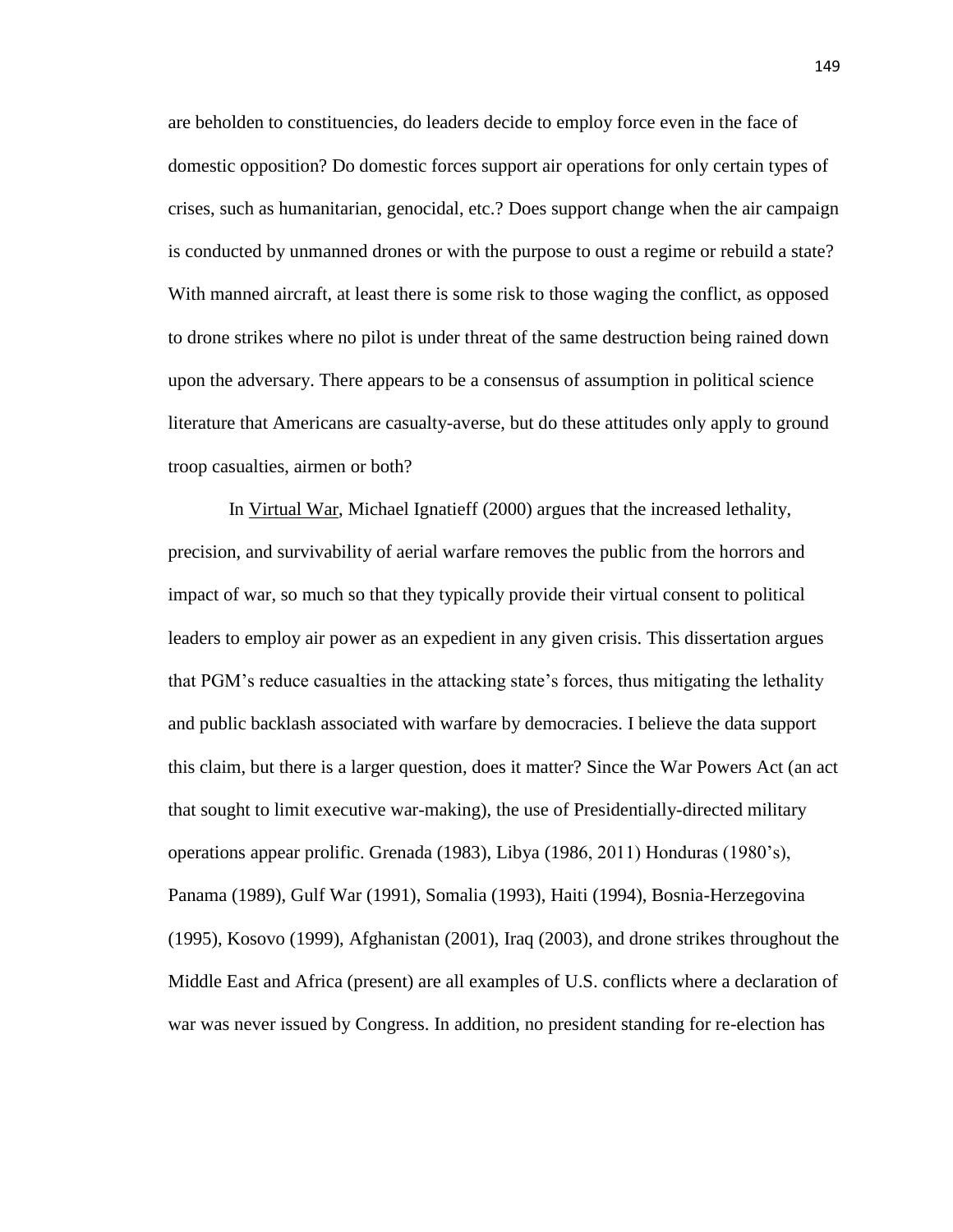are beholden to constituencies, do leaders decide to employ force even in the face of domestic opposition? Do domestic forces support air operations for only certain types of crises, such as humanitarian, genocidal, etc.? Does support change when the air campaign is conducted by unmanned drones or with the purpose to oust a regime or rebuild a state? With manned aircraft, at least there is some risk to those waging the conflict, as opposed to drone strikes where no pilot is under threat of the same destruction being rained down upon the adversary. There appears to be a consensus of assumption in political science literature that Americans are casualty-averse, but do these attitudes only apply to ground troop casualties, airmen or both?

In Virtual War, Michael Ignatieff (2000) argues that the increased lethality, precision, and survivability of aerial warfare removes the public from the horrors and impact of war, so much so that they typically provide their virtual consent to political leaders to employ air power as an expedient in any given crisis. This dissertation argues that PGM's reduce casualties in the attacking state's forces, thus mitigating the lethality and public backlash associated with warfare by democracies. I believe the data support this claim, but there is a larger question, does it matter? Since the War Powers Act (an act that sought to limit executive war-making), the use of Presidentially-directed military operations appear prolific. Grenada (1983), Libya (1986, 2011) Honduras (1980's), Panama (1989), Gulf War (1991), Somalia (1993), Haiti (1994), Bosnia-Herzegovina (1995), Kosovo (1999), Afghanistan (2001), Iraq (2003), and drone strikes throughout the Middle East and Africa (present) are all examples of U.S. conflicts where a declaration of war was never issued by Congress. In addition, no president standing for re-election has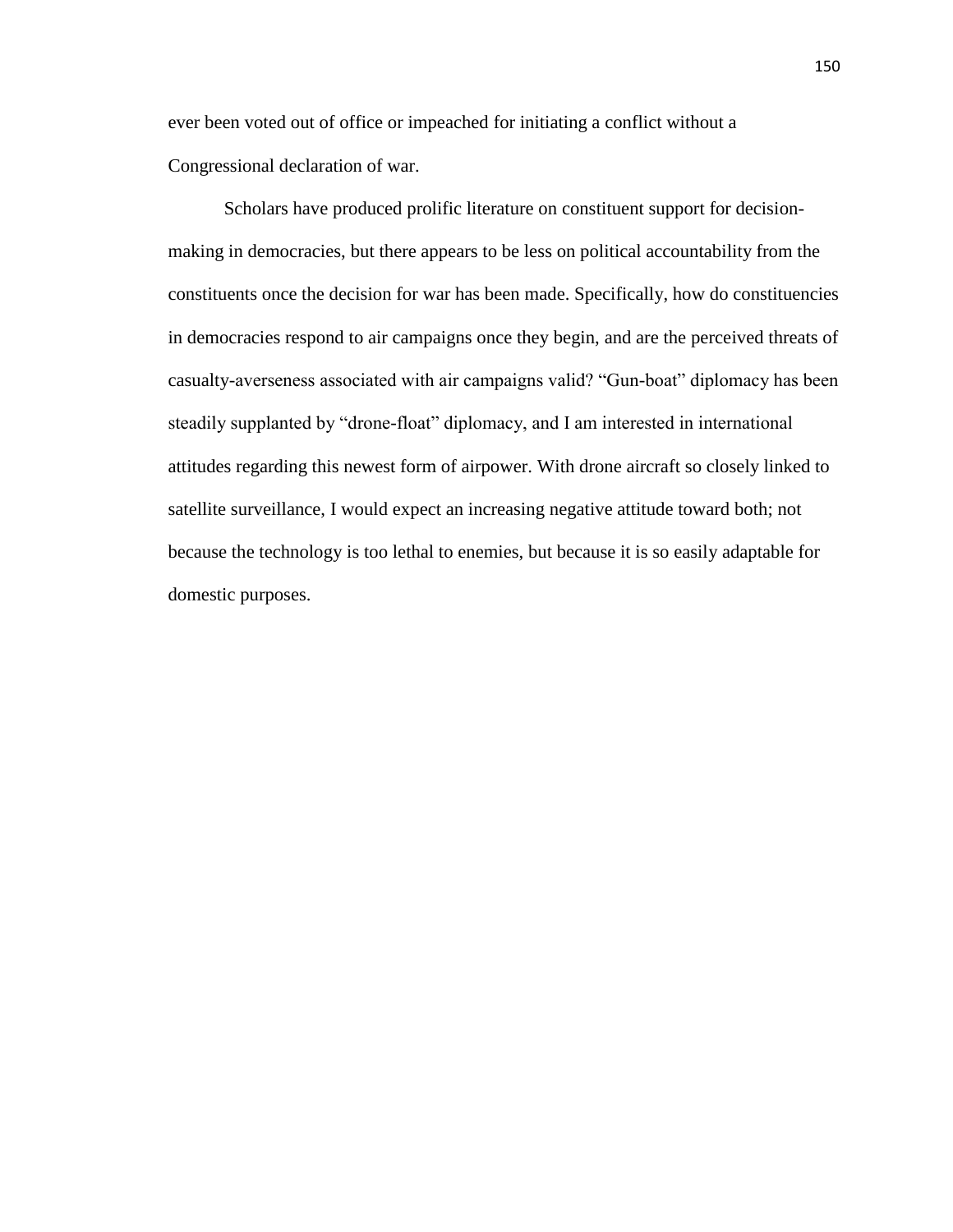ever been voted out of office or impeached for initiating a conflict without a Congressional declaration of war.

Scholars have produced prolific literature on constituent support for decisionmaking in democracies, but there appears to be less on political accountability from the constituents once the decision for war has been made. Specifically, how do constituencies in democracies respond to air campaigns once they begin, and are the perceived threats of casualty-averseness associated with air campaigns valid? "Gun-boat" diplomacy has been steadily supplanted by "drone-float" diplomacy, and I am interested in international attitudes regarding this newest form of airpower. With drone aircraft so closely linked to satellite surveillance, I would expect an increasing negative attitude toward both; not because the technology is too lethal to enemies, but because it is so easily adaptable for domestic purposes.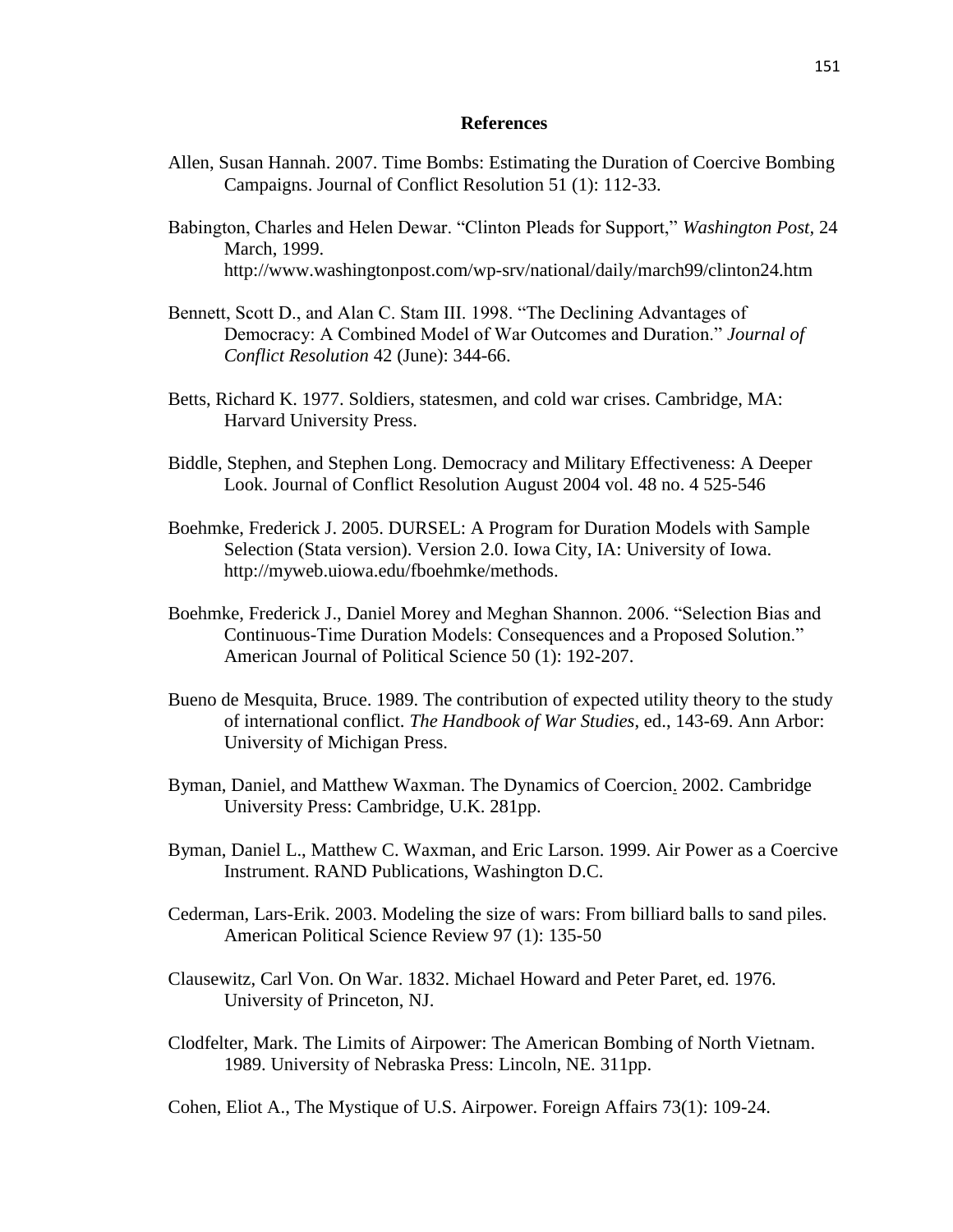# **References**

- Allen, Susan Hannah. 2007. Time Bombs: Estimating the Duration of Coercive Bombing Campaigns. Journal of Conflict Resolution 51 (1): 112-33.
- Babington, Charles and Helen Dewar. "Clinton Pleads for Support," *Washington Post,* 24 March, 1999. http://www.washingtonpost.com/wp-srv/national/daily/march99/clinton24.htm
- Bennett, Scott D., and Alan C. Stam III. 1998. "The Declining Advantages of Democracy: A Combined Model of War Outcomes and Duration." *Journal of Conflict Resolution* 42 (June): 344-66.
- Betts, Richard K. 1977. Soldiers, statesmen, and cold war crises. Cambridge, MA: Harvard University Press.
- Biddle, Stephen, and Stephen Long. Democracy and Military Effectiveness: A Deeper Look. Journal of Conflict Resolution August 2004 vol. 48 no. 4 525-546
- Boehmke, Frederick J. 2005. DURSEL: A Program for Duration Models with Sample Selection (Stata version). Version 2.0. Iowa City, IA: University of Iowa. http://myweb.uiowa.edu/fboehmke/methods.
- Boehmke, Frederick J., Daniel Morey and Meghan Shannon. 2006. "Selection Bias and Continuous-Time Duration Models: Consequences and a Proposed Solution." American Journal of Political Science 50 (1): 192-207.
- Bueno de Mesquita, Bruce. 1989. The contribution of expected utility theory to the study of international conflict. *The Handbook of War Studies*, ed., 143-69. Ann Arbor: University of Michigan Press.
- Byman, Daniel, and Matthew Waxman. The Dynamics of Coercion. 2002. Cambridge University Press: Cambridge, U.K. 281pp.
- Byman, Daniel L., Matthew C. Waxman, and Eric Larson. 1999. Air Power as a Coercive Instrument. RAND Publications, Washington D.C.
- Cederman, Lars-Erik. 2003. Modeling the size of wars: From billiard balls to sand piles. American Political Science Review 97 (1): 135-50
- Clausewitz, Carl Von. On War. 1832. Michael Howard and Peter Paret, ed. 1976. University of Princeton, NJ.
- Clodfelter, Mark. The Limits of Airpower: The American Bombing of North Vietnam. 1989. University of Nebraska Press: Lincoln, NE. 311pp.

Cohen, Eliot A., The Mystique of U.S. Airpower. Foreign Affairs 73(1): 109-24.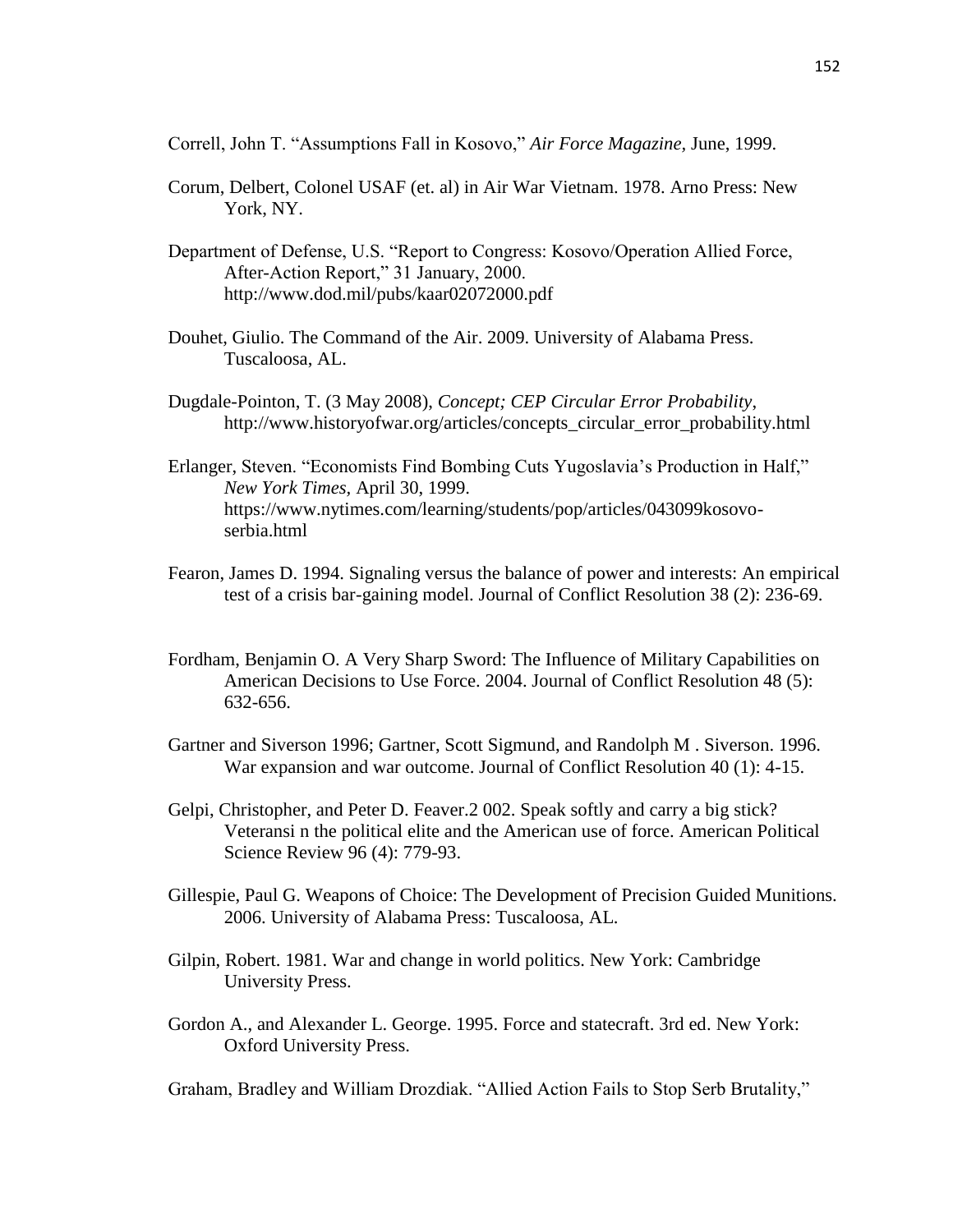Correll, John T. "Assumptions Fall in Kosovo," *Air Force Magazine,* June, 1999.

- Corum, Delbert, Colonel USAF (et. al) in Air War Vietnam. 1978. Arno Press: New York, NY.
- Department of Defense, U.S. "Report to Congress: Kosovo/Operation Allied Force, After-Action Report," 31 January, 2000. http://www.dod.mil/pubs/kaar02072000.pdf
- Douhet, Giulio. The Command of the Air. 2009. University of Alabama Press. Tuscaloosa, AL.
- Dugdale-Pointon, T. (3 May 2008), *Concept; CEP Circular Error Probability*, http://www.historyofwar.org/articles/concepts\_circular\_error\_probability.html
- Erlanger, Steven. "Economists Find Bombing Cuts Yugoslavia's Production in Half," *New York Times,* April 30, 1999. https://www.nytimes.com/learning/students/pop/articles/043099kosovoserbia.html
- Fearon, James D. 1994. Signaling versus the balance of power and interests: An empirical test of a crisis bar-gaining model. Journal of Conflict Resolution 38 (2): 236-69.
- Fordham, Benjamin O. A Very Sharp Sword: The Influence of Military Capabilities on American Decisions to Use Force. 2004. Journal of Conflict Resolution 48 (5): 632-656.
- Gartner and Siverson 1996; Gartner, Scott Sigmund, and Randolph M . Siverson. 1996. War expansion and war outcome. Journal of Conflict Resolution 40 (1): 4-15.
- Gelpi, Christopher, and Peter D. Feaver.2 002. Speak softly and carry a big stick? Veteransi n the political elite and the American use of force. American Political Science Review 96 (4): 779-93.
- Gillespie, Paul G. Weapons of Choice: The Development of Precision Guided Munitions. 2006. University of Alabama Press: Tuscaloosa, AL.
- Gilpin, Robert. 1981. War and change in world politics. New York: Cambridge University Press.
- Gordon A., and Alexander L. George. 1995. Force and statecraft. 3rd ed. New York: Oxford University Press.

Graham, Bradley and William Drozdiak. "Allied Action Fails to Stop Serb Brutality,"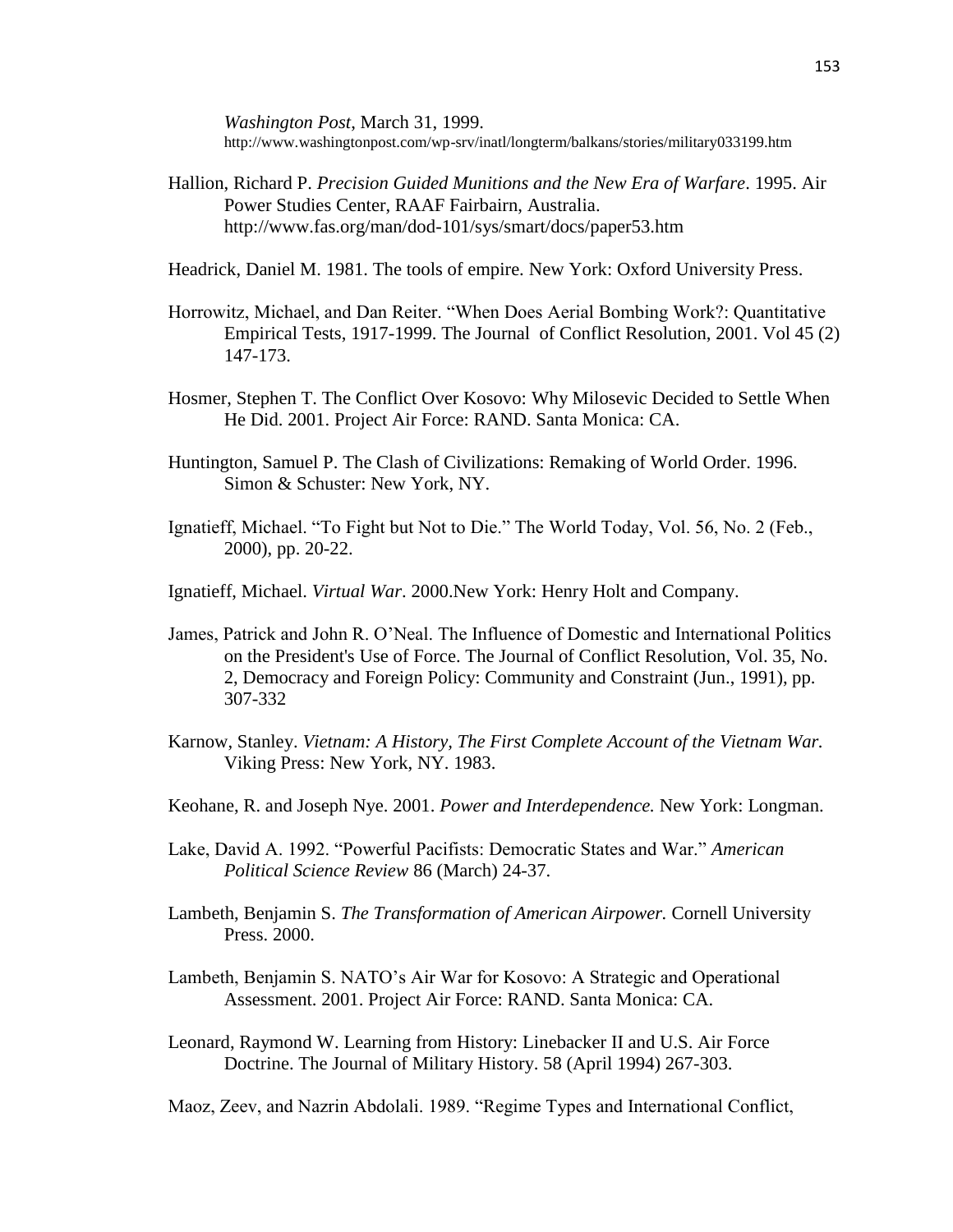*Washington Post*, March 31, 1999. http://www.washingtonpost.com/wp-srv/inatl/longterm/balkans/stories/military033199.htm

Hallion, Richard P. *Precision Guided Munitions and the New Era of Warfare*. 1995. Air Power Studies Center, RAAF Fairbairn, Australia. http://www.fas.org/man/dod-101/sys/smart/docs/paper53.htm

Headrick, Daniel M. 1981. The tools of empire. New York: Oxford University Press.

- Horrowitz, Michael, and Dan Reiter. "When Does Aerial Bombing Work?: Quantitative Empirical Tests, 1917-1999. The Journal of Conflict Resolution, 2001. Vol 45 (2) 147-173.
- Hosmer, Stephen T. The Conflict Over Kosovo: Why Milosevic Decided to Settle When He Did. 2001. Project Air Force: RAND. Santa Monica: CA.
- Huntington, Samuel P. The Clash of Civilizations: Remaking of World Order. 1996. Simon & Schuster: New York, NY.
- Ignatieff, Michael. "To Fight but Not to Die." The World Today, Vol. 56, No. 2 (Feb., 2000), pp. 20-22.
- Ignatieff, Michael. *Virtual War*. 2000.New York: Henry Holt and Company.
- James, Patrick and John R. O'Neal. The Influence of Domestic and International Politics on the President's Use of Force. The Journal of Conflict Resolution, Vol. 35, No. 2, Democracy and Foreign Policy: Community and Constraint (Jun., 1991), pp. 307-332
- Karnow, Stanley. *Vietnam: A History, The First Complete Account of the Vietnam War.*  Viking Press: New York, NY. 1983.
- Keohane, R. and Joseph Nye. 2001. *Power and Interdependence.* New York: Longman.
- Lake, David A. 1992. "Powerful Pacifists: Democratic States and War." *American Political Science Review* 86 (March) 24-37.
- Lambeth, Benjamin S. *The Transformation of American Airpower.* Cornell University Press. 2000.
- Lambeth, Benjamin S. NATO's Air War for Kosovo: A Strategic and Operational Assessment. 2001. Project Air Force: RAND. Santa Monica: CA.
- Leonard, Raymond W. Learning from History: Linebacker II and U.S. Air Force Doctrine. The Journal of Military History. 58 (April 1994) 267-303.

Maoz, Zeev, and Nazrin Abdolali. 1989. "Regime Types and International Conflict,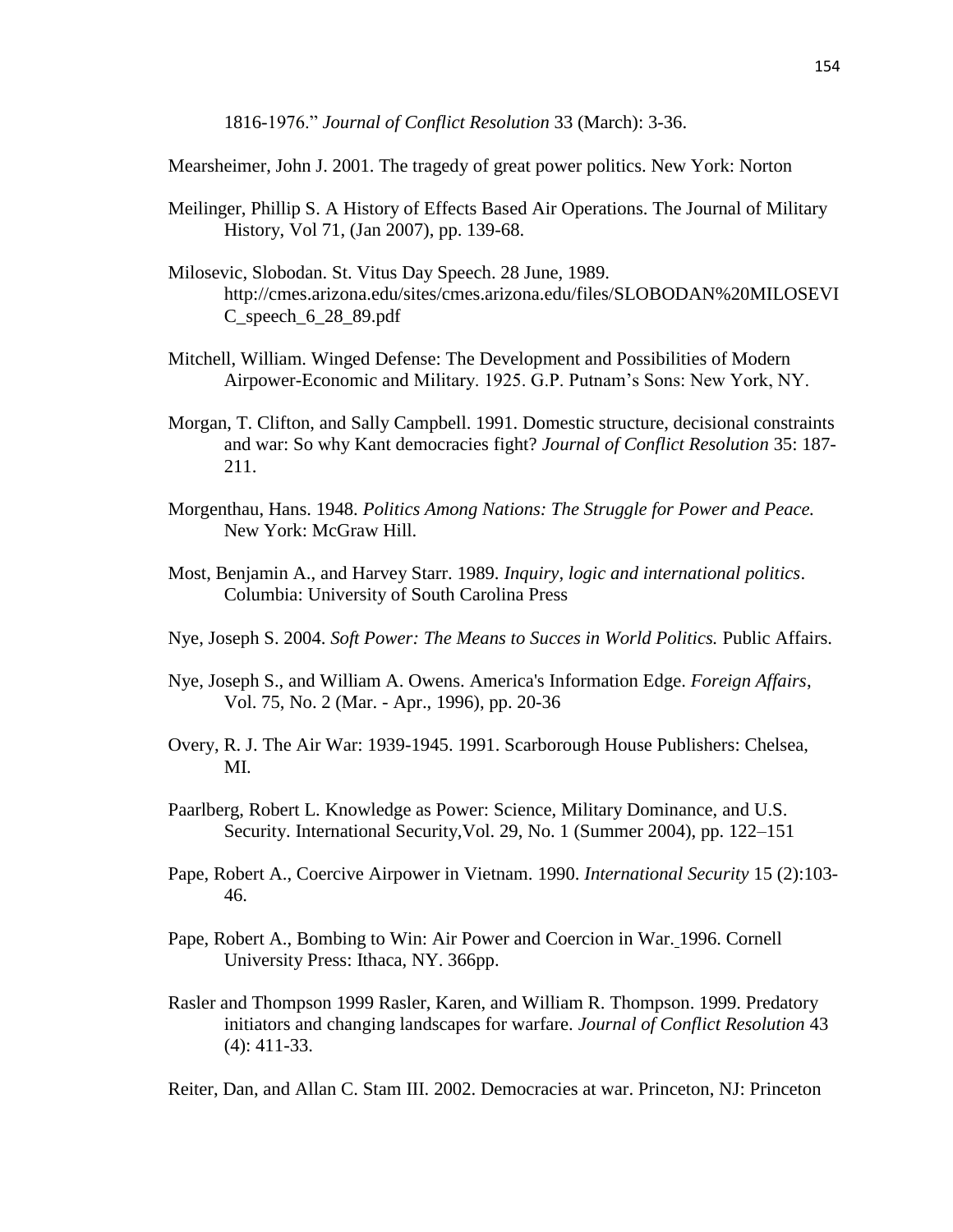1816-1976." *Journal of Conflict Resolution* 33 (March): 3-36.

Mearsheimer, John J. 2001. The tragedy of great power politics. New York: Norton

- Meilinger, Phillip S. A History of Effects Based Air Operations. The Journal of Military History, Vol 71, (Jan 2007), pp. 139-68.
- Milosevic, Slobodan. St. Vitus Day Speech. 28 June, 1989. http://cmes.arizona.edu/sites/cmes.arizona.edu/files/SLOBODAN%20MILOSEVI C\_speech\_6\_28\_89.pdf
- Mitchell, William. Winged Defense: The Development and Possibilities of Modern Airpower-Economic and Military. 1925. G.P. Putnam's Sons: New York, NY.
- Morgan, T. Clifton, and Sally Campbell. 1991. Domestic structure, decisional constraints and war: So why Kant democracies fight? *Journal of Conflict Resolution* 35: 187- 211.
- Morgenthau, Hans. 1948. *Politics Among Nations: The Struggle for Power and Peace.*  New York: McGraw Hill.
- Most, Benjamin A., and Harvey Starr. 1989. *Inquiry, logic and international politics*. Columbia: University of South Carolina Press
- Nye, Joseph S. 2004. *Soft Power: The Means to Succes in World Politics.* Public Affairs.
- Nye, Joseph S., and William A. Owens. America's Information Edge. *Foreign Affairs*, Vol. 75, No. 2 (Mar. - Apr., 1996), pp. 20-36
- Overy, R. J. The Air War: 1939-1945. 1991. Scarborough House Publishers: Chelsea, MI.
- Paarlberg, Robert L. Knowledge as Power: Science, Military Dominance, and U.S. Security. International Security,Vol. 29, No. 1 (Summer 2004), pp. 122–151
- Pape, Robert A., Coercive Airpower in Vietnam. 1990. *International Security* 15 (2):103- 46.
- Pape, Robert A., Bombing to Win: Air Power and Coercion in War. 1996. Cornell University Press: Ithaca, NY. 366pp.
- Rasler and Thompson 1999 Rasler, Karen, and William R. Thompson. 1999. Predatory initiators and changing landscapes for warfare. *Journal of Conflict Resolution* 43 (4): 411-33.

Reiter, Dan, and Allan C. Stam III. 2002. Democracies at war. Princeton, NJ: Princeton